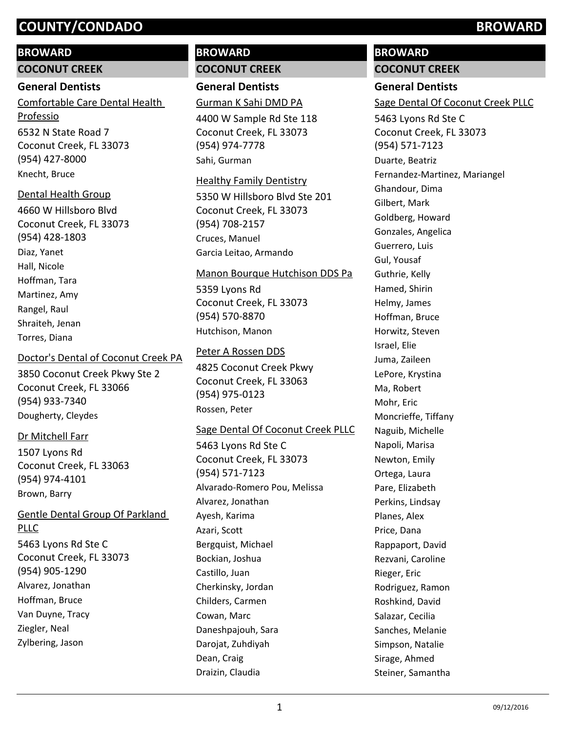# **BROWARD**

**COCONUT CREEK**

# **General Dentists**

6532 N State Road 7 Coconut Creek, FL 33073 (954) 427-8000 Comfortable Care Dental Health Professio Knecht, Bruce

# Dental Health Group

4660 W Hillsboro Blvd Coconut Creek, FL 33073 (954) 428-1803 Diaz, Yanet Hall, Nicole Hoffman, Tara Martinez, Amy Rangel, Raul Shraiteh, Jenan Torres, Diana

# Doctor's Dental of Coconut Creek PA

3850 Coconut Creek Pkwy Ste 2 Coconut Creek, FL 33066 (954) 933-7340 Dougherty, Cleydes

# Dr Mitchell Farr

1507 Lyons Rd Coconut Creek, FL 33063 (954) 974-4101 Brown, Barry

# Gentle Dental Group Of Parkland PLLC

5463 Lyons Rd Ste C Coconut Creek, FL 33073 (954) 905-1290 Alvarez, Jonathan Hoffman, Bruce Van Duyne, Tracy Ziegler, Neal Zylbering, Jason

# **BROWARD COCONUT CREEK**

**General Dentists**

Gurman K Sahi DMD PA

4400 W Sample Rd Ste 118 Coconut Creek, FL 33073 (954) 974-7778 Sahi, Gurman

### Healthy Family Dentistry

5350 W Hillsboro Blvd Ste 201 Coconut Creek, FL 33073 (954) 708-2157 Cruces, Manuel Garcia Leitao, Armando

# Manon Bourque Hutchison DDS Pa

5359 Lyons Rd Coconut Creek, FL 33073 (954) 570-8870 Hutchison, Manon

# Peter A Rossen DDS

4825 Coconut Creek Pkwy Coconut Creek, FL 33063 (954) 975-0123 Rossen, Peter

## Sage Dental Of Coconut Creek PLLC

5463 Lyons Rd Ste C Coconut Creek, FL 33073 (954) 571-7123 Alvarado-Romero Pou, Melissa Alvarez, Jonathan Ayesh, Karima Azari, Scott Bergquist, Michael Bockian, Joshua Castillo, Juan Cherkinsky, Jordan Childers, Carmen Cowan, Marc Daneshpajouh, Sara Darojat, Zuhdiyah Dean, Craig Draizin, Claudia

# **BROWARD**

# **COCONUT CREEK**

# **General Dentists**

Sage Dental Of Coconut Creek PLLC

5463 Lyons Rd Ste C Coconut Creek, FL 33073 (954) 571-7123 Duarte, Beatriz Fernandez-Martinez, Mariangel Ghandour, Dima Gilbert, Mark Goldberg, Howard Gonzales, Angelica Guerrero, Luis Gul, Yousaf Guthrie, Kelly Hamed, Shirin Helmy, James Hoffman, Bruce Horwitz, Steven Israel, Elie Juma, Zaileen LePore, Krystina Ma, Robert Mohr, Eric Moncrieffe, Tiffany Naguib, Michelle Napoli, Marisa Newton, Emily Ortega, Laura Pare, Elizabeth Perkins, Lindsay Planes, Alex Price, Dana Rappaport, David Rezvani, Caroline Rieger, Eric Rodriguez, Ramon Roshkind, David Salazar, Cecilia Sanches, Melanie Simpson, Natalie Sirage, Ahmed Steiner, Samantha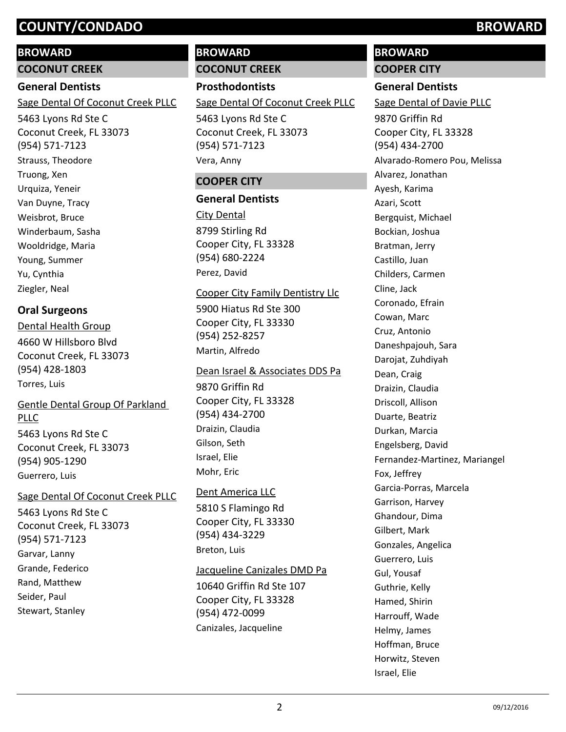## **BROWARD**

**COCONUT CREEK**

### **General Dentists**

Sage Dental Of Coconut Creek PLLC

5463 Lyons Rd Ste C Coconut Creek, FL 33073 (954) 571-7123 Strauss, Theodore Truong, Xen Urquiza, Yeneir Van Duyne, Tracy Weisbrot, Bruce Winderbaum, Sasha Wooldridge, Maria Young, Summer Yu, Cynthia Ziegler, Neal

# **Oral Surgeons**

4660 W Hillsboro Blvd Coconut Creek, FL 33073 (954) 428-1803 Dental Health Group Torres, Luis

# Gentle Dental Group Of Parkland PLLC

5463 Lyons Rd Ste C Coconut Creek, FL 33073 (954) 905-1290 Guerrero, Luis

## Sage Dental Of Coconut Creek PLLC

5463 Lyons Rd Ste C Coconut Creek, FL 33073 (954) 571-7123 Garvar, Lanny Grande, Federico Rand, Matthew Seider, Paul Stewart, Stanley

# **BROWARD COCONUT CREEK**

**Prosthodontists** 5463 Lyons Rd Ste C Coconut Creek, FL 33073 (954) 571-7123 Sage Dental Of Coconut Creek PLLC Vera, Anny

## **COOPER CITY**

### **General Dentists**

8799 Stirling Rd Cooper City, FL 33328 (954) 680-2224 City Dental Perez, David

### Cooper City Family Dentistry Llc

5900 Hiatus Rd Ste 300 Cooper City, FL 33330 (954) 252-8257 Martin, Alfredo

### Dean Israel & Associates DDS Pa

9870 Griffin Rd Cooper City, FL 33328 (954) 434-2700 Draizin, Claudia Gilson, Seth Israel, Elie Mohr, Eric

## Dent America LLC

5810 S Flamingo Rd Cooper City, FL 33330 (954) 434-3229 Breton, Luis

## Jacqueline Canizales DMD Pa

10640 Griffin Rd Ste 107 Cooper City, FL 33328 (954) 472-0099 Canizales, Jacqueline

# **BROWARD**

# **COOPER CITY**

**General Dentists**

9870 Griffin Rd Cooper City, FL 33328 (954) 434-2700 Sage Dental of Davie PLLC Alvarado-Romero Pou, Melissa Alvarez, Jonathan Ayesh, Karima Azari, Scott Bergquist, Michael Bockian, Joshua Bratman, Jerry Castillo, Juan Childers, Carmen Cline, Jack Coronado, Efrain Cowan, Marc Cruz, Antonio Daneshpajouh, Sara Darojat, Zuhdiyah Dean, Craig Draizin, Claudia Driscoll, Allison Duarte, Beatriz Durkan, Marcia Engelsberg, David Fernandez-Martinez, Mariangel Fox, Jeffrey Garcia-Porras, Marcela Garrison, Harvey Ghandour, Dima Gilbert, Mark Gonzales, Angelica Guerrero, Luis Gul, Yousaf Guthrie, Kelly Hamed, Shirin Harrouff, Wade Helmy, James Hoffman, Bruce Horwitz, Steven Israel, Elie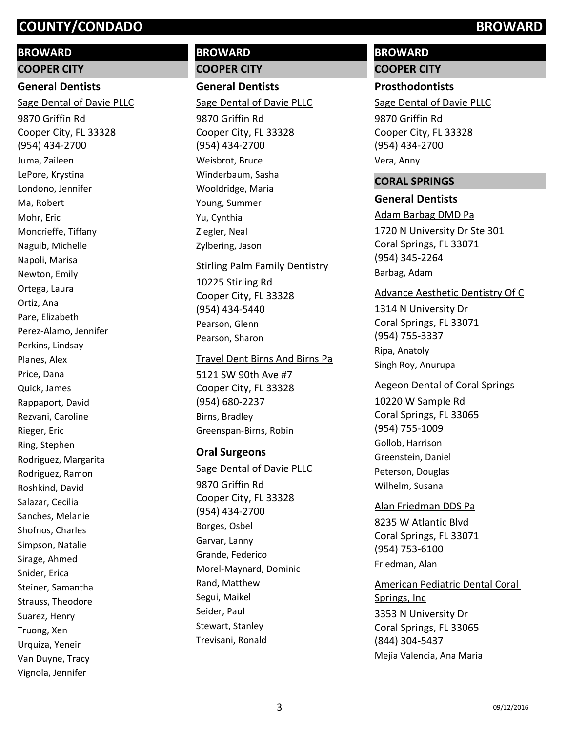### **BROWARD**

**COOPER CITY**

# **General Dentists**

9870 Griffin Rd Cooper City, FL 33328 (954) 434-2700 Sage Dental of Davie PLLC Juma, Zaileen LePore, Krystina Londono, Jennifer Ma, Robert Mohr, Eric Moncrieffe, Tiffany Naguib, Michelle Napoli, Marisa Newton, Emily Ortega, Laura Ortiz, Ana Pare, Elizabeth Perez-Alamo, Jennifer Perkins, Lindsay Planes, Alex Price, Dana Quick, James Rappaport, David Rezvani, Caroline Rieger, Eric Ring, Stephen Rodriguez, Margarita Rodriguez, Ramon Roshkind, David Salazar, Cecilia Sanches, Melanie Shofnos, Charles Simpson, Natalie Sirage, Ahmed Snider, Erica Steiner, Samantha Strauss, Theodore Suarez, Henry Truong, Xen Urquiza, Yeneir Van Duyne, Tracy Vignola, Jennifer

# **BROWARD COOPER CITY**

**General Dentists**

Sage Dental of Davie PLLC

9870 Griffin Rd Cooper City, FL 33328 (954) 434-2700 Weisbrot, Bruce Winderbaum, Sasha Wooldridge, Maria Young, Summer Yu, Cynthia Ziegler, Neal Zylbering, Jason

### Stirling Palm Family Dentistry

10225 Stirling Rd Cooper City, FL 33328 (954) 434-5440 Pearson, Glenn Pearson, Sharon

### Travel Dent Birns And Birns Pa

5121 SW 90th Ave #7 Cooper City, FL 33328 (954) 680-2237 Birns, Bradley Greenspan-Birns, Robin

## **Oral Surgeons**

9870 Griffin Rd Cooper City, FL 33328 (954) 434-2700 Sage Dental of Davie PLLC Borges, Osbel Garvar, Lanny Grande, Federico Morel-Maynard, Dominic Rand, Matthew Segui, Maikel Seider, Paul Stewart, Stanley Trevisani, Ronald

# **BROWARD COOPER CITY**

# **Prosthodontists**

Sage Dental of Davie PLLC

9870 Griffin Rd Cooper City, FL 33328 (954) 434-2700 Vera, Anny

### **CORAL SPRINGS**

### **General Dentists**

1720 N University Dr Ste 301 Coral Springs, FL 33071 (954) 345-2264 Adam Barbag DMD Pa Barbag, Adam

### Advance Aesthetic Dentistry Of C

1314 N University Dr Coral Springs, FL 33071 (954) 755-3337 Ripa, Anatoly Singh Roy, Anurupa

### Aegeon Dental of Coral Springs

10220 W Sample Rd Coral Springs, FL 33065 (954) 755-1009 Gollob, Harrison Greenstein, Daniel Peterson, Douglas Wilhelm, Susana

# 8235 W Atlantic Blvd Coral Springs, FL 33071 Alan Friedman DDS Pa

(954) 753-6100 Friedman, Alan

3353 N University Dr Coral Springs, FL 33065 (844) 304-5437 American Pediatric Dental Coral Springs, Inc Mejia Valencia, Ana Maria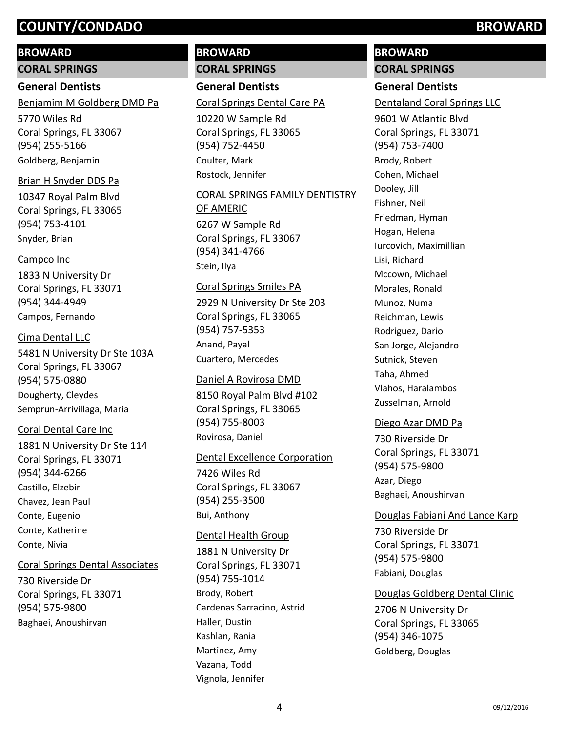### **BROWARD**

**CORAL SPRINGS**

# **General Dentists**

Benjamim M Goldberg DMD Pa

5770 Wiles Rd Coral Springs, FL 33067 (954) 255-5166 Goldberg, Benjamin

### Brian H Snyder DDS Pa

10347 Royal Palm Blvd Coral Springs, FL 33065 (954) 753-4101 Snyder, Brian

### Campco Inc

1833 N University Dr Coral Springs, FL 33071 (954) 344-4949 Campos, Fernando

### Cima Dental LLC

5481 N University Dr Ste 103A Coral Springs, FL 33067 (954) 575-0880 Dougherty, Cleydes Semprun-Arrivillaga, Maria

### Coral Dental Care Inc

1881 N University Dr Ste 114 Coral Springs, FL 33071 (954) 344-6266 Castillo, Elzebir Chavez, Jean Paul Conte, Eugenio Conte, Katherine Conte, Nivia

### Coral Springs Dental Associates

730 Riverside Dr Coral Springs, FL 33071 (954) 575-9800 Baghaei, Anoushirvan

# **BROWARD CORAL SPRINGS**

**General Dentists**

### Coral Springs Dental Care PA

10220 W Sample Rd Coral Springs, FL 33065 (954) 752-4450 Coulter, Mark Rostock, Jennifer

### CORAL SPRINGS FAMILY DENTISTRY OF AMERIC

6267 W Sample Rd Coral Springs, FL 33067 (954) 341-4766 Stein, Ilya

## Coral Springs Smiles PA

2929 N University Dr Ste 203 Coral Springs, FL 33065 (954) 757-5353 Anand, Payal Cuartero, Mercedes

### Daniel A Rovirosa DMD

8150 Royal Palm Blvd #102 Coral Springs, FL 33065 (954) 755-8003 Rovirosa, Daniel

### Dental Excellence Corporation

7426 Wiles Rd Coral Springs, FL 33067 (954) 255-3500 Bui, Anthony

### Dental Health Group

1881 N University Dr Coral Springs, FL 33071 (954) 755-1014 Brody, Robert Cardenas Sarracino, Astrid Haller, Dustin Kashlan, Rania Martinez, Amy Vazana, Todd Vignola, Jennifer

# **BROWARD**

# **CORAL SPRINGS**

# **General Dentists**

Dentaland Coral Springs LLC

9601 W Atlantic Blvd Coral Springs, FL 33071 (954) 753-7400 Brody, Robert Cohen, Michael Dooley, Jill Fishner, Neil Friedman, Hyman Hogan, Helena Iurcovich, Maximillian Lisi, Richard Mccown, Michael Morales, Ronald Munoz, Numa Reichman, Lewis Rodriguez, Dario San Jorge, Alejandro Sutnick, Steven Taha, Ahmed Vlahos, Haralambos Zusselman, Arnold

### Diego Azar DMD Pa

730 Riverside Dr Coral Springs, FL 33071 (954) 575-9800 Azar, Diego Baghaei, Anoushirvan

### Douglas Fabiani And Lance Karp

730 Riverside Dr Coral Springs, FL 33071 (954) 575-9800 Fabiani, Douglas

### Douglas Goldberg Dental Clinic

2706 N University Dr Coral Springs, FL 33065 (954) 346-1075 Goldberg, Douglas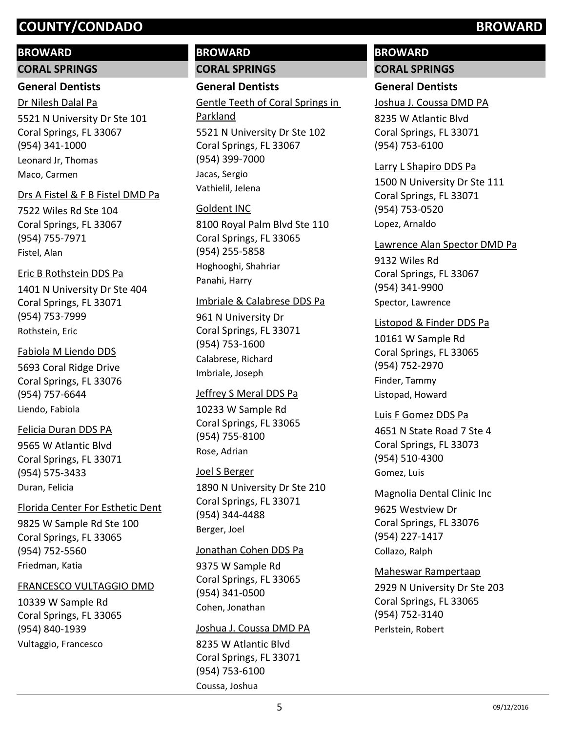## **BROWARD**

### **CORAL SPRINGS**

## **General Dentists**

5521 N University Dr Ste 101 Coral Springs, FL 33067 (954) 341-1000 Dr Nilesh Dalal Pa Leonard Jr, Thomas Maco, Carmen

### Drs A Fistel & F B Fistel DMD Pa

7522 Wiles Rd Ste 104 Coral Springs, FL 33067 (954) 755-7971 Fistel, Alan

### Eric B Rothstein DDS Pa

1401 N University Dr Ste 404 Coral Springs, FL 33071 (954) 753-7999 Rothstein, Eric

## Fabiola M Liendo DDS

5693 Coral Ridge Drive Coral Springs, FL 33076 (954) 757-6644 Liendo, Fabiola

### Felicia Duran DDS PA

9565 W Atlantic Blvd Coral Springs, FL 33071 (954) 575-3433 Duran, Felicia

### Florida Center For Esthetic Dent

9825 W Sample Rd Ste 100 Coral Springs, FL 33065 (954) 752-5560 Friedman, Katia

### FRANCESCO VULTAGGIO DMD

10339 W Sample Rd Coral Springs, FL 33065 (954) 840-1939 Vultaggio, Francesco

# **BROWARD CORAL SPRINGS**

# **General Dentists**

5521 N University Dr Ste 102 Coral Springs, FL 33067 (954) 399-7000 Gentle Teeth of Coral Springs in Parkland Jacas, Sergio Vathielil, Jelena

### Goldent INC

8100 Royal Palm Blvd Ste 110 Coral Springs, FL 33065 (954) 255-5858 Hoghooghi, Shahriar Panahi, Harry

### Imbriale & Calabrese DDS Pa

961 N University Dr Coral Springs, FL 33071 (954) 753-1600 Calabrese, Richard Imbriale, Joseph

### Jeffrey S Meral DDS Pa

10233 W Sample Rd Coral Springs, FL 33065 (954) 755-8100 Rose, Adrian

### Joel S Berger

1890 N University Dr Ste 210 Coral Springs, FL 33071 (954) 344-4488 Berger, Joel

### Jonathan Cohen DDS Pa

9375 W Sample Rd Coral Springs, FL 33065 (954) 341-0500 Cohen, Jonathan

### Joshua J. Coussa DMD PA

8235 W Atlantic Blvd Coral Springs, FL 33071 (954) 753-6100 Coussa, Joshua

# **BROWARD**

# **CORAL SPRINGS**

# **General Dentists**

Joshua J. Coussa DMD PA

8235 W Atlantic Blvd Coral Springs, FL 33071 (954) 753-6100

# Larry L Shapiro DDS Pa

1500 N University Dr Ste 111 Coral Springs, FL 33071 (954) 753-0520 Lopez, Arnaldo

### Lawrence Alan Spector DMD Pa

9132 Wiles Rd Coral Springs, FL 33067 (954) 341-9900 Spector, Lawrence

### Listopod & Finder DDS Pa

10161 W Sample Rd Coral Springs, FL 33065 (954) 752-2970 Finder, Tammy Listopad, Howard

### Luis F Gomez DDS Pa

4651 N State Road 7 Ste 4 Coral Springs, FL 33073 (954) 510-4300 Gomez, Luis

### Magnolia Dental Clinic Inc

9625 Westview Dr Coral Springs, FL 33076 (954) 227-1417 Collazo, Ralph

### Maheswar Rampertaap

2929 N University Dr Ste 203 Coral Springs, FL 33065 (954) 752-3140 Perlstein, Robert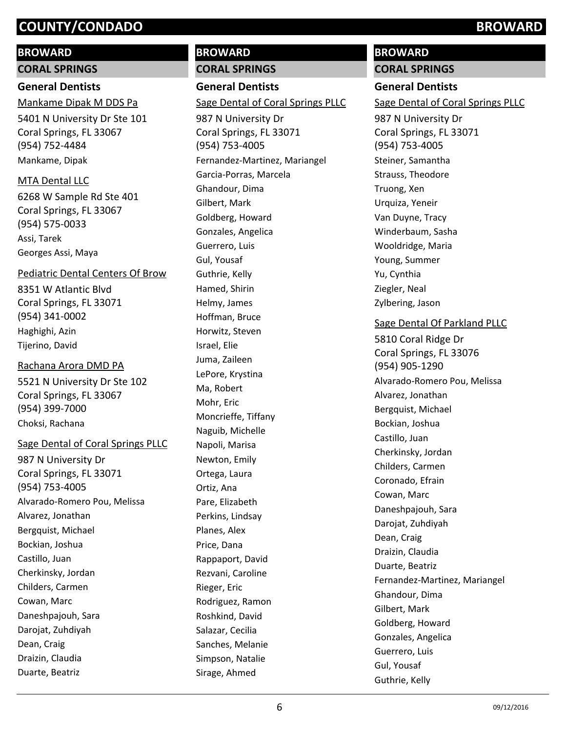# **BROWARD**

**CORAL SPRINGS**

# **General Dentists**

5401 N University Dr Ste 101 Coral Springs, FL 33067 (954) 752-4484 Mankame Dipak M DDS Pa Mankame, Dipak

# MTA Dental LLC

6268 W Sample Rd Ste 401 Coral Springs, FL 33067 (954) 575-0033 Assi, Tarek Georges Assi, Maya

# Pediatric Dental Centers Of Brow

8351 W Atlantic Blvd Coral Springs, FL 33071 (954) 341-0002 Haghighi, Azin Tijerino, David

# Rachana Arora DMD PA

5521 N University Dr Ste 102 Coral Springs, FL 33067 (954) 399-7000 Choksi, Rachana

# Sage Dental of Coral Springs PLLC

987 N University Dr Coral Springs, FL 33071 (954) 753-4005 Alvarado-Romero Pou, Melissa Alvarez, Jonathan Bergquist, Michael Bockian, Joshua Castillo, Juan Cherkinsky, Jordan Childers, Carmen Cowan, Marc Daneshpajouh, Sara Darojat, Zuhdiyah Dean, Craig Draizin, Claudia Duarte, Beatriz

# **BROWARD CORAL SPRINGS**

**General Dentists** 987 N University Dr Coral Springs, FL 33071 (954) 753-4005 Sage Dental of Coral Springs PLLC Fernandez-Martinez, Mariangel Garcia-Porras, Marcela Ghandour, Dima Gilbert, Mark

Goldberg, Howard Gonzales, Angelica Guerrero, Luis Gul, Yousaf Guthrie, Kelly Hamed, Shirin Helmy, James Hoffman, Bruce Horwitz, Steven Israel, Elie Juma, Zaileen LePore, Krystina Ma, Robert Mohr, Eric Moncrieffe, Tiffany Naguib, Michelle Napoli, Marisa Newton, Emily Ortega, Laura Ortiz, Ana Pare, Elizabeth Perkins, Lindsay Planes, Alex Price, Dana Rappaport, David Rezvani, Caroline Rieger, Eric Rodriguez, Ramon Roshkind, David Salazar, Cecilia Sanches, Melanie Simpson, Natalie Sirage, Ahmed

# **BROWARD**

**CORAL SPRINGS**

# **General Dentists**

Sage Dental of Coral Springs PLLC

987 N University Dr Coral Springs, FL 33071 (954) 753-4005 Steiner, Samantha Strauss, Theodore Truong, Xen Urquiza, Yeneir Van Duyne, Tracy Winderbaum, Sasha Wooldridge, Maria Young, Summer Yu, Cynthia Ziegler, Neal Zylbering, Jason

# Sage Dental Of Parkland PLLC

5810 Coral Ridge Dr Coral Springs, FL 33076 (954) 905-1290 Alvarado-Romero Pou, Melissa Alvarez, Jonathan Bergquist, Michael Bockian, Joshua Castillo, Juan Cherkinsky, Jordan Childers, Carmen Coronado, Efrain Cowan, Marc Daneshpajouh, Sara Darojat, Zuhdiyah Dean, Craig Draizin, Claudia Duarte, Beatriz Fernandez-Martinez, Mariangel Ghandour, Dima Gilbert, Mark Goldberg, Howard Gonzales, Angelica Guerrero, Luis Gul, Yousaf Guthrie, Kelly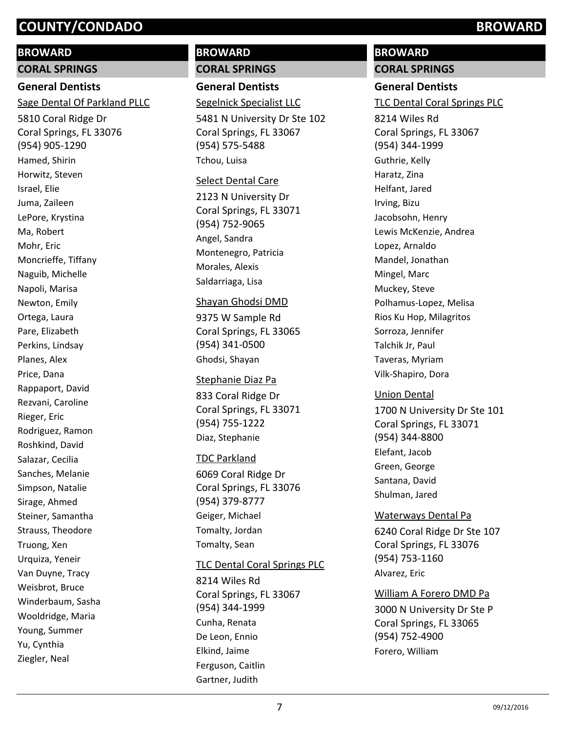# **BROWARD**

**CORAL SPRINGS**

# **General Dentists**

Sage Dental Of Parkland PLLC

5810 Coral Ridge Dr Coral Springs, FL 33076 (954) 905-1290 Hamed, Shirin Horwitz, Steven Israel, Elie Juma, Zaileen LePore, Krystina Ma, Robert Mohr, Eric Moncrieffe, Tiffany Naguib, Michelle Napoli, Marisa Newton, Emily Ortega, Laura Pare, Elizabeth Perkins, Lindsay Planes, Alex Price, Dana Rappaport, David Rezvani, Caroline Rieger, Eric Rodriguez, Ramon Roshkind, David Salazar, Cecilia Sanches, Melanie Simpson, Natalie Sirage, Ahmed Steiner, Samantha Strauss, Theodore Truong, Xen Urquiza, Yeneir Van Duyne, Tracy Weisbrot, Bruce Winderbaum, Sasha Wooldridge, Maria Young, Summer Yu, Cynthia Ziegler, Neal

# **BROWARD CORAL SPRINGS**

**General Dentists**

Segelnick Specialist LLC

5481 N University Dr Ste 102 Coral Springs, FL 33067 (954) 575-5488 Tchou, Luisa

### Select Dental Care

2123 N University Dr Coral Springs, FL 33071 (954) 752-9065 Angel, Sandra Montenegro, Patricia Morales, Alexis Saldarriaga, Lisa

### Shayan Ghodsi DMD

9375 W Sample Rd Coral Springs, FL 33065 (954) 341-0500 Ghodsi, Shayan

### Stephanie Diaz Pa

833 Coral Ridge Dr Coral Springs, FL 33071 (954) 755-1222 Diaz, Stephanie

# TDC Parkland

6069 Coral Ridge Dr Coral Springs, FL 33076 (954) 379-8777 Geiger, Michael Tomalty, Jordan Tomalty, Sean

## TLC Dental Coral Springs PLC

8214 Wiles Rd Coral Springs, FL 33067 (954) 344-1999 Cunha, Renata De Leon, Ennio Elkind, Jaime Ferguson, Caitlin Gartner, Judith

# **BROWARD**

# **CORAL SPRINGS**

# **General Dentists**

TLC Dental Coral Springs PLC

8214 Wiles Rd Coral Springs, FL 33067 (954) 344-1999 Guthrie, Kelly Haratz, Zina Helfant, Jared Irving, Bizu Jacobsohn, Henry Lewis McKenzie, Andrea Lopez, Arnaldo Mandel, Jonathan Mingel, Marc Muckey, Steve Polhamus-Lopez, Melisa Rios Ku Hop, Milagritos Sorroza, Jennifer Talchik Jr, Paul Taveras, Myriam Vilk-Shapiro, Dora

# Union Dental

1700 N University Dr Ste 101 Coral Springs, FL 33071 (954) 344-8800 Elefant, Jacob Green, George Santana, David Shulman, Jared

# Waterways Dental Pa

6240 Coral Ridge Dr Ste 107 Coral Springs, FL 33076 (954) 753-1160 Alvarez, Eric

## William A Forero DMD Pa

3000 N University Dr Ste P Coral Springs, FL 33065 (954) 752-4900 Forero, William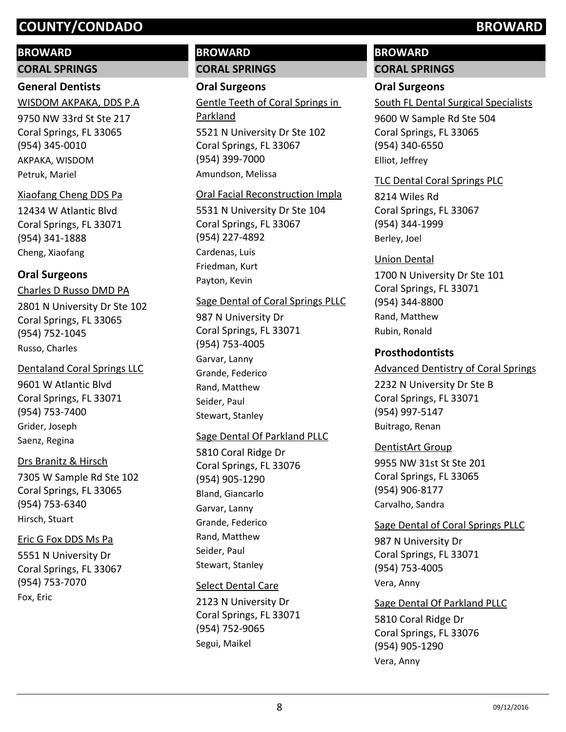### **BROWARD**

**CORAL SPRINGS**

### **General Dentists**

9750 NW 33rd St Ste 217 Coral Springs, FL 33065 (954) 345-0010 WISDOM AKPAKA, DDS P.A AKPAKA, WISDOM

Petruk, Mariel

### Xiaofang Cheng DDS Pa

12434 W Atlantic Blvd Coral Springs, FL 33071 (954) 341-1888 Cheng, Xiaofang

## **Oral Surgeons**

2801 N University Dr Ste 102 Coral Springs, FL 33065 (954) 752-1045 Charles D Russo DMD PA Russo, Charles

### Dentaland Coral Springs LLC

9601 W Atlantic Blvd Coral Springs, FL 33071 (954) 753-7400 Grider, Joseph Saenz, Regina

### Drs Branitz & Hirsch

7305 W Sample Rd Ste 102 Coral Springs, FL 33065 (954) 753-6340 Hirsch, Stuart

### Eric G Fox DDS Ms Pa

5551 N University Dr Coral Springs, FL 33067 (954) 753-7070 Fox, Eric

# **BROWARD CORAL SPRINGS**

### **Oral Surgeons**

5521 N University Dr Ste 102 Coral Springs, FL 33067 (954) 399-7000 Gentle Teeth of Coral Springs in Parkland

Amundson, Melissa

### Oral Facial Reconstruction Impla

5531 N University Dr Ste 104 Coral Springs, FL 33067 (954) 227-4892 Cardenas, Luis Friedman, Kurt Payton, Kevin

### Sage Dental of Coral Springs PLLC

987 N University Dr Coral Springs, FL 33071 (954) 753-4005 Garvar, Lanny Grande, Federico Rand, Matthew Seider, Paul Stewart, Stanley

### Sage Dental Of Parkland PLLC

5810 Coral Ridge Dr Coral Springs, FL 33076 (954) 905-1290 Bland, Giancarlo Garvar, Lanny Grande, Federico Rand, Matthew Seider, Paul Stewart, Stanley

### Select Dental Care

2123 N University Dr Coral Springs, FL 33071 (954) 752-9065 Segui, Maikel

# **BROWARD**

# **CORAL SPRINGS**

# **Oral Surgeons**

South FL Dental Surgical Specialists

9600 W Sample Rd Ste 504 Coral Springs, FL 33065 (954) 340-6550 Elliot, Jeffrey

### TLC Dental Coral Springs PLC

8214 Wiles Rd Coral Springs, FL 33067 (954) 344-1999 Berley, Joel

1700 N University Dr Ste 101 Coral Springs, FL 33071 (954) 344-8800 Union Dental Rand, Matthew Rubin, Ronald

### **Prosthodontists**

### Advanced Dentistry of Coral Springs

2232 N University Dr Ste B Coral Springs, FL 33071 (954) 997-5147 Buitrago, Renan

### DentistArt Group

9955 NW 31st St Ste 201 Coral Springs, FL 33065 (954) 906-8177 Carvalho, Sandra

### Sage Dental of Coral Springs PLLC

987 N University Dr Coral Springs, FL 33071 (954) 753-4005 Vera, Anny

### Sage Dental Of Parkland PLLC

5810 Coral Ridge Dr Coral Springs, FL 33076 (954) 905-1290 Vera, Anny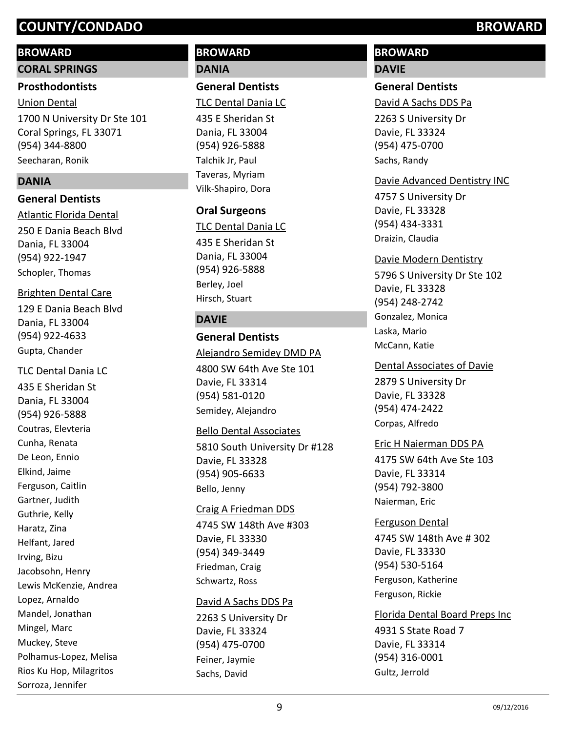### **BROWARD**

**CORAL SPRINGS**

# **Prosthodontists**

1700 N University Dr Ste 101 Coral Springs, FL 33071 (954) 344-8800 Union Dental Seecharan, Ronik

## **DANIA**

## **General Dentists**

250 E Dania Beach Blvd Dania, FL 33004 (954) 922-1947 Atlantic Florida Dental Schopler, Thomas

## Brighten Dental Care

129 E Dania Beach Blvd Dania, FL 33004 (954) 922-4633 Gupta, Chander

## TLC Dental Dania LC

435 E Sheridan St Dania, FL 33004 (954) 926-5888 Coutras, Elevteria Cunha, Renata De Leon, Ennio Elkind, Jaime Ferguson, Caitlin Gartner, Judith Guthrie, Kelly Haratz, Zina Helfant, Jared Irving, Bizu Jacobsohn, Henry Lewis McKenzie, Andrea Lopez, Arnaldo Mandel, Jonathan Mingel, Marc Muckey, Steve Polhamus-Lopez, Melisa Rios Ku Hop, Milagritos Sorroza, Jennifer

# **BROWARD DANIA**

**General Dentists**

TLC Dental Dania LC

435 E Sheridan St Dania, FL 33004 (954) 926-5888 Talchik Jr, Paul Taveras, Myriam Vilk-Shapiro, Dora

# **Oral Surgeons**

435 E Sheridan St Dania, FL 33004 (954) 926-5888 TLC Dental Dania LC Berley, Joel Hirsch, Stuart

# **DAVIE**

## **General Dentists**

4800 SW 64th Ave Ste 101 Davie, FL 33314 (954) 581-0120 Alejandro Semidey DMD PA Semidey, Alejandro

## Bello Dental Associates

5810 South University Dr #128 Davie, FL 33328 (954) 905-6633 Bello, Jenny

### Craig A Friedman DDS

4745 SW 148th Ave #303 Davie, FL 33330 (954) 349-3449 Friedman, Craig Schwartz, Ross

## David A Sachs DDS Pa

2263 S University Dr Davie, FL 33324 (954) 475-0700 Feiner, Jaymie Sachs, David

# **BROWARD DAVIE**

# **General Dentists**

David A Sachs DDS Pa

2263 S University Dr Davie, FL 33324 (954) 475-0700 Sachs, Randy

# Davie Advanced Dentistry INC

4757 S University Dr Davie, FL 33328 (954) 434-3331 Draizin, Claudia

### Davie Modern Dentistry

5796 S University Dr Ste 102 Davie, FL 33328 (954) 248-2742 Gonzalez, Monica Laska, Mario McCann, Katie

### Dental Associates of Davie

2879 S University Dr Davie, FL 33328 (954) 474-2422 Corpas, Alfredo

## Eric H Naierman DDS PA

4175 SW 64th Ave Ste 103 Davie, FL 33314 (954) 792-3800 Naierman, Eric

## Ferguson Dental

4745 SW 148th Ave # 302 Davie, FL 33330 (954) 530-5164 Ferguson, Katherine Ferguson, Rickie

### Florida Dental Board Preps Inc

4931 S State Road 7 Davie, FL 33314 (954) 316-0001 Gultz, Jerrold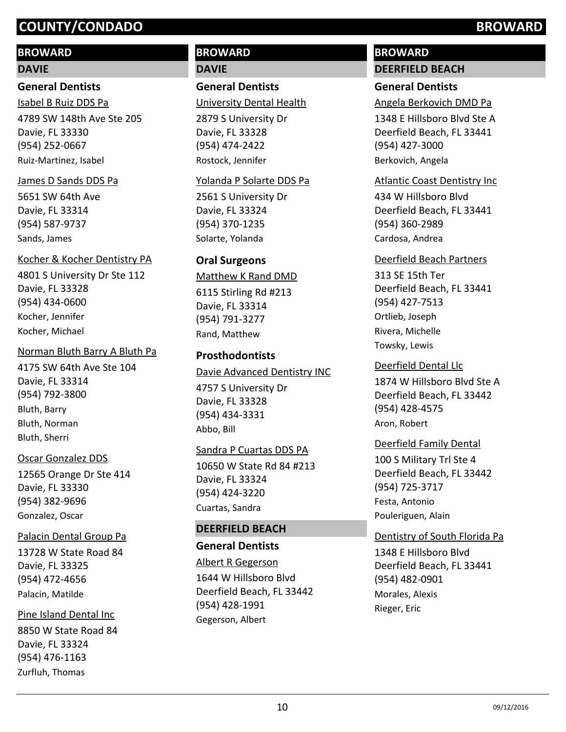### **BROWARD**

### **DAVIE**

### **General Dentists**

4789 SW 148th Ave Ste 205 Davie, FL 33330 (954) 252-0667 Isabel B Ruiz DDS Pa Ruiz-Martinez, Isabel

#### James D Sands DDS Pa

5651 SW 64th Ave Davie, FL 33314 (954) 587-9737 Sands, James

#### Kocher & Kocher Dentistry PA

4801 S University Dr Ste 112 Davie, FL 33328 (954) 434-0600 Kocher, Jennifer Kocher, Michael

#### Norman Bluth Barry A Bluth Pa

4175 SW 64th Ave Ste 104 Davie, FL 33314 (954) 792-3800 Bluth, Barry Bluth, Norman Bluth, Sherri

### Oscar Gonzalez DDS

12565 Orange Dr Ste 414 Davie, FL 33330 (954) 382-9696 Gonzalez, Oscar

### Palacin Dental Group Pa

13728 W State Road 84 Davie, FL 33325 (954) 472-4656 Palacin, Matilde

#### Pine Island Dental Inc

8850 W State Road 84 Davie, FL 33324 (954) 476-1163 Zurfluh, Thomas

# **BROWARD DAVIE**

**General Dentists**

University Dental Health

2879 S University Dr Davie, FL 33328 (954) 474-2422 Rostock, Jennifer

### Yolanda P Solarte DDS Pa

2561 S University Dr Davie, FL 33324 (954) 370-1235 Solarte, Yolanda

### **Oral Surgeons**

# 6115 Stirling Rd #213 Matthew K Rand DMD

Davie, FL 33314 (954) 791-3277 Rand, Matthew

### **Prosthodontists**

4757 S University Dr Davie, FL 33328 (954) 434-3331 Davie Advanced Dentistry INC Abbo, Bill

### Sandra P Cuartas DDS PA

10650 W State Rd 84 #213 Davie, FL 33324 (954) 424-3220 Cuartas, Sandra

### **DEERFIELD BEACH**

### **General Dentists**

1644 W Hillsboro Blvd Deerfield Beach, FL 33442 (954) 428-1991 Albert R Gegerson Gegerson, Albert

# **BROWARD DEERFIELD BEACH**

### **General Dentists**

Angela Berkovich DMD Pa

1348 E Hillsboro Blvd Ste A Deerfield Beach, FL 33441 (954) 427-3000 Berkovich, Angela

#### Atlantic Coast Dentistry Inc

434 W Hillsboro Blvd Deerfield Beach, FL 33441 (954) 360-2989 Cardosa, Andrea

### Deerfield Beach Partners

313 SE 15th Ter Deerfield Beach, FL 33441 (954) 427-7513 Ortlieb, Joseph Rivera, Michelle Towsky, Lewis

#### Deerfield Dental Llc

1874 W Hillsboro Blvd Ste A Deerfield Beach, FL 33442 (954) 428-4575 Aron, Robert

#### Deerfield Family Dental

100 S Military Trl Ste 4 Deerfield Beach, FL 33442 (954) 725-3717 Festa, Antonio Pouleriguen, Alain

### Dentistry of South Florida Pa

1348 E Hillsboro Blvd Deerfield Beach, FL 33441 (954) 482-0901 Morales, Alexis Rieger, Eric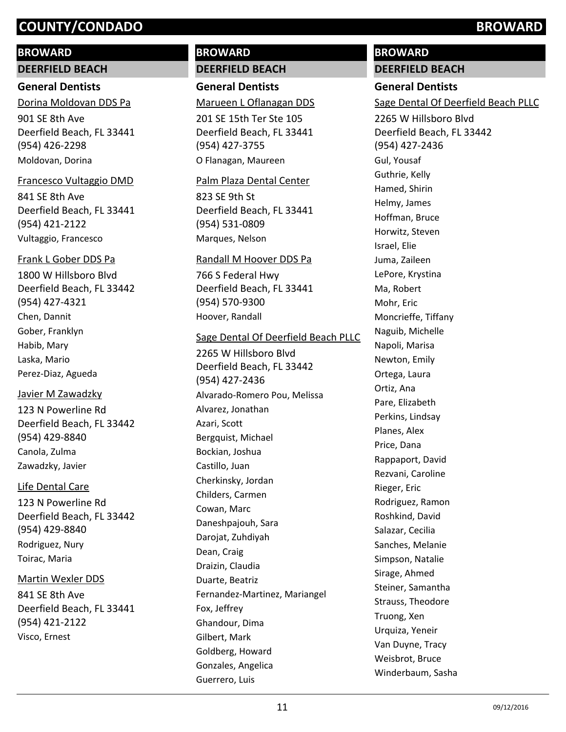### **BROWARD**

**DEERFIELD BEACH**

### **General Dentists**

901 SE 8th Ave Deerfield Beach, FL 33441 (954) 426-2298 Dorina Moldovan DDS Pa Moldovan, Dorina

#### Francesco Vultaggio DMD

841 SE 8th Ave Deerfield Beach, FL 33441 (954) 421-2122 Vultaggio, Francesco

#### Frank L Gober DDS Pa

1800 W Hillsboro Blvd Deerfield Beach, FL 33442 (954) 427-4321 Chen, Dannit Gober, Franklyn Habib, Mary Laska, Mario Perez-Diaz, Agueda

### Javier M Zawadzky

123 N Powerline Rd Deerfield Beach, FL 33442 (954) 429-8840 Canola, Zulma Zawadzky, Javier

### Life Dental Care

123 N Powerline Rd Deerfield Beach, FL 33442 (954) 429-8840 Rodriguez, Nury Toirac, Maria

### Martin Wexler DDS

841 SE 8th Ave Deerfield Beach, FL 33441 (954) 421-2122 Visco, Ernest

# **BROWARD DEERFIELD BEACH**

**General Dentists**

### Marueen L Oflanagan DDS

201 SE 15th Ter Ste 105 Deerfield Beach, FL 33441 (954) 427-3755 O Flanagan, Maureen

#### Palm Plaza Dental Center

823 SE 9th St Deerfield Beach, FL 33441 (954) 531-0809 Marques, Nelson

#### Randall M Hoover DDS Pa

766 S Federal Hwy Deerfield Beach, FL 33441 (954) 570-9300 Hoover, Randall

#### Sage Dental Of Deerfield Beach PLLC

2265 W Hillsboro Blvd Deerfield Beach, FL 33442 (954) 427-2436 Alvarado-Romero Pou, Melissa Alvarez, Jonathan Azari, Scott Bergquist, Michael Bockian, Joshua Castillo, Juan Cherkinsky, Jordan Childers, Carmen Cowan, Marc Daneshpajouh, Sara Darojat, Zuhdiyah Dean, Craig Draizin, Claudia Duarte, Beatriz Fernandez-Martinez, Mariangel Fox, Jeffrey Ghandour, Dima Gilbert, Mark Goldberg, Howard Gonzales, Angelica Guerrero, Luis

# **BROWARD**

# **DEERFIELD BEACH**

### **General Dentists**

Sage Dental Of Deerfield Beach PLLC

2265 W Hillsboro Blvd Deerfield Beach, FL 33442 (954) 427-2436 Gul, Yousaf Guthrie, Kelly Hamed, Shirin Helmy, James Hoffman, Bruce Horwitz, Steven Israel, Elie Juma, Zaileen LePore, Krystina Ma, Robert Mohr, Eric Moncrieffe, Tiffany Naguib, Michelle Napoli, Marisa Newton, Emily Ortega, Laura Ortiz, Ana Pare, Elizabeth Perkins, Lindsay Planes, Alex Price, Dana Rappaport, David Rezvani, Caroline Rieger, Eric Rodriguez, Ramon Roshkind, David Salazar, Cecilia Sanches, Melanie Simpson, Natalie Sirage, Ahmed Steiner, Samantha Strauss, Theodore Truong, Xen Urquiza, Yeneir Van Duyne, Tracy Weisbrot, Bruce Winderbaum, Sasha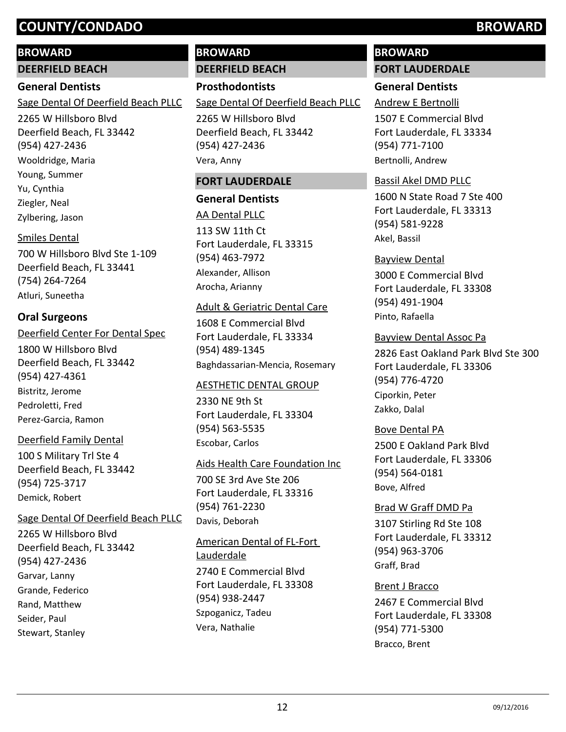### **BROWARD**

**DEERFIELD BEACH**

### **General Dentists**

Sage Dental Of Deerfield Beach PLLC

2265 W Hillsboro Blvd Deerfield Beach, FL 33442 (954) 427-2436 Wooldridge, Maria Young, Summer Yu, Cynthia Ziegler, Neal Zylbering, Jason

### Smiles Dental

700 W Hillsboro Blvd Ste 1-109 Deerfield Beach, FL 33441 (754) 264-7264 Atluri, Suneetha

## **Oral Surgeons**

### Deerfield Center For Dental Spec

1800 W Hillsboro Blvd Deerfield Beach, FL 33442 (954) 427-4361 Bistritz, Jerome Pedroletti, Fred Perez-Garcia, Ramon

### Deerfield Family Dental

100 S Military Trl Ste 4 Deerfield Beach, FL 33442 (954) 725-3717 Demick, Robert

### Sage Dental Of Deerfield Beach PLLC

2265 W Hillsboro Blvd Deerfield Beach, FL 33442 (954) 427-2436 Garvar, Lanny Grande, Federico Rand, Matthew Seider, Paul Stewart, Stanley

# **BROWARD**

**DEERFIELD BEACH**

**Prosthodontists** Sage Dental Of Deerfield Beach PLLC

2265 W Hillsboro Blvd Deerfield Beach, FL 33442 (954) 427-2436 Vera, Anny

### **FORT LAUDERDALE**

# **General Dentists** 113 SW 11th Ct Fort Lauderdale, FL 33315 (954) 463-7972 AA Dental PLLC Alexander, Allison Arocha, Arianny

### Adult & Geriatric Dental Care

1608 E Commercial Blvd Fort Lauderdale, FL 33334 (954) 489-1345 Baghdassarian-Mencia, Rosemary

### AESTHETIC DENTAL GROUP

2330 NE 9th St Fort Lauderdale, FL 33304 (954) 563-5535 Escobar, Carlos

### Aids Health Care Foundation Inc

700 SE 3rd Ave Ste 206 Fort Lauderdale, FL 33316 (954) 761-2230 Davis, Deborah

2740 E Commercial Blvd Fort Lauderdale, FL 33308 (954) 938-2447 American Dental of FL-Fort Lauderdale

Szpoganicz, Tadeu Vera, Nathalie

# **BROWARD FORT LAUDERDALE**

# **General Dentists**

# Andrew E Bertnolli

1507 E Commercial Blvd Fort Lauderdale, FL 33334 (954) 771-7100 Bertnolli, Andrew

### Bassil Akel DMD PLLC

1600 N State Road 7 Ste 400 Fort Lauderdale, FL 33313 (954) 581-9228 Akel, Bassil

## Bayview Dental

3000 E Commercial Blvd Fort Lauderdale, FL 33308 (954) 491-1904 Pinto, Rafaella

2826 East Oakland Park Blvd Ste 300 Fort Lauderdale, FL 33306 (954) 776-4720 Bayview Dental Assoc Pa Ciporkin, Peter Zakko, Dalal

### Bove Dental PA

2500 E Oakland Park Blvd Fort Lauderdale, FL 33306 (954) 564-0181 Bove, Alfred

### Brad W Graff DMD Pa

3107 Stirling Rd Ste 108 Fort Lauderdale, FL 33312 (954) 963-3706 Graff, Brad

### Brent J Bracco

2467 E Commercial Blvd Fort Lauderdale, FL 33308 (954) 771-5300 Bracco, Brent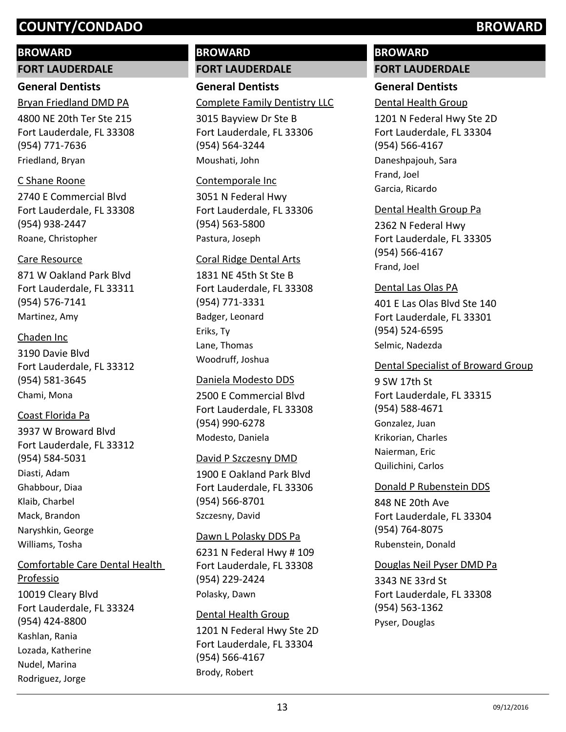### **BROWARD**

**FORT LAUDERDALE**

## **General Dentists**

4800 NE 20th Ter Ste 215 Fort Lauderdale, FL 33308 (954) 771-7636 Bryan Friedland DMD PA Friedland, Bryan

### C Shane Roone

2740 E Commercial Blvd Fort Lauderdale, FL 33308 (954) 938-2447 Roane, Christopher

### Care Resource

871 W Oakland Park Blvd Fort Lauderdale, FL 33311 (954) 576-7141 Martinez, Amy

### Chaden Inc

3190 Davie Blvd Fort Lauderdale, FL 33312 (954) 581-3645 Chami, Mona

## Coast Florida Pa

3937 W Broward Blvd Fort Lauderdale, FL 33312 (954) 584-5031 Diasti, Adam Ghabbour, Diaa Klaib, Charbel Mack, Brandon Naryshkin, George Williams, Tosha

### Comfortable Care Dental Health Professio

10019 Cleary Blvd Fort Lauderdale, FL 33324 (954) 424-8800 Kashlan, Rania Lozada, Katherine Nudel, Marina Rodriguez, Jorge

# **BROWARD FORT LAUDERDALE**

**General Dentists** Complete Family Dentistry LLC

3015 Bayview Dr Ste B Fort Lauderdale, FL 33306 (954) 564-3244 Moushati, John

### Contemporale Inc

3051 N Federal Hwy Fort Lauderdale, FL 33306 (954) 563-5800 Pastura, Joseph

### Coral Ridge Dental Arts

1831 NE 45th St Ste B Fort Lauderdale, FL 33308 (954) 771-3331 Badger, Leonard Eriks, Ty Lane, Thomas Woodruff, Joshua

### Daniela Modesto DDS

2500 E Commercial Blvd Fort Lauderdale, FL 33308 (954) 990-6278 Modesto, Daniela

### David P Szczesny DMD

1900 E Oakland Park Blvd Fort Lauderdale, FL 33306 (954) 566-8701 Szczesny, David

### Dawn L Polasky DDS Pa

6231 N Federal Hwy # 109 Fort Lauderdale, FL 33308 (954) 229-2424 Polasky, Dawn

### Dental Health Group

1201 N Federal Hwy Ste 2D Fort Lauderdale, FL 33304 (954) 566-4167 Brody, Robert

# **BROWARD**

# **FORT LAUDERDALE**

# **General Dentists**

Dental Health Group

1201 N Federal Hwy Ste 2D Fort Lauderdale, FL 33304 (954) 566-4167 Daneshpajouh, Sara Frand, Joel Garcia, Ricardo

### Dental Health Group Pa

2362 N Federal Hwy Fort Lauderdale, FL 33305 (954) 566-4167 Frand, Joel

### Dental Las Olas PA

401 E Las Olas Blvd Ste 140 Fort Lauderdale, FL 33301 (954) 524-6595 Selmic, Nadezda

### Dental Specialist of Broward Group

9 SW 17th St Fort Lauderdale, FL 33315 (954) 588-4671 Gonzalez, Juan Krikorian, Charles Naierman, Eric Quilichini, Carlos

### Donald P Rubenstein DDS

848 NE 20th Ave Fort Lauderdale, FL 33304 (954) 764-8075 Rubenstein, Donald

### Douglas Neil Pyser DMD Pa

3343 NE 33rd St Fort Lauderdale, FL 33308 (954) 563-1362 Pyser, Douglas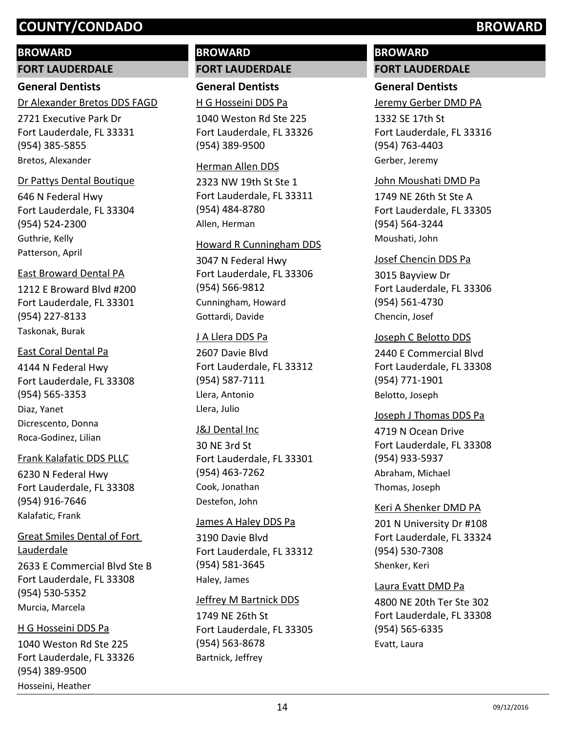### **BROWARD**

**FORT LAUDERDALE**

## **General Dentists**

Dr Alexander Bretos DDS FAGD

2721 Executive Park Dr Fort Lauderdale, FL 33331 (954) 385-5855 Bretos, Alexander

#### Dr Pattys Dental Boutique

646 N Federal Hwy Fort Lauderdale, FL 33304 (954) 524-2300 Guthrie, Kelly Patterson, April

#### East Broward Dental PA

1212 E Broward Blvd #200 Fort Lauderdale, FL 33301 (954) 227-8133 Taskonak, Burak

### East Coral Dental Pa

4144 N Federal Hwy Fort Lauderdale, FL 33308 (954) 565-3353 Diaz, Yanet Dicrescento, Donna Roca-Godinez, Lilian

### Frank Kalafatic DDS PLLC

6230 N Federal Hwy Fort Lauderdale, FL 33308 (954) 916-7646 Kalafatic, Frank

2633 E Commercial Blvd Ste B Fort Lauderdale, FL 33308 (954) 530-5352 Great Smiles Dental of Fort Lauderdale Murcia, Marcela

# H G Hosseini DDS Pa

1040 Weston Rd Ste 225 Fort Lauderdale, FL 33326 (954) 389-9500 Hosseini, Heather

# **BROWARD FORT LAUDERDALE**

**General Dentists** H G Hosseini DDS Pa

1040 Weston Rd Ste 225 Fort Lauderdale, FL 33326 (954) 389-9500

#### Herman Allen DDS

2323 NW 19th St Ste 1 Fort Lauderdale, FL 33311 (954) 484-8780 Allen, Herman

#### Howard R Cunningham DDS

3047 N Federal Hwy Fort Lauderdale, FL 33306 (954) 566-9812 Cunningham, Howard Gottardi, Davide

#### J A Llera DDS Pa

2607 Davie Blvd Fort Lauderdale, FL 33312 (954) 587-7111 Llera, Antonio Llera, Julio

### J&J Dental Inc

30 NE 3rd St Fort Lauderdale, FL 33301 (954) 463-7262 Cook, Jonathan Destefon, John

#### James A Haley DDS Pa

3190 Davie Blvd Fort Lauderdale, FL 33312 (954) 581-3645 Haley, James

### Jeffrey M Bartnick DDS

1749 NE 26th St Fort Lauderdale, FL 33305 (954) 563-8678 Bartnick, Jeffrey

# **BROWARD FORT LAUDERDALE**

### **General Dentists**

Jeremy Gerber DMD PA

1332 SE 17th St Fort Lauderdale, FL 33316 (954) 763-4403 Gerber, Jeremy

#### John Moushati DMD Pa

1749 NE 26th St Ste A Fort Lauderdale, FL 33305 (954) 564-3244 Moushati, John

#### Josef Chencin DDS Pa

3015 Bayview Dr Fort Lauderdale, FL 33306 (954) 561-4730 Chencin, Josef

### Joseph C Belotto DDS

2440 E Commercial Blvd Fort Lauderdale, FL 33308 (954) 771-1901 Belotto, Joseph

### Joseph J Thomas DDS Pa

4719 N Ocean Drive Fort Lauderdale, FL 33308 (954) 933-5937 Abraham, Michael Thomas, Joseph

#### Keri A Shenker DMD PA

201 N University Dr #108 Fort Lauderdale, FL 33324 (954) 530-7308 Shenker, Keri

#### Laura Evatt DMD Pa

4800 NE 20th Ter Ste 302 Fort Lauderdale, FL 33308 (954) 565-6335 Evatt, Laura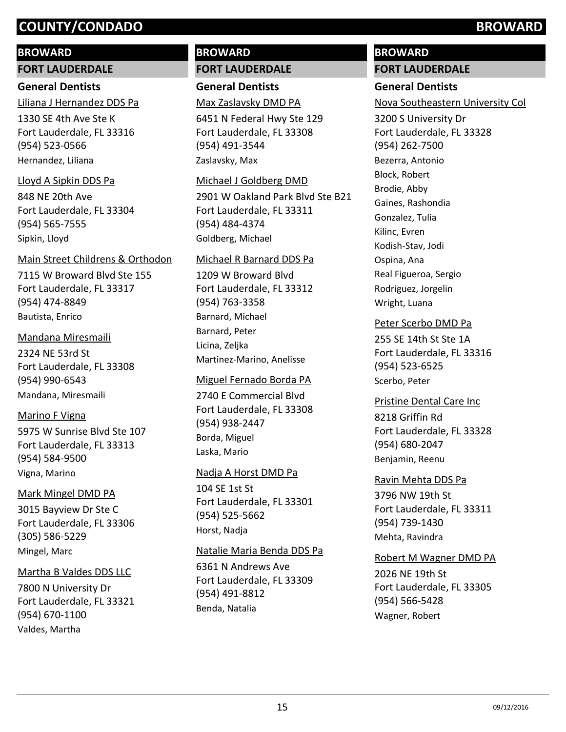### **BROWARD**

**FORT LAUDERDALE**

### **General Dentists**

Liliana J Hernandez DDS Pa

1330 SE 4th Ave Ste K Fort Lauderdale, FL 33316 (954) 523-0566 Hernandez, Liliana

### Lloyd A Sipkin DDS Pa

848 NE 20th Ave Fort Lauderdale, FL 33304 (954) 565-7555 Sipkin, Lloyd

#### Main Street Childrens & Orthodon

7115 W Broward Blvd Ste 155 Fort Lauderdale, FL 33317 (954) 474-8849 Bautista, Enrico

### Mandana Miresmaili

2324 NE 53rd St Fort Lauderdale, FL 33308 (954) 990-6543 Mandana, Miresmaili

### Marino F Vigna

5975 W Sunrise Blvd Ste 107 Fort Lauderdale, FL 33313 (954) 584-9500 Vigna, Marino

### Mark Mingel DMD PA

3015 Bayview Dr Ste C Fort Lauderdale, FL 33306 (305) 586-5229 Mingel, Marc

### Martha B Valdes DDS LLC

7800 N University Dr Fort Lauderdale, FL 33321 (954) 670-1100 Valdes, Martha

# **BROWARD FORT LAUDERDALE**

**General Dentists** Max Zaslavsky DMD PA

6451 N Federal Hwy Ste 129 Fort Lauderdale, FL 33308 (954) 491-3544 Zaslavsky, Max

### Michael J Goldberg DMD

2901 W Oakland Park Blvd Ste B21 Fort Lauderdale, FL 33311 (954) 484-4374 Goldberg, Michael

### Michael R Barnard DDS Pa

1209 W Broward Blvd Fort Lauderdale, FL 33312 (954) 763-3358 Barnard, Michael Barnard, Peter Licina, Zeljka Martinez-Marino, Anelisse

### Miguel Fernado Borda PA

2740 E Commercial Blvd Fort Lauderdale, FL 33308 (954) 938-2447 Borda, Miguel Laska, Mario

### Nadja A Horst DMD Pa

104 SE 1st St Fort Lauderdale, FL 33301 (954) 525-5662 Horst, Nadja

### Natalie Maria Benda DDS Pa

6361 N Andrews Ave Fort Lauderdale, FL 33309 (954) 491-8812 Benda, Natalia

# **BROWARD**

# **FORT LAUDERDALE**

# **General Dentists**

Nova Southeastern University Col

3200 S University Dr Fort Lauderdale, FL 33328 (954) 262-7500 Bezerra, Antonio Block, Robert Brodie, Abby Gaines, Rashondia Gonzalez, Tulia Kilinc, Evren Kodish-Stav, Jodi Ospina, Ana Real Figueroa, Sergio Rodriguez, Jorgelin Wright, Luana

### Peter Scerbo DMD Pa

255 SE 14th St Ste 1A Fort Lauderdale, FL 33316 (954) 523-6525 Scerbo, Peter

### Pristine Dental Care Inc

8218 Griffin Rd Fort Lauderdale, FL 33328 (954) 680-2047 Benjamin, Reenu

### Ravin Mehta DDS Pa

3796 NW 19th St Fort Lauderdale, FL 33311 (954) 739-1430 Mehta, Ravindra

### Robert M Wagner DMD PA

2026 NE 19th St Fort Lauderdale, FL 33305 (954) 566-5428 Wagner, Robert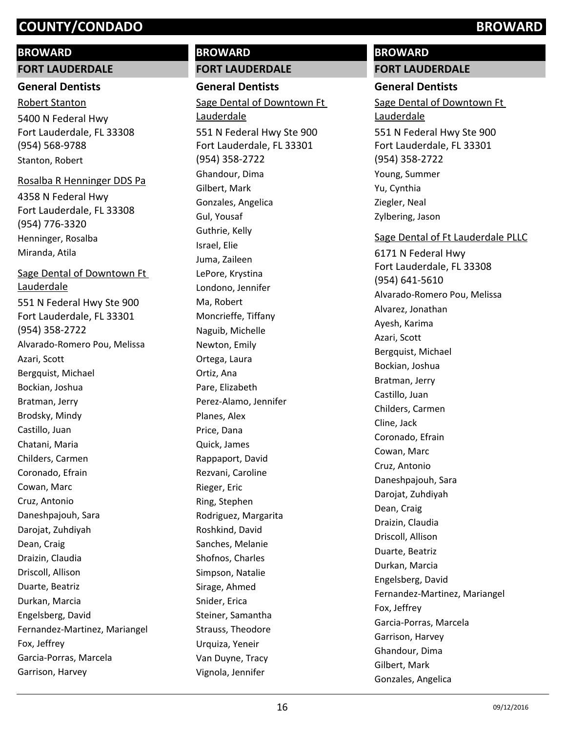# **BROWARD**

# **FORT LAUDERDALE**

# **General Dentists**

5400 N Federal Hwy Fort Lauderdale, FL 33308 (954) 568-9788 Robert Stanton Stanton, Robert

# Rosalba R Henninger DDS Pa

4358 N Federal Hwy Fort Lauderdale, FL 33308 (954) 776-3320 Henninger, Rosalba Miranda, Atila

# Sage Dental of Downtown Ft Lauderdale

551 N Federal Hwy Ste 900 Fort Lauderdale, FL 33301 (954) 358-2722 Alvarado-Romero Pou, Melissa Azari, Scott Bergquist, Michael Bockian, Joshua Bratman, Jerry Brodsky, Mindy Castillo, Juan Chatani, Maria Childers, Carmen Coronado, Efrain Cowan, Marc Cruz, Antonio Daneshpajouh, Sara Darojat, Zuhdiyah Dean, Craig Draizin, Claudia Driscoll, Allison Duarte, Beatriz Durkan, Marcia Engelsberg, David Fernandez-Martinez, Mariangel Fox, Jeffrey Garcia-Porras, Marcela Garrison, Harvey

# **BROWARD FORT LAUDERDALE**

**General Dentists** 551 N Federal Hwy Ste 900 Fort Lauderdale, FL 33301 (954) 358-2722 Sage Dental of Downtown Ft Lauderdale Ghandour, Dima Gilbert, Mark Gonzales, Angelica Gul, Yousaf Guthrie, Kelly Israel, Elie Juma, Zaileen LePore, Krystina Londono, Jennifer Ma, Robert Moncrieffe, Tiffany Naguib, Michelle Newton, Emily Ortega, Laura Ortiz, Ana Pare, Elizabeth Perez-Alamo, Jennifer Planes, Alex Price, Dana Quick, James Rappaport, David Rezvani, Caroline Rieger, Eric Ring, Stephen Rodriguez, Margarita Roshkind, David Sanches, Melanie Shofnos, Charles Simpson, Natalie Sirage, Ahmed Snider, Erica Steiner, Samantha Strauss, Theodore Urquiza, Yeneir Van Duyne, Tracy Vignola, Jennifer

# **BROWARD FORT LAUDERDALE**

# **General Dentists**

551 N Federal Hwy Ste 900 Sage Dental of Downtown Ft Lauderdale

Fort Lauderdale, FL 33301 (954) 358-2722 Young, Summer Yu, Cynthia Ziegler, Neal Zylbering, Jason

## Sage Dental of Ft Lauderdale PLLC

6171 N Federal Hwy Fort Lauderdale, FL 33308 (954) 641-5610 Alvarado-Romero Pou, Melissa Alvarez, Jonathan Ayesh, Karima Azari, Scott Bergquist, Michael Bockian, Joshua Bratman, Jerry Castillo, Juan Childers, Carmen Cline, Jack Coronado, Efrain Cowan, Marc Cruz, Antonio Daneshpajouh, Sara Darojat, Zuhdiyah Dean, Craig Draizin, Claudia Driscoll, Allison Duarte, Beatriz Durkan, Marcia Engelsberg, David Fernandez-Martinez, Mariangel Fox, Jeffrey Garcia-Porras, Marcela Garrison, Harvey Ghandour, Dima Gilbert, Mark Gonzales, Angelica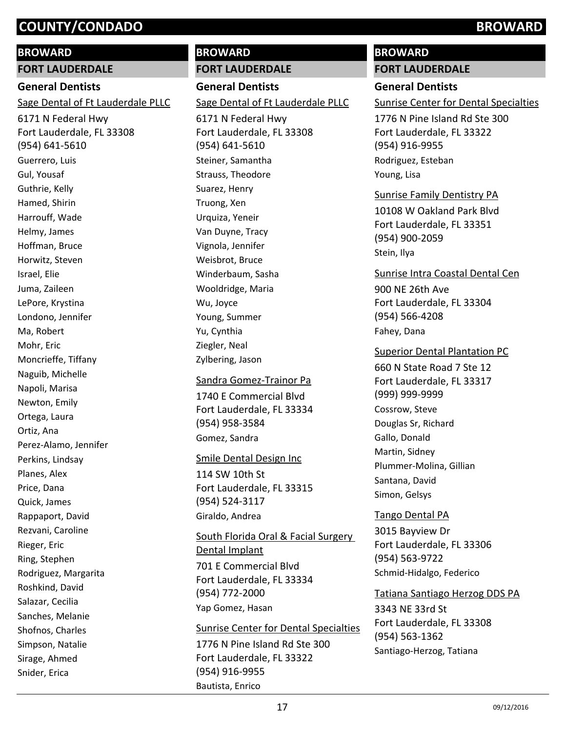# **BROWARD**

**FORT LAUDERDALE**

# **General Dentists**

Sage Dental of Ft Lauderdale PLLC

6171 N Federal Hwy Fort Lauderdale, FL 33308 (954) 641-5610 Guerrero, Luis Gul, Yousaf Guthrie, Kelly Hamed, Shirin Harrouff, Wade Helmy, James Hoffman, Bruce Horwitz, Steven Israel, Elie Juma, Zaileen LePore, Krystina Londono, Jennifer Ma, Robert Mohr, Eric Moncrieffe, Tiffany Naguib, Michelle Napoli, Marisa Newton, Emily Ortega, Laura Ortiz, Ana Perez-Alamo, Jennifer Perkins, Lindsay Planes, Alex Price, Dana Quick, James Rappaport, David Rezvani, Caroline Rieger, Eric Ring, Stephen Rodriguez, Margarita Roshkind, David Salazar, Cecilia Sanches, Melanie Shofnos, Charles Simpson, Natalie Sirage, Ahmed Snider, Erica

# **BROWARD FORT LAUDERDALE**

**General Dentists** 6171 N Federal Hwy Fort Lauderdale, FL 33308 (954) 641-5610 Sage Dental of Ft Lauderdale PLLC Steiner, Samantha Strauss, Theodore Suarez, Henry Truong, Xen Urquiza, Yeneir Van Duyne, Tracy Vignola, Jennifer Weisbrot, Bruce Winderbaum, Sasha Wooldridge, Maria Wu, Joyce Young, Summer Yu, Cynthia Ziegler, Neal Zylbering, Jason

# 1740 E Commercial Blvd Fort Lauderdale, FL 33334 (954) 958-3584 Sandra Gomez-Trainor Pa Gomez, Sandra

### Smile Dental Design Inc

114 SW 10th St Fort Lauderdale, FL 33315 (954) 524-3117 Giraldo, Andrea

701 E Commercial Blvd South Florida Oral & Facial Surgery Dental Implant

Fort Lauderdale, FL 33334 (954) 772-2000 Yap Gomez, Hasan

## Sunrise Center for Dental Specialties

1776 N Pine Island Rd Ste 300 Fort Lauderdale, FL 33322 (954) 916-9955 Bautista, Enrico

# **BROWARD**

# **FORT LAUDERDALE**

# **General Dentists**

Sunrise Center for Dental Specialties

1776 N Pine Island Rd Ste 300 Fort Lauderdale, FL 33322 (954) 916-9955 Rodriguez, Esteban Young, Lisa

# Sunrise Family Dentistry PA

10108 W Oakland Park Blvd Fort Lauderdale, FL 33351 (954) 900-2059 Stein, Ilya

900 NE 26th Ave Fort Lauderdale, FL 33304 (954) 566-4208 Sunrise Intra Coastal Dental Cen Fahey, Dana

660 N State Road 7 Ste 12 Fort Lauderdale, FL 33317 (999) 999-9999 Superior Dental Plantation PC Cossrow, Steve Douglas Sr, Richard Gallo, Donald Martin, Sidney Plummer-Molina, Gillian Santana, David Simon, Gelsys

# Tango Dental PA

3015 Bayview Dr Fort Lauderdale, FL 33306 (954) 563-9722 Schmid-Hidalgo, Federico

3343 NE 33rd St Fort Lauderdale, FL 33308 (954) 563-1362 Tatiana Santiago Herzog DDS PA Santiago-Herzog, Tatiana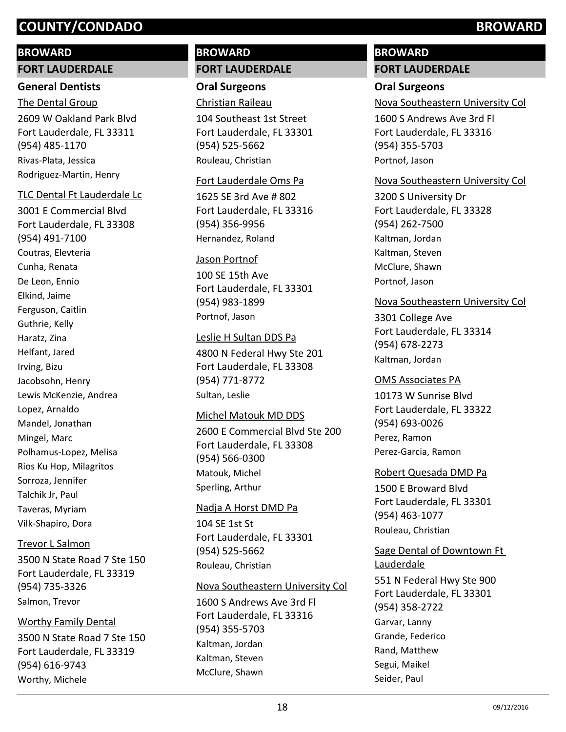### **BROWARD**

#### **FORT LAUDERDALE**

### **General Dentists**

2609 W Oakland Park Blvd Fort Lauderdale, FL 33311 (954) 485-1170 The Dental Group Rivas-Plata, Jessica Rodriguez-Martin, Henry

### TLC Dental Ft Lauderdale Lc

3001 E Commercial Blvd Fort Lauderdale, FL 33308 (954) 491-7100 Coutras, Elevteria Cunha, Renata De Leon, Ennio Elkind, Jaime Ferguson, Caitlin Guthrie, Kelly Haratz, Zina Helfant, Jared Irving, Bizu Jacobsohn, Henry Lewis McKenzie, Andrea Lopez, Arnaldo Mandel, Jonathan Mingel, Marc Polhamus-Lopez, Melisa Rios Ku Hop, Milagritos Sorroza, Jennifer Talchik Jr, Paul Taveras, Myriam Vilk-Shapiro, Dora

### Trevor L Salmon

3500 N State Road 7 Ste 150 Fort Lauderdale, FL 33319 (954) 735-3326 Salmon, Trevor

### Worthy Family Dental

3500 N State Road 7 Ste 150 Fort Lauderdale, FL 33319 (954) 616-9743 Worthy, Michele

# **BROWARD FORT LAUDERDALE**

**Oral Surgeons** Christian Raileau

104 Southeast 1st Street Fort Lauderdale, FL 33301 (954) 525-5662 Rouleau, Christian

#### Fort Lauderdale Oms Pa

1625 SE 3rd Ave # 802 Fort Lauderdale, FL 33316 (954) 356-9956 Hernandez, Roland

### Jason Portnof

100 SE 15th Ave Fort Lauderdale, FL 33301 (954) 983-1899 Portnof, Jason

### Leslie H Sultan DDS Pa

4800 N Federal Hwy Ste 201 Fort Lauderdale, FL 33308 (954) 771-8772 Sultan, Leslie

### Michel Matouk MD DDS

2600 E Commercial Blvd Ste 200 Fort Lauderdale, FL 33308 (954) 566-0300 Matouk, Michel Sperling, Arthur

### Nadja A Horst DMD Pa

104 SE 1st St Fort Lauderdale, FL 33301 (954) 525-5662 Rouleau, Christian

### Nova Southeastern University Col

1600 S Andrews Ave 3rd Fl Fort Lauderdale, FL 33316 (954) 355-5703 Kaltman, Jordan Kaltman, Steven McClure, Shawn

# **BROWARD FORT LAUDERDALE**

### **Oral Surgeons**

Nova Southeastern University Col

1600 S Andrews Ave 3rd Fl Fort Lauderdale, FL 33316 (954) 355-5703 Portnof, Jason

### Nova Southeastern University Col

3200 S University Dr Fort Lauderdale, FL 33328 (954) 262-7500 Kaltman, Jordan Kaltman, Steven McClure, Shawn Portnof, Jason

### Nova Southeastern University Col

3301 College Ave Fort Lauderdale, FL 33314 (954) 678-2273 Kaltman, Jordan

### OMS Associates PA

10173 W Sunrise Blvd Fort Lauderdale, FL 33322 (954) 693-0026 Perez, Ramon Perez-Garcia, Ramon

### Robert Quesada DMD Pa

1500 E Broward Blvd Fort Lauderdale, FL 33301 (954) 463-1077 Rouleau, Christian

# Sage Dental of Downtown Ft Lauderdale

551 N Federal Hwy Ste 900 Fort Lauderdale, FL 33301 (954) 358-2722 Garvar, Lanny Grande, Federico Rand, Matthew Segui, Maikel Seider, Paul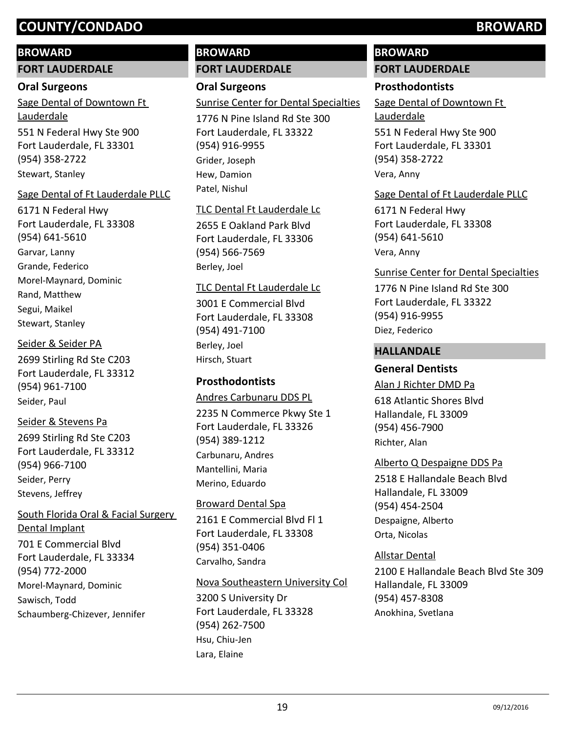# **BROWARD**

**FORT LAUDERDALE**

### **Oral Surgeons**

551 N Federal Hwy Ste 900 Fort Lauderdale, FL 33301 (954) 358-2722 Sage Dental of Downtown Ft Lauderdale Stewart, Stanley

### Sage Dental of Ft Lauderdale PLLC

6171 N Federal Hwy Fort Lauderdale, FL 33308 (954) 641-5610 Garvar, Lanny Grande, Federico Morel-Maynard, Dominic Rand, Matthew Segui, Maikel Stewart, Stanley

## Seider & Seider PA

2699 Stirling Rd Ste C203 Fort Lauderdale, FL 33312 (954) 961-7100 Seider, Paul

## Seider & Stevens Pa

2699 Stirling Rd Ste C203 Fort Lauderdale, FL 33312 (954) 966-7100 Seider, Perry Stevens, Jeffrey

# South Florida Oral & Facial Surgery Dental Implant

701 E Commercial Blvd Fort Lauderdale, FL 33334 (954) 772-2000 Morel-Maynard, Dominic Sawisch, Todd Schaumberg-Chizever, Jennifer

# **BROWARD FORT LAUDERDALE**

# **Oral Surgeons**

Sunrise Center for Dental Specialties

1776 N Pine Island Rd Ste 300 Fort Lauderdale, FL 33322 (954) 916-9955 Grider, Joseph Hew, Damion Patel, Nishul

# TLC Dental Ft Lauderdale Lc

2655 E Oakland Park Blvd Fort Lauderdale, FL 33306 (954) 566-7569 Berley, Joel

## TLC Dental Ft Lauderdale Lc

3001 E Commercial Blvd Fort Lauderdale, FL 33308 (954) 491-7100 Berley, Joel Hirsch, Stuart

# **Prosthodontists**

## Andres Carbunaru DDS PL

2235 N Commerce Pkwy Ste 1 Fort Lauderdale, FL 33326 (954) 389-1212 Carbunaru, Andres Mantellini, Maria Merino, Eduardo

2161 E Commercial Blvd Fl 1 Fort Lauderdale, FL 33308 (954) 351-0406 Broward Dental Spa Carvalho, Sandra

### Nova Southeastern University Col

3200 S University Dr Fort Lauderdale, FL 33328 (954) 262-7500 Hsu, Chiu-Jen Lara, Elaine

# **BROWARD**

# **FORT LAUDERDALE**

## **Prosthodontists**

551 N Federal Hwy Ste 900 Sage Dental of Downtown Ft Lauderdale

Fort Lauderdale, FL 33301 (954) 358-2722 Vera, Anny

# Sage Dental of Ft Lauderdale PLLC

6171 N Federal Hwy Fort Lauderdale, FL 33308 (954) 641-5610 Vera, Anny

## Sunrise Center for Dental Specialties

1776 N Pine Island Rd Ste 300 Fort Lauderdale, FL 33322 (954) 916-9955 Diez, Federico

### **HALLANDALE**

# **General Dentists**

### Alan J Richter DMD Pa

618 Atlantic Shores Blvd Hallandale, FL 33009 (954) 456-7900 Richter, Alan

## Alberto Q Despaigne DDS Pa

2518 E Hallandale Beach Blvd Hallandale, FL 33009 (954) 454-2504 Despaigne, Alberto Orta, Nicolas

## Allstar Dental

2100 E Hallandale Beach Blvd Ste 309 Hallandale, FL 33009 (954) 457-8308 Anokhina, Svetlana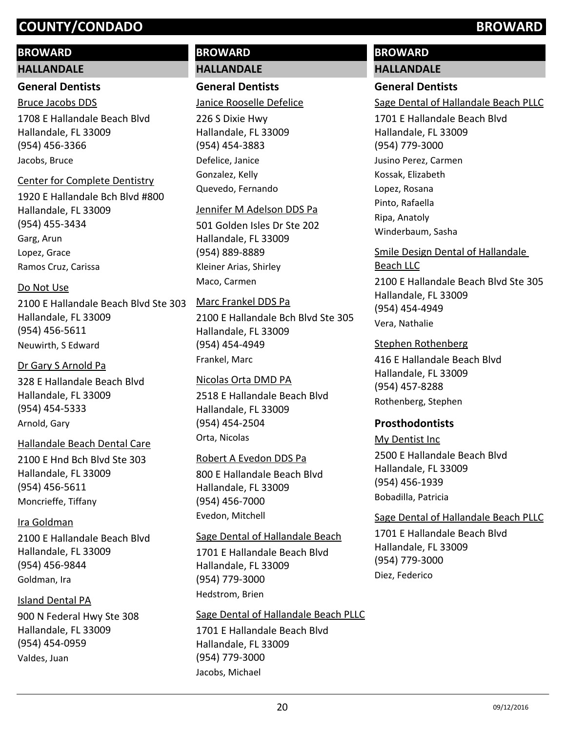### **BROWARD**

### **HALLANDALE**

### **General Dentists**

### Bruce Jacobs DDS

1708 E Hallandale Beach Blvd Hallandale, FL 33009 (954) 456-3366 Jacobs, Bruce

### Center for Complete Dentistry

1920 E Hallandale Bch Blvd #800 Hallandale, FL 33009 (954) 455-3434 Garg, Arun Lopez, Grace Ramos Cruz, Carissa

### Do Not Use

2100 E Hallandale Beach Blvd Ste 303 Hallandale, FL 33009 (954) 456-5611 Neuwirth, S Edward

### Dr Gary S Arnold Pa

328 E Hallandale Beach Blvd Hallandale, FL 33009 (954) 454-5333 Arnold, Gary

### Hallandale Beach Dental Care

2100 E Hnd Bch Blvd Ste 303 Hallandale, FL 33009 (954) 456-5611 Moncrieffe, Tiffany

### Ira Goldman

2100 E Hallandale Beach Blvd Hallandale, FL 33009 (954) 456-9844 Goldman, Ira

## Island Dental PA

900 N Federal Hwy Ste 308 Hallandale, FL 33009 (954) 454-0959 Valdes, Juan

# **BROWARD HALLANDALE**

# **General Dentists**

### Janice Rooselle Defelice

226 S Dixie Hwy Hallandale, FL 33009 (954) 454-3883 Defelice, Janice Gonzalez, Kelly Quevedo, Fernando

### Jennifer M Adelson DDS Pa

501 Golden Isles Dr Ste 202 Hallandale, FL 33009 (954) 889-8889 Kleiner Arias, Shirley Maco, Carmen

## Marc Frankel DDS Pa

2100 E Hallandale Bch Blvd Ste 305 Hallandale, FL 33009 (954) 454-4949 Frankel, Marc

### Nicolas Orta DMD PA

2518 E Hallandale Beach Blvd Hallandale, FL 33009 (954) 454-2504 Orta, Nicolas

### Robert A Evedon DDS Pa

800 E Hallandale Beach Blvd Hallandale, FL 33009 (954) 456-7000 Evedon, Mitchell

### Sage Dental of Hallandale Beach

1701 E Hallandale Beach Blvd Hallandale, FL 33009 (954) 779-3000 Hedstrom, Brien

## Sage Dental of Hallandale Beach PLLC

1701 E Hallandale Beach Blvd Hallandale, FL 33009 (954) 779-3000 Jacobs, Michael

# **BROWARD**

# **HALLANDALE**

# **General Dentists**

Sage Dental of Hallandale Beach PLLC

1701 E Hallandale Beach Blvd Hallandale, FL 33009 (954) 779-3000 Jusino Perez, Carmen Kossak, Elizabeth Lopez, Rosana Pinto, Rafaella Ripa, Anatoly Winderbaum, Sasha

## Smile Design Dental of Hallandale Beach LLC

2100 E Hallandale Beach Blvd Ste 305 Hallandale, FL 33009 (954) 454-4949 Vera, Nathalie

### Stephen Rothenberg

416 E Hallandale Beach Blvd Hallandale, FL 33009 (954) 457-8288 Rothenberg, Stephen

## **Prosthodontists**

2500 E Hallandale Beach Blvd Hallandale, FL 33009 (954) 456-1939 My Dentist Inc Bobadilla, Patricia

### Sage Dental of Hallandale Beach PLLC

1701 E Hallandale Beach Blvd Hallandale, FL 33009 (954) 779-3000 Diez, Federico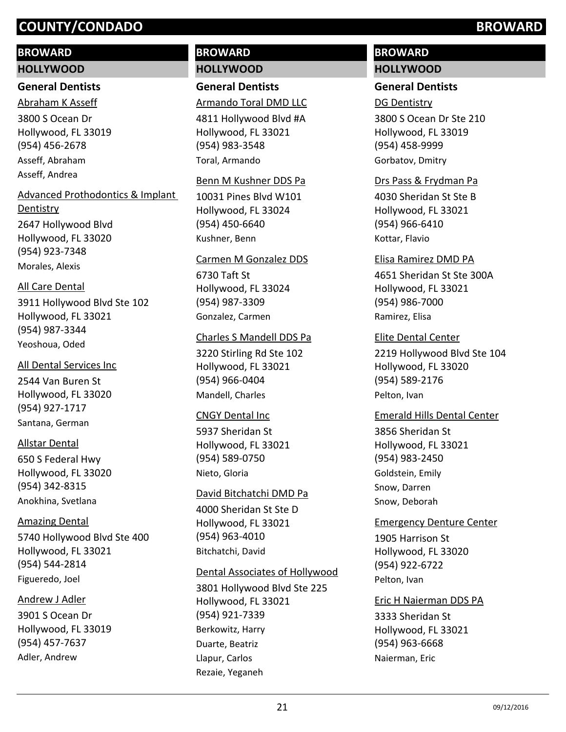### **BROWARD**

#### **HOLLYWOOD**

### **General Dentists**

3800 S Ocean Dr Hollywood, FL 33019 (954) 456-2678 Abraham K Asseff Asseff, Abraham Asseff, Andrea

# Advanced Prothodontics & Implant

2647 Hollywood Blvd Hollywood, FL 33020 (954) 923-7348 Dentistry Morales, Alexis

### All Care Dental

3911 Hollywood Blvd Ste 102 Hollywood, FL 33021 (954) 987-3344 Yeoshoua, Oded

### All Dental Services Inc

2544 Van Buren St Hollywood, FL 33020 (954) 927-1717 Santana, German

### Allstar Dental

650 S Federal Hwy Hollywood, FL 33020 (954) 342-8315 Anokhina, Svetlana

### Amazing Dental

5740 Hollywood Blvd Ste 400 Hollywood, FL 33021 (954) 544-2814 Figueredo, Joel

## Andrew J Adler

3901 S Ocean Dr Hollywood, FL 33019 (954) 457-7637 Adler, Andrew

# **BROWARD HOLLYWOOD**

# **General Dentists**

# Armando Toral DMD LLC

4811 Hollywood Blvd #A Hollywood, FL 33021 (954) 983-3548 Toral, Armando

### Benn M Kushner DDS Pa

10031 Pines Blvd W101 Hollywood, FL 33024 (954) 450-6640 Kushner, Benn

### Carmen M Gonzalez DDS

6730 Taft St Hollywood, FL 33024 (954) 987-3309 Gonzalez, Carmen

### Charles S Mandell DDS Pa

3220 Stirling Rd Ste 102 Hollywood, FL 33021 (954) 966-0404 Mandell, Charles

### CNGY Dental Inc

5937 Sheridan St Hollywood, FL 33021 (954) 589-0750 Nieto, Gloria

### David Bitchatchi DMD Pa

4000 Sheridan St Ste D Hollywood, FL 33021 (954) 963-4010 Bitchatchi, David

### Dental Associates of Hollywood

3801 Hollywood Blvd Ste 225 Hollywood, FL 33021 (954) 921-7339 Berkowitz, Harry Duarte, Beatriz Llapur, Carlos Rezaie, Yeganeh

# **BROWARD HOLLYWOOD**

# **General Dentists**

### DG Dentistry

3800 S Ocean Dr Ste 210 Hollywood, FL 33019 (954) 458-9999 Gorbatov, Dmitry

### Drs Pass & Frydman Pa

4030 Sheridan St Ste B Hollywood, FL 33021 (954) 966-6410 Kottar, Flavio

### Elisa Ramirez DMD PA

4651 Sheridan St Ste 300A Hollywood, FL 33021 (954) 986-7000 Ramirez, Elisa

### Elite Dental Center

2219 Hollywood Blvd Ste 104 Hollywood, FL 33020 (954) 589-2176 Pelton, Ivan

### Emerald Hills Dental Center

3856 Sheridan St Hollywood, FL 33021 (954) 983-2450 Goldstein, Emily Snow, Darren Snow, Deborah

### Emergency Denture Center

1905 Harrison St Hollywood, FL 33020 (954) 922-6722 Pelton, Ivan

# Eric H Naierman DDS PA

3333 Sheridan St Hollywood, FL 33021 (954) 963-6668 Naierman, Eric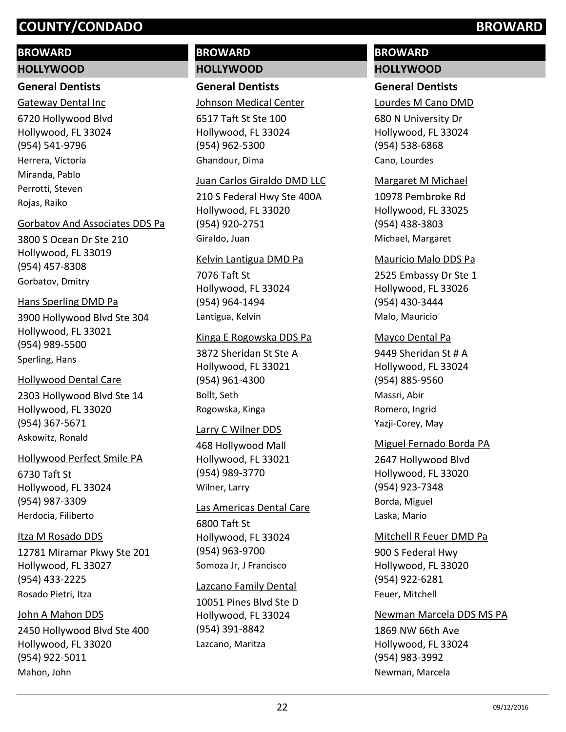### **BROWARD**

### **HOLLYWOOD**

### **General Dentists**

6720 Hollywood Blvd Hollywood, FL 33024 (954) 541-9796 Gateway Dental Inc Herrera, Victoria Miranda, Pablo Perrotti, Steven

Rojas, Raiko

### Gorbatov And Associates DDS Pa

3800 S Ocean Dr Ste 210 Hollywood, FL 33019 (954) 457-8308 Gorbatov, Dmitry

## Hans Sperling DMD Pa

3900 Hollywood Blvd Ste 304 Hollywood, FL 33021 (954) 989-5500 Sperling, Hans

### Hollywood Dental Care

2303 Hollywood Blvd Ste 14 Hollywood, FL 33020 (954) 367-5671 Askowitz, Ronald

### Hollywood Perfect Smile PA

6730 Taft St Hollywood, FL 33024 (954) 987-3309 Herdocia, Filiberto

### Itza M Rosado DDS

12781 Miramar Pkwy Ste 201 Hollywood, FL 33027 (954) 433-2225 Rosado Pietri, Itza

### John A Mahon DDS

2450 Hollywood Blvd Ste 400 Hollywood, FL 33020 (954) 922-5011 Mahon, John

# **BROWARD HOLLYWOOD**

# **General Dentists**

Johnson Medical Center

6517 Taft St Ste 100 Hollywood, FL 33024 (954) 962-5300 Ghandour, Dima

### Juan Carlos Giraldo DMD LLC

210 S Federal Hwy Ste 400A Hollywood, FL 33020 (954) 920-2751 Giraldo, Juan

### Kelvin Lantigua DMD Pa

7076 Taft St Hollywood, FL 33024 (954) 964-1494 Lantigua, Kelvin

### Kinga E Rogowska DDS Pa

3872 Sheridan St Ste A Hollywood, FL 33021 (954) 961-4300 Bollt, Seth Rogowska, Kinga

### Larry C Wilner DDS

468 Hollywood Mall Hollywood, FL 33021 (954) 989-3770 Wilner, Larry

### Las Americas Dental Care

6800 Taft St Hollywood, FL 33024 (954) 963-9700 Somoza Jr, J Francisco

### Lazcano Family Dental

10051 Pines Blvd Ste D Hollywood, FL 33024 (954) 391-8842 Lazcano, Maritza

# **BROWARD HOLLYWOOD**

### **General Dentists**

Lourdes M Cano DMD

680 N University Dr Hollywood, FL 33024 (954) 538-6868 Cano, Lourdes

### Margaret M Michael

10978 Pembroke Rd Hollywood, FL 33025 (954) 438-3803 Michael, Margaret

### Mauricio Malo DDS Pa

2525 Embassy Dr Ste 1 Hollywood, FL 33026 (954) 430-3444 Malo, Mauricio

### Mayco Dental Pa

9449 Sheridan St # A Hollywood, FL 33024 (954) 885-9560 Massri, Abir Romero, Ingrid Yazji-Corey, May

### Miguel Fernado Borda PA

2647 Hollywood Blvd Hollywood, FL 33020 (954) 923-7348 Borda, Miguel Laska, Mario

### Mitchell R Feuer DMD Pa

900 S Federal Hwy Hollywood, FL 33020 (954) 922-6281 Feuer, Mitchell

### Newman Marcela DDS MS PA

1869 NW 66th Ave Hollywood, FL 33024 (954) 983-3992 Newman, Marcela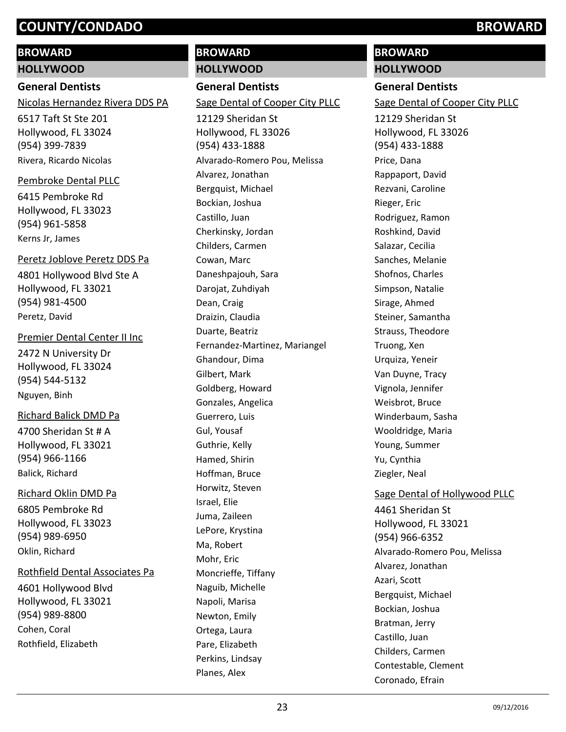### **BROWARD**

### **HOLLYWOOD**

### **General Dentists**

Nicolas Hernandez Rivera DDS PA

6517 Taft St Ste 201 Hollywood, FL 33024 (954) 399-7839 Rivera, Ricardo Nicolas

### Pembroke Dental PLLC

6415 Pembroke Rd Hollywood, FL 33023 (954) 961-5858 Kerns Jr, James

### Peretz Joblove Peretz DDS Pa

4801 Hollywood Blvd Ste A Hollywood, FL 33021 (954) 981-4500 Peretz, David

### Premier Dental Center II Inc

2472 N University Dr Hollywood, FL 33024 (954) 544-5132 Nguyen, Binh

### Richard Balick DMD Pa

4700 Sheridan St # A Hollywood, FL 33021 (954) 966-1166 Balick, Richard

# 6805 Pembroke Rd Hollywood, FL 33023 (954) 989-6950 Richard Oklin DMD Pa

Oklin, Richard

### Rothfield Dental Associates Pa

4601 Hollywood Blvd Hollywood, FL 33021 (954) 989-8800 Cohen, Coral Rothfield, Elizabeth

# **BROWARD HOLLYWOOD**

**General Dentists**

### Sage Dental of Cooper City PLLC

12129 Sheridan St Hollywood, FL 33026 (954) 433-1888 Alvarado-Romero Pou, Melissa Alvarez, Jonathan Bergquist, Michael Bockian, Joshua Castillo, Juan Cherkinsky, Jordan Childers, Carmen Cowan, Marc Daneshpajouh, Sara Darojat, Zuhdiyah Dean, Craig Draizin, Claudia Duarte, Beatriz Fernandez-Martinez, Mariangel Ghandour, Dima Gilbert, Mark Goldberg, Howard Gonzales, Angelica Guerrero, Luis Gul, Yousaf Guthrie, Kelly Hamed, Shirin Hoffman, Bruce Horwitz, Steven Israel, Elie Juma, Zaileen LePore, Krystina Ma, Robert Mohr, Eric Moncrieffe, Tiffany Naguib, Michelle Napoli, Marisa Newton, Emily Ortega, Laura Pare, Elizabeth Perkins, Lindsay Planes, Alex

# **BROWARD**

# **HOLLYWOOD**

### **General Dentists**

Sage Dental of Cooper City PLLC

12129 Sheridan St Hollywood, FL 33026 (954) 433-1888 Price, Dana Rappaport, David Rezvani, Caroline Rieger, Eric Rodriguez, Ramon Roshkind, David Salazar, Cecilia Sanches, Melanie Shofnos, Charles Simpson, Natalie Sirage, Ahmed Steiner, Samantha Strauss, Theodore Truong, Xen Urquiza, Yeneir Van Duyne, Tracy Vignola, Jennifer Weisbrot, Bruce Winderbaum, Sasha Wooldridge, Maria Young, Summer Yu, Cynthia Ziegler, Neal

### Sage Dental of Hollywood PLLC

4461 Sheridan St Hollywood, FL 33021 (954) 966-6352 Alvarado-Romero Pou, Melissa Alvarez, Jonathan Azari, Scott Bergquist, Michael Bockian, Joshua Bratman, Jerry Castillo, Juan Childers, Carmen Contestable, Clement Coronado, Efrain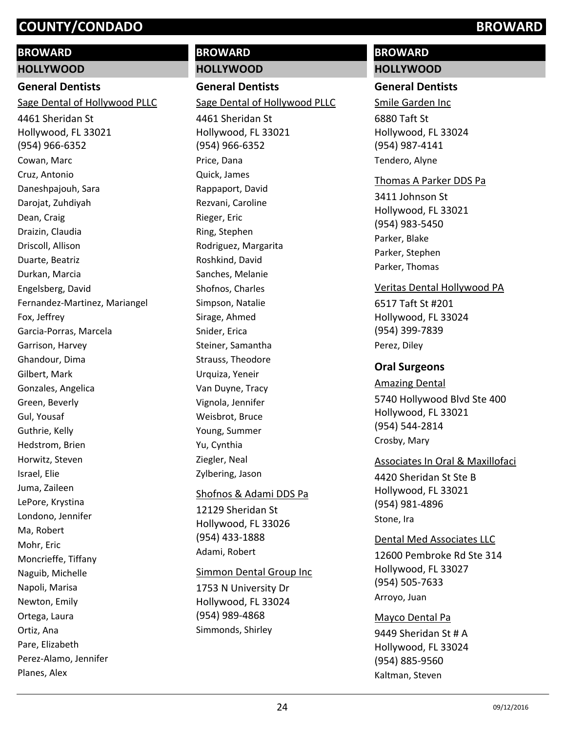### **BROWARD**

### **HOLLYWOOD**

### **General Dentists**

Sage Dental of Hollywood PLLC

4461 Sheridan St Hollywood, FL 33021 (954) 966-6352 Cowan, Marc Cruz, Antonio Daneshpajouh, Sara Darojat, Zuhdiyah Dean, Craig Draizin, Claudia Driscoll, Allison Duarte, Beatriz Durkan, Marcia Engelsberg, David Fernandez-Martinez, Mariangel Fox, Jeffrey Garcia-Porras, Marcela Garrison, Harvey Ghandour, Dima Gilbert, Mark Gonzales, Angelica Green, Beverly Gul, Yousaf Guthrie, Kelly Hedstrom, Brien Horwitz, Steven Israel, Elie Juma, Zaileen LePore, Krystina Londono, Jennifer Ma, Robert Mohr, Eric Moncrieffe, Tiffany Naguib, Michelle Napoli, Marisa Newton, Emily Ortega, Laura Ortiz, Ana Pare, Elizabeth Perez-Alamo, Jennifer Planes, Alex

# **BROWARD HOLLYWOOD**

**General Dentists** 4461 Sheridan St Sage Dental of Hollywood PLLC

Hollywood, FL 33021 (954) 966-6352 Price, Dana Quick, James Rappaport, David Rezvani, Caroline Rieger, Eric Ring, Stephen Rodriguez, Margarita Roshkind, David Sanches, Melanie Shofnos, Charles Simpson, Natalie Sirage, Ahmed Snider, Erica Steiner, Samantha Strauss, Theodore Urquiza, Yeneir Van Duyne, Tracy Vignola, Jennifer Weisbrot, Bruce Young, Summer Yu, Cynthia Ziegler, Neal Zylbering, Jason

## Shofnos & Adami DDS Pa

12129 Sheridan St Hollywood, FL 33026 (954) 433-1888 Adami, Robert

### Simmon Dental Group Inc

1753 N University Dr Hollywood, FL 33024 (954) 989-4868 Simmonds, Shirley

# **BROWARD HOLLYWOOD**

### **General Dentists**

6880 Taft St Hollywood, FL 33024 (954) 987-4141 Smile Garden Inc Tendero, Alyne

### Thomas A Parker DDS Pa

3411 Johnson St Hollywood, FL 33021 (954) 983-5450 Parker, Blake Parker, Stephen Parker, Thomas

### Veritas Dental Hollywood PA

6517 Taft St #201 Hollywood, FL 33024 (954) 399-7839 Perez, Diley

### **Oral Surgeons**

5740 Hollywood Blvd Ste 400 Hollywood, FL 33021 (954) 544-2814 Amazing Dental Crosby, Mary

### Associates In Oral & Maxillofaci

4420 Sheridan St Ste B Hollywood, FL 33021 (954) 981-4896 Stone, Ira

### Dental Med Associates LLC

12600 Pembroke Rd Ste 314 Hollywood, FL 33027 (954) 505-7633 Arroyo, Juan

## Mayco Dental Pa

9449 Sheridan St # A Hollywood, FL 33024 (954) 885-9560 Kaltman, Steven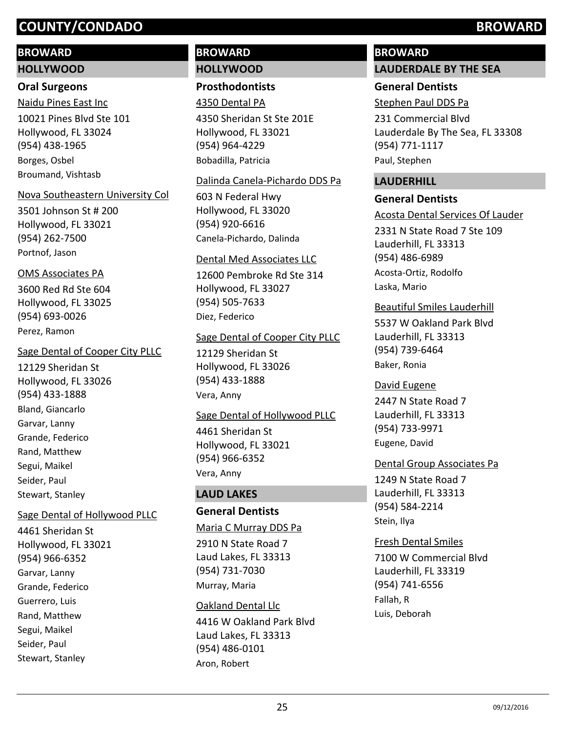### **BROWARD**

#### **HOLLYWOOD**

# **Oral Surgeons**

10021 Pines Blvd Ste 101 Hollywood, FL 33024 (954) 438-1965 Naidu Pines East Inc Borges, Osbel Broumand, Vishtasb

#### Nova Southeastern University Col

3501 Johnson St # 200 Hollywood, FL 33021 (954) 262-7500 Portnof, Jason

### OMS Associates PA

3600 Red Rd Ste 604 Hollywood, FL 33025 (954) 693-0026 Perez, Ramon

#### Sage Dental of Cooper City PLLC

12129 Sheridan St Hollywood, FL 33026 (954) 433-1888 Bland, Giancarlo Garvar, Lanny Grande, Federico Rand, Matthew Segui, Maikel Seider, Paul Stewart, Stanley

## Sage Dental of Hollywood PLLC

4461 Sheridan St Hollywood, FL 33021 (954) 966-6352 Garvar, Lanny Grande, Federico Guerrero, Luis Rand, Matthew Segui, Maikel Seider, Paul Stewart, Stanley

# **BROWARD HOLLYWOOD**

**Prosthodontists**

### 4350 Dental PA

4350 Sheridan St Ste 201E Hollywood, FL 33021 (954) 964-4229 Bobadilla, Patricia

#### Dalinda Canela-Pichardo DDS Pa

603 N Federal Hwy Hollywood, FL 33020 (954) 920-6616 Canela-Pichardo, Dalinda

#### Dental Med Associates LLC

12600 Pembroke Rd Ste 314 Hollywood, FL 33027 (954) 505-7633 Diez, Federico

#### Sage Dental of Cooper City PLLC

12129 Sheridan St Hollywood, FL 33026 (954) 433-1888 Vera, Anny

### Sage Dental of Hollywood PLLC

4461 Sheridan St Hollywood, FL 33021 (954) 966-6352 Vera, Anny

## **LAUD LAKES**

# **General Dentists**

#### Maria C Murray DDS Pa

2910 N State Road 7 Laud Lakes, FL 33313 (954) 731-7030 Murray, Maria

# 4416 W Oakland Park Blvd Laud Lakes, FL 33313 (954) 486-0101 Oakland Dental Llc Aron, Robert

# **BROWARD**

# **LAUDERDALE BY THE SEA**

# **General Dentists**

Stephen Paul DDS Pa

231 Commercial Blvd Lauderdale By The Sea, FL 33308 (954) 771-1117 Paul, Stephen

### **LAUDERHILL**

### **General Dentists**

2331 N State Road 7 Ste 109 Lauderhill, FL 33313 (954) 486-6989 Acosta Dental Services Of Lauder Acosta-Ortiz, Rodolfo Laska, Mario

### Beautiful Smiles Lauderhill

5537 W Oakland Park Blvd Lauderhill, FL 33313 (954) 739-6464 Baker, Ronia

#### David Eugene

2447 N State Road 7 Lauderhill, FL 33313 (954) 733-9971 Eugene, David

### Dental Group Associates Pa

1249 N State Road 7 Lauderhill, FL 33313 (954) 584-2214 Stein, Ilya

### Fresh Dental Smiles

7100 W Commercial Blvd Lauderhill, FL 33319 (954) 741-6556 Fallah, R Luis, Deborah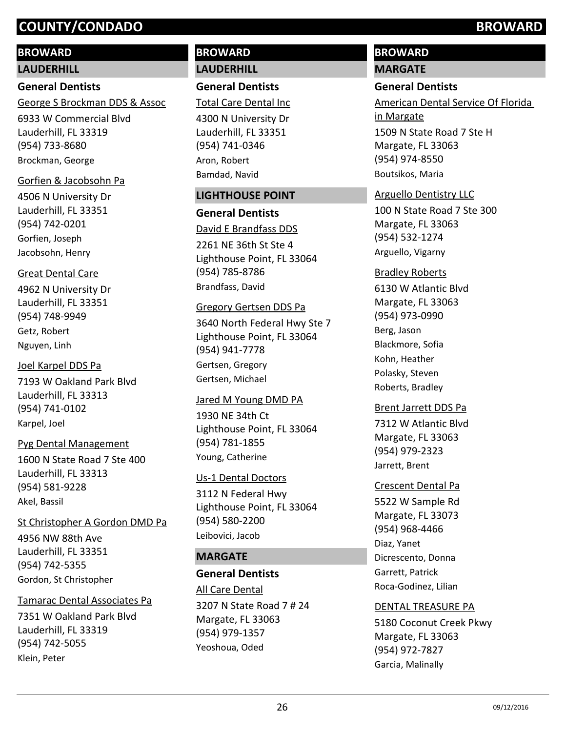# **BROWARD**

### **LAUDERHILL**

### **General Dentists**

George S Brockman DDS & Assoc

6933 W Commercial Blvd Lauderhill, FL 33319 (954) 733-8680 Brockman, George

### Gorfien & Jacobsohn Pa

4506 N University Dr Lauderhill, FL 33351 (954) 742-0201 Gorfien, Joseph Jacobsohn, Henry

### Great Dental Care

4962 N University Dr Lauderhill, FL 33351 (954) 748-9949 Getz, Robert Nguyen, Linh

### Joel Karpel DDS Pa

7193 W Oakland Park Blvd Lauderhill, FL 33313 (954) 741-0102 Karpel, Joel

### Pyg Dental Management

1600 N State Road 7 Ste 400 Lauderhill, FL 33313 (954) 581-9228 Akel, Bassil

### St Christopher A Gordon DMD Pa

4956 NW 88th Ave Lauderhill, FL 33351 (954) 742-5355 Gordon, St Christopher

### Tamarac Dental Associates Pa

7351 W Oakland Park Blvd Lauderhill, FL 33319 (954) 742-5055 Klein, Peter

# **BROWARD LAUDERHILL**

**General Dentists**

Total Care Dental Inc

4300 N University Dr Lauderhill, FL 33351 (954) 741-0346 Aron, Robert Bamdad, Navid

### **LIGHTHOUSE POINT**

### **General Dentists**

2261 NE 36th St Ste 4 Lighthouse Point, FL 33064 (954) 785-8786 David E Brandfass DDS Brandfass, David

### Gregory Gertsen DDS Pa

3640 North Federal Hwy Ste 7 Lighthouse Point, FL 33064 (954) 941-7778 Gertsen, Gregory Gertsen, Michael

### Jared M Young DMD PA

1930 NE 34th Ct Lighthouse Point, FL 33064 (954) 781-1855 Young, Catherine

### Us-1 Dental Doctors

3112 N Federal Hwy Lighthouse Point, FL 33064 (954) 580-2200 Leibovici, Jacob

## **MARGATE**

# **General Dentists**

3207 N State Road 7 # 24 Margate, FL 33063 (954) 979-1357 All Care Dental Yeoshoua, Oded

# **BROWARD MARGATE**

# **General Dentists**

1509 N State Road 7 Ste H Margate, FL 33063 (954) 974-8550 American Dental Service Of Florida in Margate Boutsikos, Maria

## Arguello Dentistry LLC

100 N State Road 7 Ste 300 Margate, FL 33063 (954) 532-1274 Arguello, Vigarny

### Bradley Roberts

6130 W Atlantic Blvd Margate, FL 33063 (954) 973-0990 Berg, Jason Blackmore, Sofia Kohn, Heather Polasky, Steven Roberts, Bradley

### Brent Jarrett DDS Pa

7312 W Atlantic Blvd Margate, FL 33063 (954) 979-2323 Jarrett, Brent

### Crescent Dental Pa

5522 W Sample Rd Margate, FL 33073 (954) 968-4466 Diaz, Yanet Dicrescento, Donna Garrett, Patrick Roca-Godinez, Lilian

### DENTAL TREASURE PA

5180 Coconut Creek Pkwy Margate, FL 33063 (954) 972-7827 Garcia, Malinally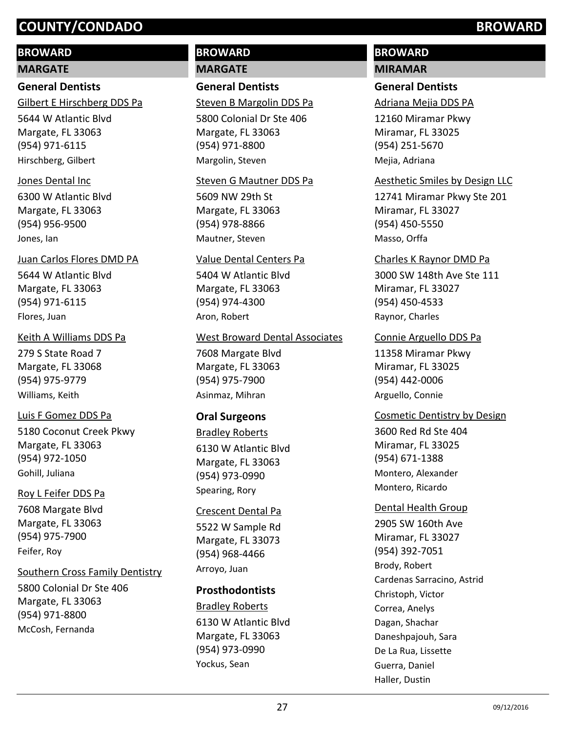# **BROWARD**

#### **MARGATE**

## **General Dentists**

Gilbert E Hirschberg DDS Pa

5644 W Atlantic Blvd Margate, FL 33063 (954) 971-6115 Hirschberg, Gilbert

#### Jones Dental Inc

6300 W Atlantic Blvd Margate, FL 33063 (954) 956-9500 Jones, Ian

#### Juan Carlos Flores DMD PA

5644 W Atlantic Blvd Margate, FL 33063 (954) 971-6115 Flores, Juan

### Keith A Williams DDS Pa

279 S State Road 7 Margate, FL 33068 (954) 975-9779 Williams, Keith

### Luis F Gomez DDS Pa

5180 Coconut Creek Pkwy Margate, FL 33063 (954) 972-1050 Gohill, Juliana

### Roy L Feifer DDS Pa

7608 Margate Blvd Margate, FL 33063 (954) 975-7900 Feifer, Roy

### Southern Cross Family Dentistry

5800 Colonial Dr Ste 406 Margate, FL 33063 (954) 971-8800 McCosh, Fernanda

# **BROWARD MARGATE**

**General Dentists**

Steven B Margolin DDS Pa

5800 Colonial Dr Ste 406 Margate, FL 33063 (954) 971-8800 Margolin, Steven

### Steven G Mautner DDS Pa

5609 NW 29th St Margate, FL 33063 (954) 978-8866 Mautner, Steven

#### Value Dental Centers Pa

5404 W Atlantic Blvd Margate, FL 33063 (954) 974-4300 Aron, Robert

#### West Broward Dental Associates

7608 Margate Blvd Margate, FL 33063 (954) 975-7900 Asinmaz, Mihran

## **Oral Surgeons**

6130 W Atlantic Blvd Margate, FL 33063 (954) 973-0990 Bradley Roberts Spearing, Rory

#### Crescent Dental Pa

5522 W Sample Rd Margate, FL 33073 (954) 968-4466 Arroyo, Juan

# **Prosthodontists**

6130 W Atlantic Blvd Margate, FL 33063 (954) 973-0990 Bradley Roberts Yockus, Sean

# **BROWARD**

# **MIRAMAR**

# **General Dentists**

Adriana Mejia DDS PA

12160 Miramar Pkwy Miramar, FL 33025 (954) 251-5670 Mejia, Adriana

### Aesthetic Smiles by Design LLC

12741 Miramar Pkwy Ste 201 Miramar, FL 33027 (954) 450-5550 Masso, Orffa

#### Charles K Raynor DMD Pa

3000 SW 148th Ave Ste 111 Miramar, FL 33027 (954) 450-4533 Raynor, Charles

#### Connie Arguello DDS Pa

11358 Miramar Pkwy Miramar, FL 33025 (954) 442-0006 Arguello, Connie

## Cosmetic Dentistry by Design

3600 Red Rd Ste 404 Miramar, FL 33025 (954) 671-1388 Montero, Alexander Montero, Ricardo

### Dental Health Group

2905 SW 160th Ave Miramar, FL 33027 (954) 392-7051 Brody, Robert Cardenas Sarracino, Astrid Christoph, Victor Correa, Anelys Dagan, Shachar Daneshpajouh, Sara De La Rua, Lissette Guerra, Daniel Haller, Dustin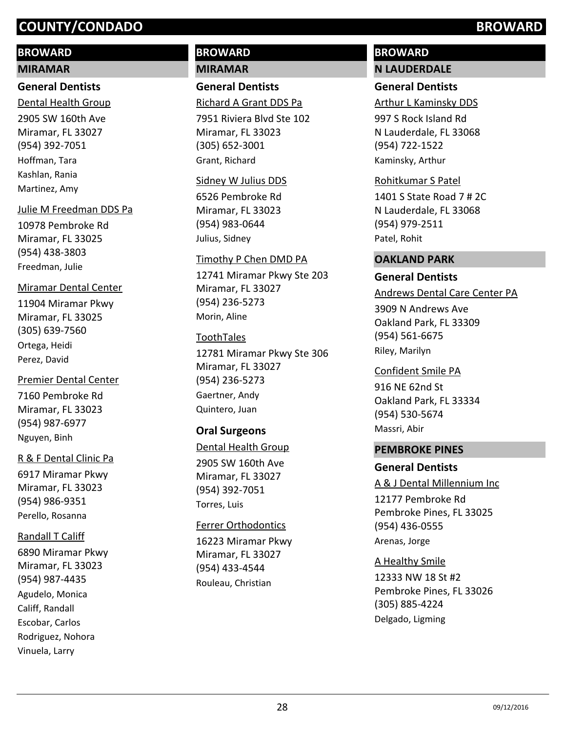# **BROWARD**

#### **MIRAMAR**

### **General Dentists**

2905 SW 160th Ave Miramar, FL 33027 (954) 392-7051 Dental Health Group Hoffman, Tara Kashlan, Rania Martinez, Amy

### Julie M Freedman DDS Pa

10978 Pembroke Rd Miramar, FL 33025 (954) 438-3803 Freedman, Julie

### Miramar Dental Center

11904 Miramar Pkwy Miramar, FL 33025 (305) 639-7560 Ortega, Heidi Perez, David

# Premier Dental Center

7160 Pembroke Rd Miramar, FL 33023 (954) 987-6977 Nguyen, Binh

### R & F Dental Clinic Pa

6917 Miramar Pkwy Miramar, FL 33023 (954) 986-9351 Perello, Rosanna

### Randall T Califf

6890 Miramar Pkwy Miramar, FL 33023 (954) 987-4435 Agudelo, Monica Califf, Randall Escobar, Carlos Rodriguez, Nohora Vinuela, Larry

# **BROWARD MIRAMAR**

**General Dentists**

Richard A Grant DDS Pa

7951 Riviera Blvd Ste 102 Miramar, FL 33023 (305) 652-3001 Grant, Richard

#### Sidney W Julius DDS

6526 Pembroke Rd Miramar, FL 33023 (954) 983-0644 Julius, Sidney

### Timothy P Chen DMD PA

12741 Miramar Pkwy Ste 203 Miramar, FL 33027 (954) 236-5273 Morin, Aline

### ToothTales

12781 Miramar Pkwy Ste 306 Miramar, FL 33027 (954) 236-5273 Gaertner, Andy Quintero, Juan

### **Oral Surgeons**

### Dental Health Group

2905 SW 160th Ave Miramar, FL 33027 (954) 392-7051 Torres, Luis

### Ferrer Orthodontics

16223 Miramar Pkwy Miramar, FL 33027 (954) 433-4544 Rouleau, Christian

# **BROWARD N LAUDERDALE**

### **General Dentists**

Arthur L Kaminsky DDS

997 S Rock Island Rd N Lauderdale, FL 33068 (954) 722-1522 Kaminsky, Arthur

### Rohitkumar S Patel

1401 S State Road 7 # 2C N Lauderdale, FL 33068 (954) 979-2511 Patel, Rohit

#### **OAKLAND PARK**

### **General Dentists**

3909 N Andrews Ave Oakland Park, FL 33309 (954) 561-6675 Andrews Dental Care Center PA Riley, Marilyn

### Confident Smile PA

916 NE 62nd St Oakland Park, FL 33334 (954) 530-5674 Massri, Abir

### **PEMBROKE PINES**

### **General Dentists**

A & J Dental Millennium Inc

12177 Pembroke Rd Pembroke Pines, FL 33025 (954) 436-0555 Arenas, Jorge

12333 NW 18 St #2 Pembroke Pines, FL 33026 (305) 885-4224 A Healthy Smile Delgado, Ligming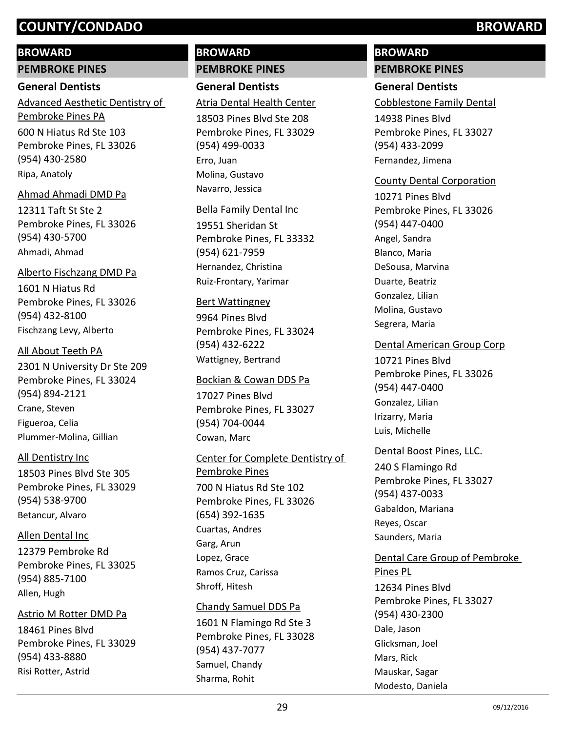### **BROWARD**

**PEMBROKE PINES**

### **General Dentists**

600 N Hiatus Rd Ste 103 Pembroke Pines, FL 33026 (954) 430-2580 Advanced Aesthetic Dentistry of Pembroke Pines PA Ripa, Anatoly

### Ahmad Ahmadi DMD Pa

12311 Taft St Ste 2 Pembroke Pines, FL 33026 (954) 430-5700 Ahmadi, Ahmad

1601 N Hiatus Rd Pembroke Pines, FL 33026 (954) 432-8100 Alberto Fischzang DMD Pa Fischzang Levy, Alberto

# 2301 N University Dr Ste 209 Pembroke Pines, FL 33024 (954) 894-2121 All About Teeth PA Crane, Steven Figueroa, Celia Plummer-Molina, Gillian

## All Dentistry Inc

18503 Pines Blvd Ste 305 Pembroke Pines, FL 33029 (954) 538-9700 Betancur, Alvaro

12379 Pembroke Rd Pembroke Pines, FL 33025 (954) 885-7100 Allen Dental Inc Allen, Hugh

### Astrio M Rotter DMD Pa

18461 Pines Blvd Pembroke Pines, FL 33029 (954) 433-8880 Risi Rotter, Astrid

# **BROWARD PEMBROKE PINES**

**General Dentists** Atria Dental Health Center

18503 Pines Blvd Ste 208 Pembroke Pines, FL 33029 (954) 499-0033 Erro, Juan Molina, Gustavo Navarro, Jessica

### Bella Family Dental Inc

19551 Sheridan St Pembroke Pines, FL 33332 (954) 621-7959 Hernandez, Christina Ruiz-Frontary, Yarimar

### Bert Wattingney

9964 Pines Blvd Pembroke Pines, FL 33024 (954) 432-6222 Wattigney, Bertrand

### Bockian & Cowan DDS Pa

17027 Pines Blvd Pembroke Pines, FL 33027 (954) 704-0044 Cowan, Marc

### Center for Complete Dentistry of

700 N Hiatus Rd Ste 102 Pembroke Pines, FL 33026 (654) 392-1635 Pembroke Pines Cuartas, Andres Garg, Arun Lopez, Grace Ramos Cruz, Carissa Shroff, Hitesh

### Chandy Samuel DDS Pa

1601 N Flamingo Rd Ste 3 Pembroke Pines, FL 33028 (954) 437-7077 Samuel, Chandy Sharma, Rohit

# **BROWARD PEMBROKE PINES**

# **General Dentists**

Cobblestone Family Dental

14938 Pines Blvd Pembroke Pines, FL 33027 (954) 433-2099 Fernandez, Jimena

### County Dental Corporation

10271 Pines Blvd Pembroke Pines, FL 33026 (954) 447-0400 Angel, Sandra Blanco, Maria DeSousa, Marvina Duarte, Beatriz Gonzalez, Lilian Molina, Gustavo Segrera, Maria

### Dental American Group Corp

10721 Pines Blvd Pembroke Pines, FL 33026 (954) 447-0400 Gonzalez, Lilian Irizarry, Maria Luis, Michelle

### Dental Boost Pines, LLC.

240 S Flamingo Rd Pembroke Pines, FL 33027 (954) 437-0033 Gabaldon, Mariana Reyes, Oscar Saunders, Maria

# Dental Care Group of Pembroke

12634 Pines Blvd Pembroke Pines, FL 33027 (954) 430-2300 Pines PL Dale, Jason Glicksman, Joel Mars, Rick Mauskar, Sagar Modesto, Daniela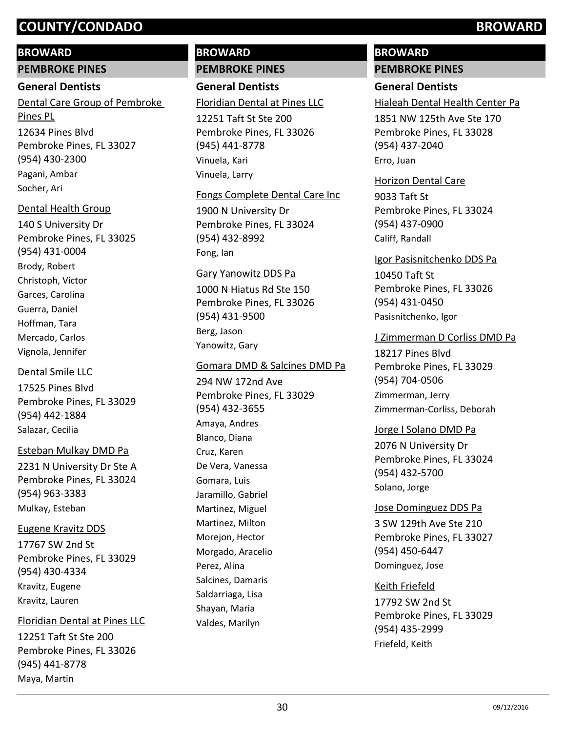### **BROWARD**

**PEMBROKE PINES**

### **General Dentists**

12634 Pines Blvd Pembroke Pines, FL 33027 (954) 430-2300 Dental Care Group of Pembroke Pines PL Pagani, Ambar Socher, Ari

### Dental Health Group

140 S University Dr Pembroke Pines, FL 33025 (954) 431-0004 Brody, Robert Christoph, Victor Garces, Carolina Guerra, Daniel Hoffman, Tara Mercado, Carlos Vignola, Jennifer

### Dental Smile LLC

17525 Pines Blvd Pembroke Pines, FL 33029 (954) 442-1884 Salazar, Cecilia

### Esteban Mulkay DMD Pa

2231 N University Dr Ste A Pembroke Pines, FL 33024 (954) 963-3383 Mulkay, Esteban

### Eugene Kravitz DDS

17767 SW 2nd St Pembroke Pines, FL 33029 (954) 430-4334 Kravitz, Eugene Kravitz, Lauren

### Floridian Dental at Pines LLC

12251 Taft St Ste 200 Pembroke Pines, FL 33026 (945) 441-8778 Maya, Martin

# **BROWARD PEMBROKE PINES**

**General Dentists** 12251 Taft St Ste 200 Floridian Dental at Pines LLC

Pembroke Pines, FL 33026 (945) 441-8778 Vinuela, Kari Vinuela, Larry

### Fongs Complete Dental Care Inc

1900 N University Dr Pembroke Pines, FL 33024 (954) 432-8992 Fong, Ian

### Gary Yanowitz DDS Pa

1000 N Hiatus Rd Ste 150 Pembroke Pines, FL 33026 (954) 431-9500 Berg, Jason Yanowitz, Gary

### Gomara DMD & Salcines DMD Pa

294 NW 172nd Ave Pembroke Pines, FL 33029 (954) 432-3655 Amaya, Andres Blanco, Diana Cruz, Karen De Vera, Vanessa Gomara, Luis Jaramillo, Gabriel Martinez, Miguel Martinez, Milton Morejon, Hector Morgado, Aracelio Perez, Alina Salcines, Damaris Saldarriaga, Lisa Shayan, Maria Valdes, Marilyn

# **BROWARD PEMBROKE PINES**

# **General Dentists**

Hialeah Dental Health Center Pa

1851 NW 125th Ave Ste 170 Pembroke Pines, FL 33028 (954) 437-2040 Erro, Juan

### Horizon Dental Care

9033 Taft St Pembroke Pines, FL 33024 (954) 437-0900 Califf, Randall

### Igor Pasisnitchenko DDS Pa

10450 Taft St Pembroke Pines, FL 33026 (954) 431-0450 Pasisnitchenko, Igor

### J Zimmerman D Corliss DMD Pa

18217 Pines Blvd Pembroke Pines, FL 33029 (954) 704-0506 Zimmerman, Jerry Zimmerman-Corliss, Deborah

### Jorge I Solano DMD Pa

2076 N University Dr Pembroke Pines, FL 33024 (954) 432-5700 Solano, Jorge

### Jose Dominguez DDS Pa

3 SW 129th Ave Ste 210 Pembroke Pines, FL 33027 (954) 450-6447 Dominguez, Jose

### Keith Friefeld

17792 SW 2nd St Pembroke Pines, FL 33029 (954) 435-2999 Friefeld, Keith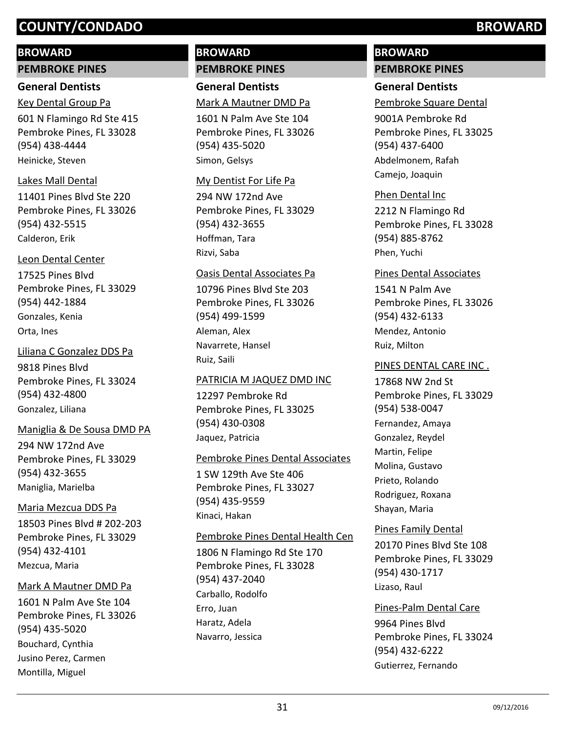# **BROWARD**

**PEMBROKE PINES**

# **General Dentists**

601 N Flamingo Rd Ste 415 Pembroke Pines, FL 33028 (954) 438-4444 Key Dental Group Pa

Heinicke, Steven

# Lakes Mall Dental

11401 Pines Blvd Ste 220 Pembroke Pines, FL 33026 (954) 432-5515 Calderon, Erik

# Leon Dental Center

17525 Pines Blvd Pembroke Pines, FL 33029 (954) 442-1884 Gonzales, Kenia Orta, Ines

9818 Pines Blvd Pembroke Pines, FL 33024 (954) 432-4800 Liliana C Gonzalez DDS Pa Gonzalez, Liliana

# Maniglia & De Sousa DMD PA

294 NW 172nd Ave Pembroke Pines, FL 33029 (954) 432-3655 Maniglia, Marielba

# Maria Mezcua DDS Pa

18503 Pines Blvd # 202-203 Pembroke Pines, FL 33029 (954) 432-4101 Mezcua, Maria

# Mark A Mautner DMD Pa

1601 N Palm Ave Ste 104 Pembroke Pines, FL 33026 (954) 435-5020 Bouchard, Cynthia Jusino Perez, Carmen Montilla, Miguel

# **BROWARD PEMBROKE PINES**

**General Dentists** Mark A Mautner DMD Pa

1601 N Palm Ave Ste 104 Pembroke Pines, FL 33026 (954) 435-5020 Simon, Gelsys

# My Dentist For Life Pa

294 NW 172nd Ave Pembroke Pines, FL 33029 (954) 432-3655 Hoffman, Tara Rizvi, Saba

# Oasis Dental Associates Pa

10796 Pines Blvd Ste 203 Pembroke Pines, FL 33026 (954) 499-1599 Aleman, Alex Navarrete, Hansel Ruiz, Saili

# PATRICIA M JAQUEZ DMD INC

12297 Pembroke Rd Pembroke Pines, FL 33025 (954) 430-0308 Jaquez, Patricia

# Pembroke Pines Dental Associates

1 SW 129th Ave Ste 406 Pembroke Pines, FL 33027 (954) 435-9559 Kinaci, Hakan

# Pembroke Pines Dental Health Cen

1806 N Flamingo Rd Ste 170 Pembroke Pines, FL 33028 (954) 437-2040 Carballo, Rodolfo Erro, Juan Haratz, Adela Navarro, Jessica

# **BROWARD PEMBROKE PINES**

# **General Dentists**

Pembroke Square Dental

9001A Pembroke Rd Pembroke Pines, FL 33025 (954) 437-6400 Abdelmonem, Rafah Camejo, Joaquin

# Phen Dental Inc

2212 N Flamingo Rd Pembroke Pines, FL 33028 (954) 885-8762 Phen, Yuchi

# Pines Dental Associates

1541 N Palm Ave Pembroke Pines, FL 33026 (954) 432-6133 Mendez, Antonio Ruiz, Milton

# PINES DENTAL CARE INC .

17868 NW 2nd St Pembroke Pines, FL 33029 (954) 538-0047 Fernandez, Amaya Gonzalez, Reydel Martin, Felipe Molina, Gustavo Prieto, Rolando Rodriguez, Roxana Shayan, Maria

# Pines Family Dental

20170 Pines Blvd Ste 108 Pembroke Pines, FL 33029 (954) 430-1717 Lizaso, Raul

# Pines-Palm Dental Care

9964 Pines Blvd Pembroke Pines, FL 33024 (954) 432-6222 Gutierrez, Fernando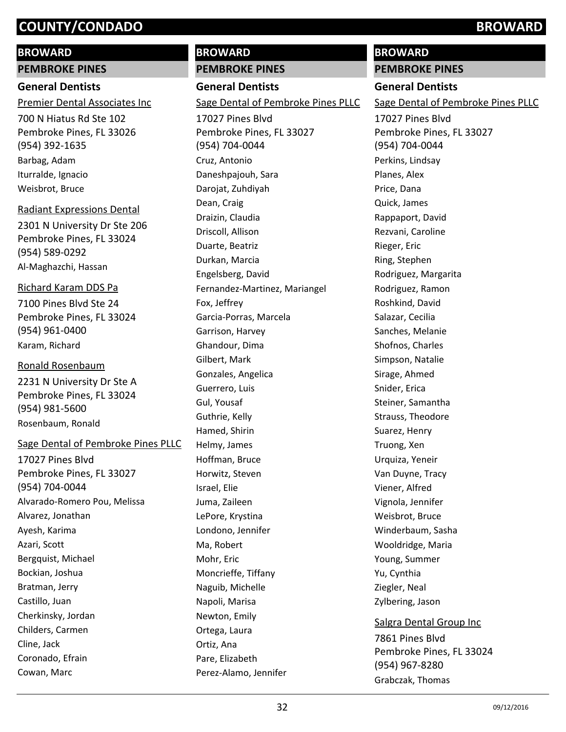### **BROWARD**

**PEMBROKE PINES**

### **General Dentists**

Premier Dental Associates Inc

700 N Hiatus Rd Ste 102 Pembroke Pines, FL 33026 (954) 392-1635 Barbag, Adam Iturralde, Ignacio Weisbrot, Bruce

### Radiant Expressions Dental

2301 N University Dr Ste 206 Pembroke Pines, FL 33024 (954) 589-0292 Al-Maghazchi, Hassan

### Richard Karam DDS Pa

7100 Pines Blvd Ste 24 Pembroke Pines, FL 33024 (954) 961-0400 Karam, Richard

### Ronald Rosenbaum

2231 N University Dr Ste A Pembroke Pines, FL 33024 (954) 981-5600 Rosenbaum, Ronald

### Sage Dental of Pembroke Pines PLLC

17027 Pines Blvd Pembroke Pines, FL 33027 (954) 704-0044 Alvarado-Romero Pou, Melissa Alvarez, Jonathan Ayesh, Karima Azari, Scott Bergquist, Michael Bockian, Joshua Bratman, Jerry Castillo, Juan Cherkinsky, Jordan Childers, Carmen Cline, Jack Coronado, Efrain Cowan, Marc

# **BROWARD PEMBROKE PINES**

**General Dentists**

17027 Pines Blvd Sage Dental of Pembroke Pines PLLC

Pembroke Pines, FL 33027 (954) 704-0044 Cruz, Antonio Daneshpajouh, Sara Darojat, Zuhdiyah Dean, Craig Draizin, Claudia Driscoll, Allison Duarte, Beatriz Durkan, Marcia Engelsberg, David Fernandez-Martinez, Mariangel Fox, Jeffrey Garcia-Porras, Marcela Garrison, Harvey Ghandour, Dima Gilbert, Mark Gonzales, Angelica Guerrero, Luis Gul, Yousaf Guthrie, Kelly Hamed, Shirin Helmy, James Hoffman, Bruce Horwitz, Steven Israel, Elie Juma, Zaileen LePore, Krystina Londono, Jennifer Ma, Robert Mohr, Eric Moncrieffe, Tiffany Naguib, Michelle Napoli, Marisa Newton, Emily Ortega, Laura Ortiz, Ana Pare, Elizabeth Perez-Alamo, Jennifer

# **BROWARD**

**PEMBROKE PINES**

# **General Dentists**

Sage Dental of Pembroke Pines PLLC

17027 Pines Blvd Pembroke Pines, FL 33027 (954) 704-0044 Perkins, Lindsay Planes, Alex Price, Dana Quick, James Rappaport, David Rezvani, Caroline Rieger, Eric Ring, Stephen Rodriguez, Margarita Rodriguez, Ramon Roshkind, David Salazar, Cecilia Sanches, Melanie Shofnos, Charles Simpson, Natalie Sirage, Ahmed Snider, Erica Steiner, Samantha Strauss, Theodore Suarez, Henry Truong, Xen Urquiza, Yeneir Van Duyne, Tracy Viener, Alfred Vignola, Jennifer Weisbrot, Bruce Winderbaum, Sasha Wooldridge, Maria Young, Summer Yu, Cynthia Ziegler, Neal Zylbering, Jason 7861 Pines Blvd Salgra Dental Group Inc

Pembroke Pines, FL 33024 (954) 967-8280 Grabczak, Thomas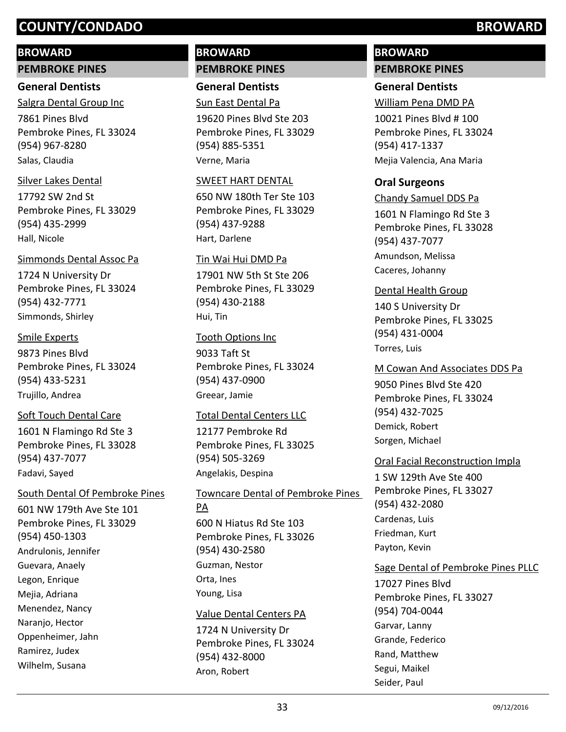### **BROWARD**

**PEMBROKE PINES**

### **General Dentists**

7861 Pines Blvd Pembroke Pines, FL 33024 (954) 967-8280 Salgra Dental Group Inc Salas, Claudia

### Silver Lakes Dental

17792 SW 2nd St Pembroke Pines, FL 33029 (954) 435-2999 Hall, Nicole

### Simmonds Dental Assoc Pa

1724 N University Dr Pembroke Pines, FL 33024 (954) 432-7771 Simmonds, Shirley

### Smile Experts

9873 Pines Blvd Pembroke Pines, FL 33024 (954) 433-5231 Trujillo, Andrea

### Soft Touch Dental Care

1601 N Flamingo Rd Ste 3 Pembroke Pines, FL 33028 (954) 437-7077 Fadavi, Sayed

### South Dental Of Pembroke Pines

601 NW 179th Ave Ste 101 Pembroke Pines, FL 33029 (954) 450-1303 Andrulonis, Jennifer Guevara, Anaely Legon, Enrique Mejia, Adriana Menendez, Nancy Naranjo, Hector Oppenheimer, Jahn Ramirez, Judex Wilhelm, Susana

# **BROWARD PEMBROKE PINES**

**General Dentists** Sun East Dental Pa

19620 Pines Blvd Ste 203 Pembroke Pines, FL 33029 (954) 885-5351 Verne, Maria

### SWEET HART DENTAL

650 NW 180th Ter Ste 103 Pembroke Pines, FL 33029 (954) 437-9288 Hart, Darlene

### Tin Wai Hui DMD Pa

17901 NW 5th St Ste 206 Pembroke Pines, FL 33029 (954) 430-2188 Hui, Tin

### Tooth Options Inc

9033 Taft St Pembroke Pines, FL 33024 (954) 437-0900 Greear, Jamie

### Total Dental Centers LLC

12177 Pembroke Rd Pembroke Pines, FL 33025 (954) 505-3269 Angelakis, Despina

600 N Hiatus Rd Ste 103 Pembroke Pines, FL 33026 (954) 430-2580 Towncare Dental of Pembroke Pines PA Guzman, Nestor Orta, Ines Young, Lisa

### Value Dental Centers PA

1724 N University Dr Pembroke Pines, FL 33024 (954) 432-8000 Aron, Robert

# **BROWARD PEMBROKE PINES**

# **General Dentists**

William Pena DMD PA

10021 Pines Blvd # 100 Pembroke Pines, FL 33024 (954) 417-1337 Mejia Valencia, Ana Maria

### **Oral Surgeons**

1601 N Flamingo Rd Ste 3 Pembroke Pines, FL 33028 (954) 437-7077 Chandy Samuel DDS Pa Amundson, Melissa Caceres, Johanny

### Dental Health Group

140 S University Dr Pembroke Pines, FL 33025 (954) 431-0004 Torres, Luis

### M Cowan And Associates DDS Pa

9050 Pines Blvd Ste 420 Pembroke Pines, FL 33024 (954) 432-7025 Demick, Robert Sorgen, Michael

### Oral Facial Reconstruction Impla

1 SW 129th Ave Ste 400 Pembroke Pines, FL 33027 (954) 432-2080 Cardenas, Luis Friedman, Kurt Payton, Kevin

## Sage Dental of Pembroke Pines PLLC

17027 Pines Blvd Pembroke Pines, FL 33027 (954) 704-0044 Garvar, Lanny Grande, Federico Rand, Matthew Segui, Maikel Seider, Paul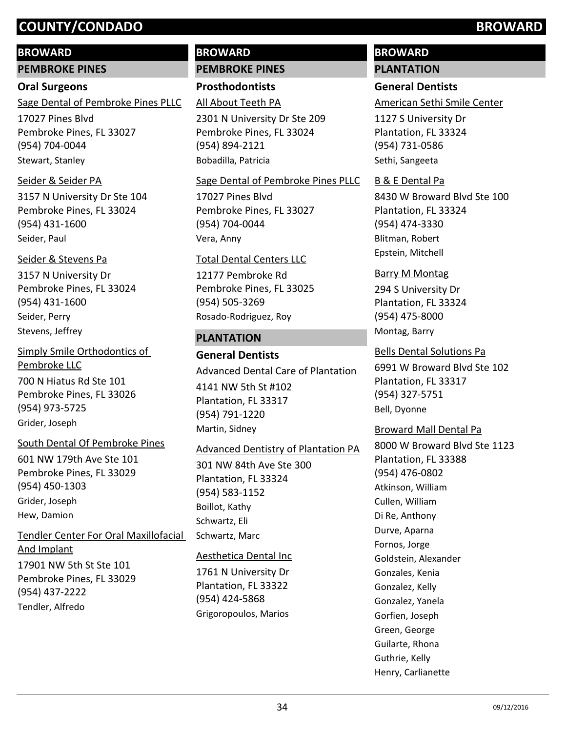## **BROWARD**

**PEMBROKE PINES**

### **Oral Surgeons**

17027 Pines Blvd Pembroke Pines, FL 33027 Sage Dental of Pembroke Pines PLLC

(954) 704-0044 Stewart, Stanley

### Seider & Seider PA

3157 N University Dr Ste 104 Pembroke Pines, FL 33024 (954) 431-1600 Seider, Paul

# Seider & Stevens Pa

3157 N University Dr Pembroke Pines, FL 33024 (954) 431-1600 Seider, Perry Stevens, Jeffrey

700 N Hiatus Rd Ste 101 Pembroke Pines, FL 33026 (954) 973-5725 Simply Smile Orthodontics of Pembroke LLC Grider, Joseph

## South Dental Of Pembroke Pines

601 NW 179th Ave Ste 101 Pembroke Pines, FL 33029 (954) 450-1303 Grider, Joseph Hew, Damion

17901 NW 5th St Ste 101 Pembroke Pines, FL 33029 (954) 437-2222 Tendler Center For Oral Maxillofacial And Implant

Tendler, Alfredo

# **BROWARD PEMBROKE PINES**

**Prosthodontists**

All About Teeth PA

2301 N University Dr Ste 209 Pembroke Pines, FL 33024 (954) 894-2121 Bobadilla, Patricia

## Sage Dental of Pembroke Pines PLLC

17027 Pines Blvd Pembroke Pines, FL 33027 (954) 704-0044 Vera, Anny

### Total Dental Centers LLC

12177 Pembroke Rd Pembroke Pines, FL 33025 (954) 505-3269 Rosado-Rodriguez, Roy

## **PLANTATION**

**General Dentists** 4141 NW 5th St #102 Plantation, FL 33317 (954) 791-1220 Advanced Dental Care of Plantation Martin, Sidney

## Advanced Dentistry of Plantation PA

301 NW 84th Ave Ste 300 Plantation, FL 33324 (954) 583-1152 Boillot, Kathy Schwartz, Eli Schwartz, Marc

## Aesthetica Dental Inc

1761 N University Dr Plantation, FL 33322 (954) 424-5868 Grigoropoulos, Marios

# **BROWARD PLANTATION**

# **General Dentists**

American Sethi Smile Center

1127 S University Dr Plantation, FL 33324 (954) 731-0586 Sethi, Sangeeta

### B & E Dental Pa

8430 W Broward Blvd Ste 100 Plantation, FL 33324 (954) 474-3330 Blitman, Robert Epstein, Mitchell

# Barry M Montag

294 S University Dr Plantation, FL 33324 (954) 475-8000 Montag, Barry

6991 W Broward Blvd Ste 102 Plantation, FL 33317 (954) 327-5751 Bells Dental Solutions Pa

Bell, Dyonne

## Broward Mall Dental Pa

8000 W Broward Blvd Ste 1123 Plantation, FL 33388 (954) 476-0802 Atkinson, William Cullen, William Di Re, Anthony Durve, Aparna Fornos, Jorge Goldstein, Alexander Gonzales, Kenia Gonzalez, Kelly Gonzalez, Yanela Gorfien, Joseph Green, George Guilarte, Rhona Guthrie, Kelly Henry, Carlianette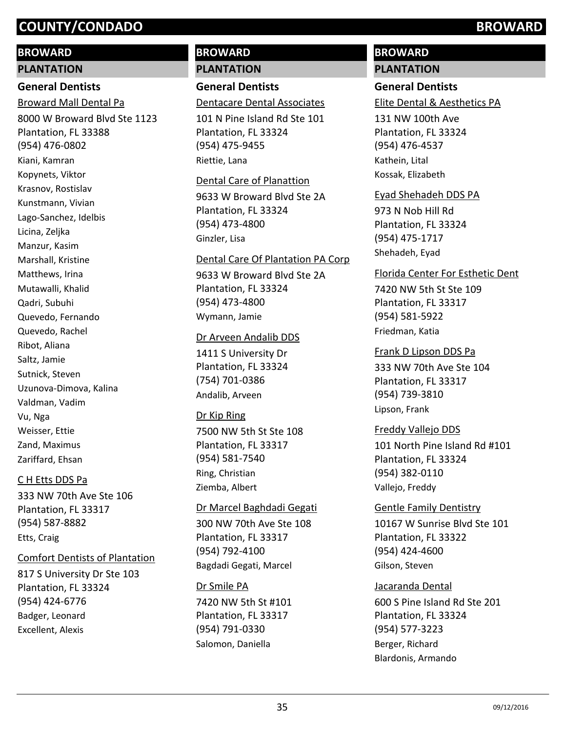### **BROWARD**

### **PLANTATION**

# **General Dentists**

Broward Mall Dental Pa

8000 W Broward Blvd Ste 1123 Plantation, FL 33388 (954) 476-0802 Kiani, Kamran Kopynets, Viktor Krasnov, Rostislav Kunstmann, Vivian Lago-Sanchez, Idelbis Licina, Zeljka Manzur, Kasim Marshall, Kristine Matthews, Irina Mutawalli, Khalid Qadri, Subuhi Quevedo, Fernando Quevedo, Rachel Ribot, Aliana Saltz, Jamie Sutnick, Steven Uzunova-Dimova, Kalina Valdman, Vadim Vu, Nga Weisser, Ettie Zand, Maximus Zariffard, Ehsan

### C H Etts DDS Pa

333 NW 70th Ave Ste 106 Plantation, FL 33317 (954) 587-8882 Etts, Craig

### Comfort Dentists of Plantation

817 S University Dr Ste 103 Plantation, FL 33324 (954) 424-6776 Badger, Leonard Excellent, Alexis

# **BROWARD PLANTATION**

# **General Dentists**

# Dentacare Dental Associates

101 N Pine Island Rd Ste 101 Plantation, FL 33324 (954) 475-9455 Riettie, Lana

### Dental Care of Planattion

9633 W Broward Blvd Ste 2A Plantation, FL 33324 (954) 473-4800 Ginzler, Lisa

### Dental Care Of Plantation PA Corp

9633 W Broward Blvd Ste 2A Plantation, FL 33324 (954) 473-4800 Wymann, Jamie

### Dr Arveen Andalib DDS

1411 S University Dr Plantation, FL 33324 (754) 701-0386 Andalib, Arveen

### Dr Kip Ring

7500 NW 5th St Ste 108 Plantation, FL 33317 (954) 581-7540 Ring, Christian Ziemba, Albert

### Dr Marcel Baghdadi Gegati

300 NW 70th Ave Ste 108 Plantation, FL 33317 (954) 792-4100 Bagdadi Gegati, Marcel

## Dr Smile PA

7420 NW 5th St #101 Plantation, FL 33317 (954) 791-0330 Salomon, Daniella

# **BROWARD PLANTATION**

# **General Dentists**

Elite Dental & Aesthetics PA

131 NW 100th Ave Plantation, FL 33324 (954) 476-4537 Kathein, Lital Kossak, Elizabeth

### Eyad Shehadeh DDS PA

973 N Nob Hill Rd Plantation, FL 33324 (954) 475-1717 Shehadeh, Eyad

## Florida Center For Esthetic Dent

7420 NW 5th St Ste 109 Plantation, FL 33317 (954) 581-5922 Friedman, Katia

Frank D Lipson DDS Pa

333 NW 70th Ave Ste 104 Plantation, FL 33317 (954) 739-3810 Lipson, Frank

## Freddy Vallejo DDS

101 North Pine Island Rd #101 Plantation, FL 33324 (954) 382-0110 Vallejo, Freddy

### Gentle Family Dentistry

10167 W Sunrise Blvd Ste 101 Plantation, FL 33322 (954) 424-4600 Gilson, Steven

### Jacaranda Dental

600 S Pine Island Rd Ste 201 Plantation, FL 33324 (954) 577-3223 Berger, Richard Blardonis, Armando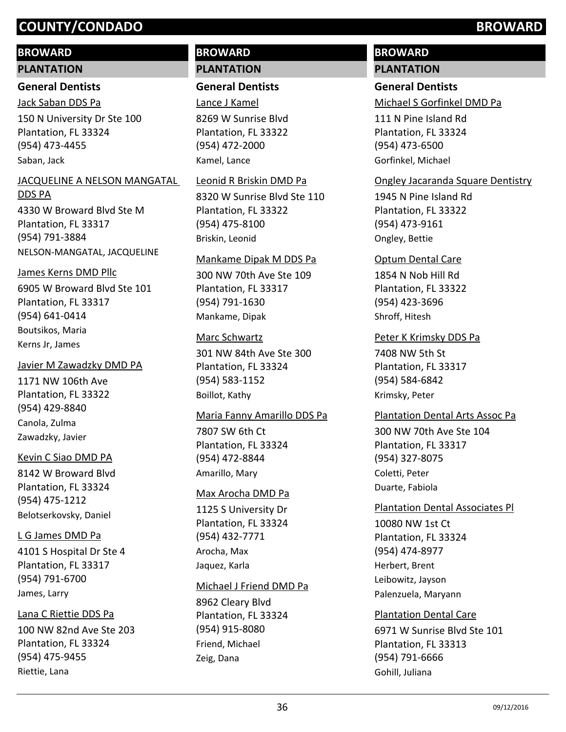### **BROWARD**

### **PLANTATION**

### **General Dentists**

Jack Saban DDS Pa

150 N University Dr Ste 100 Plantation, FL 33324 (954) 473-4455 Saban, Jack

# JACQUELINE A NELSON MANGATAL

4330 W Broward Blvd Ste M Plantation, FL 33317 (954) 791-3884 DDS PA NELSON-MANGATAL, JACQUELINE

### James Kerns DMD Pllc

6905 W Broward Blvd Ste 101 Plantation, FL 33317 (954) 641-0414 Boutsikos, Maria Kerns Jr, James

### Javier M Zawadzky DMD PA

1171 NW 106th Ave Plantation, FL 33322 (954) 429-8840 Canola, Zulma Zawadzky, Javier

### Kevin C Siao DMD PA

8142 W Broward Blvd Plantation, FL 33324 (954) 475-1212 Belotserkovsky, Daniel

### L G James DMD Pa

4101 S Hospital Dr Ste 4 Plantation, FL 33317 (954) 791-6700 James, Larry

### Lana C Riettie DDS Pa

100 NW 82nd Ave Ste 203 Plantation, FL 33324 (954) 475-9455 Riettie, Lana

# **BROWARD PLANTATION**

## **General Dentists**

Lance J Kamel

8269 W Sunrise Blvd Plantation, FL 33322 (954) 472-2000 Kamel, Lance

### Leonid R Briskin DMD Pa

8320 W Sunrise Blvd Ste 110 Plantation, FL 33322 (954) 475-8100 Briskin, Leonid

### Mankame Dipak M DDS Pa

300 NW 70th Ave Ste 109 Plantation, FL 33317 (954) 791-1630 Mankame, Dipak

### Marc Schwartz

301 NW 84th Ave Ste 300 Plantation, FL 33324 (954) 583-1152 Boillot, Kathy

### Maria Fanny Amarillo DDS Pa

7807 SW 6th Ct Plantation, FL 33324 (954) 472-8844 Amarillo, Mary

### Max Arocha DMD Pa

1125 S University Dr Plantation, FL 33324 (954) 432-7771 Arocha, Max Jaquez, Karla

### Michael J Friend DMD Pa

8962 Cleary Blvd Plantation, FL 33324 (954) 915-8080 Friend, Michael Zeig, Dana

# **BROWARD PLANTATION**

# **General Dentists**

Michael S Gorfinkel DMD Pa

111 N Pine Island Rd Plantation, FL 33324 (954) 473-6500 Gorfinkel, Michael

### Ongley Jacaranda Square Dentistry

1945 N Pine Island Rd Plantation, FL 33322 (954) 473-9161 Ongley, Bettie

### Optum Dental Care

1854 N Nob Hill Rd Plantation, FL 33322 (954) 423-3696 Shroff, Hitesh

### Peter K Krimsky DDS Pa

7408 NW 5th St Plantation, FL 33317 (954) 584-6842 Krimsky, Peter

# Plantation Dental Arts Assoc Pa

300 NW 70th Ave Ste 104 Plantation, FL 33317 (954) 327-8075 Coletti, Peter Duarte, Fabiola

## Plantation Dental Associates Pl

10080 NW 1st Ct Plantation, FL 33324 (954) 474-8977 Herbert, Brent Leibowitz, Jayson Palenzuela, Maryann

# Plantation Dental Care

6971 W Sunrise Blvd Ste 101 Plantation, FL 33313 (954) 791-6666 Gohill, Juliana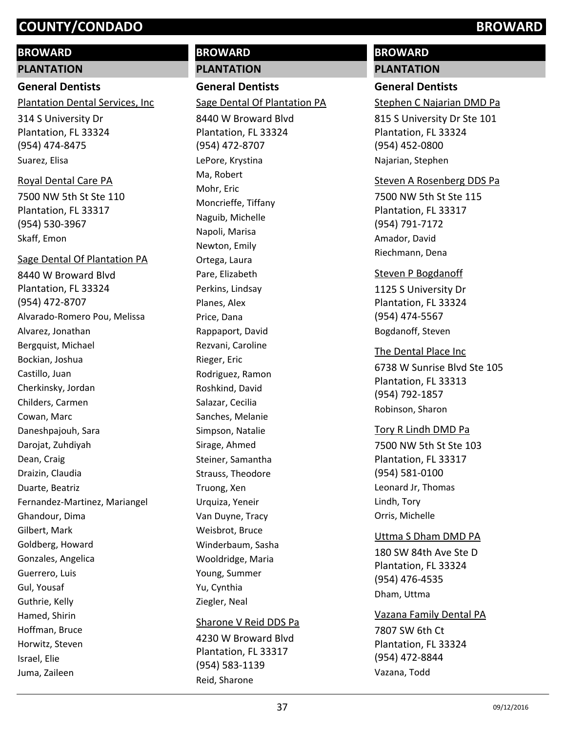#### **BROWARD**

**PLANTATION**

**General Dentists** Plantation Dental Services, Inc

314 S University Dr Plantation, FL 33324 (954) 474-8475 Suarez, Elisa

Royal Dental Care PA

7500 NW 5th St Ste 110 Plantation, FL 33317 (954) 530-3967 Skaff, Emon

8440 W Broward Blvd Plantation, FL 33324 (954) 472-8707 Sage Dental Of Plantation PA Alvarado-Romero Pou, Melissa Alvarez, Jonathan Bergquist, Michael Bockian, Joshua Castillo, Juan Cherkinsky, Jordan Childers, Carmen Cowan, Marc Daneshpajouh, Sara Darojat, Zuhdiyah Dean, Craig Draizin, Claudia Duarte, Beatriz Fernandez-Martinez, Mariangel Ghandour, Dima Gilbert, Mark Goldberg, Howard Gonzales, Angelica Guerrero, Luis Gul, Yousaf Guthrie, Kelly Hamed, Shirin Hoffman, Bruce Horwitz, Steven Israel, Elie Juma, Zaileen

# **BROWARD PLANTATION**

**General Dentists** Sage Dental Of Plantation PA

8440 W Broward Blvd Plantation, FL 33324 (954) 472-8707 LePore, Krystina Ma, Robert Mohr, Eric Moncrieffe, Tiffany Naguib, Michelle Napoli, Marisa Newton, Emily Ortega, Laura Pare, Elizabeth Perkins, Lindsay Planes, Alex Price, Dana Rappaport, David Rezvani, Caroline Rieger, Eric Rodriguez, Ramon Roshkind, David Salazar, Cecilia Sanches, Melanie Simpson, Natalie Sirage, Ahmed Steiner, Samantha Strauss, Theodore Truong, Xen Urquiza, Yeneir Van Duyne, Tracy Weisbrot, Bruce Winderbaum, Sasha Wooldridge, Maria Young, Summer Yu, Cynthia Ziegler, Neal

#### Sharone V Reid DDS Pa

4230 W Broward Blvd Plantation, FL 33317 (954) 583-1139 Reid, Sharone

# **BROWARD**

# **PLANTATION**

# **General Dentists**

Stephen C Najarian DMD Pa

815 S University Dr Ste 101 Plantation, FL 33324 (954) 452-0800 Najarian, Stephen

#### Steven A Rosenberg DDS Pa

7500 NW 5th St Ste 115 Plantation, FL 33317 (954) 791-7172 Amador, David Riechmann, Dena

#### Steven P Bogdanoff

1125 S University Dr Plantation, FL 33324 (954) 474-5567 Bogdanoff, Steven

6738 W Sunrise Blvd Ste 105 Plantation, FL 33313 (954) 792-1857 The Dental Place Inc Robinson, Sharon

## Tory R Lindh DMD Pa

7500 NW 5th St Ste 103 Plantation, FL 33317 (954) 581-0100 Leonard Jr, Thomas Lindh, Tory Orris, Michelle

#### Uttma S Dham DMD PA

180 SW 84th Ave Ste D Plantation, FL 33324 (954) 476-4535 Dham, Uttma

7807 SW 6th Ct Plantation, FL 33324 (954) 472-8844 Vazana Family Dental PA Vazana, Todd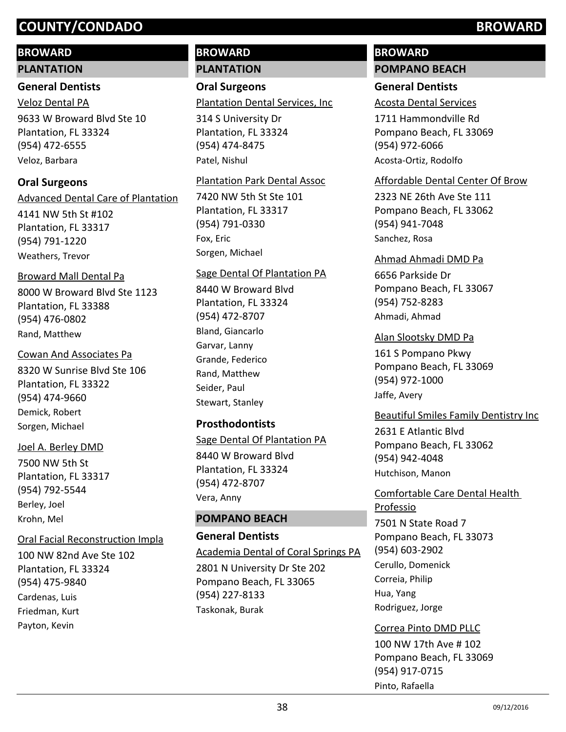#### **BROWARD**

#### **PLANTATION**

#### **General Dentists**

9633 W Broward Blvd Ste 10 Plantation, FL 33324 (954) 472-6555 Veloz Dental PA Veloz, Barbara

## **Oral Surgeons**

4141 NW 5th St #102 Plantation, FL 33317 (954) 791-1220 Advanced Dental Care of Plantation Weathers, Trevor

## Broward Mall Dental Pa

8000 W Broward Blvd Ste 1123 Plantation, FL 33388 (954) 476-0802 Rand, Matthew

#### Cowan And Associates Pa

8320 W Sunrise Blvd Ste 106 Plantation, FL 33322 (954) 474-9660 Demick, Robert Sorgen, Michael

#### Joel A. Berley DMD

7500 NW 5th St Plantation, FL 33317 (954) 792-5544 Berley, Joel Krohn, Mel

## Oral Facial Reconstruction Impla

100 NW 82nd Ave Ste 102 Plantation, FL 33324 (954) 475-9840 Cardenas, Luis Friedman, Kurt Payton, Kevin

# **BROWARD PLANTATION**

**Oral Surgeons** Plantation Dental Services, Inc

314 S University Dr Plantation, FL 33324 (954) 474-8475 Patel, Nishul

#### Plantation Park Dental Assoc

7420 NW 5th St Ste 101 Plantation, FL 33317 (954) 791-0330 Fox, Eric Sorgen, Michael

#### Sage Dental Of Plantation PA

8440 W Broward Blvd Plantation, FL 33324 (954) 472-8707 Bland, Giancarlo Garvar, Lanny Grande, Federico Rand, Matthew Seider, Paul Stewart, Stanley

## **Prosthodontists**

## Sage Dental Of Plantation PA

8440 W Broward Blvd Plantation, FL 33324 (954) 472-8707 Vera, Anny

#### **POMPANO BEACH**

#### **General Dentists**

Academia Dental of Coral Springs PA

2801 N University Dr Ste 202 Pompano Beach, FL 33065 (954) 227-8133 Taskonak, Burak

# **BROWARD POMPANO BEACH**

# **General Dentists**

#### Acosta Dental Services

1711 Hammondville Rd Pompano Beach, FL 33069 (954) 972-6066 Acosta-Ortiz, Rodolfo

#### Affordable Dental Center Of Brow

2323 NE 26th Ave Ste 111 Pompano Beach, FL 33062 (954) 941-7048 Sanchez, Rosa

#### Ahmad Ahmadi DMD Pa

6656 Parkside Dr Pompano Beach, FL 33067 (954) 752-8283 Ahmadi, Ahmad

#### Alan Slootsky DMD Pa

161 S Pompano Pkwy Pompano Beach, FL 33069 (954) 972-1000 Jaffe, Avery

#### Beautiful Smiles Family Dentistry Inc

2631 E Atlantic Blvd Pompano Beach, FL 33062 (954) 942-4048 Hutchison, Manon

Comfortable Care Dental Health Professio

7501 N State Road 7 Pompano Beach, FL 33073 (954) 603-2902 Cerullo, Domenick Correia, Philip Hua, Yang Rodriguez, Jorge

#### Correa Pinto DMD PLLC

100 NW 17th Ave # 102 Pompano Beach, FL 33069 (954) 917-0715 Pinto, Rafaella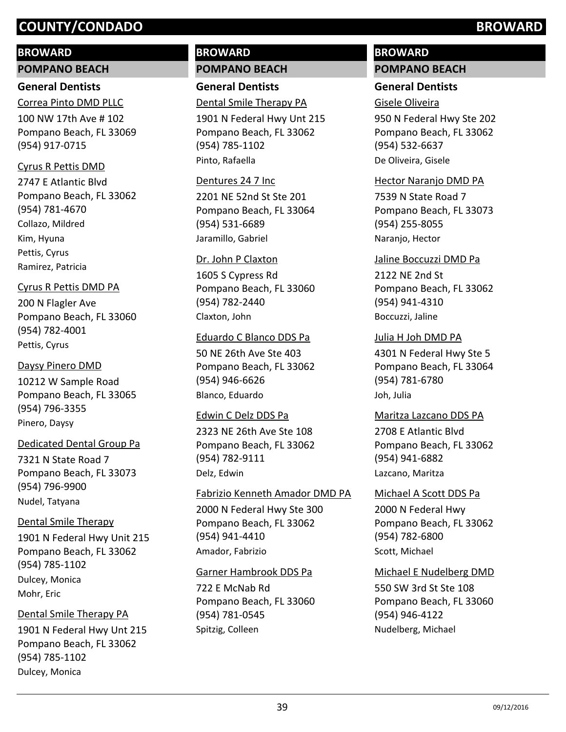#### **BROWARD**

**POMPANO BEACH**

# **General Dentists**

100 NW 17th Ave # 102 Pompano Beach, FL 33069 (954) 917-0715 Correa Pinto DMD PLLC

#### Cyrus R Pettis DMD

2747 E Atlantic Blvd Pompano Beach, FL 33062 (954) 781-4670 Collazo, Mildred Kim, Hyuna Pettis, Cyrus Ramirez, Patricia

#### Cyrus R Pettis DMD PA

200 N Flagler Ave Pompano Beach, FL 33060 (954) 782-4001 Pettis, Cyrus

#### Daysy Pinero DMD

10212 W Sample Road Pompano Beach, FL 33065 (954) 796-3355 Pinero, Daysy

#### Dedicated Dental Group Pa

7321 N State Road 7 Pompano Beach, FL 33073 (954) 796-9900 Nudel, Tatyana

# Dental Smile Therapy

1901 N Federal Hwy Unit 215 Pompano Beach, FL 33062 (954) 785-1102 Dulcey, Monica Mohr, Eric

#### Dental Smile Therapy PA

1901 N Federal Hwy Unt 215 Pompano Beach, FL 33062 (954) 785-1102 Dulcey, Monica

# **BROWARD POMPANO BEACH**

**General Dentists** Dental Smile Therapy PA

1901 N Federal Hwy Unt 215 Pompano Beach, FL 33062 (954) 785-1102 Pinto, Rafaella

#### Dentures 24 7 Inc

2201 NE 52nd St Ste 201 Pompano Beach, FL 33064 (954) 531-6689 Jaramillo, Gabriel

#### Dr. John P Claxton

1605 S Cypress Rd Pompano Beach, FL 33060 (954) 782-2440 Claxton, John

#### Eduardo C Blanco DDS Pa

50 NE 26th Ave Ste 403 Pompano Beach, FL 33062 (954) 946-6626 Blanco, Eduardo

#### Edwin C Delz DDS Pa

2323 NE 26th Ave Ste 108 Pompano Beach, FL 33062 (954) 782-9111 Delz, Edwin

# 2000 N Federal Hwy Ste 300 Pompano Beach, FL 33062 (954) 941-4410 Fabrizio Kenneth Amador DMD PA Amador, Fabrizio

#### Garner Hambrook DDS Pa

722 E McNab Rd Pompano Beach, FL 33060 (954) 781-0545 Spitzig, Colleen

# **BROWARD POMPANO BEACH**

# **General Dentists**

# Gisele Oliveira

950 N Federal Hwy Ste 202 Pompano Beach, FL 33062 (954) 532-6637 De Oliveira, Gisele

#### Hector Naranjo DMD PA

7539 N State Road 7 Pompano Beach, FL 33073 (954) 255-8055 Naranjo, Hector

#### Jaline Boccuzzi DMD Pa

2122 NE 2nd St Pompano Beach, FL 33062 (954) 941-4310 Boccuzzi, Jaline

#### Julia H Joh DMD PA

4301 N Federal Hwy Ste 5 Pompano Beach, FL 33064 (954) 781-6780 Joh, Julia

#### Maritza Lazcano DDS PA

2708 E Atlantic Blvd Pompano Beach, FL 33062 (954) 941-6882 Lazcano, Maritza

2000 N Federal Hwy Pompano Beach, FL 33062 (954) 782-6800 Michael A Scott DDS Pa Scott, Michael

#### Michael E Nudelberg DMD

550 SW 3rd St Ste 108 Pompano Beach, FL 33060 (954) 946-4122 Nudelberg, Michael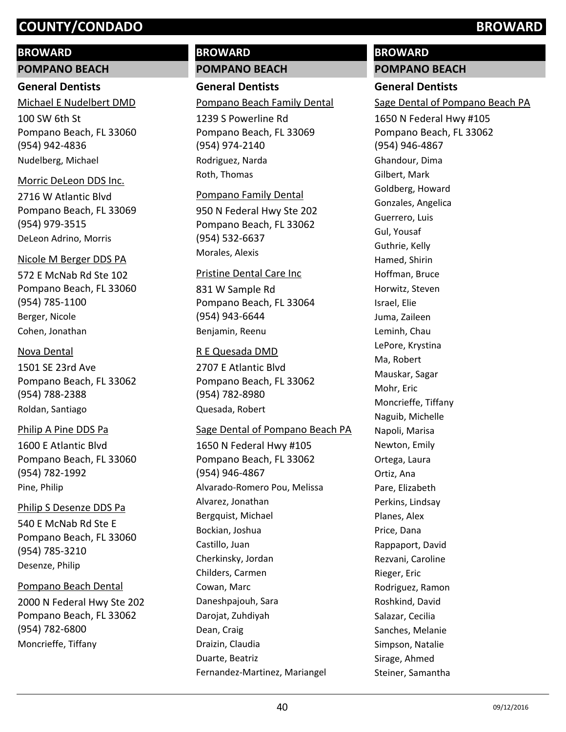#### **BROWARD**

**POMPANO BEACH**

#### **General Dentists**

100 SW 6th St Pompano Beach, FL 33060 (954) 942-4836 Michael E Nudelbert DMD Nudelberg, Michael

#### Morric DeLeon DDS Inc.

2716 W Atlantic Blvd Pompano Beach, FL 33069 (954) 979-3515 DeLeon Adrino, Morris

#### Nicole M Berger DDS PA

572 E McNab Rd Ste 102 Pompano Beach, FL 33060 (954) 785-1100 Berger, Nicole Cohen, Jonathan

#### Nova Dental

1501 SE 23rd Ave Pompano Beach, FL 33062 (954) 788-2388 Roldan, Santiago

#### Philip A Pine DDS Pa

1600 E Atlantic Blvd Pompano Beach, FL 33060 (954) 782-1992 Pine, Philip

#### Philip S Desenze DDS Pa

540 E McNab Rd Ste E Pompano Beach, FL 33060 (954) 785-3210 Desenze, Philip

#### Pompano Beach Dental

2000 N Federal Hwy Ste 202 Pompano Beach, FL 33062 (954) 782-6800 Moncrieffe, Tiffany

# **BROWARD POMPANO BEACH**

**General Dentists** Pompano Beach Family Dental

1239 S Powerline Rd Pompano Beach, FL 33069 (954) 974-2140 Rodriguez, Narda Roth, Thomas

#### Pompano Family Dental

950 N Federal Hwy Ste 202 Pompano Beach, FL 33062 (954) 532-6637 Morales, Alexis

#### Pristine Dental Care Inc

831 W Sample Rd Pompano Beach, FL 33064 (954) 943-6644 Benjamin, Reenu

#### R E Quesada DMD

2707 E Atlantic Blvd Pompano Beach, FL 33062 (954) 782-8980 Quesada, Robert

## Sage Dental of Pompano Beach PA

1650 N Federal Hwy #105 Pompano Beach, FL 33062 (954) 946-4867 Alvarado-Romero Pou, Melissa Alvarez, Jonathan Bergquist, Michael Bockian, Joshua Castillo, Juan Cherkinsky, Jordan Childers, Carmen Cowan, Marc Daneshpajouh, Sara Darojat, Zuhdiyah Dean, Craig Draizin, Claudia Duarte, Beatriz Fernandez-Martinez, Mariangel

# **BROWARD**

### **POMPANO BEACH**

## **General Dentists**

Sage Dental of Pompano Beach PA

1650 N Federal Hwy #105 Pompano Beach, FL 33062 (954) 946-4867 Ghandour, Dima Gilbert, Mark Goldberg, Howard Gonzales, Angelica Guerrero, Luis Gul, Yousaf Guthrie, Kelly Hamed, Shirin Hoffman, Bruce Horwitz, Steven Israel, Elie Juma, Zaileen Leminh, Chau LePore, Krystina Ma, Robert Mauskar, Sagar Mohr, Eric Moncrieffe, Tiffany Naguib, Michelle Napoli, Marisa Newton, Emily Ortega, Laura Ortiz, Ana Pare, Elizabeth Perkins, Lindsay Planes, Alex Price, Dana Rappaport, David Rezvani, Caroline Rieger, Eric Rodriguez, Ramon Roshkind, David Salazar, Cecilia Sanches, Melanie Simpson, Natalie Sirage, Ahmed Steiner, Samantha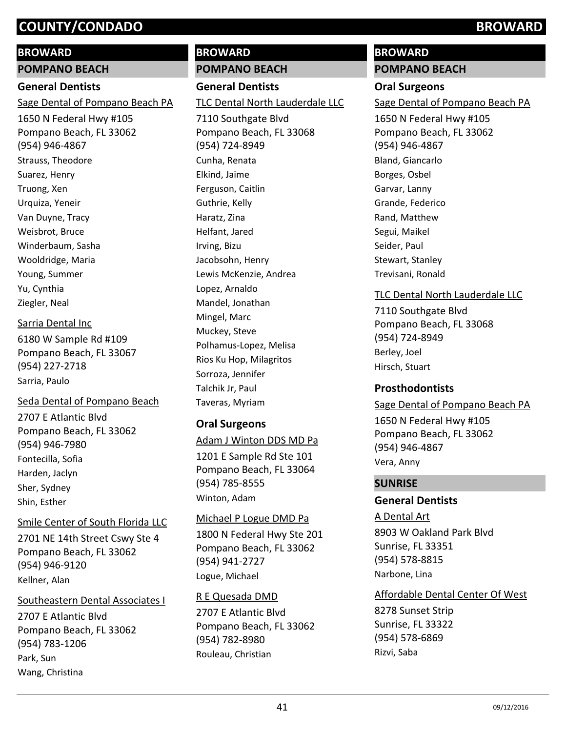#### **BROWARD**

**POMPANO BEACH**

#### **General Dentists**

Sage Dental of Pompano Beach PA

1650 N Federal Hwy #105 Pompano Beach, FL 33062 (954) 946-4867 Strauss, Theodore Suarez, Henry Truong, Xen Urquiza, Yeneir Van Duyne, Tracy Weisbrot, Bruce Winderbaum, Sasha Wooldridge, Maria Young, Summer Yu, Cynthia Ziegler, Neal

#### Sarria Dental Inc

6180 W Sample Rd #109 Pompano Beach, FL 33067 (954) 227-2718 Sarria, Paulo

## Seda Dental of Pompano Beach

2707 E Atlantic Blvd Pompano Beach, FL 33062 (954) 946-7980 Fontecilla, Sofia Harden, Jaclyn Sher, Sydney Shin, Esther

## Smile Center of South Florida LLC

2701 NE 14th Street Cswy Ste 4 Pompano Beach, FL 33062 (954) 946-9120 Kellner, Alan

## Southeastern Dental Associates I

2707 E Atlantic Blvd Pompano Beach, FL 33062 (954) 783-1206 Park, Sun Wang, Christina

# **BROWARD POMPANO BEACH**

# **General Dentists**

TLC Dental North Lauderdale LLC

7110 Southgate Blvd Pompano Beach, FL 33068 (954) 724-8949 Cunha, Renata Elkind, Jaime Ferguson, Caitlin Guthrie, Kelly Haratz, Zina Helfant, Jared Irving, Bizu Jacobsohn, Henry Lewis McKenzie, Andrea Lopez, Arnaldo Mandel, Jonathan Mingel, Marc Muckey, Steve Polhamus-Lopez, Melisa Rios Ku Hop, Milagritos Sorroza, Jennifer Talchik Jr, Paul Taveras, Myriam

# **Oral Surgeons**

# Adam J Winton DDS MD Pa

1201 E Sample Rd Ste 101 Pompano Beach, FL 33064 (954) 785-8555 Winton, Adam

## Michael P Logue DMD Pa

1800 N Federal Hwy Ste 201 Pompano Beach, FL 33062 (954) 941-2727 Logue, Michael

# 2707 E Atlantic Blvd Pompano Beach, FL 33062 (954) 782-8980 R E Quesada DMD

Rouleau, Christian

# **BROWARD POMPANO BEACH**

# **Oral Surgeons**

Sage Dental of Pompano Beach PA

1650 N Federal Hwy #105 Pompano Beach, FL 33062 (954) 946-4867 Bland, Giancarlo Borges, Osbel Garvar, Lanny Grande, Federico Rand, Matthew Segui, Maikel Seider, Paul Stewart, Stanley Trevisani, Ronald

# TLC Dental North Lauderdale LLC

7110 Southgate Blvd Pompano Beach, FL 33068 (954) 724-8949 Berley, Joel Hirsch, Stuart

# **Prosthodontists**

#### Sage Dental of Pompano Beach PA

1650 N Federal Hwy #105 Pompano Beach, FL 33062 (954) 946-4867 Vera, Anny

# **SUNRISE**

# **General Dentists**

8903 W Oakland Park Blvd Sunrise, FL 33351 (954) 578-8815 A Dental Art Narbone, Lina

Affordable Dental Center Of West

8278 Sunset Strip Sunrise, FL 33322 (954) 578-6869 Rizvi, Saba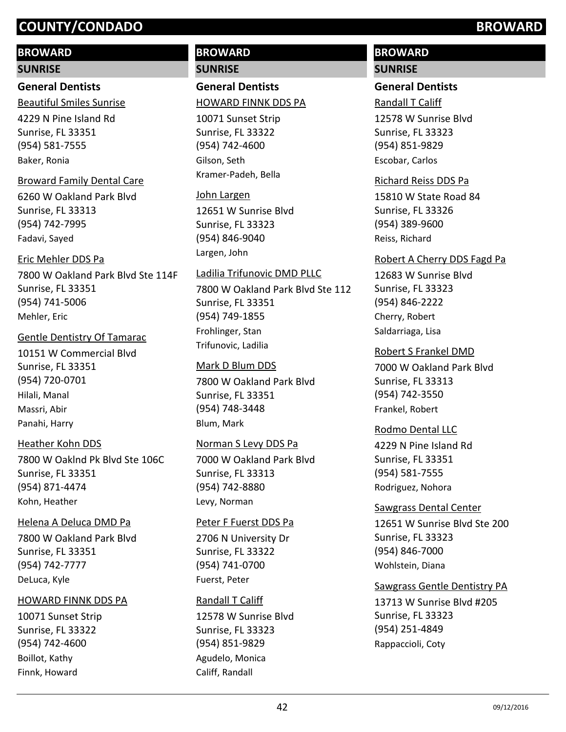## **BROWARD**

#### **SUNRISE**

# **General Dentists**

Beautiful Smiles Sunrise

4229 N Pine Island Rd Sunrise, FL 33351 (954) 581-7555 Baker, Ronia

#### Broward Family Dental Care

6260 W Oakland Park Blvd Sunrise, FL 33313 (954) 742-7995 Fadavi, Sayed

#### Eric Mehler DDS Pa

7800 W Oakland Park Blvd Ste 114F Sunrise, FL 33351 (954) 741-5006 Mehler, Eric

#### Gentle Dentistry Of Tamarac

10151 W Commercial Blvd Sunrise, FL 33351 (954) 720-0701 Hilali, Manal Massri, Abir Panahi, Harry

#### Heather Kohn DDS

7800 W Oaklnd Pk Blvd Ste 106C Sunrise, FL 33351 (954) 871-4474 Kohn, Heather

#### Helena A Deluca DMD Pa

7800 W Oakland Park Blvd Sunrise, FL 33351 (954) 742-7777 DeLuca, Kyle

#### HOWARD FINNK DDS PA

10071 Sunset Strip Sunrise, FL 33322 (954) 742-4600 Boillot, Kathy Finnk, Howard

# **BROWARD SUNRISE**

**General Dentists**

#### HOWARD FINNK DDS PA

10071 Sunset Strip Sunrise, FL 33322 (954) 742-4600 Gilson, Seth Kramer-Padeh, Bella

#### John Largen

12651 W Sunrise Blvd Sunrise, FL 33323 (954) 846-9040 Largen, John

#### Ladilia Trifunovic DMD PLLC

7800 W Oakland Park Blvd Ste 112 Sunrise, FL 33351 (954) 749-1855 Frohlinger, Stan Trifunovic, Ladilia

#### Mark D Blum DDS

7800 W Oakland Park Blvd Sunrise, FL 33351 (954) 748-3448 Blum, Mark

#### Norman S Levy DDS Pa

7000 W Oakland Park Blvd Sunrise, FL 33313 (954) 742-8880 Levy, Norman

#### Peter F Fuerst DDS Pa

2706 N University Dr Sunrise, FL 33322 (954) 741-0700 Fuerst, Peter

#### Randall T Califf

12578 W Sunrise Blvd Sunrise, FL 33323 (954) 851-9829 Agudelo, Monica Califf, Randall

# **BROWARD SUNRISE**

# **General Dentists** Randall T Califf

12578 W Sunrise Blvd Sunrise, FL 33323 (954) 851-9829 Escobar, Carlos

#### Richard Reiss DDS Pa

15810 W State Road 84 Sunrise, FL 33326 (954) 389-9600 Reiss, Richard

#### Robert A Cherry DDS Fagd Pa

12683 W Sunrise Blvd Sunrise, FL 33323 (954) 846-2222 Cherry, Robert Saldarriaga, Lisa

#### Robert S Frankel DMD

7000 W Oakland Park Blvd Sunrise, FL 33313 (954) 742-3550 Frankel, Robert

#### Rodmo Dental LLC

4229 N Pine Island Rd Sunrise, FL 33351 (954) 581-7555 Rodriguez, Nohora

#### Sawgrass Dental Center

12651 W Sunrise Blvd Ste 200 Sunrise, FL 33323 (954) 846-7000 Wohlstein, Diana

#### Sawgrass Gentle Dentistry PA

13713 W Sunrise Blvd #205 Sunrise, FL 33323 (954) 251-4849 Rappaccioli, Coty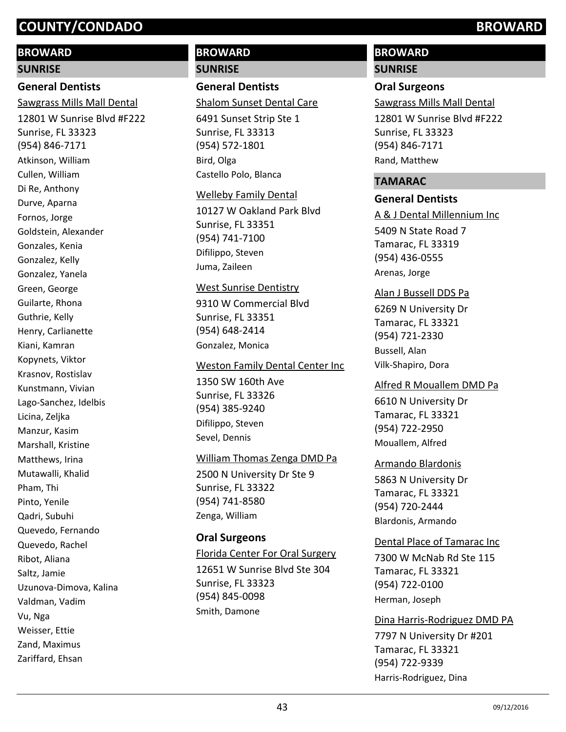#### **BROWARD**

#### **SUNRISE**

# **General Dentists**

12801 W Sunrise Blvd #F222 Sunrise, FL 33323 (954) 846-7171 Sawgrass Mills Mall Dental Atkinson, William Cullen, William Di Re, Anthony Durve, Aparna Fornos, Jorge Goldstein, Alexander Gonzales, Kenia Gonzalez, Kelly Gonzalez, Yanela Green, George Guilarte, Rhona Guthrie, Kelly Henry, Carlianette Kiani, Kamran Kopynets, Viktor Krasnov, Rostislav Kunstmann, Vivian Lago-Sanchez, Idelbis Licina, Zeljka Manzur, Kasim Marshall, Kristine Matthews, Irina Mutawalli, Khalid Pham, Thi Pinto, Yenile Qadri, Subuhi Quevedo, Fernando Quevedo, Rachel Ribot, Aliana Saltz, Jamie Uzunova-Dimova, Kalina Valdman, Vadim Vu, Nga Weisser, Ettie Zand, Maximus Zariffard, Ehsan

# **BROWARD SUNRISE**

#### **General Dentists**

Shalom Sunset Dental Care

6491 Sunset Strip Ste 1 Sunrise, FL 33313 (954) 572-1801 Bird, Olga Castello Polo, Blanca

#### Welleby Family Dental

10127 W Oakland Park Blvd Sunrise, FL 33351 (954) 741-7100 Difilippo, Steven Juma, Zaileen

#### West Sunrise Dentistry

9310 W Commercial Blvd Sunrise, FL 33351 (954) 648-2414 Gonzalez, Monica

#### Weston Family Dental Center Inc

1350 SW 160th Ave Sunrise, FL 33326 (954) 385-9240 Difilippo, Steven Sevel, Dennis

#### William Thomas Zenga DMD Pa

2500 N University Dr Ste 9 Sunrise, FL 33322 (954) 741-8580 Zenga, William

#### **Oral Surgeons**

12651 W Sunrise Blvd Ste 304 Sunrise, FL 33323 (954) 845-0098 Florida Center For Oral Surgery Smith, Damone

# **BROWARD**

#### **SUNRISE**

#### **Oral Surgeons**

Sawgrass Mills Mall Dental

12801 W Sunrise Blvd #F222 Sunrise, FL 33323 (954) 846-7171 Rand, Matthew

#### **TAMARAC**

#### **General Dentists**

5409 N State Road 7 Tamarac, FL 33319 (954) 436-0555 A & J Dental Millennium Inc Arenas, Jorge

#### Alan J Bussell DDS Pa

6269 N University Dr Tamarac, FL 33321 (954) 721-2330 Bussell, Alan Vilk-Shapiro, Dora

#### Alfred R Mouallem DMD Pa

6610 N University Dr Tamarac, FL 33321 (954) 722-2950 Mouallem, Alfred

#### Armando Blardonis

5863 N University Dr Tamarac, FL 33321 (954) 720-2444 Blardonis, Armando

#### Dental Place of Tamarac Inc

7300 W McNab Rd Ste 115 Tamarac, FL 33321 (954) 722-0100 Herman, Joseph

#### Dina Harris-Rodriguez DMD PA

7797 N University Dr #201 Tamarac, FL 33321 (954) 722-9339 Harris-Rodriguez, Dina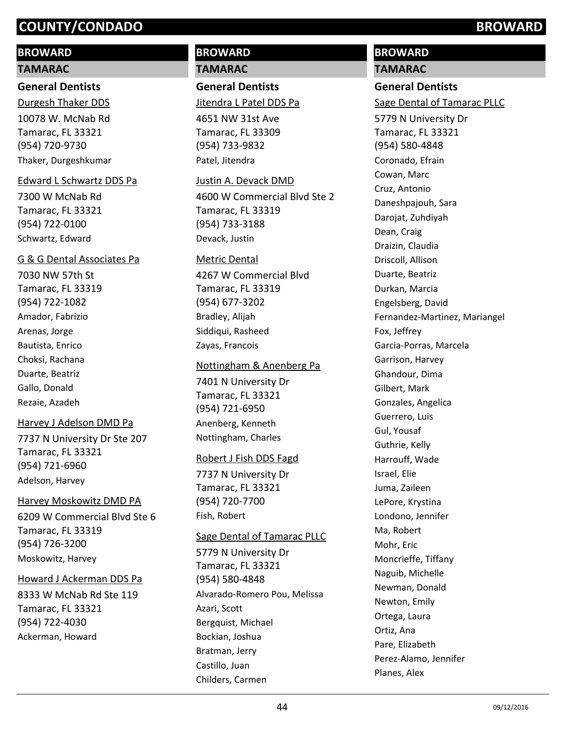## **BROWARD**

#### **TAMARAC**

## **General Dentists**

10078 W. McNab Rd Tamarac, FL 33321 (954) 720-9730 Durgesh Thaker DDS Thaker, Durgeshkumar

#### Edward L Schwartz DDS Pa

7300 W McNab Rd Tamarac, FL 33321 (954) 722-0100 Schwartz, Edward

#### G & G Dental Associates Pa

7030 NW 57th St Tamarac, FL 33319 (954) 722-1082 Amador, Fabrizio Arenas, Jorge Bautista, Enrico Choksi, Rachana Duarte, Beatriz Gallo, Donald Rezaie, Azadeh

#### Harvey J Adelson DMD Pa

7737 N University Dr Ste 207 Tamarac, FL 33321 (954) 721-6960 Adelson, Harvey

#### Harvey Moskowitz DMD PA

6209 W Commercial Blvd Ste 6 Tamarac, FL 33319 (954) 726-3200 Moskowitz, Harvey

#### Howard J Ackerman DDS Pa

8333 W McNab Rd Ste 119 Tamarac, FL 33321 (954) 722-4030 Ackerman, Howard

# **BROWARD TAMARAC**

**General Dentists**

Jitendra L Patel DDS Pa

4651 NW 31st Ave Tamarac, FL 33309 (954) 733-9832 Patel, Jitendra

#### Justin A. Devack DMD

4600 W Commercial Blvd Ste 2 Tamarac, FL 33319 (954) 733-3188 Devack, Justin

#### Metric Dental

4267 W Commercial Blvd Tamarac, FL 33319 (954) 677-3202 Bradley, Alijah Siddiqui, Rasheed Zayas, Francois

#### Nottingham & Anenberg Pa

7401 N University Dr Tamarac, FL 33321 (954) 721-6950 Anenberg, Kenneth Nottingham, Charles

#### Robert J Fish DDS Fagd

7737 N University Dr Tamarac, FL 33321 (954) 720-7700 Fish, Robert

#### Sage Dental of Tamarac PLLC

5779 N University Dr Tamarac, FL 33321 (954) 580-4848 Alvarado-Romero Pou, Melissa Azari, Scott Bergquist, Michael Bockian, Joshua Bratman, Jerry Castillo, Juan Childers, Carmen

# **BROWARD**

## **TAMARAC**

# **General Dentists**

Sage Dental of Tamarac PLLC

5779 N University Dr Tamarac, FL 33321 (954) 580-4848 Coronado, Efrain Cowan, Marc Cruz, Antonio Daneshpajouh, Sara Darojat, Zuhdiyah Dean, Craig Draizin, Claudia Driscoll, Allison Duarte, Beatriz Durkan, Marcia Engelsberg, David Fernandez-Martinez, Mariangel Fox, Jeffrey Garcia-Porras, Marcela Garrison, Harvey Ghandour, Dima Gilbert, Mark Gonzales, Angelica Guerrero, Luis Gul, Yousaf Guthrie, Kelly Harrouff, Wade Israel, Elie Juma, Zaileen LePore, Krystina Londono, Jennifer Ma, Robert Mohr, Eric Moncrieffe, Tiffany Naguib, Michelle Newman, Donald Newton, Emily Ortega, Laura Ortiz, Ana Pare, Elizabeth Perez-Alamo, Jennifer Planes, Alex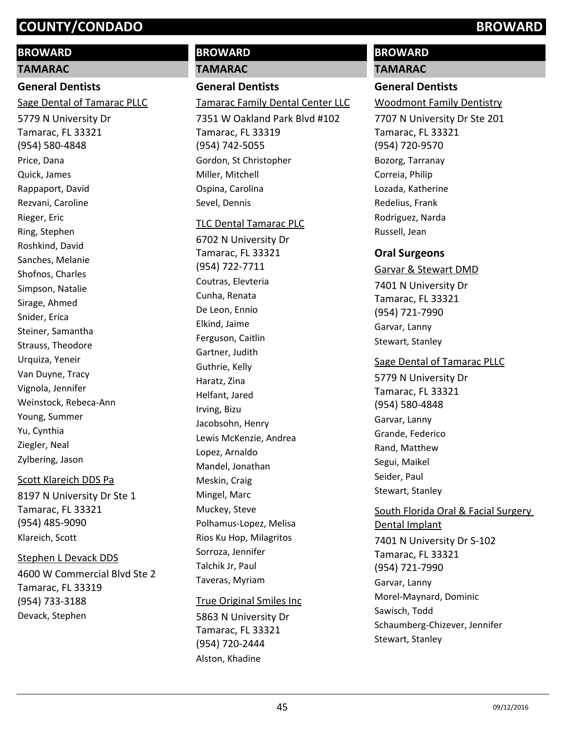#### **BROWARD**

**TAMARAC**

#### **General Dentists**

Sage Dental of Tamarac PLLC

5779 N University Dr Tamarac, FL 33321 (954) 580-4848 Price, Dana Quick, James Rappaport, David Rezvani, Caroline Rieger, Eric Ring, Stephen Roshkind, David Sanches, Melanie Shofnos, Charles Simpson, Natalie Sirage, Ahmed Snider, Erica Steiner, Samantha Strauss, Theodore Urquiza, Yeneir Van Duyne, Tracy Vignola, Jennifer Weinstock, Rebeca-Ann Young, Summer Yu, Cynthia Ziegler, Neal Zylbering, Jason

#### Scott Klareich DDS Pa

8197 N University Dr Ste 1 Tamarac, FL 33321 (954) 485-9090 Klareich, Scott

#### Stephen L Devack DDS

4600 W Commercial Blvd Ste 2 Tamarac, FL 33319 (954) 733-3188 Devack, Stephen

# **BROWARD**

**TAMARAC**

# **General Dentists**

Tamarac Family Dental Center LLC

7351 W Oakland Park Blvd #102 Tamarac, FL 33319 (954) 742-5055 Gordon, St Christopher Miller, Mitchell Ospina, Carolina Sevel, Dennis

#### TLC Dental Tamarac PLC

6702 N University Dr Tamarac, FL 33321 (954) 722-7711 Coutras, Elevteria Cunha, Renata De Leon, Ennio Elkind, Jaime Ferguson, Caitlin Gartner, Judith Guthrie, Kelly Haratz, Zina Helfant, Jared Irving, Bizu Jacobsohn, Henry Lewis McKenzie, Andrea Lopez, Arnaldo Mandel, Jonathan Meskin, Craig Mingel, Marc Muckey, Steve Polhamus-Lopez, Melisa Rios Ku Hop, Milagritos Sorroza, Jennifer Talchik Jr, Paul Taveras, Myriam

#### True Original Smiles Inc

5863 N University Dr Tamarac, FL 33321 (954) 720-2444 Alston, Khadine

# **BROWARD**

#### **TAMARAC**

#### **General Dentists**

Woodmont Family Dentistry

7707 N University Dr Ste 201 Tamarac, FL 33321 (954) 720-9570 Bozorg, Tarranay Correia, Philip Lozada, Katherine Redelius, Frank Rodriguez, Narda Russell, Jean

## **Oral Surgeons**

#### Garvar & Stewart DMD

7401 N University Dr Tamarac, FL 33321 (954) 721-7990 Garvar, Lanny Stewart, Stanley

#### Sage Dental of Tamarac PLLC

5779 N University Dr Tamarac, FL 33321 (954) 580-4848 Garvar, Lanny Grande, Federico Rand, Matthew Segui, Maikel Seider, Paul Stewart, Stanley

# 7401 N University Dr S-102 Tamarac, FL 33321 (954) 721-7990 South Florida Oral & Facial Surgery Dental Implant

Garvar, Lanny Morel-Maynard, Dominic Sawisch, Todd Schaumberg-Chizever, Jennifer Stewart, Stanley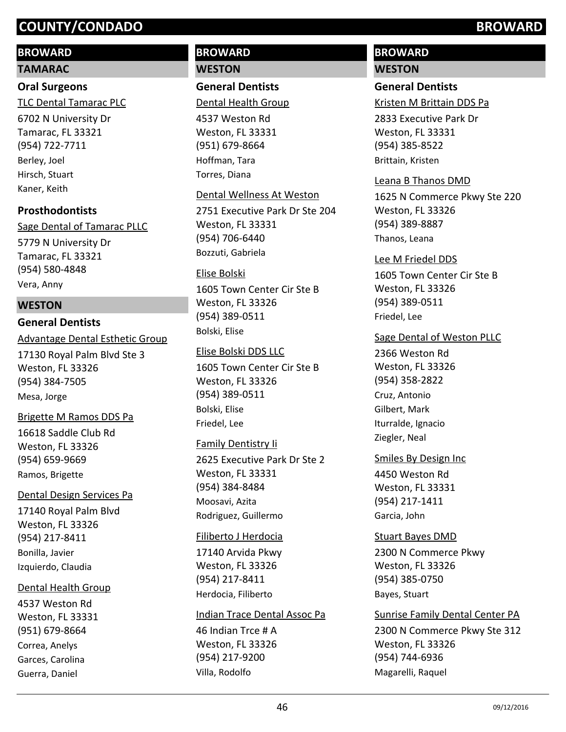## **BROWARD**

#### **TAMARAC**

#### **Oral Surgeons**

TLC Dental Tamarac PLC

6702 N University Dr Tamarac, FL 33321 (954) 722-7711 Berley, Joel Hirsch, Stuart Kaner, Keith

#### **Prosthodontists**

5779 N University Dr Tamarac, FL 33321 (954) 580-4848 Sage Dental of Tamarac PLLC Vera, Anny

#### **WESTON**

#### **General Dentists**

17130 Royal Palm Blvd Ste 3 Weston, FL 33326 (954) 384-7505 Advantage Dental Esthetic Group Mesa, Jorge

#### Brigette M Ramos DDS Pa

16618 Saddle Club Rd Weston, FL 33326 (954) 659-9669 Ramos, Brigette

#### Dental Design Services Pa

17140 Royal Palm Blvd Weston, FL 33326 (954) 217-8411 Bonilla, Javier Izquierdo, Claudia

#### Dental Health Group

4537 Weston Rd Weston, FL 33331 (951) 679-8664 Correa, Anelys Garces, Carolina Guerra, Daniel

# **BROWARD WESTON**

**General Dentists**

Dental Health Group

4537 Weston Rd Weston, FL 33331 (951) 679-8664 Hoffman, Tara Torres, Diana

#### Dental Wellness At Weston

2751 Executive Park Dr Ste 204 Weston, FL 33331 (954) 706-6440 Bozzuti, Gabriela

#### Elise Bolski

1605 Town Center Cir Ste B Weston, FL 33326 (954) 389-0511 Bolski, Elise

#### Elise Bolski DDS LLC

1605 Town Center Cir Ste B Weston, FL 33326 (954) 389-0511 Bolski, Elise Friedel, Lee

#### Family Dentistry Ii

2625 Executive Park Dr Ste 2 Weston, FL 33331 (954) 384-8484 Moosavi, Azita Rodriguez, Guillermo

#### Filiberto J Herdocia

17140 Arvida Pkwy Weston, FL 33326 (954) 217-8411 Herdocia, Filiberto

#### Indian Trace Dental Assoc Pa

46 Indian Trce # A Weston, FL 33326 (954) 217-9200 Villa, Rodolfo

# **BROWARD**

# **WESTON**

# **General Dentists**

Kristen M Brittain DDS Pa

2833 Executive Park Dr Weston, FL 33331 (954) 385-8522 Brittain, Kristen

#### Leana B Thanos DMD

1625 N Commerce Pkwy Ste 220 Weston, FL 33326 (954) 389-8887 Thanos, Leana

#### Lee M Friedel DDS

1605 Town Center Cir Ste B Weston, FL 33326 (954) 389-0511 Friedel, Lee

#### Sage Dental of Weston PLLC

2366 Weston Rd Weston, FL 33326 (954) 358-2822 Cruz, Antonio Gilbert, Mark Iturralde, Ignacio Ziegler, Neal

#### Smiles By Design Inc

4450 Weston Rd Weston, FL 33331 (954) 217-1411 Garcia, John

# Stuart Bayes DMD

2300 N Commerce Pkwy Weston, FL 33326 (954) 385-0750 Bayes, Stuart

#### Sunrise Family Dental Center PA

2300 N Commerce Pkwy Ste 312 Weston, FL 33326 (954) 744-6936 Magarelli, Raquel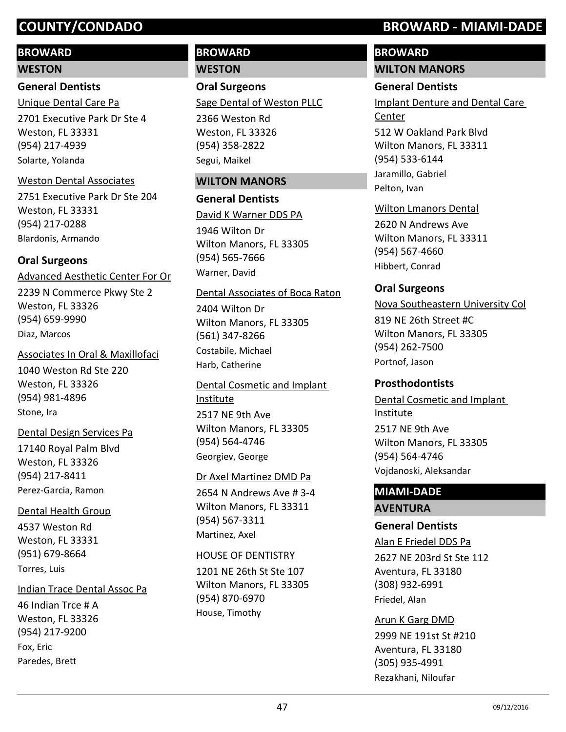## **BROWARD**

#### **WESTON**

**General Dentists**

2701 Executive Park Dr Ste 4 Weston, FL 33331 (954) 217-4939 Unique Dental Care Pa Solarte, Yolanda

#### Weston Dental Associates

2751 Executive Park Dr Ste 204 Weston, FL 33331 (954) 217-0288 Blardonis, Armando

#### **Oral Surgeons**

2239 N Commerce Pkwy Ste 2 Weston, FL 33326 (954) 659-9990 Advanced Aesthetic Center For Or Diaz, Marcos

Associates In Oral & Maxillofaci

1040 Weston Rd Ste 220 Weston, FL 33326 (954) 981-4896 Stone, Ira

17140 Royal Palm Blvd Weston, FL 33326 (954) 217-8411 Dental Design Services Pa Perez-Garcia, Ramon

#### Dental Health Group

4537 Weston Rd Weston, FL 33331 (951) 679-8664 Torres, Luis

46 Indian Trce # A Weston, FL 33326 (954) 217-9200 Indian Trace Dental Assoc Pa Fox, Eric Paredes, Brett

# **BROWARD WESTON**

**Oral Surgeons** 2366 Weston Rd Sage Dental of Weston PLLC

Weston, FL 33326 (954) 358-2822 Segui, Maikel

#### **WILTON MANORS**

#### **General Dentists**

1946 Wilton Dr Wilton Manors, FL 33305 (954) 565-7666 David K Warner DDS PA Warner, David

#### Dental Associates of Boca Raton

2404 Wilton Dr Wilton Manors, FL 33305 (561) 347-8266 Costabile, Michael Harb, Catherine

2517 NE 9th Ave Wilton Manors, FL 33305 (954) 564-4746 Dental Cosmetic and Implant Institute Georgiev, George

#### Dr Axel Martinez DMD Pa

2654 N Andrews Ave # 3-4 Wilton Manors, FL 33311 (954) 567-3311 Martinez, Axel

#### HOUSE OF DENTISTRY

1201 NE 26th St Ste 107 Wilton Manors, FL 33305 (954) 870-6970 House, Timothy

# **COUNTY/CONDADO BROWARD - MIAMI-DADE**

# **BROWARD**

**WILTON MANORS**

#### **General Dentists**

512 W Oakland Park Blvd Wilton Manors, FL 33311 Implant Denture and Dental Care Center

(954) 533-6144 Jaramillo, Gabriel Pelton, Ivan

#### Wilton Lmanors Dental

2620 N Andrews Ave Wilton Manors, FL 33311 (954) 567-4660 Hibbert, Conrad

#### **Oral Surgeons**

Nova Southeastern University Col

819 NE 26th Street #C Wilton Manors, FL 33305 (954) 262-7500 Portnof, Jason

#### **Prosthodontists**

2517 NE 9th Ave Wilton Manors, FL 33305 (954) 564-4746 Dental Cosmetic and Implant Institute Vojdanoski, Aleksandar

## **MIAMI-DADE AVENTURA**

# **General Dentists**

Alan E Friedel DDS Pa

2627 NE 203rd St Ste 112 Aventura, FL 33180 (308) 932-6991 Friedel, Alan

#### Arun K Garg DMD

2999 NE 191st St #210 Aventura, FL 33180 (305) 935-4991 Rezakhani, Niloufar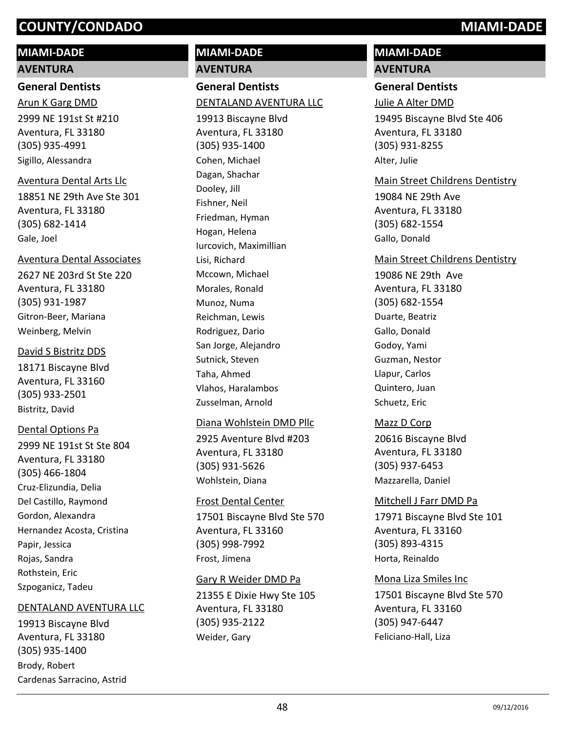# **MIAMI-DADE**

#### **AVENTURA**

#### **General Dentists**

2999 NE 191st St #210 Aventura, FL 33180 (305) 935-4991 Arun K Garg DMD Sigillo, Alessandra

#### Aventura Dental Arts Llc

18851 NE 29th Ave Ste 301 Aventura, FL 33180 (305) 682-1414 Gale, Joel

#### Aventura Dental Associates

2627 NE 203rd St Ste 220 Aventura, FL 33180 (305) 931-1987 Gitron-Beer, Mariana Weinberg, Melvin

#### David S Bistritz DDS

18171 Biscayne Blvd Aventura, FL 33160 (305) 933-2501 Bistritz, David

## Dental Options Pa

2999 NE 191st St Ste 804 Aventura, FL 33180 (305) 466-1804 Cruz-Elizundia, Delia Del Castillo, Raymond Gordon, Alexandra Hernandez Acosta, Cristina Papir, Jessica Rojas, Sandra Rothstein, Eric Szpoganicz, Tadeu

#### DENTALAND AVENTURA LLC

19913 Biscayne Blvd Aventura, FL 33180 (305) 935-1400 Brody, Robert Cardenas Sarracino, Astrid

# **MIAMI-DADE**

**AVENTURA**

# **General Dentists** DENTALAND AVENTURA LLC

19913 Biscayne Blvd Aventura, FL 33180 (305) 935-1400 Cohen, Michael Dagan, Shachar Dooley, Jill Fishner, Neil Friedman, Hyman Hogan, Helena Iurcovich, Maximillian Lisi, Richard Mccown, Michael Morales, Ronald Munoz, Numa Reichman, Lewis Rodriguez, Dario San Jorge, Alejandro Sutnick, Steven Taha, Ahmed Vlahos, Haralambos Zusselman, Arnold

#### Diana Wohlstein DMD Pllc

2925 Aventure Blvd #203 Aventura, FL 33180 (305) 931-5626 Wohlstein, Diana

#### Frost Dental Center

17501 Biscayne Blvd Ste 570 Aventura, FL 33160 (305) 998-7992 Frost, Jimena

#### Gary R Weider DMD Pa

21355 E Dixie Hwy Ste 105 Aventura, FL 33180 (305) 935-2122 Weider, Gary

# **MIAMI-DADE**

# **AVENTURA**

## **General Dentists**

Julie A Alter DMD

19495 Biscayne Blvd Ste 406 Aventura, FL 33180 (305) 931-8255 Alter, Julie

# Main Street Childrens Dentistry

19084 NE 29th Ave Aventura, FL 33180 (305) 682-1554 Gallo, Donald

#### Main Street Childrens Dentistry

19086 NE 29th Ave Aventura, FL 33180 (305) 682-1554 Duarte, Beatriz Gallo, Donald Godoy, Yami Guzman, Nestor Llapur, Carlos Quintero, Juan Schuetz, Eric

## Mazz D Corp

20616 Biscayne Blvd Aventura, FL 33180 (305) 937-6453 Mazzarella, Daniel

## Mitchell J Farr DMD Pa

17971 Biscayne Blvd Ste 101 Aventura, FL 33160 (305) 893-4315 Horta, Reinaldo

## Mona Liza Smiles Inc

17501 Biscayne Blvd Ste 570 Aventura, FL 33160 (305) 947-6447 Feliciano-Hall, Liza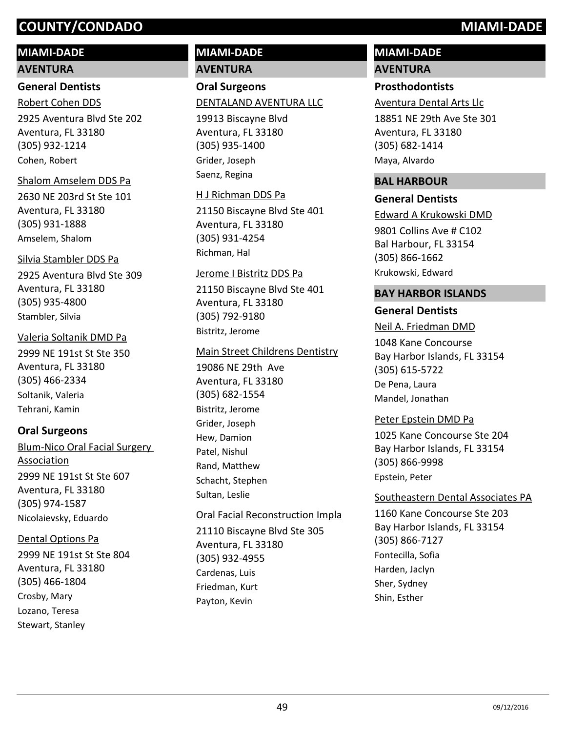# **MIAMI-DADE**

#### **AVENTURA**

#### **General Dentists**

Robert Cohen DDS

2925 Aventura Blvd Ste 202 Aventura, FL 33180 (305) 932-1214 Cohen, Robert

#### Shalom Amselem DDS Pa

2630 NE 203rd St Ste 101 Aventura, FL 33180 (305) 931-1888 Amselem, Shalom

#### Silvia Stambler DDS Pa

2925 Aventura Blvd Ste 309 Aventura, FL 33180 (305) 935-4800 Stambler, Silvia

#### Valeria Soltanik DMD Pa

2999 NE 191st St Ste 350 Aventura, FL 33180 (305) 466-2334 Soltanik, Valeria Tehrani, Kamin

## **Oral Surgeons**

2999 NE 191st St Ste 607 Aventura, FL 33180 (305) 974-1587 Blum-Nico Oral Facial Surgery Association Nicolaievsky, Eduardo

# Dental Options Pa

2999 NE 191st St Ste 804 Aventura, FL 33180 (305) 466-1804 Crosby, Mary Lozano, Teresa Stewart, Stanley

# **MIAMI-DADE AVENTURA**

**Oral Surgeons** DENTALAND AVENTURA LLC

19913 Biscayne Blvd Aventura, FL 33180 (305) 935-1400 Grider, Joseph Saenz, Regina

#### H J Richman DDS Pa

21150 Biscayne Blvd Ste 401 Aventura, FL 33180 (305) 931-4254 Richman, Hal

#### Jerome I Bistritz DDS Pa

21150 Biscayne Blvd Ste 401 Aventura, FL 33180 (305) 792-9180 Bistritz, Jerome

#### Main Street Childrens Dentistry

19086 NE 29th Ave Aventura, FL 33180 (305) 682-1554 Bistritz, Jerome Grider, Joseph Hew, Damion Patel, Nishul Rand, Matthew Schacht, Stephen Sultan, Leslie

#### Oral Facial Reconstruction Impla

21110 Biscayne Blvd Ste 305 Aventura, FL 33180 (305) 932-4955 Cardenas, Luis Friedman, Kurt Payton, Kevin

# **MIAMI-DADE AVENTURA**

# **Prosthodontists**

Aventura Dental Arts Llc

18851 NE 29th Ave Ste 301 Aventura, FL 33180 (305) 682-1414 Maya, Alvardo

#### **BAL HARBOUR**

#### **General Dentists**

9801 Collins Ave # C102 Bal Harbour, FL 33154 (305) 866-1662 Edward A Krukowski DMD Krukowski, Edward

#### **BAY HARBOR ISLANDS**

#### **General Dentists**

1048 Kane Concourse Bay Harbor Islands, FL 33154 (305) 615-5722 Neil A. Friedman DMD De Pena, Laura Mandel, Jonathan

#### Peter Epstein DMD Pa

1025 Kane Concourse Ste 204 Bay Harbor Islands, FL 33154 (305) 866-9998 Epstein, Peter

#### Southeastern Dental Associates PA

1160 Kane Concourse Ste 203 Bay Harbor Islands, FL 33154 (305) 866-7127 Fontecilla, Sofia Harden, Jaclyn Sher, Sydney Shin, Esther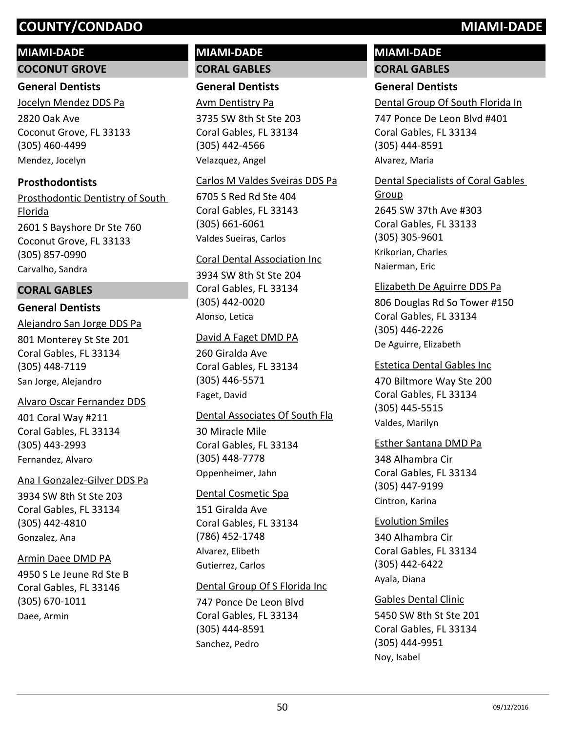# **MIAMI-DADE**

**COCONUT GROVE**

# **General Dentists**

Jocelyn Mendez DDS Pa

2820 Oak Ave Coconut Grove, FL 33133 (305) 460-4499 Mendez, Jocelyn

# **Prosthodontists**

2601 S Bayshore Dr Ste 760 Coconut Grove, FL 33133 (305) 857-0990 Prosthodontic Dentistry of South Florida Carvalho, Sandra

# **CORAL GABLES**

# **General Dentists**

801 Monterey St Ste 201 Coral Gables, FL 33134 (305) 448-7119 Alejandro San Jorge DDS Pa San Jorge, Alejandro

# Alvaro Oscar Fernandez DDS

401 Coral Way #211 Coral Gables, FL 33134 (305) 443-2993 Fernandez, Alvaro

# Ana I Gonzalez-Gilver DDS Pa

3934 SW 8th St Ste 203 Coral Gables, FL 33134 (305) 442-4810 Gonzalez, Ana

# Armin Daee DMD PA

4950 S Le Jeune Rd Ste B Coral Gables, FL 33146 (305) 670-1011 Daee, Armin

# **MIAMI-DADE CORAL GABLES**

# **General Dentists**

Avm Dentistry Pa

3735 SW 8th St Ste 203 Coral Gables, FL 33134 (305) 442-4566 Velazquez, Angel

# Carlos M Valdes Sveiras DDS Pa

6705 S Red Rd Ste 404 Coral Gables, FL 33143 (305) 661-6061 Valdes Sueiras, Carlos

# Coral Dental Association Inc

3934 SW 8th St Ste 204 Coral Gables, FL 33134 (305) 442-0020 Alonso, Letica

# David A Faget DMD PA

260 Giralda Ave Coral Gables, FL 33134 (305) 446-5571 Faget, David

# Dental Associates Of South Fla

30 Miracle Mile Coral Gables, FL 33134 (305) 448-7778 Oppenheimer, Jahn

# Dental Cosmetic Spa

151 Giralda Ave Coral Gables, FL 33134 (786) 452-1748 Alvarez, Elibeth Gutierrez, Carlos

# Dental Group Of S Florida Inc

747 Ponce De Leon Blvd Coral Gables, FL 33134 (305) 444-8591 Sanchez, Pedro

# **MIAMI-DADE CORAL GABLES**

# **General Dentists**

Dental Group Of South Florida In

747 Ponce De Leon Blvd #401 Coral Gables, FL 33134 (305) 444-8591 Alvarez, Maria

# Dental Specialists of Coral Gables

2645 SW 37th Ave #303 Coral Gables, FL 33133 (305) 305-9601 Group Krikorian, Charles Naierman, Eric

## Elizabeth De Aguirre DDS Pa

806 Douglas Rd So Tower #150 Coral Gables, FL 33134 (305) 446-2226 De Aguirre, Elizabeth

#### Estetica Dental Gables Inc

470 Biltmore Way Ste 200 Coral Gables, FL 33134 (305) 445-5515 Valdes, Marilyn

## Esther Santana DMD Pa

348 Alhambra Cir Coral Gables, FL 33134 (305) 447-9199 Cintron, Karina

# Evolution Smiles

340 Alhambra Cir Coral Gables, FL 33134 (305) 442-6422 Ayala, Diana

# Gables Dental Clinic

5450 SW 8th St Ste 201 Coral Gables, FL 33134 (305) 444-9951 Noy, Isabel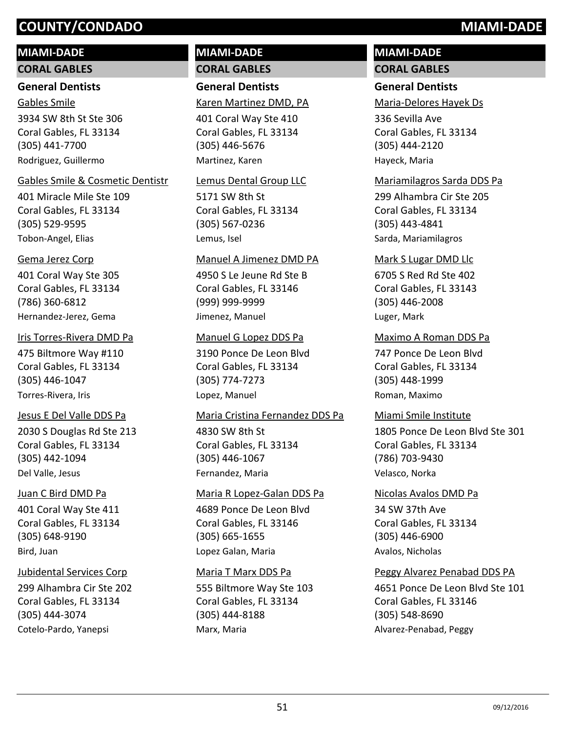# **MIAMI-DADE**

## **CORAL GABLES**

# **General Dentists**

3934 SW 8th St Ste 306 Coral Gables, FL 33134 (305) 441-7700 Gables Smile Rodriguez, Guillermo

## Gables Smile & Cosmetic Dentistr

401 Miracle Mile Ste 109 Coral Gables, FL 33134 (305) 529-9595 Tobon-Angel, Elias

# Gema Jerez Corp

401 Coral Way Ste 305 Coral Gables, FL 33134 (786) 360-6812 Hernandez-Jerez, Gema

# Iris Torres-Rivera DMD Pa

475 Biltmore Way #110 Coral Gables, FL 33134 (305) 446-1047 Torres-Rivera, Iris

# Jesus E Del Valle DDS Pa

2030 S Douglas Rd Ste 213 Coral Gables, FL 33134 (305) 442-1094 Del Valle, Jesus

# Juan C Bird DMD Pa

401 Coral Way Ste 411 Coral Gables, FL 33134 (305) 648-9190 Bird, Juan

# Jubidental Services Corp

299 Alhambra Cir Ste 202 Coral Gables, FL 33134 (305) 444-3074 Cotelo-Pardo, Yanepsi

# **MIAMI-DADE CORAL GABLES**

# **General Dentists**

Karen Martinez DMD, PA

401 Coral Way Ste 410 Coral Gables, FL 33134 (305) 446-5676 Martinez, Karen

#### Lemus Dental Group LLC

5171 SW 8th St Coral Gables, FL 33134 (305) 567-0236 Lemus, Isel

#### Manuel A Jimenez DMD PA

4950 S Le Jeune Rd Ste B Coral Gables, FL 33146 (999) 999-9999 Jimenez, Manuel

#### Manuel G Lopez DDS Pa

3190 Ponce De Leon Blvd Coral Gables, FL 33134 (305) 774-7273 Lopez, Manuel

#### Maria Cristina Fernandez DDS Pa

4830 SW 8th St Coral Gables, FL 33134 (305) 446-1067 Fernandez, Maria

# 4689 Ponce De Leon Blvd Coral Gables, FL 33146 (305) 665-1655 Maria R Lopez-Galan DDS Pa Lopez Galan, Maria

# Maria T Marx DDS Pa

555 Biltmore Way Ste 103 Coral Gables, FL 33134 (305) 444-8188 Marx, Maria

# **MIAMI-DADE CORAL GABLES**

# **General Dentists**

Maria-Delores Hayek Ds

336 Sevilla Ave Coral Gables, FL 33134 (305) 444-2120 Hayeck, Maria

# Mariamilagros Sarda DDS Pa

299 Alhambra Cir Ste 205 Coral Gables, FL 33134 (305) 443-4841 Sarda, Mariamilagros

# Mark S Lugar DMD Llc

6705 S Red Rd Ste 402 Coral Gables, FL 33143 (305) 446-2008 Luger, Mark

# Maximo A Roman DDS Pa

747 Ponce De Leon Blvd Coral Gables, FL 33134 (305) 448-1999 Roman, Maximo

# Miami Smile Institute

1805 Ponce De Leon Blvd Ste 301 Coral Gables, FL 33134 (786) 703-9430 Velasco, Norka

34 SW 37th Ave Coral Gables, FL 33134 (305) 446-6900 Nicolas Avalos DMD Pa Avalos, Nicholas

# Peggy Alvarez Penabad DDS PA

4651 Ponce De Leon Blvd Ste 101 Coral Gables, FL 33146 (305) 548-8690 Alvarez-Penabad, Peggy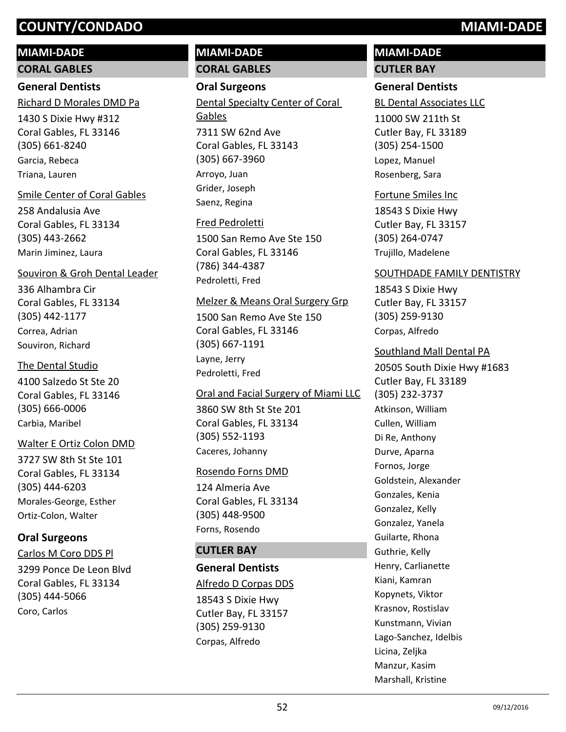## **MIAMI-DADE**

**CORAL GABLES**

## **General Dentists**

Richard D Morales DMD Pa

1430 S Dixie Hwy #312 Coral Gables, FL 33146 (305) 661-8240 Garcia, Rebeca Triana, Lauren

#### Smile Center of Coral Gables

258 Andalusia Ave Coral Gables, FL 33134 (305) 443-2662 Marin Jiminez, Laura

#### Souviron & Groh Dental Leader

336 Alhambra Cir Coral Gables, FL 33134 (305) 442-1177 Correa, Adrian Souviron, Richard

#### The Dental Studio

4100 Salzedo St Ste 20 Coral Gables, FL 33146 (305) 666-0006 Carbia, Maribel

#### Walter E Ortiz Colon DMD

3727 SW 8th St Ste 101 Coral Gables, FL 33134 (305) 444-6203 Morales-George, Esther Ortiz-Colon, Walter

# **Oral Surgeons**

Carlos M Coro DDS Pl

3299 Ponce De Leon Blvd Coral Gables, FL 33134 (305) 444-5066 Coro, Carlos

# **MIAMI-DADE CORAL GABLES**

## **Oral Surgeons**

7311 SW 62nd Ave Coral Gables, FL 33143 (305) 667-3960 Dental Specialty Center of Coral Gables Arroyo, Juan Grider, Joseph Saenz, Regina

## Fred Pedroletti

1500 San Remo Ave Ste 150 Coral Gables, FL 33146 (786) 344-4387 Pedroletti, Fred

#### Melzer & Means Oral Surgery Grp

1500 San Remo Ave Ste 150 Coral Gables, FL 33146 (305) 667-1191 Layne, Jerry Pedroletti, Fred

## Oral and Facial Surgery of Miami LLC

3860 SW 8th St Ste 201 Coral Gables, FL 33134 (305) 552-1193 Caceres, Johanny

## Rosendo Forns DMD

124 Almeria Ave Coral Gables, FL 33134 (305) 448-9500 Forns, Rosendo

## **CUTLER BAY**

## **General Dentists**

## Alfredo D Corpas DDS

18543 S Dixie Hwy Cutler Bay, FL 33157 (305) 259-9130 Corpas, Alfredo

# **MIAMI-DADE CUTLER BAY**

# **General Dentists**

BL Dental Associates LLC

11000 SW 211th St Cutler Bay, FL 33189 (305) 254-1500 Lopez, Manuel Rosenberg, Sara

#### Fortune Smiles Inc

18543 S Dixie Hwy Cutler Bay, FL 33157 (305) 264-0747 Trujillo, Madelene

#### SOUTHDADE FAMILY DENTISTRY

18543 S Dixie Hwy Cutler Bay, FL 33157 (305) 259-9130 Corpas, Alfredo

20505 South Dixie Hwy #1683 Cutler Bay, FL 33189 (305) 232-3737 Southland Mall Dental PA Atkinson, William Cullen, William Di Re, Anthony Durve, Aparna Fornos, Jorge Goldstein, Alexander Gonzales, Kenia Gonzalez, Kelly Gonzalez, Yanela Guilarte, Rhona Guthrie, Kelly Henry, Carlianette Kiani, Kamran Kopynets, Viktor Krasnov, Rostislav Kunstmann, Vivian Lago-Sanchez, Idelbis Licina, Zeljka Manzur, Kasim Marshall, Kristine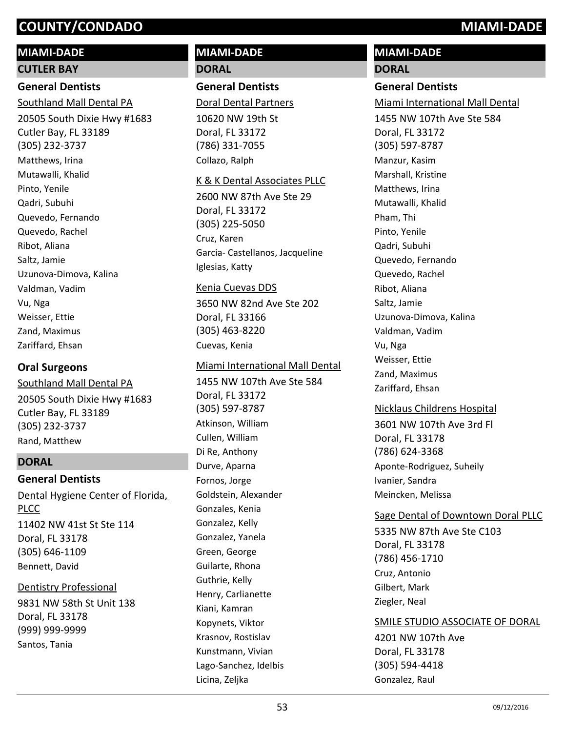# **MIAMI-DADE**

#### **CUTLER BAY**

# **General Dentists**

Southland Mall Dental PA

20505 South Dixie Hwy #1683 Cutler Bay, FL 33189 (305) 232-3737 Matthews, Irina Mutawalli, Khalid Pinto, Yenile Qadri, Subuhi Quevedo, Fernando Quevedo, Rachel Ribot, Aliana Saltz, Jamie Uzunova-Dimova, Kalina Valdman, Vadim Vu, Nga Weisser, Ettie Zand, Maximus Zariffard, Ehsan

## **Oral Surgeons**

20505 South Dixie Hwy #1683 Cutler Bay, FL 33189 (305) 232-3737 Southland Mall Dental PA Rand, Matthew

#### **DORAL**

#### **General Dentists** Dental Hygiene Center of Florida,

11402 NW 41st St Ste 114 Doral, FL 33178 (305) 646-1109 PLCC Bennett, David

# 9831 NW 58th St Unit 138 Doral, FL 33178 (999) 999-9999 Dentistry Professional Santos, Tania

# **MIAMI-DADE DORAL**

# **General Dentists**

Doral Dental Partners

10620 NW 19th St Doral, FL 33172 (786) 331-7055 Collazo, Ralph

#### K & K Dental Associates PLLC

2600 NW 87th Ave Ste 29 Doral, FL 33172 (305) 225-5050 Cruz, Karen Garcia- Castellanos, Jacqueline Iglesias, Katty

#### Kenia Cuevas DDS

3650 NW 82nd Ave Ste 202 Doral, FL 33166 (305) 463-8220 Cuevas, Kenia

#### Miami International Mall Dental

1455 NW 107th Ave Ste 584 Doral, FL 33172 (305) 597-8787 Atkinson, William Cullen, William Di Re, Anthony Durve, Aparna Fornos, Jorge Goldstein, Alexander Gonzales, Kenia Gonzalez, Kelly Gonzalez, Yanela Green, George Guilarte, Rhona Guthrie, Kelly Henry, Carlianette Kiani, Kamran Kopynets, Viktor Krasnov, Rostislav Kunstmann, Vivian Lago-Sanchez, Idelbis Licina, Zeljka

# **MIAMI-DADE DORAL**

## **General Dentists**

Miami International Mall Dental

1455 NW 107th Ave Ste 584 Doral, FL 33172 (305) 597-8787 Manzur, Kasim Marshall, Kristine Matthews, Irina Mutawalli, Khalid Pham, Thi Pinto, Yenile Qadri, Subuhi Quevedo, Fernando Quevedo, Rachel Ribot, Aliana Saltz, Jamie Uzunova-Dimova, Kalina Valdman, Vadim Vu, Nga Weisser, Ettie Zand, Maximus Zariffard, Ehsan

## Nicklaus Childrens Hospital

3601 NW 107th Ave 3rd Fl Doral, FL 33178 (786) 624-3368 Aponte-Rodriguez, Suheily Ivanier, Sandra Meincken, Melissa

#### Sage Dental of Downtown Doral PLLC

5335 NW 87th Ave Ste C103 Doral, FL 33178 (786) 456-1710 Cruz, Antonio Gilbert, Mark Ziegler, Neal

## SMILE STUDIO ASSOCIATE OF DORAL

4201 NW 107th Ave Doral, FL 33178 (305) 594-4418 Gonzalez, Raul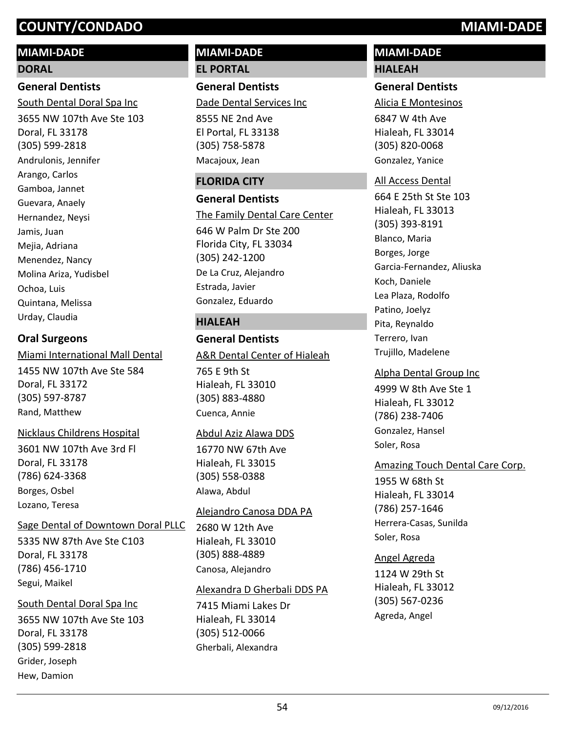# **MIAMI-DADE**

## **DORAL**

# **General Dentists**

3655 NW 107th Ave Ste 103 Doral, FL 33178 (305) 599-2818 South Dental Doral Spa Inc Andrulonis, Jennifer Arango, Carlos Gamboa, Jannet Guevara, Anaely Hernandez, Neysi Jamis, Juan Mejia, Adriana Menendez, Nancy Molina Ariza, Yudisbel Ochoa, Luis Quintana, Melissa Urday, Claudia

## **Oral Surgeons**

Miami International Mall Dental

1455 NW 107th Ave Ste 584 Doral, FL 33172 (305) 597-8787 Rand, Matthew

#### Nicklaus Childrens Hospital

3601 NW 107th Ave 3rd Fl Doral, FL 33178 (786) 624-3368 Borges, Osbel Lozano, Teresa

#### Sage Dental of Downtown Doral PLLC

5335 NW 87th Ave Ste C103 Doral, FL 33178 (786) 456-1710 Segui, Maikel

#### South Dental Doral Spa Inc

3655 NW 107th Ave Ste 103 Doral, FL 33178 (305) 599-2818 Grider, Joseph Hew, Damion

# **MIAMI-DADE EL PORTAL**

**General Dentists** Dade Dental Services Inc

8555 NE 2nd Ave El Portal, FL 33138 (305) 758-5878 Macajoux, Jean

#### **FLORIDA CITY**

**General Dentists** 646 W Palm Dr Ste 200 Florida City, FL 33034 (305) 242-1200 The Family Dental Care Center De La Cruz, Alejandro Estrada, Javier Gonzalez, Eduardo

## **HIALEAH**

# **General Dentists**

#### A&R Dental Center of Hialeah

765 E 9th St Hialeah, FL 33010 (305) 883-4880 Cuenca, Annie

#### Abdul Aziz Alawa DDS

16770 NW 67th Ave Hialeah, FL 33015 (305) 558-0388 Alawa, Abdul

#### Alejandro Canosa DDA PA

2680 W 12th Ave Hialeah, FL 33010 (305) 888-4889 Canosa, Alejandro

#### Alexandra D Gherbali DDS PA

7415 Miami Lakes Dr Hialeah, FL 33014 (305) 512-0066 Gherbali, Alexandra

# **MIAMI-DADE HIALEAH**

#### **General Dentists**

Alicia E Montesinos

6847 W 4th Ave Hialeah, FL 33014 (305) 820-0068 Gonzalez, Yanice

#### All Access Dental

664 E 25th St Ste 103 Hialeah, FL 33013 (305) 393-8191 Blanco, Maria Borges, Jorge Garcia-Fernandez, Aliuska Koch, Daniele Lea Plaza, Rodolfo Patino, Joelyz Pita, Reynaldo Terrero, Ivan Trujillo, Madelene

#### Alpha Dental Group Inc

4999 W 8th Ave Ste 1 Hialeah, FL 33012 (786) 238-7406 Gonzalez, Hansel Soler, Rosa

## Amazing Touch Dental Care Corp.

1955 W 68th St Hialeah, FL 33014 (786) 257-1646 Herrera-Casas, Sunilda Soler, Rosa

#### Angel Agreda

1124 W 29th St Hialeah, FL 33012 (305) 567-0236 Agreda, Angel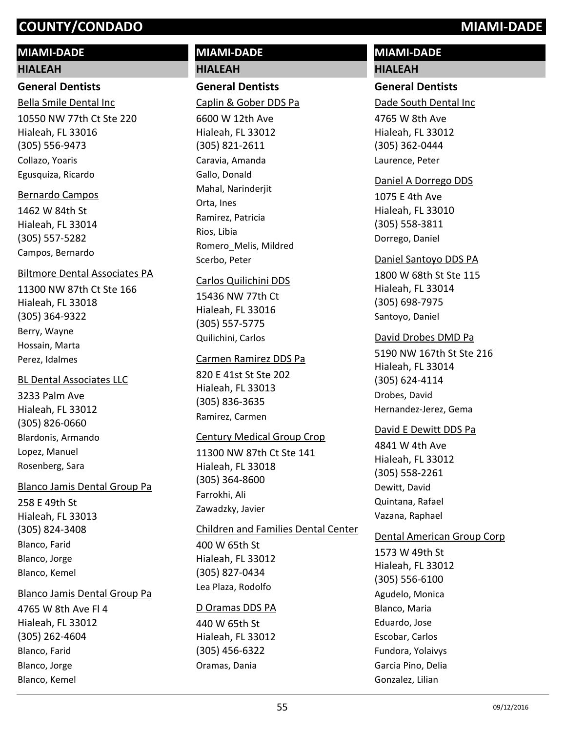## **MIAMI-DADE**

#### **HIALEAH**

#### **General Dentists**

10550 NW 77th Ct Ste 220 Hialeah, FL 33016 (305) 556-9473 Bella Smile Dental Inc Collazo, Yoaris Egusquiza, Ricardo

#### Bernardo Campos

1462 W 84th St Hialeah, FL 33014 (305) 557-5282 Campos, Bernardo

#### Biltmore Dental Associates PA

11300 NW 87th Ct Ste 166 Hialeah, FL 33018 (305) 364-9322 Berry, Wayne Hossain, Marta Perez, Idalmes

#### BL Dental Associates LLC

3233 Palm Ave Hialeah, FL 33012 (305) 826-0660 Blardonis, Armando Lopez, Manuel Rosenberg, Sara

#### Blanco Jamis Dental Group Pa

258 E 49th St Hialeah, FL 33013 (305) 824-3408 Blanco, Farid Blanco, Jorge Blanco, Kemel

#### Blanco Jamis Dental Group Pa

4765 W 8th Ave Fl 4 Hialeah, FL 33012 (305) 262-4604 Blanco, Farid Blanco, Jorge Blanco, Kemel

# **MIAMI-DADE HIALEAH**

# **General Dentists**

Caplin & Gober DDS Pa

6600 W 12th Ave Hialeah, FL 33012 (305) 821-2611 Caravia, Amanda Gallo, Donald Mahal, Narinderjit Orta, Ines Ramirez, Patricia Rios, Libia Romero\_Melis, Mildred Scerbo, Peter

#### Carlos Quilichini DDS

15436 NW 77th Ct Hialeah, FL 33016 (305) 557-5775 Quilichini, Carlos

#### Carmen Ramirez DDS Pa

820 E 41st St Ste 202 Hialeah, FL 33013 (305) 836-3635 Ramirez, Carmen

#### Century Medical Group Crop

11300 NW 87th Ct Ste 141 Hialeah, FL 33018 (305) 364-8600 Farrokhi, Ali Zawadzky, Javier

#### Children and Families Dental Center

400 W 65th St Hialeah, FL 33012 (305) 827-0434 Lea Plaza, Rodolfo

#### D Oramas DDS PA

440 W 65th St Hialeah, FL 33012 (305) 456-6322 Oramas, Dania

# **MIAMI-DADE HIALEAH**

#### **General Dentists**

Dade South Dental Inc

4765 W 8th Ave Hialeah, FL 33012 (305) 362-0444 Laurence, Peter

#### Daniel A Dorrego DDS

1075 E 4th Ave Hialeah, FL 33010 (305) 558-3811 Dorrego, Daniel

#### Daniel Santoyo DDS PA

1800 W 68th St Ste 115 Hialeah, FL 33014 (305) 698-7975 Santoyo, Daniel

#### David Drobes DMD Pa

5190 NW 167th St Ste 216 Hialeah, FL 33014 (305) 624-4114 Drobes, David Hernandez-Jerez, Gema

#### David E Dewitt DDS Pa

4841 W 4th Ave Hialeah, FL 33012 (305) 558-2261 Dewitt, David Quintana, Rafael Vazana, Raphael

#### Dental American Group Corp

1573 W 49th St Hialeah, FL 33012 (305) 556-6100 Agudelo, Monica Blanco, Maria Eduardo, Jose Escobar, Carlos Fundora, Yolaivys Garcia Pino, Delia Gonzalez, Lilian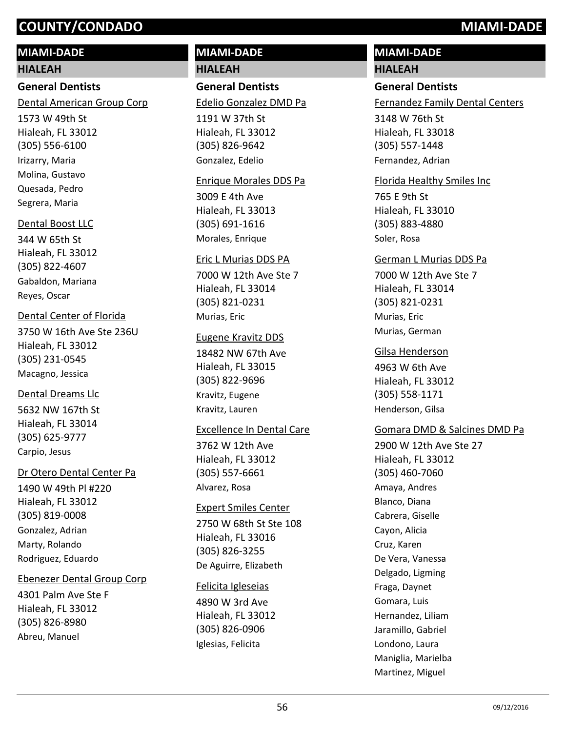# **MIAMI-DADE**

## **HIALEAH**

# **General Dentists**

Dental American Group Corp

1573 W 49th St Hialeah, FL 33012 (305) 556-6100 Irizarry, Maria Molina, Gustavo Quesada, Pedro Segrera, Maria

# Dental Boost LLC

344 W 65th St Hialeah, FL 33012 (305) 822-4607 Gabaldon, Mariana Reyes, Oscar

# Dental Center of Florida

3750 W 16th Ave Ste 236U Hialeah, FL 33012 (305) 231-0545 Macagno, Jessica

# Dental Dreams Llc

5632 NW 167th St Hialeah, FL 33014 (305) 625-9777 Carpio, Jesus

# Dr Otero Dental Center Pa

1490 W 49th Pl #220 Hialeah, FL 33012 (305) 819-0008 Gonzalez, Adrian Marty, Rolando Rodriguez, Eduardo

# Ebenezer Dental Group Corp

4301 Palm Ave Ste F Hialeah, FL 33012 (305) 826-8980 Abreu, Manuel

# **MIAMI-DADE HIALEAH**

**General Dentists**

Edelio Gonzalez DMD Pa

1191 W 37th St Hialeah, FL 33012 (305) 826-9642 Gonzalez, Edelio

# Enrique Morales DDS Pa

3009 E 4th Ave Hialeah, FL 33013 (305) 691-1616 Morales, Enrique

# Eric L Murias DDS PA

7000 W 12th Ave Ste 7 Hialeah, FL 33014 (305) 821-0231 Murias, Eric

# Eugene Kravitz DDS

18482 NW 67th Ave Hialeah, FL 33015 (305) 822-9696 Kravitz, Eugene Kravitz, Lauren

# Excellence In Dental Care

3762 W 12th Ave Hialeah, FL 33012 (305) 557-6661 Alvarez, Rosa

# Expert Smiles Center

2750 W 68th St Ste 108 Hialeah, FL 33016 (305) 826-3255 De Aguirre, Elizabeth

# Felicita Igleseias

4890 W 3rd Ave Hialeah, FL 33012 (305) 826-0906 Iglesias, Felicita

# **MIAMI-DADE**

# **HIALEAH**

# **General Dentists**

Fernandez Family Dental Centers

3148 W 76th St Hialeah, FL 33018 (305) 557-1448 Fernandez, Adrian

## Florida Healthy Smiles Inc

765 E 9th St Hialeah, FL 33010 (305) 883-4880 Soler, Rosa

#### German L Murias DDS Pa

7000 W 12th Ave Ste 7 Hialeah, FL 33014 (305) 821-0231 Murias, Eric Murias, German

## Gilsa Henderson

4963 W 6th Ave Hialeah, FL 33012 (305) 558-1171 Henderson, Gilsa

# Gomara DMD & Salcines DMD Pa

2900 W 12th Ave Ste 27 Hialeah, FL 33012 (305) 460-7060 Amaya, Andres Blanco, Diana Cabrera, Giselle Cayon, Alicia Cruz, Karen De Vera, Vanessa Delgado, Ligming Fraga, Daynet Gomara, Luis Hernandez, Liliam Jaramillo, Gabriel Londono, Laura Maniglia, Marielba Martinez, Miguel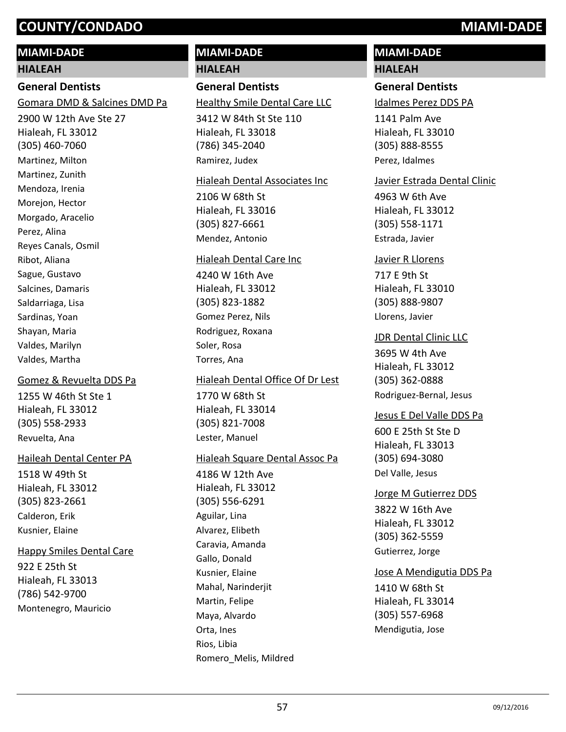#### **MIAMI-DADE**

#### **HIALEAH**

## **General Dentists**

Gomara DMD & Salcines DMD Pa

2900 W 12th Ave Ste 27 Hialeah, FL 33012 (305) 460-7060 Martinez, Milton Martinez, Zunith Mendoza, Irenia Morejon, Hector Morgado, Aracelio Perez, Alina Reyes Canals, Osmil Ribot, Aliana Sague, Gustavo Salcines, Damaris Saldarriaga, Lisa Sardinas, Yoan Shayan, Maria Valdes, Marilyn Valdes, Martha

#### Gomez & Revuelta DDS Pa

1255 W 46th St Ste 1 Hialeah, FL 33012 (305) 558-2933 Revuelta, Ana

#### Haileah Dental Center PA

1518 W 49th St Hialeah, FL 33012 (305) 823-2661 Calderon, Erik Kusnier, Elaine

#### Happy Smiles Dental Care

922 E 25th St Hialeah, FL 33013 (786) 542-9700 Montenegro, Mauricio

# **MIAMI-DADE HIALEAH**

#### **General Dentists**

Healthy Smile Dental Care LLC

3412 W 84th St Ste 110 Hialeah, FL 33018 (786) 345-2040 Ramirez, Judex

#### Hialeah Dental Associates Inc

2106 W 68th St Hialeah, FL 33016 (305) 827-6661 Mendez, Antonio

#### Hialeah Dental Care Inc

4240 W 16th Ave Hialeah, FL 33012 (305) 823-1882 Gomez Perez, Nils Rodriguez, Roxana Soler, Rosa Torres, Ana

#### Hialeah Dental Office Of Dr Lest

1770 W 68th St Hialeah, FL 33014 (305) 821-7008 Lester, Manuel

#### Hialeah Square Dental Assoc Pa

4186 W 12th Ave Hialeah, FL 33012 (305) 556-6291 Aguilar, Lina Alvarez, Elibeth Caravia, Amanda Gallo, Donald Kusnier, Elaine Mahal, Narinderjit Martin, Felipe Maya, Alvardo Orta, Ines Rios, Libia Romero\_Melis, Mildred

# **MIAMI-DADE**

# **HIALEAH**

# **General Dentists**

Idalmes Perez DDS PA

1141 Palm Ave Hialeah, FL 33010 (305) 888-8555 Perez, Idalmes

#### Javier Estrada Dental Clinic

4963 W 6th Ave Hialeah, FL 33012 (305) 558-1171 Estrada, Javier

#### Javier R Llorens

717 E 9th St Hialeah, FL 33010 (305) 888-9807 Llorens, Javier

#### JDR Dental Clinic LLC

3695 W 4th Ave Hialeah, FL 33012 (305) 362-0888 Rodriguez-Bernal, Jesus

#### Jesus E Del Valle DDS Pa

600 E 25th St Ste D Hialeah, FL 33013 (305) 694-3080 Del Valle, Jesus

# 3822 W 16th Ave Hialeah, FL 33012 (305) 362-5559 Jorge M Gutierrez DDS Gutierrez, Jorge

#### Jose A Mendigutia DDS Pa

1410 W 68th St Hialeah, FL 33014 (305) 557-6968 Mendigutia, Jose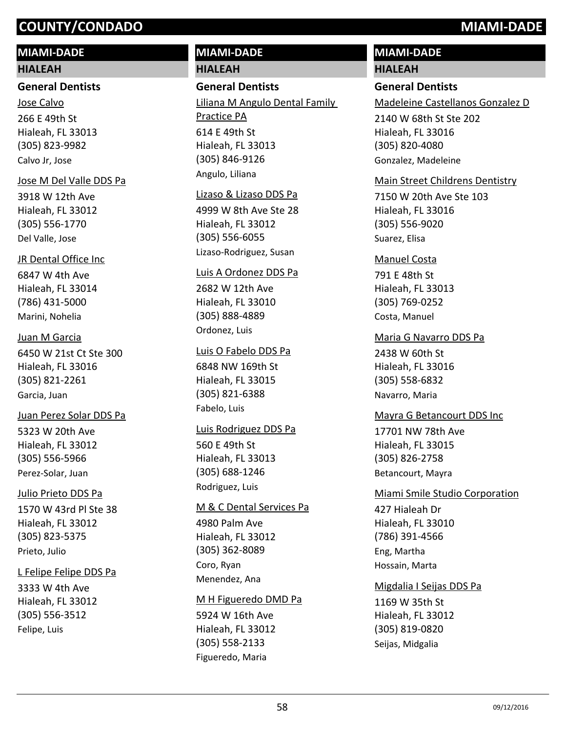## **MIAMI-DADE**

#### **HIALEAH**

#### **General Dentists**

266 E 49th St Hialeah, FL 33013 (305) 823-9982 Jose Calvo Calvo Jr, Jose

#### Jose M Del Valle DDS Pa

3918 W 12th Ave Hialeah, FL 33012 (305) 556-1770 Del Valle, Jose

#### JR Dental Office Inc

6847 W 4th Ave Hialeah, FL 33014 (786) 431-5000 Marini, Nohelia

#### Juan M Garcia

6450 W 21st Ct Ste 300 Hialeah, FL 33016 (305) 821-2261 Garcia, Juan

#### Juan Perez Solar DDS Pa

5323 W 20th Ave Hialeah, FL 33012 (305) 556-5966 Perez-Solar, Juan

#### Julio Prieto DDS Pa

1570 W 43rd Pl Ste 38 Hialeah, FL 33012 (305) 823-5375 Prieto, Julio

#### L Felipe Felipe DDS Pa

3333 W 4th Ave Hialeah, FL 33012 (305) 556-3512 Felipe, Luis

# **MIAMI-DADE HIALEAH**

#### **General Dentists**

614 E 49th St Hialeah, FL 33013 (305) 846-9126 Liliana M Angulo Dental Family Practice PA Angulo, Liliana

#### Lizaso & Lizaso DDS Pa

4999 W 8th Ave Ste 28 Hialeah, FL 33012 (305) 556-6055 Lizaso-Rodriguez, Susan

#### Luis A Ordonez DDS Pa

2682 W 12th Ave Hialeah, FL 33010 (305) 888-4889 Ordonez, Luis

#### Luis O Fabelo DDS Pa

6848 NW 169th St Hialeah, FL 33015 (305) 821-6388 Fabelo, Luis

# 560 E 49th St Hialeah, FL 33013 (305) 688-1246 Luis Rodriguez DDS Pa

Rodriguez, Luis

#### M & C Dental Services Pa

4980 Palm Ave Hialeah, FL 33012 (305) 362-8089 Coro, Ryan Menendez, Ana

#### M H Figueredo DMD Pa

5924 W 16th Ave Hialeah, FL 33012 (305) 558-2133 Figueredo, Maria

# **MIAMI-DADE**

#### **HIALEAH**

## **General Dentists**

Madeleine Castellanos Gonzalez D

2140 W 68th St Ste 202 Hialeah, FL 33016 (305) 820-4080 Gonzalez, Madeleine

#### Main Street Childrens Dentistry

7150 W 20th Ave Ste 103 Hialeah, FL 33016 (305) 556-9020 Suarez, Elisa

#### Manuel Costa

791 E 48th St Hialeah, FL 33013 (305) 769-0252 Costa, Manuel

#### Maria G Navarro DDS Pa

2438 W 60th St Hialeah, FL 33016 (305) 558-6832 Navarro, Maria

#### Mayra G Betancourt DDS Inc

17701 NW 78th Ave Hialeah, FL 33015 (305) 826-2758 Betancourt, Mayra

#### Miami Smile Studio Corporation

427 Hialeah Dr Hialeah, FL 33010 (786) 391-4566 Eng, Martha Hossain, Marta

#### Migdalia I Seijas DDS Pa

1169 W 35th St Hialeah, FL 33012 (305) 819-0820 Seijas, Midgalia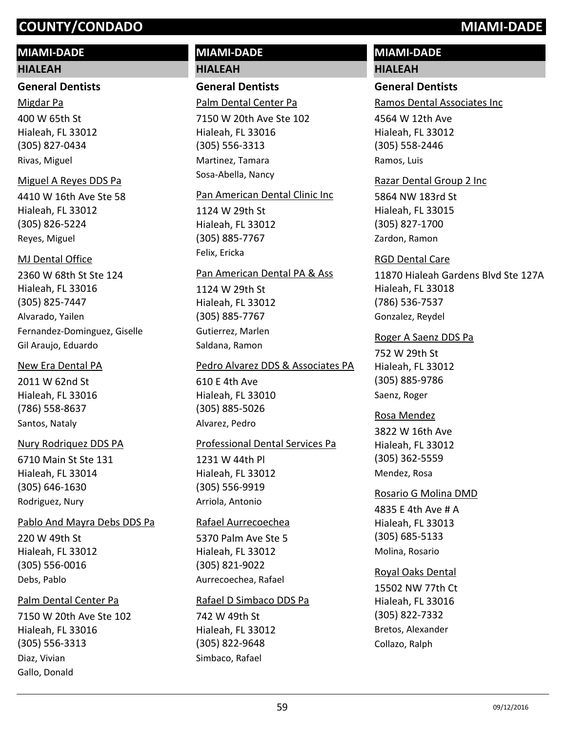# **MIAMI-DADE**

#### **HIALEAH**

#### **General Dentists**

400 W 65th St Hialeah, FL 33012 (305) 827-0434 Migdar Pa Rivas, Miguel

#### Miguel A Reyes DDS Pa

4410 W 16th Ave Ste 58 Hialeah, FL 33012 (305) 826-5224 Reyes, Miguel

#### MJ Dental Office

2360 W 68th St Ste 124 Hialeah, FL 33016 (305) 825-7447 Alvarado, Yailen Fernandez-Dominguez, Giselle Gil Araujo, Eduardo

#### New Era Dental PA

2011 W 62nd St Hialeah, FL 33016 (786) 558-8637 Santos, Nataly

#### Nury Rodriquez DDS PA

6710 Main St Ste 131 Hialeah, FL 33014 (305) 646-1630 Rodriguez, Nury

#### Pablo And Mayra Debs DDS Pa

220 W 49th St Hialeah, FL 33012 (305) 556-0016 Debs, Pablo

#### Palm Dental Center Pa

7150 W 20th Ave Ste 102 Hialeah, FL 33016 (305) 556-3313 Diaz, Vivian Gallo, Donald

# **MIAMI-DADE HIALEAH**

## **General Dentists**

Palm Dental Center Pa

7150 W 20th Ave Ste 102 Hialeah, FL 33016 (305) 556-3313 Martinez, Tamara Sosa-Abella, Nancy

#### Pan American Dental Clinic Inc

1124 W 29th St Hialeah, FL 33012 (305) 885-7767 Felix, Ericka

#### Pan American Dental PA & Ass

1124 W 29th St Hialeah, FL 33012 (305) 885-7767 Gutierrez, Marlen Saldana, Ramon

#### Pedro Alvarez DDS & Associates PA

610 E 4th Ave Hialeah, FL 33010 (305) 885-5026 Alvarez, Pedro

#### Professional Dental Services Pa

1231 W 44th Pl Hialeah, FL 33012 (305) 556-9919 Arriola, Antonio

#### Rafael Aurrecoechea

5370 Palm Ave Ste 5 Hialeah, FL 33012 (305) 821-9022 Aurrecoechea, Rafael

#### Rafael D Simbaco DDS Pa

742 W 49th St Hialeah, FL 33012 (305) 822-9648 Simbaco, Rafael

# **MIAMI-DADE**

# **HIALEAH**

## **General Dentists**

Ramos Dental Associates Inc

4564 W 12th Ave Hialeah, FL 33012 (305) 558-2446 Ramos, Luis

#### Razar Dental Group 2 Inc

5864 NW 183rd St Hialeah, FL 33015 (305) 827-1700 Zardon, Ramon

#### RGD Dental Care

11870 Hialeah Gardens Blvd Ste 127A Hialeah, FL 33018 (786) 536-7537 Gonzalez, Reydel

#### Roger A Saenz DDS Pa

752 W 29th St Hialeah, FL 33012 (305) 885-9786 Saenz, Roger

#### Rosa Mendez

3822 W 16th Ave Hialeah, FL 33012 (305) 362-5559 Mendez, Rosa

# Rosario G Molina DMD

4835 E 4th Ave # A Hialeah, FL 33013 (305) 685-5133 Molina, Rosario

#### Royal Oaks Dental

15502 NW 77th Ct Hialeah, FL 33016 (305) 822-7332 Bretos, Alexander Collazo, Ralph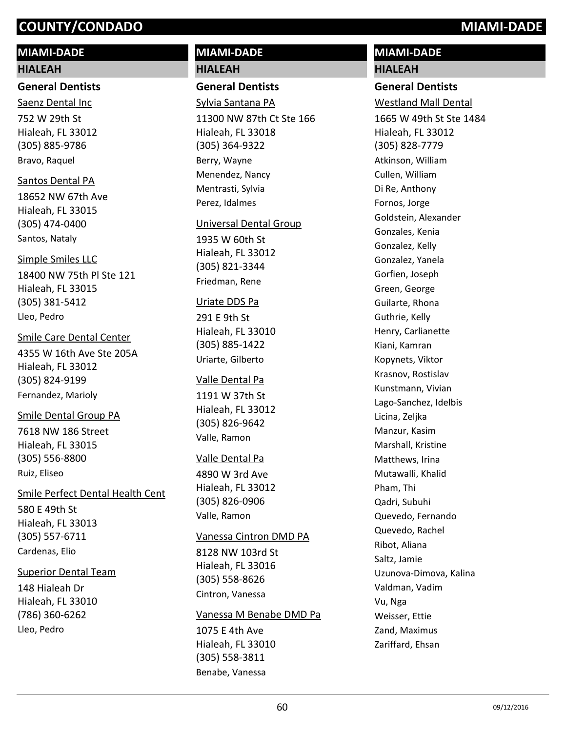## **MIAMI-DADE**

#### **HIALEAH**

#### **General Dentists**

752 W 29th St Hialeah, FL 33012 (305) 885-9786 Saenz Dental Inc Bravo, Raquel

#### Santos Dental PA

18652 NW 67th Ave Hialeah, FL 33015 (305) 474-0400 Santos, Nataly

#### 18400 NW 75th Pl Ste 121 Simple Smiles LLC

Hialeah, FL 33015 (305) 381-5412 Lleo, Pedro

#### Smile Care Dental Center

4355 W 16th Ave Ste 205A Hialeah, FL 33012 (305) 824-9199 Fernandez, Marioly

#### Smile Dental Group PA

7618 NW 186 Street Hialeah, FL 33015 (305) 556-8800 Ruiz, Eliseo

580 E 49th St Hialeah, FL 33013 (305) 557-6711 Smile Perfect Dental Health Cent Cardenas, Elio

#### Superior Dental Team

148 Hialeah Dr Hialeah, FL 33010 (786) 360-6262 Lleo, Pedro

# **MIAMI-DADE HIALEAH**

#### **General Dentists**

11300 NW 87th Ct Ste 166 Hialeah, FL 33018 (305) 364-9322 Sylvia Santana PA Berry, Wayne Menendez, Nancy Mentrasti, Sylvia Perez, Idalmes

#### Universal Dental Group

1935 W 60th St Hialeah, FL 33012 (305) 821-3344 Friedman, Rene

#### Uriate DDS Pa

291 E 9th St Hialeah, FL 33010 (305) 885-1422 Uriarte, Gilberto

#### Valle Dental Pa

1191 W 37th St Hialeah, FL 33012 (305) 826-9642 Valle, Ramon

#### Valle Dental Pa

4890 W 3rd Ave Hialeah, FL 33012 (305) 826-0906 Valle, Ramon

#### Vanessa Cintron DMD PA

8128 NW 103rd St Hialeah, FL 33016 (305) 558-8626 Cintron, Vanessa

#### Vanessa M Benabe DMD Pa

1075 E 4th Ave Hialeah, FL 33010 (305) 558-3811 Benabe, Vanessa

## **MIAMI-DADE HIALEAH**

#### **General Dentists**

Westland Mall Dental

1665 W 49th St Ste 1484 Hialeah, FL 33012 (305) 828-7779 Atkinson, William Cullen, William Di Re, Anthony Fornos, Jorge Goldstein, Alexander Gonzales, Kenia Gonzalez, Kelly Gonzalez, Yanela Gorfien, Joseph Green, George Guilarte, Rhona Guthrie, Kelly Henry, Carlianette Kiani, Kamran Kopynets, Viktor Krasnov, Rostislav Kunstmann, Vivian Lago-Sanchez, Idelbis Licina, Zeljka Manzur, Kasim Marshall, Kristine Matthews, Irina Mutawalli, Khalid Pham, Thi Qadri, Subuhi Quevedo, Fernando Quevedo, Rachel Ribot, Aliana Saltz, Jamie Uzunova-Dimova, Kalina Valdman, Vadim Vu, Nga Weisser, Ettie Zand, Maximus Zariffard, Ehsan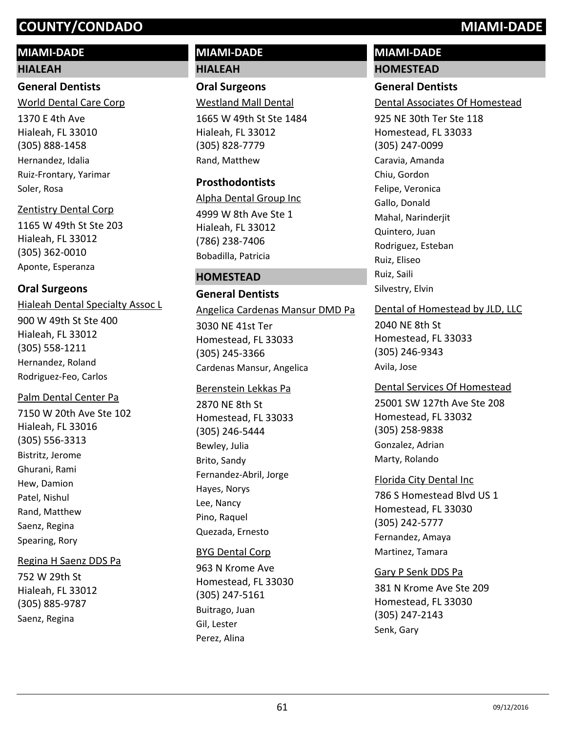# **MIAMI-DADE**

## **HIALEAH**

# **General Dentists**

1370 E 4th Ave Hialeah, FL 33010 (305) 888-1458 World Dental Care Corp Hernandez, Idalia Ruiz-Frontary, Yarimar Soler, Rosa

# Zentistry Dental Corp

1165 W 49th St Ste 203 Hialeah, FL 33012 (305) 362-0010 Aponte, Esperanza

# **Oral Surgeons**

900 W 49th St Ste 400 Hialeah, FL 33012 (305) 558-1211 Hialeah Dental Specialty Assoc L Hernandez, Roland Rodriguez-Feo, Carlos

# Palm Dental Center Pa

7150 W 20th Ave Ste 102 Hialeah, FL 33016 (305) 556-3313 Bistritz, Jerome Ghurani, Rami Hew, Damion Patel, Nishul Rand, Matthew Saenz, Regina Spearing, Rory

# Regina H Saenz DDS Pa

752 W 29th St Hialeah, FL 33012 (305) 885-9787 Saenz, Regina

# **MIAMI-DADE HIALEAH**

**Oral Surgeons** Westland Mall Dental

1665 W 49th St Ste 1484 Hialeah, FL 33012 (305) 828-7779 Rand, Matthew

## **Prosthodontists**

4999 W 8th Ave Ste 1 Hialeah, FL 33012 (786) 238-7406 Alpha Dental Group Inc Bobadilla, Patricia

# **HOMESTEAD**

# **General Dentists**

3030 NE 41st Ter Homestead, FL 33033 (305) 245-3366 Angelica Cardenas Mansur DMD Pa Cardenas Mansur, Angelica

#### Berenstein Lekkas Pa

2870 NE 8th St Homestead, FL 33033 (305) 246-5444 Bewley, Julia Brito, Sandy Fernandez-Abril, Jorge Hayes, Norys Lee, Nancy Pino, Raquel Quezada, Ernesto

## BYG Dental Corp

963 N Krome Ave Homestead, FL 33030 (305) 247-5161 Buitrago, Juan Gil, Lester Perez, Alina

# **MIAMI-DADE HOMESTEAD**

# **General Dentists**

Dental Associates Of Homestead

925 NE 30th Ter Ste 118 Homestead, FL 33033 (305) 247-0099 Caravia, Amanda Chiu, Gordon Felipe, Veronica Gallo, Donald Mahal, Narinderjit Quintero, Juan Rodriguez, Esteban Ruiz, Eliseo Ruiz, Saili Silvestry, Elvin

# Dental of Homestead by JLD, LLC

2040 NE 8th St Homestead, FL 33033 (305) 246-9343 Avila, Jose

25001 SW 127th Ave Ste 208 Homestead, FL 33032 (305) 258-9838 Dental Services Of Homestead Gonzalez, Adrian Marty, Rolando

## Florida City Dental Inc

786 S Homestead Blvd US 1 Homestead, FL 33030 (305) 242-5777 Fernandez, Amaya Martinez, Tamara

## Gary P Senk DDS Pa

381 N Krome Ave Ste 209 Homestead, FL 33030 (305) 247-2143 Senk, Gary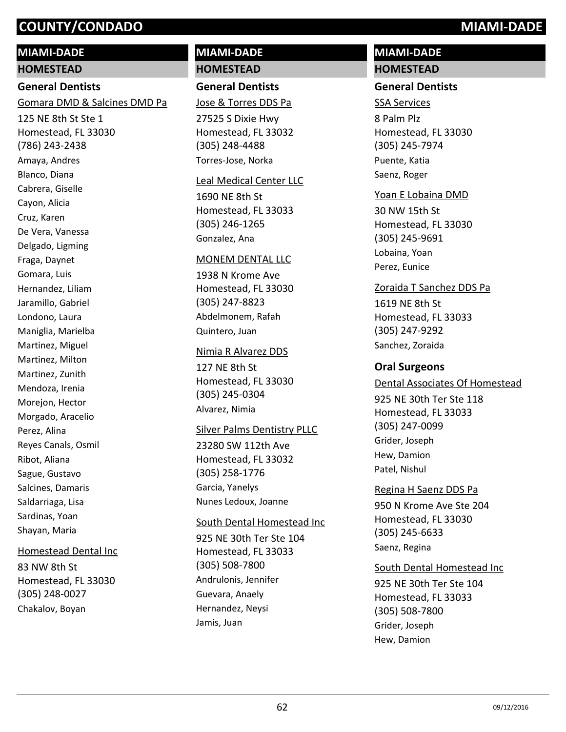# **MIAMI-DADE**

**HOMESTEAD**

# **General Dentists**

Gomara DMD & Salcines DMD Pa

125 NE 8th St Ste 1 Homestead, FL 33030 (786) 243-2438 Amaya, Andres Blanco, Diana Cabrera, Giselle Cayon, Alicia Cruz, Karen De Vera, Vanessa Delgado, Ligming Fraga, Daynet Gomara, Luis Hernandez, Liliam Jaramillo, Gabriel Londono, Laura Maniglia, Marielba Martinez, Miguel Martinez, Milton Martinez, Zunith Mendoza, Irenia Morejon, Hector Morgado, Aracelio Perez, Alina Reyes Canals, Osmil Ribot, Aliana Sague, Gustavo Salcines, Damaris Saldarriaga, Lisa Sardinas, Yoan Shayan, Maria

#### Homestead Dental Inc

83 NW 8th St Homestead, FL 33030 (305) 248-0027 Chakalov, Boyan

# **MIAMI-DADE HOMESTEAD**

# **General Dentists**

Jose & Torres DDS Pa

27525 S Dixie Hwy Homestead, FL 33032 (305) 248-4488 Torres-Jose, Norka

#### Leal Medical Center LLC

1690 NE 8th St Homestead, FL 33033 (305) 246-1265 Gonzalez, Ana

#### MONEM DENTAL LLC

1938 N Krome Ave Homestead, FL 33030 (305) 247-8823 Abdelmonem, Rafah Quintero, Juan

#### Nimia R Alvarez DDS

127 NE 8th St Homestead, FL 33030 (305) 245-0304 Alvarez, Nimia

#### Silver Palms Dentistry PLLC

23280 SW 112th Ave Homestead, FL 33032 (305) 258-1776 Garcia, Yanelys Nunes Ledoux, Joanne

#### South Dental Homestead Inc

925 NE 30th Ter Ste 104 Homestead, FL 33033 (305) 508-7800 Andrulonis, Jennifer Guevara, Anaely Hernandez, Neysi Jamis, Juan

# **MIAMI-DADE HOMESTEAD**

#### **General Dentists**

8 Palm Plz Homestead, FL 33030 (305) 245-7974 SSA Services Puente, Katia Saenz, Roger

#### Yoan E Lobaina DMD

30 NW 15th St Homestead, FL 33030 (305) 245-9691 Lobaina, Yoan Perez, Eunice

#### Zoraida T Sanchez DDS Pa

1619 NE 8th St Homestead, FL 33033 (305) 247-9292 Sanchez, Zoraida

#### **Oral Surgeons**

925 NE 30th Ter Ste 118 Homestead, FL 33033 (305) 247-0099 Dental Associates Of Homestead Grider, Joseph Hew, Damion Patel, Nishul

# Regina H Saenz DDS Pa

950 N Krome Ave Ste 204 Homestead, FL 33030 (305) 245-6633 Saenz, Regina

#### South Dental Homestead Inc

925 NE 30th Ter Ste 104 Homestead, FL 33033 (305) 508-7800 Grider, Joseph Hew, Damion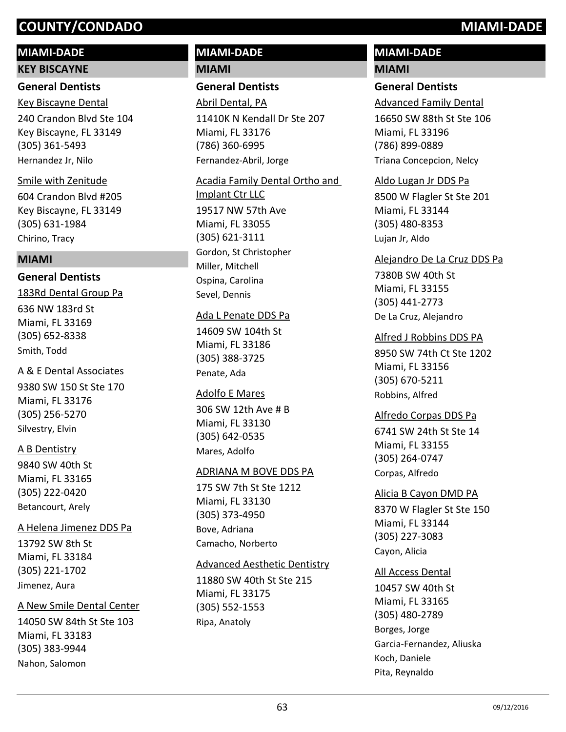#### **MIAMI-DADE**

#### **KEY BISCAYNE**

#### **General Dentists**

240 Crandon Blvd Ste 104 Key Biscayne, FL 33149 (305) 361-5493 Key Biscayne Dental Hernandez Jr, Nilo

#### Smile with Zenitude

604 Crandon Blvd #205 Key Biscayne, FL 33149 (305) 631-1984 Chirino, Tracy

#### **MIAMI**

#### **General Dentists**

636 NW 183rd St Miami, FL 33169 (305) 652-8338 183Rd Dental Group Pa Smith, Todd

#### A & E Dental Associates

9380 SW 150 St Ste 170 Miami, FL 33176 (305) 256-5270 Silvestry, Elvin

#### A B Dentistry

9840 SW 40th St Miami, FL 33165 (305) 222-0420 Betancourt, Arely

#### A Helena Jimenez DDS Pa

13792 SW 8th St Miami, FL 33184 (305) 221-1702 Jimenez, Aura

#### A New Smile Dental Center

14050 SW 84th St Ste 103 Miami, FL 33183 (305) 383-9944 Nahon, Salomon

# **MIAMI-DADE MIAMI**

#### **General Dentists**

11410K N Kendall Dr Ste 207 Miami, FL 33176 (786) 360-6995 Abril Dental, PA Fernandez-Abril, Jorge

# 19517 NW 57th Ave Miami, FL 33055 (305) 621-3111 Acadia Family Dental Ortho and Implant Ctr LLC Gordon, St Christopher

Miller, Mitchell Ospina, Carolina Sevel, Dennis

#### Ada L Penate DDS Pa

14609 SW 104th St Miami, FL 33186 (305) 388-3725 Penate, Ada

#### Adolfo E Mares

306 SW 12th Ave # B Miami, FL 33130 (305) 642-0535 Mares, Adolfo

## ADRIANA M BOVE DDS PA

175 SW 7th St Ste 1212 Miami, FL 33130 (305) 373-4950 Bove, Adriana Camacho, Norberto

#### Advanced Aesthetic Dentistry

11880 SW 40th St Ste 215 Miami, FL 33175 (305) 552-1553 Ripa, Anatoly

# **MIAMI-DADE MIAMI**

## **General Dentists**

Advanced Family Dental

16650 SW 88th St Ste 106 Miami, FL 33196 (786) 899-0889 Triana Concepcion, Nelcy

#### Aldo Lugan Jr DDS Pa

8500 W Flagler St Ste 201 Miami, FL 33144 (305) 480-8353 Lujan Jr, Aldo

# 7380B SW 40th St Miami, FL 33155 (305) 441-2773 Alejandro De La Cruz DDS Pa De La Cruz, Alejandro

#### Alfred J Robbins DDS PA

8950 SW 74th Ct Ste 1202 Miami, FL 33156 (305) 670-5211 Robbins, Alfred

#### Alfredo Corpas DDS Pa

6741 SW 24th St Ste 14 Miami, FL 33155 (305) 264-0747 Corpas, Alfredo

# 8370 W Flagler St Ste 150 Miami, FL 33144 (305) 227-3083 Alicia B Cayon DMD PA Cayon, Alicia

#### All Access Dental

10457 SW 40th St Miami, FL 33165 (305) 480-2789 Borges, Jorge Garcia-Fernandez, Aliuska Koch, Daniele Pita, Reynaldo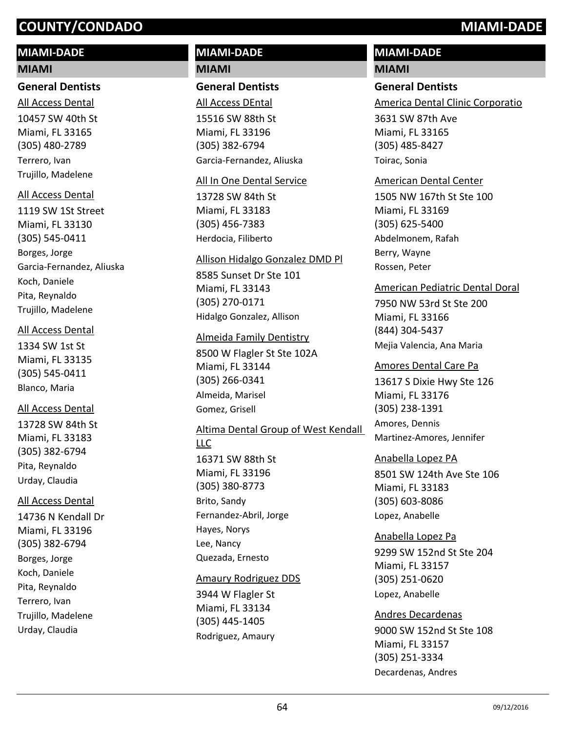# **MIAMI-DADE**

#### **MIAMI**

#### **General Dentists**

10457 SW 40th St Miami, FL 33165 (305) 480-2789 All Access Dental Terrero, Ivan Trujillo, Madelene

#### All Access Dental

1119 SW 1St Street Miami, FL 33130 (305) 545-0411 Borges, Jorge Garcia-Fernandez, Aliuska Koch, Daniele Pita, Reynaldo Trujillo, Madelene

#### All Access Dental

1334 SW 1st St Miami, FL 33135 (305) 545-0411 Blanco, Maria

## All Access Dental

13728 SW 84th St Miami, FL 33183 (305) 382-6794 Pita, Reynaldo Urday, Claudia

# All Access Dental

14736 N Kendall Dr Miami, FL 33196 (305) 382-6794 Borges, Jorge Koch, Daniele Pita, Reynaldo Terrero, Ivan Trujillo, Madelene Urday, Claudia

# **MIAMI-DADE MIAMI**

#### **General Dentists**

15516 SW 88th St Miami, FL 33196 (305) 382-6794 All Access DEntal Garcia-Fernandez, Aliuska

## All In One Dental Service

13728 SW 84th St Miami, FL 33183 (305) 456-7383 Herdocia, Filiberto

#### Allison Hidalgo Gonzalez DMD Pl

8585 Sunset Dr Ste 101 Miami, FL 33143 (305) 270-0171 Hidalgo Gonzalez, Allison

## Almeida Family Dentistry

8500 W Flagler St Ste 102A Miami, FL 33144 (305) 266-0341 Almeida, Marisel Gomez, Grisell

# 16371 SW 88th St Miami, FL 33196 (305) 380-8773 Altima Dental Group of West Kendall LLC Brito, Sandy Fernandez-Abril, Jorge Hayes, Norys Lee, Nancy Quezada, Ernesto

## Amaury Rodriguez DDS

3944 W Flagler St Miami, FL 33134 (305) 445-1405 Rodriguez, Amaury

# **MIAMI-DADE**

# **MIAMI**

**General Dentists**

America Dental Clinic Corporatio

3631 SW 87th Ave Miami, FL 33165 (305) 485-8427 Toirac, Sonia

#### American Dental Center

1505 NW 167th St Ste 100 Miami, FL 33169 (305) 625-5400 Abdelmonem, Rafah Berry, Wayne Rossen, Peter

## American Pediatric Dental Doral

7950 NW 53rd St Ste 200 Miami, FL 33166 (844) 304-5437 Mejia Valencia, Ana Maria

## Amores Dental Care Pa

13617 S Dixie Hwy Ste 126 Miami, FL 33176 (305) 238-1391 Amores, Dennis Martinez-Amores, Jennifer

## Anabella Lopez PA

8501 SW 124th Ave Ste 106 Miami, FL 33183 (305) 603-8086 Lopez, Anabelle

9299 SW 152nd St Ste 204 Miami, FL 33157 (305) 251-0620 Anabella Lopez Pa Lopez, Anabelle

# 9000 SW 152nd St Ste 108 Miami, FL 33157 (305) 251-3334 Andres Decardenas Decardenas, Andres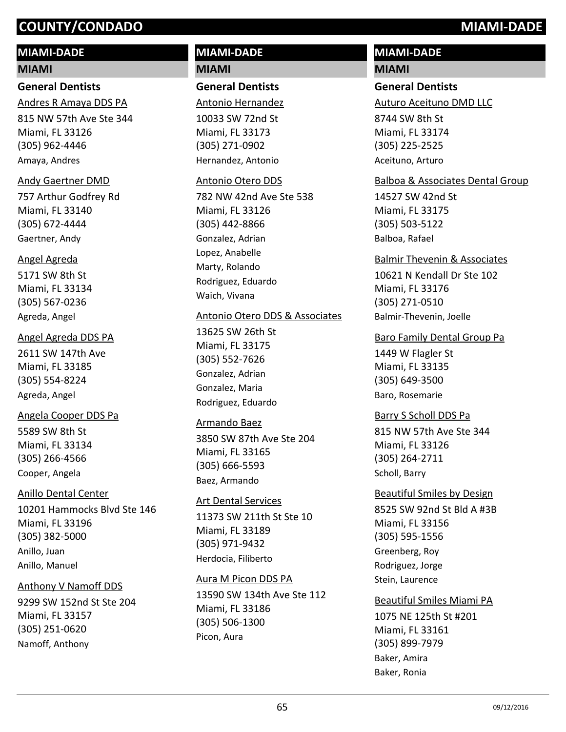# **MIAMI-DADE**

#### **MIAMI**

## **General Dentists**

815 NW 57th Ave Ste 344 Miami, FL 33126 (305) 962-4446 Andres R Amaya DDS PA Amaya, Andres

#### Andy Gaertner DMD

757 Arthur Godfrey Rd Miami, FL 33140 (305) 672-4444 Gaertner, Andy

#### Angel Agreda

5171 SW 8th St Miami, FL 33134 (305) 567-0236 Agreda, Angel

#### Angel Agreda DDS PA

2611 SW 147th Ave Miami, FL 33185 (305) 554-8224 Agreda, Angel

#### Angela Cooper DDS Pa

5589 SW 8th St Miami, FL 33134 (305) 266-4566 Cooper, Angela

#### Anillo Dental Center

10201 Hammocks Blvd Ste 146 Miami, FL 33196 (305) 382-5000 Anillo, Juan Anillo, Manuel

#### Anthony V Namoff DDS

9299 SW 152nd St Ste 204 Miami, FL 33157 (305) 251-0620 Namoff, Anthony

# **MIAMI-DADE MIAMI**

#### **General Dentists**

Antonio Hernandez

10033 SW 72nd St Miami, FL 33173 (305) 271-0902 Hernandez, Antonio

#### Antonio Otero DDS

782 NW 42nd Ave Ste 538 Miami, FL 33126 (305) 442-8866 Gonzalez, Adrian Lopez, Anabelle Marty, Rolando Rodriguez, Eduardo Waich, Vivana

#### Antonio Otero DDS & Associates

13625 SW 26th St Miami, FL 33175 (305) 552-7626 Gonzalez, Adrian Gonzalez, Maria Rodriguez, Eduardo

#### Armando Baez

3850 SW 87th Ave Ste 204 Miami, FL 33165 (305) 666-5593 Baez, Armando

#### Art Dental Services

11373 SW 211th St Ste 10 Miami, FL 33189 (305) 971-9432 Herdocia, Filiberto

#### Aura M Picon DDS PA

13590 SW 134th Ave Ste 112 Miami, FL 33186 (305) 506-1300 Picon, Aura

# **MIAMI-DADE**

# **MIAMI**

# **General Dentists**

Auturo Aceituno DMD LLC

8744 SW 8th St Miami, FL 33174 (305) 225-2525 Aceituno, Arturo

#### Balboa & Associates Dental Group

14527 SW 42nd St Miami, FL 33175 (305) 503-5122 Balboa, Rafael

#### Balmir Thevenin & Associates

10621 N Kendall Dr Ste 102 Miami, FL 33176 (305) 271-0510 Balmir-Thevenin, Joelle

#### Baro Family Dental Group Pa

1449 W Flagler St Miami, FL 33135 (305) 649-3500 Baro, Rosemarie

#### Barry S Scholl DDS Pa

815 NW 57th Ave Ste 344 Miami, FL 33126 (305) 264-2711 Scholl, Barry

8525 SW 92nd St Bld A #3B Miami, FL 33156 (305) 595-1556 Beautiful Smiles by Design Greenberg, Roy Rodriguez, Jorge Stein, Laurence

1075 NE 125th St #201 Miami, FL 33161 (305) 899-7979 Beautiful Smiles Miami PA Baker, Amira Baker, Ronia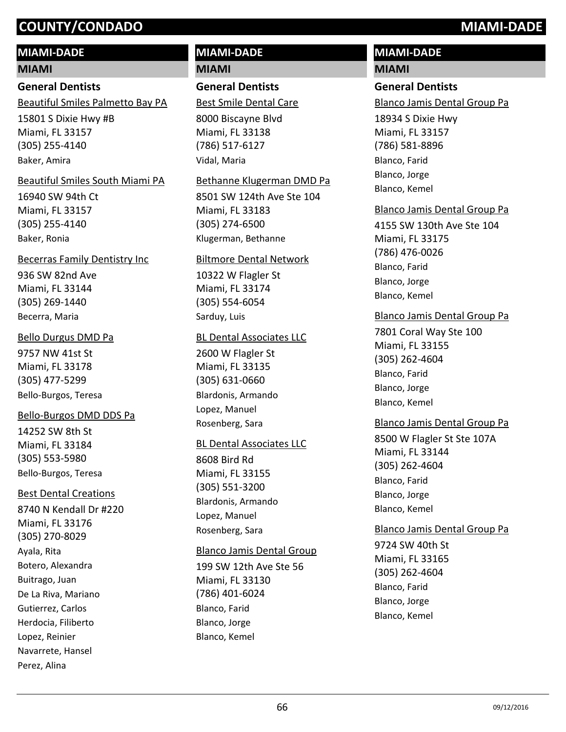# **MIAMI-DADE**

#### **MIAMI**

## **General Dentists**

Beautiful Smiles Palmetto Bay PA

15801 S Dixie Hwy #B Miami, FL 33157 (305) 255-4140 Baker, Amira

#### Beautiful Smiles South Miami PA

16940 SW 94th Ct Miami, FL 33157 (305) 255-4140 Baker, Ronia

#### Becerras Family Dentistry Inc

936 SW 82nd Ave Miami, FL 33144 (305) 269-1440 Becerra, Maria

#### Bello Durgus DMD Pa

9757 NW 41st St Miami, FL 33178 (305) 477-5299 Bello-Burgos, Teresa

#### Bello-Burgos DMD DDS Pa

14252 SW 8th St Miami, FL 33184 (305) 553-5980 Bello-Burgos, Teresa

#### Best Dental Creations

8740 N Kendall Dr #220 Miami, FL 33176 (305) 270-8029 Ayala, Rita Botero, Alexandra Buitrago, Juan De La Riva, Mariano Gutierrez, Carlos Herdocia, Filiberto Lopez, Reinier Navarrete, Hansel Perez, Alina

# **MIAMI-DADE MIAMI**

# **General Dentists**

8000 Biscayne Blvd Miami, FL 33138 (786) 517-6127 Best Smile Dental Care Vidal, Maria

#### Bethanne Klugerman DMD Pa

8501 SW 124th Ave Ste 104 Miami, FL 33183 (305) 274-6500 Klugerman, Bethanne

#### Biltmore Dental Network

10322 W Flagler St Miami, FL 33174 (305) 554-6054 Sarduy, Luis

#### BL Dental Associates LLC

2600 W Flagler St Miami, FL 33135 (305) 631-0660 Blardonis, Armando Lopez, Manuel Rosenberg, Sara

#### BL Dental Associates LLC

8608 Bird Rd Miami, FL 33155 (305) 551-3200 Blardonis, Armando Lopez, Manuel Rosenberg, Sara

# Blanco Jamis Dental Group

199 SW 12th Ave Ste 56 Miami, FL 33130 (786) 401-6024 Blanco, Farid Blanco, Jorge Blanco, Kemel

# **MIAMI-DADE**

# **MIAMI**

## **General Dentists**

Blanco Jamis Dental Group Pa

18934 S Dixie Hwy Miami, FL 33157 (786) 581-8896 Blanco, Farid Blanco, Jorge Blanco, Kemel

#### Blanco Jamis Dental Group Pa

4155 SW 130th Ave Ste 104 Miami, FL 33175 (786) 476-0026 Blanco, Farid Blanco, Jorge Blanco, Kemel

## Blanco Jamis Dental Group Pa

7801 Coral Way Ste 100 Miami, FL 33155 (305) 262-4604 Blanco, Farid Blanco, Jorge Blanco, Kemel

## Blanco Jamis Dental Group Pa

8500 W Flagler St Ste 107A Miami, FL 33144 (305) 262-4604 Blanco, Farid Blanco, Jorge Blanco, Kemel

#### Blanco Jamis Dental Group Pa

9724 SW 40th St Miami, FL 33165 (305) 262-4604 Blanco, Farid Blanco, Jorge Blanco, Kemel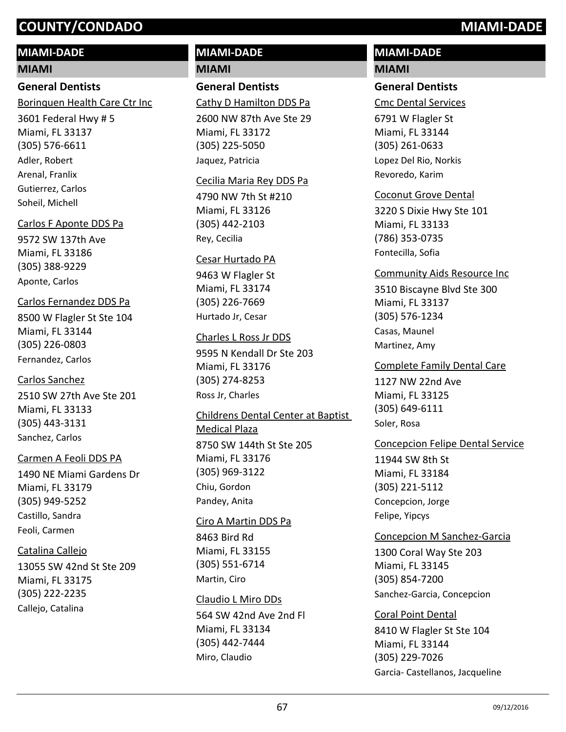# **MIAMI-DADE**

## **MIAMI**

# **General Dentists**

Borinquen Health Care Ctr Inc

3601 Federal Hwy # 5 Miami, FL 33137 (305) 576-6611 Adler, Robert Arenal, Franlix Gutierrez, Carlos Soheil, Michell

# Carlos F Aponte DDS Pa

9572 SW 137th Ave Miami, FL 33186 (305) 388-9229 Aponte, Carlos

# Carlos Fernandez DDS Pa

8500 W Flagler St Ste 104 Miami, FL 33144 (305) 226-0803 Fernandez, Carlos

# Carlos Sanchez

2510 SW 27th Ave Ste 201 Miami, FL 33133 (305) 443-3131 Sanchez, Carlos

# Carmen A Feoli DDS PA

1490 NE Miami Gardens Dr Miami, FL 33179 (305) 949-5252 Castillo, Sandra Feoli, Carmen

# Catalina Callejo

13055 SW 42nd St Ste 209 Miami, FL 33175 (305) 222-2235 Callejo, Catalina

# **MIAMI-DADE MIAMI**

# **General Dentists**

Cathy D Hamilton DDS Pa

2600 NW 87th Ave Ste 29 Miami, FL 33172 (305) 225-5050 Jaquez, Patricia

# Cecilia Maria Rey DDS Pa

4790 NW 7th St #210 Miami, FL 33126 (305) 442-2103 Rey, Cecilia

# Cesar Hurtado PA

9463 W Flagler St Miami, FL 33174 (305) 226-7669 Hurtado Jr, Cesar

# Charles L Ross Jr DDS

9595 N Kendall Dr Ste 203 Miami, FL 33176 (305) 274-8253 Ross Jr, Charles

## Childrens Dental Center at Baptist Medical Plaza

8750 SW 144th St Ste 205 Miami, FL 33176 (305) 969-3122 Chiu, Gordon Pandey, Anita

## Ciro A Martin DDS Pa

8463 Bird Rd Miami, FL 33155 (305) 551-6714 Martin, Ciro

# Claudio L Miro DDs

564 SW 42nd Ave 2nd Fl Miami, FL 33134 (305) 442-7444 Miro, Claudio

# **MIAMI-DADE MIAMI**

# **General Dentists**

Cmc Dental Services

6791 W Flagler St Miami, FL 33144 (305) 261-0633 Lopez Del Rio, Norkis Revoredo, Karim

## Coconut Grove Dental

3220 S Dixie Hwy Ste 101 Miami, FL 33133 (786) 353-0735 Fontecilla, Sofia

# Community Aids Resource Inc

3510 Biscayne Blvd Ste 300 Miami, FL 33137 (305) 576-1234 Casas, Maunel Martinez, Amy

#### Complete Family Dental Care

1127 NW 22nd Ave Miami, FL 33125 (305) 649-6111 Soler, Rosa

## Concepcion Felipe Dental Service

11944 SW 8th St Miami, FL 33184 (305) 221-5112 Concepcion, Jorge Felipe, Yipcys

## Concepcion M Sanchez-Garcia

1300 Coral Way Ste 203 Miami, FL 33145 (305) 854-7200 Sanchez-Garcia, Concepcion

# Coral Point Dental

8410 W Flagler St Ste 104 Miami, FL 33144 (305) 229-7026 Garcia- Castellanos, Jacqueline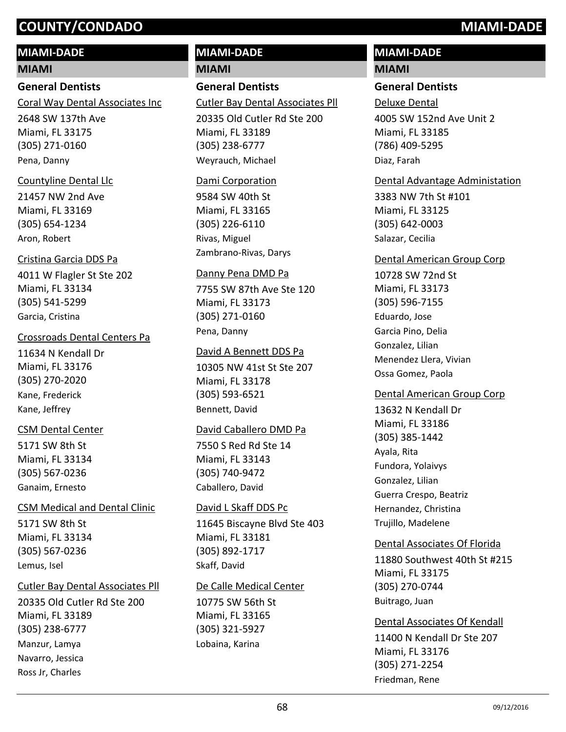# **MIAMI-DADE**

## **MIAMI**

# **General Dentists**

Coral Way Dental Associates Inc

2648 SW 137th Ave Miami, FL 33175 (305) 271-0160 Pena, Danny

# Countyline Dental Llc

21457 NW 2nd Ave Miami, FL 33169 (305) 654-1234 Aron, Robert

# Cristina Garcia DDS Pa

4011 W Flagler St Ste 202 Miami, FL 33134 (305) 541-5299 Garcia, Cristina

# Crossroads Dental Centers Pa

11634 N Kendall Dr Miami, FL 33176 (305) 270-2020 Kane, Frederick Kane, Jeffrey

# CSM Dental Center

5171 SW 8th St Miami, FL 33134 (305) 567-0236 Ganaim, Ernesto

# CSM Medical and Dental Clinic

5171 SW 8th St Miami, FL 33134 (305) 567-0236 Lemus, Isel

# Cutler Bay Dental Associates Pll

20335 Old Cutler Rd Ste 200 Miami, FL 33189 (305) 238-6777 Manzur, Lamya Navarro, Jessica Ross Jr, Charles

# **MIAMI-DADE**

**MIAMI**

# **General Dentists**

Cutler Bay Dental Associates Pll

20335 Old Cutler Rd Ste 200 Miami, FL 33189 (305) 238-6777 Weyrauch, Michael

# Dami Corporation

9584 SW 40th St Miami, FL 33165 (305) 226-6110 Rivas, Miguel Zambrano-Rivas, Darys

# Danny Pena DMD Pa

7755 SW 87th Ave Ste 120 Miami, FL 33173 (305) 271-0160 Pena, Danny

# David A Bennett DDS Pa

10305 NW 41st St Ste 207 Miami, FL 33178 (305) 593-6521 Bennett, David

# David Caballero DMD Pa

7550 S Red Rd Ste 14 Miami, FL 33143 (305) 740-9472 Caballero, David

# David L Skaff DDS Pc

11645 Biscayne Blvd Ste 403 Miami, FL 33181 (305) 892-1717 Skaff, David

# De Calle Medical Center

10775 SW 56th St Miami, FL 33165 (305) 321-5927 Lobaina, Karina

# **MIAMI-DADE**

# **MIAMI**

# **General Dentists**

4005 SW 152nd Ave Unit 2 Miami, FL 33185 (786) 409-5295 Deluxe Dental Diaz, Farah

# Dental Advantage Administation

3383 NW 7th St #101 Miami, FL 33125 (305) 642-0003 Salazar, Cecilia

# Dental American Group Corp

10728 SW 72nd St Miami, FL 33173 (305) 596-7155 Eduardo, Jose Garcia Pino, Delia Gonzalez, Lilian Menendez Llera, Vivian Ossa Gomez, Paola

# Dental American Group Corp

13632 N Kendall Dr Miami, FL 33186 (305) 385-1442 Ayala, Rita Fundora, Yolaivys Gonzalez, Lilian Guerra Crespo, Beatriz Hernandez, Christina Trujillo, Madelene

# Dental Associates Of Florida

11880 Southwest 40th St #215 Miami, FL 33175 (305) 270-0744 Buitrago, Juan

# Dental Associates Of Kendall

11400 N Kendall Dr Ste 207 Miami, FL 33176 (305) 271-2254 Friedman, Rene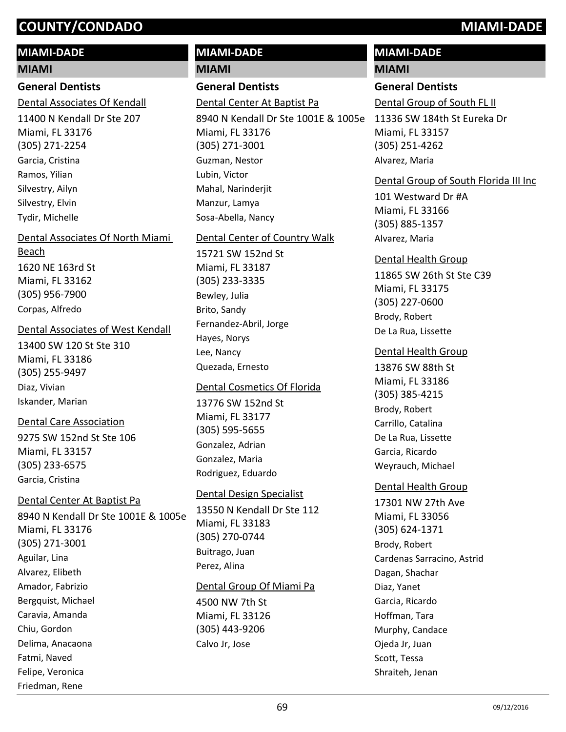#### **MIAMI-DADE**

#### **MIAMI**

## **General Dentists**

Dental Associates Of Kendall

11400 N Kendall Dr Ste 207 Miami, FL 33176 (305) 271-2254 Garcia, Cristina Ramos, Yilian Silvestry, Ailyn Silvestry, Elvin Tydir, Michelle

#### Dental Associates Of North Miami

1620 NE 163rd St Miami, FL 33162 (305) 956-7900 Beach Corpas, Alfredo

#### Dental Associates of West Kendall

13400 SW 120 St Ste 310 Miami, FL 33186 (305) 255-9497 Diaz, Vivian Iskander, Marian

#### Dental Care Association

9275 SW 152nd St Ste 106 Miami, FL 33157 (305) 233-6575 Garcia, Cristina

#### Dental Center At Baptist Pa

Friedman, Rene

8940 N Kendall Dr Ste 1001E & 1005e Miami, FL 33176 (305) 271-3001 Aguilar, Lina Alvarez, Elibeth Amador, Fabrizio Bergquist, Michael Caravia, Amanda Chiu, Gordon Delima, Anacaona Fatmi, Naved Felipe, Veronica

# **MIAMI-DADE**

**MIAMI**

# **General Dentists**

Dental Center At Baptist Pa

8940 N Kendall Dr Ste 1001E & 1005e Miami, FL 33176 (305) 271-3001 Guzman, Nestor Lubin, Victor Mahal, Narinderiit Manzur, Lamya Sosa-Abella, Nancy

## Dental Center of Country Walk

15721 SW 152nd St Miami, FL 33187 (305) 233-3335 Bewley, Julia Brito, Sandy Fernandez-Abril, Jorge Hayes, Norys Lee, Nancy Quezada, Ernesto

#### Dental Cosmetics Of Florida

13776 SW 152nd St Miami, FL 33177 (305) 595-5655 Gonzalez, Adrian Gonzalez, Maria Rodriguez, Eduardo

#### Dental Design Specialist

13550 N Kendall Dr Ste 112 Miami, FL 33183 (305) 270-0744 Buitrago, Juan Perez, Alina

#### Dental Group Of Miami Pa

4500 NW 7th St Miami, FL 33126 (305) 443-9206 Calvo Jr, Jose

# **MIAMI-DADE**

#### **MIAMI**

#### **General Dentists**

Dental Group of South FL II

11336 SW 184th St Eureka Dr Miami, FL 33157 (305) 251-4262 Alvarez, Maria

#### Dental Group of South Florida III Inc

101 Westward Dr #A Miami, FL 33166 (305) 885-1357 Alvarez, Maria

# 11865 SW 26th St Ste C39 Miami, FL 33175 (305) 227-0600 Dental Health Group Brody, Robert De La Rua, Lissette

#### Dental Health Group

13876 SW 88th St Miami, FL 33186 (305) 385-4215 Brody, Robert Carrillo, Catalina De La Rua, Lissette Garcia, Ricardo Weyrauch, Michael

#### Dental Health Group

17301 NW 27th Ave Miami, FL 33056 (305) 624-1371 Brody, Robert Cardenas Sarracino, Astrid Dagan, Shachar Diaz, Yanet Garcia, Ricardo Hoffman, Tara Murphy, Candace Ojeda Jr, Juan Scott, Tessa Shraiteh, Jenan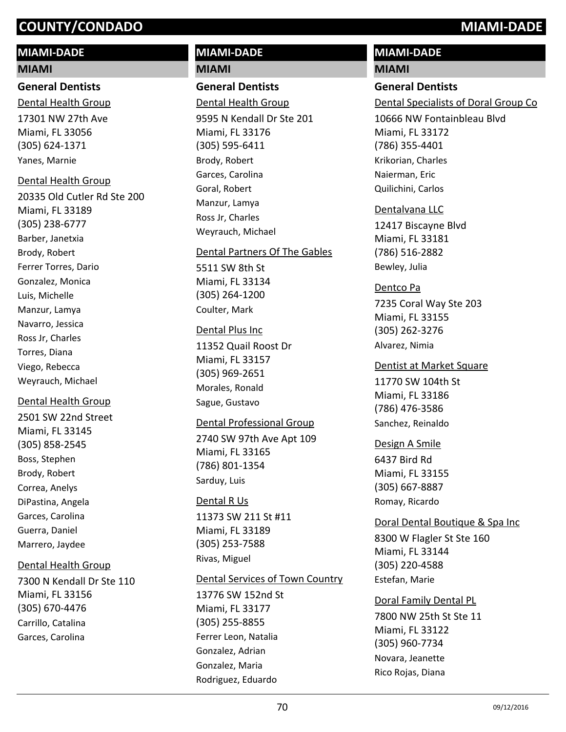## **MIAMI-DADE**

#### **MIAMI**

**General Dentists** 17301 NW 27th Ave Miami, FL 33056 (305) 624-1371 Dental Health Group

#### Dental Health Group

Yanes, Marnie

20335 Old Cutler Rd Ste 200 Miami, FL 33189 (305) 238-6777 Barber, Janetxia Brody, Robert Ferrer Torres, Dario Gonzalez, Monica Luis, Michelle Manzur, Lamya Navarro, Jessica Ross Jr, Charles Torres, Diana Viego, Rebecca Weyrauch, Michael

#### Dental Health Group

2501 SW 22nd Street Miami, FL 33145 (305) 858-2545 Boss, Stephen Brody, Robert Correa, Anelys DiPastina, Angela Garces, Carolina Guerra, Daniel Marrero, Jaydee

#### Dental Health Group

7300 N Kendall Dr Ste 110 Miami, FL 33156 (305) 670-4476 Carrillo, Catalina Garces, Carolina

# **MIAMI-DADE MIAMI**

# **General Dentists**

9595 N Kendall Dr Ste 201 Miami, FL 33176 (305) 595-6411 Dental Health Group Brody, Robert Garces, Carolina Goral, Robert Manzur, Lamya Ross Jr, Charles Weyrauch, Michael

#### Dental Partners Of The Gables

5511 SW 8th St Miami, FL 33134 (305) 264-1200 Coulter, Mark

#### Dental Plus Inc

11352 Quail Roost Dr Miami, FL 33157 (305) 969-2651 Morales, Ronald Sague, Gustavo

#### Dental Professional Group

2740 SW 97th Ave Apt 109 Miami, FL 33165 (786) 801-1354 Sarduy, Luis

#### Dental R Us

11373 SW 211 St #11 Miami, FL 33189 (305) 253-7588 Rivas, Miguel

#### Dental Services of Town Country

13776 SW 152nd St Miami, FL 33177 (305) 255-8855 Ferrer Leon, Natalia Gonzalez, Adrian Gonzalez, Maria Rodriguez, Eduardo

# **MIAMI-DADE**

# **MIAMI**

**General Dentists**

Dental Specialists of Doral Group Co

10666 NW Fontainbleau Blvd Miami, FL 33172 (786) 355-4401 Krikorian, Charles Naierman, Eric Quilichini, Carlos

#### Dentalvana LLC

12417 Biscayne Blvd Miami, FL 33181 (786) 516-2882 Bewley, Julia

#### Dentco Pa

7235 Coral Way Ste 203 Miami, FL 33155 (305) 262-3276 Alvarez, Nimia

#### Dentist at Market Square

11770 SW 104th St Miami, FL 33186 (786) 476-3586 Sanchez, Reinaldo

#### Design A Smile

6437 Bird Rd Miami, FL 33155 (305) 667-8887 Romay, Ricardo

#### Doral Dental Boutique & Spa Inc

8300 W Flagler St Ste 160 Miami, FL 33144 (305) 220-4588 Estefan, Marie

#### Doral Family Dental PL

7800 NW 25th St Ste 11 Miami, FL 33122 (305) 960-7734 Novara, Jeanette Rico Rojas, Diana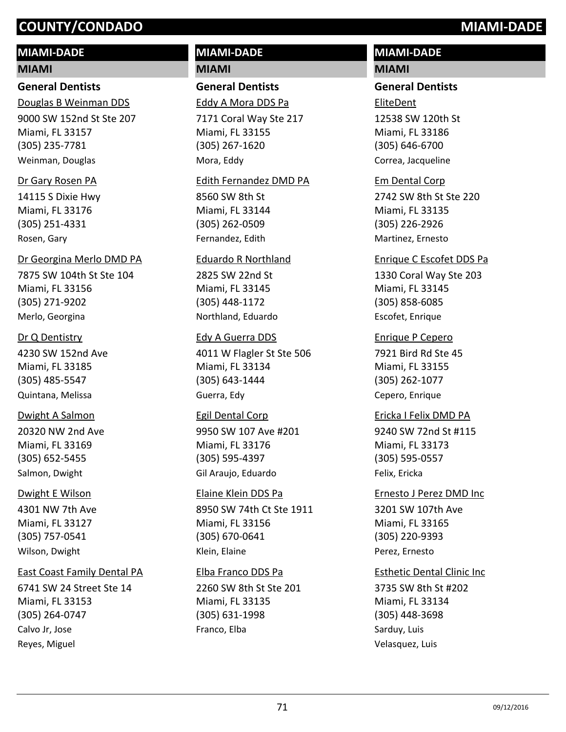# **MIAMI-DADE**

#### **MIAMI**

## **General Dentists**

9000 SW 152nd St Ste 207 Miami, FL 33157 (305) 235-7781 Douglas B Weinman DDS Weinman, Douglas

#### Dr Gary Rosen PA

14115 S Dixie Hwy Miami, FL 33176 (305) 251-4331 Rosen, Gary

#### Dr Georgina Merlo DMD PA

7875 SW 104th St Ste 104 Miami, FL 33156 (305) 271-9202 Merlo, Georgina

#### Dr Q Dentistry

4230 SW 152nd Ave Miami, FL 33185 (305) 485-5547 Quintana, Melissa

#### Dwight A Salmon

20320 NW 2nd Ave Miami, FL 33169 (305) 652-5455 Salmon, Dwight

#### Dwight E Wilson

4301 NW 7th Ave Miami, FL 33127 (305) 757-0541 Wilson, Dwight

#### East Coast Family Dental PA

6741 SW 24 Street Ste 14 Miami, FL 33153 (305) 264-0747 Calvo Jr, Jose Reyes, Miguel

# **MIAMI-DADE**

**MIAMI**

# **General Dentists**

7171 Coral Way Ste 217 Eddy A Mora DDS Pa

Miami, FL 33155 (305) 267-1620 Mora, Eddy

#### Edith Fernandez DMD PA

8560 SW 8th St Miami, FL 33144 (305) 262-0509 Fernandez, Edith

#### Eduardo R Northland

2825 SW 22nd St Miami, FL 33145 (305) 448-1172 Northland, Eduardo

#### Edy A Guerra DDS

4011 W Flagler St Ste 506 Miami, FL 33134 (305) 643-1444 Guerra, Edy

9950 SW 107 Ave #201 Miami, FL 33176 (305) 595-4397 Egil Dental Corp Gil Araujo, Eduardo

#### Elaine Klein DDS Pa

8950 SW 74th Ct Ste 1911 Miami, FL 33156 (305) 670-0641 Klein, Elaine

#### 2260 SW 8th St Ste 201 Elba Franco DDS Pa

Miami, FL 33135 (305) 631-1998 Franco, Elba

# **MIAMI-DADE**

## **MIAMI**

#### **General Dentists**

12538 SW 120th St Miami, FL 33186 (305) 646-6700 EliteDent

Correa, Jacqueline

#### Em Dental Corp

2742 SW 8th St Ste 220 Miami, FL 33135 (305) 226-2926 Martinez, Ernesto

#### Enrique C Escofet DDS Pa

1330 Coral Way Ste 203 Miami, FL 33145 (305) 858-6085 Escofet, Enrique

#### Enrique P Cepero

7921 Bird Rd Ste 45 Miami, FL 33155 (305) 262-1077 Cepero, Enrique

#### Ericka I Felix DMD PA

9240 SW 72nd St #115 Miami, FL 33173 (305) 595-0557 Felix, Ericka

# 3201 SW 107th Ave Miami, FL 33165 (305) 220-9393 Ernesto J Perez DMD Inc Perez, Ernesto

#### Esthetic Dental Clinic Inc

3735 SW 8th St #202 Miami, FL 33134 (305) 448-3698 Sarduy, Luis Velasquez, Luis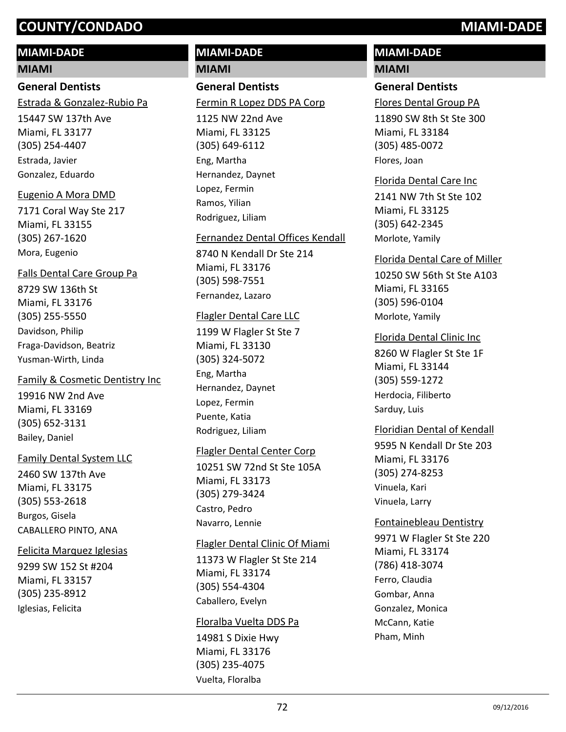# **MIAMI-DADE**

#### **MIAMI**

# **General Dentists**

Estrada & Gonzalez-Rubio Pa

15447 SW 137th Ave Miami, FL 33177 (305) 254-4407 Estrada, Javier Gonzalez, Eduardo

# Eugenio A Mora DMD

7171 Coral Way Ste 217 Miami, FL 33155 (305) 267-1620 Mora, Eugenio

8729 SW 136th St Miami, FL 33176 (305) 255-5550 Falls Dental Care Group Pa Davidson, Philip Fraga-Davidson, Beatriz Yusman-Wirth, Linda

# Family & Cosmetic Dentistry Inc

19916 NW 2nd Ave Miami, FL 33169 (305) 652-3131 Bailey, Daniel

# Family Dental System LLC

2460 SW 137th Ave Miami, FL 33175 (305) 553-2618 Burgos, Gisela CABALLERO PINTO, ANA

# Felicita Marquez Iglesias

9299 SW 152 St #204 Miami, FL 33157 (305) 235-8912 Iglesias, Felicita

# **MIAMI-DADE**

**MIAMI**

# **General Dentists**

Fermin R Lopez DDS PA Corp

1125 NW 22nd Ave Miami, FL 33125 (305) 649-6112 Eng, Martha Hernandez, Daynet Lopez, Fermin Ramos, Yilian Rodriguez, Liliam

#### Fernandez Dental Offices Kendall

8740 N Kendall Dr Ste 214 Miami, FL 33176 (305) 598-7551 Fernandez, Lazaro

#### Flagler Dental Care LLC

1199 W Flagler St Ste 7 Miami, FL 33130 (305) 324-5072 Eng, Martha Hernandez, Daynet Lopez, Fermin Puente, Katia Rodriguez, Liliam

#### Flagler Dental Center Corp

10251 SW 72nd St Ste 105A Miami, FL 33173 (305) 279-3424 Castro, Pedro Navarro, Lennie

#### Flagler Dental Clinic Of Miami

11373 W Flagler St Ste 214 Miami, FL 33174 (305) 554-4304 Caballero, Evelyn

#### Floralba Vuelta DDS Pa

14981 S Dixie Hwy Miami, FL 33176 (305) 235-4075 Vuelta, Floralba

# **MIAMI-DADE**

# **MIAMI**

# **General Dentists**

Flores Dental Group PA

11890 SW 8th St Ste 300 Miami, FL 33184 (305) 485-0072 Flores, Joan

#### Florida Dental Care Inc

2141 NW 7th St Ste 102 Miami, FL 33125 (305) 642-2345 Morlote, Yamily

#### Florida Dental Care of Miller

10250 SW 56th St Ste A103 Miami, FL 33165 (305) 596-0104 Morlote, Yamily

#### Florida Dental Clinic Inc

8260 W Flagler St Ste 1F Miami, FL 33144 (305) 559-1272 Herdocia, Filiberto Sarduy, Luis

## Floridian Dental of Kendall

9595 N Kendall Dr Ste 203 Miami, FL 33176 (305) 274-8253 Vinuela, Kari Vinuela, Larry

## Fontainebleau Dentistry

9971 W Flagler St Ste 220 Miami, FL 33174 (786) 418-3074 Ferro, Claudia Gombar, Anna Gonzalez, Monica McCann, Katie Pham, Minh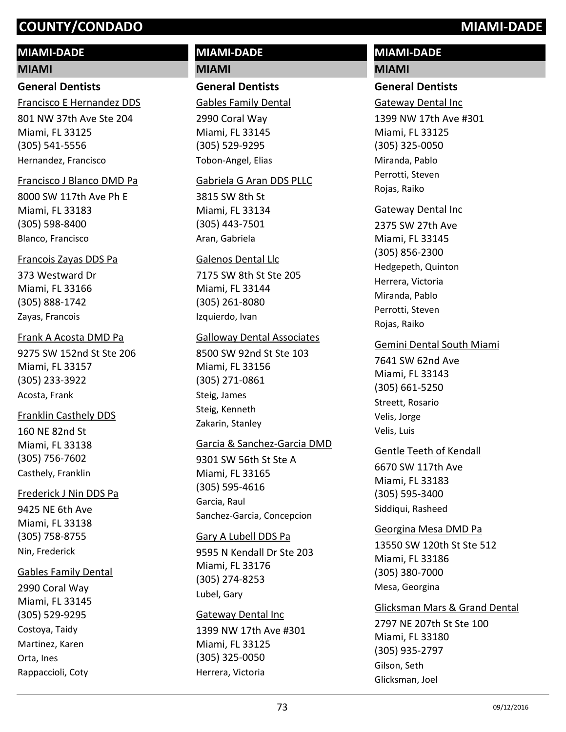# **MIAMI-DADE**

### **MIAMI**

# **General Dentists**

Francisco E Hernandez DDS

801 NW 37th Ave Ste 204 Miami, FL 33125 (305) 541-5556 Hernandez, Francisco

### Francisco J Blanco DMD Pa

8000 SW 117th Ave Ph E Miami, FL 33183 (305) 598-8400 Blanco, Francisco

### Francois Zayas DDS Pa

373 Westward Dr Miami, FL 33166 (305) 888-1742 Zayas, Francois

### Frank A Acosta DMD Pa

9275 SW 152nd St Ste 206 Miami, FL 33157 (305) 233-3922 Acosta, Frank

## Franklin Casthely DDS

160 NE 82nd St Miami, FL 33138 (305) 756-7602 Casthely, Franklin

### Frederick J Nin DDS Pa

9425 NE 6th Ave Miami, FL 33138 (305) 758-8755 Nin, Frederick

## Gables Family Dental

2990 Coral Way Miami, FL 33145 (305) 529-9295 Costoya, Taidy Martinez, Karen Orta, Ines Rappaccioli, Coty

# **MIAMI-DADE MIAMI**

# **General Dentists**

Gables Family Dental

2990 Coral Way Miami, FL 33145 (305) 529-9295 Tobon-Angel, Elias

### Gabriela G Aran DDS PLLC

3815 SW 8th St Miami, FL 33134 (305) 443-7501 Aran, Gabriela

### Galenos Dental Llc

7175 SW 8th St Ste 205 Miami, FL 33144 (305) 261-8080 Izquierdo, Ivan

## Galloway Dental Associates

8500 SW 92nd St Ste 103 Miami, FL 33156 (305) 271-0861 Steig, James Steig, Kenneth Zakarin, Stanley

## Garcia & Sanchez-Garcia DMD

9301 SW 56th St Ste A Miami, FL 33165 (305) 595-4616 Garcia, Raul Sanchez-Garcia, Concepcion

### Gary A Lubell DDS Pa

9595 N Kendall Dr Ste 203 Miami, FL 33176 (305) 274-8253 Lubel, Gary

### Gateway Dental Inc

1399 NW 17th Ave #301 Miami, FL 33125 (305) 325-0050 Herrera, Victoria

# **MIAMI-DADE MIAMI**

# **General Dentists**

Gateway Dental Inc

1399 NW 17th Ave #301 Miami, FL 33125 (305) 325-0050 Miranda, Pablo Perrotti, Steven Rojas, Raiko

### Gateway Dental Inc

2375 SW 27th Ave Miami, FL 33145 (305) 856-2300 Hedgepeth, Quinton Herrera, Victoria Miranda, Pablo Perrotti, Steven Rojas, Raiko

### Gemini Dental South Miami

7641 SW 62nd Ave Miami, FL 33143 (305) 661-5250 Streett, Rosario Velis, Jorge Velis, Luis

## Gentle Teeth of Kendall

6670 SW 117th Ave Miami, FL 33183 (305) 595-3400 Siddiqui, Rasheed

## Georgina Mesa DMD Pa

13550 SW 120th St Ste 512 Miami, FL 33186 (305) 380-7000 Mesa, Georgina

## Glicksman Mars & Grand Dental

2797 NE 207th St Ste 100 Miami, FL 33180 (305) 935-2797 Gilson, Seth Glicksman, Joel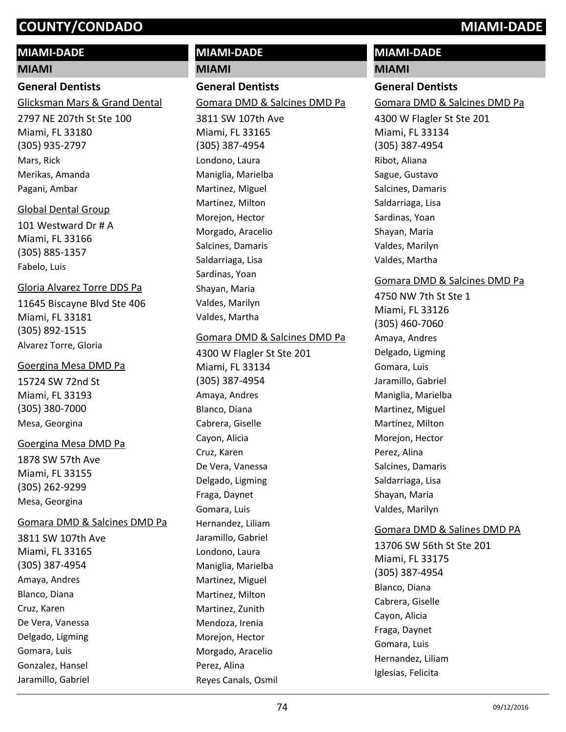# **MIAMI-DADE**

### **MIAMI**

## **General Dentists**

Glicksman Mars & Grand Dental

2797 NE 207th St Ste 100 Miami, FL 33180 (305) 935-2797 Mars, Rick Merikas, Amanda Pagani, Ambar

### Global Dental Group

101 Westward Dr # A Miami, FL 33166 (305) 885-1357 Fabelo, Luis

## Gloria Alvarez Torre DDS Pa

11645 Biscayne Blvd Ste 406 Miami, FL 33181 (305) 892-1515 Alvarez Torre, Gloria

### Goergina Mesa DMD Pa

15724 SW 72nd St Miami, FL 33193 (305) 380-7000 Mesa, Georgina

### Goergina Mesa DMD Pa

1878 SW 57th Ave Miami, FL 33155 (305) 262-9299 Mesa, Georgina

## Gomara DMD & Salcines DMD Pa

3811 SW 107th Ave Miami, FL 33165 (305) 387-4954 Amaya, Andres Blanco, Diana Cruz, Karen De Vera, Vanessa Delgado, Ligming Gomara, Luis Gonzalez, Hansel Jaramillo, Gabriel

# **MIAMI-DADE**

**MIAMI**

# **General Dentists**

Gomara DMD & Salcines DMD Pa

3811 SW 107th Ave Miami, FL 33165 (305) 387-4954 Londono, Laura Maniglia, Marielba Martinez, Miguel Martinez, Milton Morejon, Hector Morgado, Aracelio Salcines, Damaris Saldarriaga, Lisa Sardinas, Yoan Shayan, Maria Valdes, Marilyn Valdes, Martha

### Gomara DMD & Salcines DMD Pa

4300 W Flagler St Ste 201 Miami, FL 33134 (305) 387-4954 Amaya, Andres Blanco, Diana Cabrera, Giselle Cayon, Alicia Cruz, Karen De Vera, Vanessa Delgado, Ligming Fraga, Daynet Gomara, Luis Hernandez, Liliam Jaramillo, Gabriel Londono, Laura Maniglia, Marielba Martinez, Miguel Martinez, Milton Martinez, Zunith Mendoza, Irenia Morejon, Hector Morgado, Aracelio Perez, Alina Reyes Canals, Osmil

# **MIAMI-DADE**

## **MIAMI**

**General Dentists** 4300 W Flagler St Ste 201 Miami, FL 33134 (305) 387-4954 Gomara DMD & Salcines DMD Pa Ribot, Aliana Sague, Gustavo Salcines, Damaris Saldarriaga, Lisa Sardinas, Yoan Shayan, Maria Valdes, Marilyn Valdes, Martha

# Gomara DMD & Salcines DMD Pa

4750 NW 7th St Ste 1 Miami, FL 33126 (305) 460-7060 Amaya, Andres Delgado, Ligming Gomara, Luis Jaramillo, Gabriel Maniglia, Marielba Martinez, Miguel Martinez, Milton Morejon, Hector Perez, Alina Salcines, Damaris Saldarriaga, Lisa Shayan, Maria Valdes, Marilyn

# Gomara DMD & Salines DMD PA

13706 SW 56th St Ste 201 Miami, FL 33175 (305) 387-4954 Blanco, Diana Cabrera, Giselle Cayon, Alicia Fraga, Daynet Gomara, Luis Hernandez, Liliam Iglesias, Felicita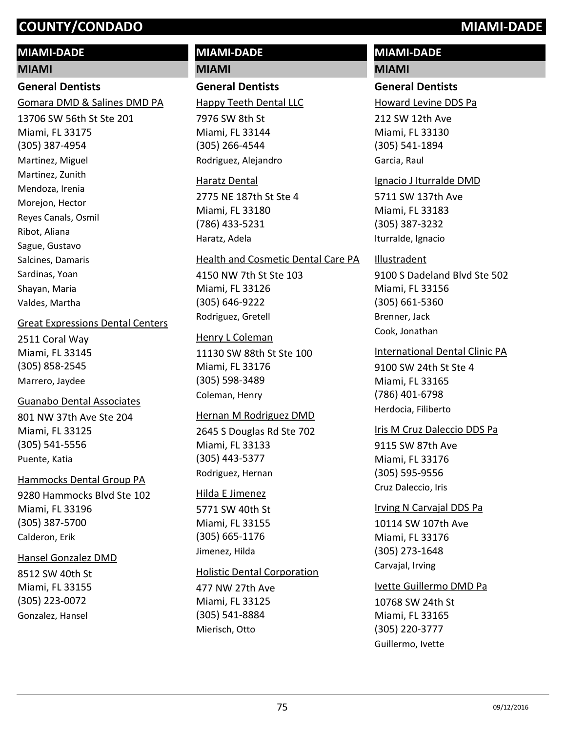## **MIAMI-DADE**

### **MIAMI**

# **General Dentists**

Gomara DMD & Salines DMD PA

13706 SW 56th St Ste 201 Miami, FL 33175 (305) 387-4954 Martinez, Miguel Martinez, Zunith Mendoza, Irenia Morejon, Hector Reyes Canals, Osmil Ribot, Aliana Sague, Gustavo Salcines, Damaris Sardinas, Yoan Shayan, Maria Valdes, Martha

### Great Expressions Dental Centers

2511 Coral Way Miami, FL 33145 (305) 858-2545 Marrero, Jaydee

### Guanabo Dental Associates

801 NW 37th Ave Ste 204 Miami, FL 33125 (305) 541-5556 Puente, Katia

### Hammocks Dental Group PA

9280 Hammocks Blvd Ste 102 Miami, FL 33196 (305) 387-5700 Calderon, Erik

### Hansel Gonzalez DMD

8512 SW 40th St Miami, FL 33155 (305) 223-0072 Gonzalez, Hansel

# **MIAMI-DADE**

**MIAMI**

# **General Dentists**

7976 SW 8th St Miami, FL 33144 (305) 266-4544 Happy Teeth Dental LLC Rodriguez, Alejandro

# Haratz Dental

2775 NE 187th St Ste 4 Miami, FL 33180 (786) 433-5231 Haratz, Adela

### Health and Cosmetic Dental Care PA

4150 NW 7th St Ste 103 Miami, FL 33126 (305) 646-9222 Rodriguez, Gretell

# Henry L Coleman

11130 SW 88th St Ste 100 Miami, FL 33176 (305) 598-3489 Coleman, Henry

## Hernan M Rodriguez DMD

2645 S Douglas Rd Ste 702 Miami, FL 33133 (305) 443-5377 Rodriguez, Hernan

### Hilda E Jimenez

5771 SW 40th St Miami, FL 33155 (305) 665-1176 Jimenez, Hilda

## Holistic Dental Corporation

477 NW 27th Ave Miami, FL 33125 (305) 541-8884 Mierisch, Otto

# **MIAMI-DADE MIAMI**

# **General Dentists**

Howard Levine DDS Pa

212 SW 12th Ave Miami, FL 33130 (305) 541-1894 Garcia, Raul

### Ignacio J Iturralde DMD

5711 SW 137th Ave Miami, FL 33183 (305) 387-3232 Iturralde, Ignacio

# Illustradent

9100 S Dadeland Blvd Ste 502 Miami, FL 33156 (305) 661-5360 Brenner, Jack Cook, Jonathan

9100 SW 24th St Ste 4 Miami, FL 33165 (786) 401-6798 International Dental Clinic PA Herdocia, Filiberto

## Iris M Cruz Daleccio DDS Pa

9115 SW 87th Ave Miami, FL 33176 (305) 595-9556 Cruz Daleccio, Iris

## Irving N Carvajal DDS Pa

10114 SW 107th Ave Miami, FL 33176 (305) 273-1648 Carvajal, Irving

## Ivette Guillermo DMD Pa

10768 SW 24th St Miami, FL 33165 (305) 220-3777 Guillermo, Ivette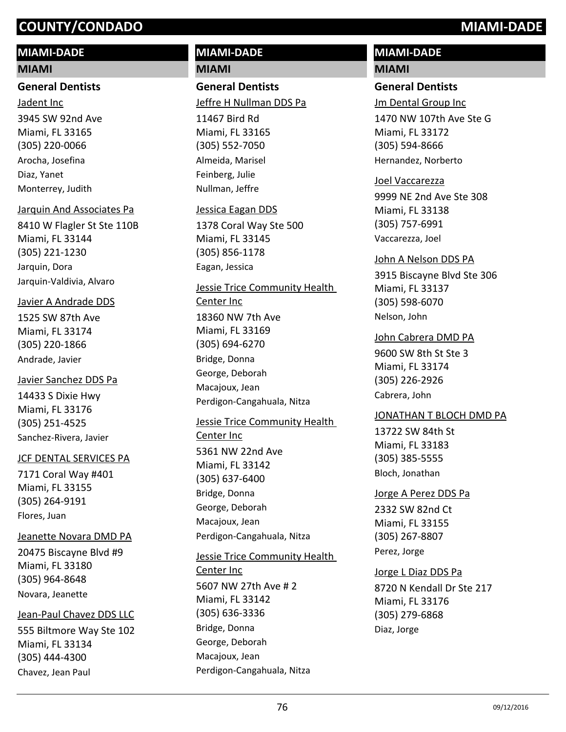# **MIAMI-DADE**

### **MIAMI**

# **General Dentists**

3945 SW 92nd Ave Miami, FL 33165 (305) 220-0066 Jadent Inc Arocha, Josefina Diaz, Yanet Monterrey, Judith

### Jarquin And Associates Pa

8410 W Flagler St Ste 110B Miami, FL 33144 (305) 221-1230 Jarquin, Dora Jarquin-Valdivia, Alvaro

### Javier A Andrade DDS

1525 SW 87th Ave Miami, FL 33174 (305) 220-1866 Andrade, Javier

## Javier Sanchez DDS Pa

14433 S Dixie Hwy Miami, FL 33176 (305) 251-4525 Sanchez-Rivera, Javier

## JCF DENTAL SERVICES PA

7171 Coral Way #401 Miami, FL 33155 (305) 264-9191 Flores, Juan

## Jeanette Novara DMD PA

20475 Biscayne Blvd #9 Miami, FL 33180 (305) 964-8648 Novara, Jeanette

## Jean-Paul Chavez DDS LLC

555 Biltmore Way Ste 102 Miami, FL 33134 (305) 444-4300 Chavez, Jean Paul

# **MIAMI-DADE**

**MIAMI**

# **General Dentists** Jeffre H Nullman DDS Pa

11467 Bird Rd Miami, FL 33165 (305) 552-7050 Almeida, Marisel Feinberg, Julie Nullman, Jeffre

## Jessica Eagan DDS

1378 Coral Way Ste 500 Miami, FL 33145 (305) 856-1178 Eagan, Jessica

### Jessie Trice Community Health

18360 NW 7th Ave Miami, FL 33169 (305) 694-6270 Center Inc Bridge, Donna George, Deborah Macajoux, Jean Perdigon-Cangahuala, Nitza

## Jessie Trice Community Health

5361 NW 22nd Ave Miami, FL 33142 (305) 637-6400 Center Inc Bridge, Donna George, Deborah Macajoux, Jean Perdigon-Cangahuala, Nitza

# 5607 NW 27th Ave # 2 Jessie Trice Community Health Center Inc

Miami, FL 33142 (305) 636-3336 Bridge, Donna George, Deborah Macajoux, Jean Perdigon-Cangahuala, Nitza

# **MIAMI-DADE MIAMI**

# **General Dentists**

Jm Dental Group Inc

1470 NW 107th Ave Ste G Miami, FL 33172 (305) 594-8666 Hernandez, Norberto

# Joel Vaccarezza

9999 NE 2nd Ave Ste 308 Miami, FL 33138 (305) 757-6991 Vaccarezza, Joel

# John A Nelson DDS PA

3915 Biscayne Blvd Ste 306 Miami, FL 33137 (305) 598-6070 Nelson, John

# John Cabrera DMD PA

9600 SW 8th St Ste 3 Miami, FL 33174 (305) 226-2926 Cabrera, John

## JONATHAN T BLOCH DMD PA

13722 SW 84th St Miami, FL 33183 (305) 385-5555 Bloch, Jonathan

# 2332 SW 82nd Ct Jorge A Perez DDS Pa

Miami, FL 33155 (305) 267-8807 Perez, Jorge

# Jorge L Diaz DDS Pa

8720 N Kendall Dr Ste 217 Miami, FL 33176 (305) 279-6868 Diaz, Jorge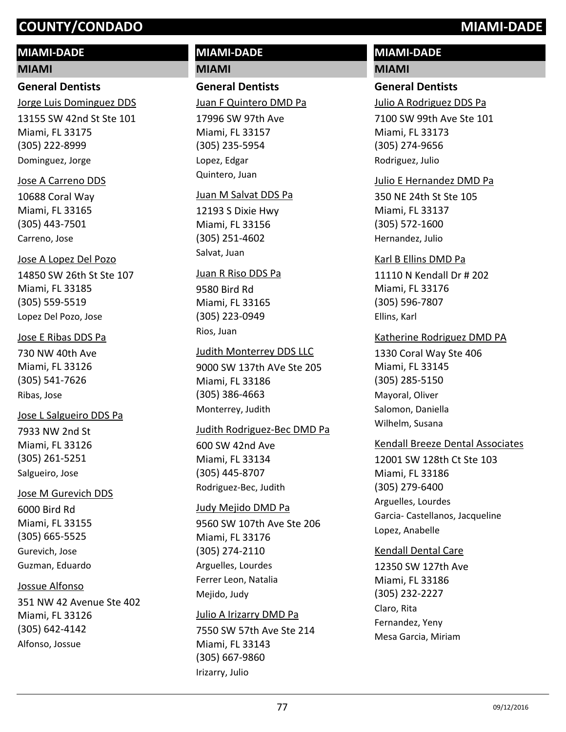# **MIAMI-DADE**

### **MIAMI**

# **General Dentists**

13155 SW 42nd St Ste 101 Miami, FL 33175 (305) 222-8999 Jorge Luis Dominguez DDS Dominguez, Jorge

### Jose A Carreno DDS

10688 Coral Way Miami, FL 33165 (305) 443-7501 Carreno, Jose

### Jose A Lopez Del Pozo

14850 SW 26th St Ste 107 Miami, FL 33185 (305) 559-5519 Lopez Del Pozo, Jose

### Jose E Ribas DDS Pa

730 NW 40th Ave Miami, FL 33126 (305) 541-7626 Ribas, Jose

## Jose L Salgueiro DDS Pa

7933 NW 2nd St Miami, FL 33126 (305) 261-5251 Salgueiro, Jose

### Jose M Gurevich DDS

6000 Bird Rd Miami, FL 33155 (305) 665-5525 Gurevich, Jose Guzman, Eduardo

## Jossue Alfonso

351 NW 42 Avenue Ste 402 Miami, FL 33126 (305) 642-4142 Alfonso, Jossue

# **MIAMI-DADE MIAMI**

# **General Dentists**

Juan F Quintero DMD Pa

17996 SW 97th Ave Miami, FL 33157 (305) 235-5954 Lopez, Edgar Quintero, Juan

### Juan M Salvat DDS Pa

12193 S Dixie Hwy Miami, FL 33156 (305) 251-4602 Salvat, Juan

# Juan R Riso DDS Pa

9580 Bird Rd Miami, FL 33165 (305) 223-0949 Rios, Juan

9000 SW 137th AVe Ste 205 Miami, FL 33186 (305) 386-4663 Judith Monterrey DDS LLC Monterrey, Judith

## Judith Rodriguez-Bec DMD Pa

600 SW 42nd Ave Miami, FL 33134 (305) 445-8707 Rodriguez-Bec, Judith

### Judy Mejido DMD Pa

9560 SW 107th Ave Ste 206 Miami, FL 33176 (305) 274-2110 Arguelles, Lourdes Ferrer Leon, Natalia Mejido, Judy

## Julio A Irizarry DMD Pa

7550 SW 57th Ave Ste 214 Miami, FL 33143 (305) 667-9860 Irizarry, Julio

# **MIAMI-DADE**

# **MIAMI**

# **General Dentists**

Julio A Rodriguez DDS Pa

7100 SW 99th Ave Ste 101 Miami, FL 33173 (305) 274-9656 Rodriguez, Julio

### Julio E Hernandez DMD Pa

350 NE 24th St Ste 105 Miami, FL 33137 (305) 572-1600 Hernandez, Julio

11110 N Kendall Dr # 202 Miami, FL 33176 (305) 596-7807 Karl B Ellins DMD Pa Ellins, Karl

## Katherine Rodriguez DMD PA

1330 Coral Way Ste 406 Miami, FL 33145 (305) 285-5150 Mayoral, Oliver Salomon, Daniella Wilhelm, Susana

## Kendall Breeze Dental Associates

12001 SW 128th Ct Ste 103 Miami, FL 33186 (305) 279-6400 Arguelles, Lourdes Garcia- Castellanos, Jacqueline Lopez, Anabelle

### Kendall Dental Care

12350 SW 127th Ave Miami, FL 33186 (305) 232-2227 Claro, Rita Fernandez, Yeny Mesa Garcia, Miriam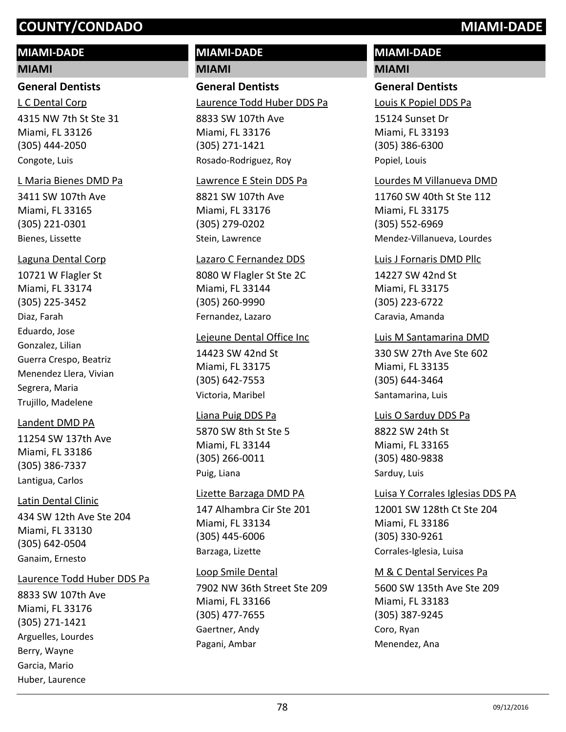# **MIAMI-DADE**

### **MIAMI**

### **General Dentists**

4315 NW 7th St Ste 31 Miami, FL 33126 (305) 444-2050 L C Dental Corp Congote, Luis

### L Maria Bienes DMD Pa

3411 SW 107th Ave Miami, FL 33165 (305) 221-0301 Bienes, Lissette

### Laguna Dental Corp

10721 W Flagler St Miami, FL 33174 (305) 225-3452 Diaz, Farah Eduardo, Jose Gonzalez, Lilian Guerra Crespo, Beatriz Menendez Llera, Vivian Segrera, Maria Trujillo, Madelene

## Landent DMD PA

11254 SW 137th Ave Miami, FL 33186 (305) 386-7337 Lantigua, Carlos

## Latin Dental Clinic

434 SW 12th Ave Ste 204 Miami, FL 33130 (305) 642-0504 Ganaim, Ernesto

## Laurence Todd Huber DDS Pa

8833 SW 107th Ave Miami, FL 33176 (305) 271-1421 Arguelles, Lourdes Berry, Wayne Garcia, Mario Huber, Laurence

# **MIAMI-DADE MIAMI**

# **General Dentists**

8833 SW 107th Ave Miami, FL 33176 (305) 271-1421 Laurence Todd Huber DDS Pa Rosado-Rodriguez, Roy

### Lawrence E Stein DDS Pa

8821 SW 107th Ave Miami, FL 33176 (305) 279-0202 Stein, Lawrence

### Lazaro C Fernandez DDS

8080 W Flagler St Ste 2C Miami, FL 33144 (305) 260-9990 Fernandez, Lazaro

### Lejeune Dental Office Inc

14423 SW 42nd St Miami, FL 33175 (305) 642-7553 Victoria, Maribel

## Liana Puig DDS Pa

5870 SW 8th St Ste 5 Miami, FL 33144 (305) 266-0011 Puig, Liana

## Lizette Barzaga DMD PA

147 Alhambra Cir Ste 201 Miami, FL 33134 (305) 445-6006 Barzaga, Lizette

7902 NW 36th Street Ste 209 Miami, FL 33166 (305) 477-7655 Loop Smile Dental Gaertner, Andy Pagani, Ambar

# **MIAMI-DADE**

# **MIAMI**

# **General Dentists**

Louis K Popiel DDS Pa

15124 Sunset Dr Miami, FL 33193 (305) 386-6300 Popiel, Louis

## Lourdes M Villanueva DMD

11760 SW 40th St Ste 112 Miami, FL 33175 (305) 552-6969 Mendez-Villanueva, Lourdes

### Luis J Fornaris DMD Pllc

14227 SW 42nd St Miami, FL 33175 (305) 223-6722 Caravia, Amanda

# Luis M Santamarina DMD

330 SW 27th Ave Ste 602 Miami, FL 33135 (305) 644-3464 Santamarina, Luis

8822 SW 24th St Miami, FL 33165 Luis O Sarduy DDS Pa

(305) 480-9838 Sarduy, Luis

12001 SW 128th Ct Ste 204 Miami, FL 33186 (305) 330-9261 Luisa Y Corrales Iglesias DDS PA Corrales-Iglesia, Luisa

## M & C Dental Services Pa

5600 SW 135th Ave Ste 209 Miami, FL 33183 (305) 387-9245 Coro, Ryan Menendez, Ana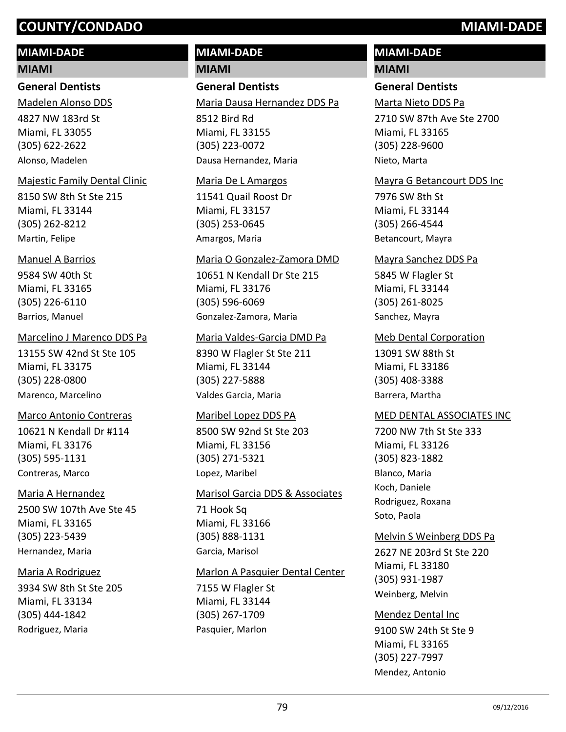# **MIAMI-DADE**

### **MIAMI**

### **General Dentists**

4827 NW 183rd St Miami, FL 33055 (305) 622-2622 Madelen Alonso DDS Alonso, Madelen

## Majestic Family Dental Clinic

8150 SW 8th St Ste 215 Miami, FL 33144 (305) 262-8212 Martin, Felipe

## Manuel A Barrios

9584 SW 40th St Miami, FL 33165 (305) 226-6110 Barrios, Manuel

### Marcelino J Marenco DDS Pa

13155 SW 42nd St Ste 105 Miami, FL 33175 (305) 228-0800 Marenco, Marcelino

## Marco Antonio Contreras

10621 N Kendall Dr #114 Miami, FL 33176 (305) 595-1131 Contreras, Marco

## Maria A Hernandez

2500 SW 107th Ave Ste 45 Miami, FL 33165 (305) 223-5439 Hernandez, Maria

## Maria A Rodriguez

3934 SW 8th St Ste 205 Miami, FL 33134 (305) 444-1842 Rodriguez, Maria

# **MIAMI-DADE**

**MIAMI**

# **General Dentists**

Maria Dausa Hernandez DDS Pa

8512 Bird Rd Miami, FL 33155 (305) 223-0072 Dausa Hernandez, Maria

### Maria De L Amargos

11541 Quail Roost Dr Miami, FL 33157 (305) 253-0645 Amargos, Maria

### Maria O Gonzalez-Zamora DMD

10651 N Kendall Dr Ste 215 Miami, FL 33176 (305) 596-6069 Gonzalez-Zamora, Maria

## Maria Valdes-Garcia DMD Pa

8390 W Flagler St Ste 211 Miami, FL 33144 (305) 227-5888 Valdes Garcia, Maria

### Maribel Lopez DDS PA

8500 SW 92nd St Ste 203 Miami, FL 33156 (305) 271-5321 Lopez, Maribel

### Marisol Garcia DDS & Associates

71 Hook Sq Miami, FL 33166 (305) 888-1131 Garcia, Marisol

## Marlon A Pasquier Dental Center

7155 W Flagler St Miami, FL 33144 (305) 267-1709 Pasquier, Marlon

# **MIAMI-DADE**

# **MIAMI**

# **General Dentists**

Marta Nieto DDS Pa

2710 SW 87th Ave Ste 2700 Miami, FL 33165 (305) 228-9600 Nieto, Marta

### Mayra G Betancourt DDS Inc

7976 SW 8th St Miami, FL 33144 (305) 266-4544 Betancourt, Mayra

### Mayra Sanchez DDS Pa

5845 W Flagler St Miami, FL 33144 (305) 261-8025 Sanchez, Mayra

### Meb Dental Corporation

13091 SW 88th St Miami, FL 33186 (305) 408-3388 Barrera, Martha

### MED DENTAL ASSOCIATES INC

7200 NW 7th St Ste 333 Miami, FL 33126 (305) 823-1882 Blanco, Maria Koch, Daniele Rodriguez, Roxana Soto, Paola

## Melvin S Weinberg DDS Pa

2627 NE 203rd St Ste 220 Miami, FL 33180 (305) 931-1987 Weinberg, Melvin

## Mendez Dental Inc

9100 SW 24th St Ste 9 Miami, FL 33165 (305) 227-7997 Mendez, Antonio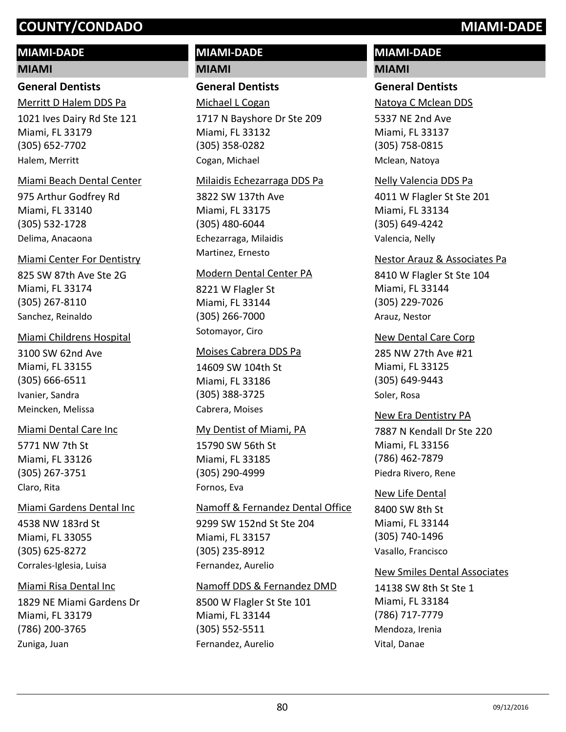# **MIAMI-DADE**

### **MIAMI**

# **General Dentists**

1021 Ives Dairy Rd Ste 121 Miami, FL 33179 (305) 652-7702 Merritt D Halem DDS Pa Halem, Merritt

### Miami Beach Dental Center

975 Arthur Godfrey Rd Miami, FL 33140 (305) 532-1728 Delima, Anacaona

### Miami Center For Dentistry

825 SW 87th Ave Ste 2G Miami, FL 33174 (305) 267-8110 Sanchez, Reinaldo

### Miami Childrens Hospital

3100 SW 62nd Ave Miami, FL 33155 (305) 666-6511 Ivanier, Sandra Meincken, Melissa

## Miami Dental Care Inc

5771 NW 7th St Miami, FL 33126 (305) 267-3751 Claro, Rita

## Miami Gardens Dental Inc

4538 NW 183rd St Miami, FL 33055 (305) 625-8272 Corrales-Iglesia, Luisa

## Miami Risa Dental Inc

1829 NE Miami Gardens Dr Miami, FL 33179 (786) 200-3765 Zuniga, Juan

# **MIAMI-DADE MIAMI**

**General Dentists**

Michael L Cogan

1717 N Bayshore Dr Ste 209 Miami, FL 33132 (305) 358-0282 Cogan, Michael

### Milaidis Echezarraga DDS Pa

3822 SW 137th Ave Miami, FL 33175 (305) 480-6044 Echezarraga, Milaidis Martinez, Ernesto

### Modern Dental Center PA

8221 W Flagler St Miami, FL 33144 (305) 266-7000 Sotomayor, Ciro

### Moises Cabrera DDS Pa

14609 SW 104th St Miami, FL 33186 (305) 388-3725 Cabrera, Moises

### My Dentist of Miami, PA

15790 SW 56th St Miami, FL 33185 (305) 290-4999 Fornos, Eva

## Namoff & Fernandez Dental Office

9299 SW 152nd St Ste 204 Miami, FL 33157 (305) 235-8912 Fernandez, Aurelio

## Namoff DDS & Fernandez DMD

8500 W Flagler St Ste 101 Miami, FL 33144 (305) 552-5511 Fernandez, Aurelio

# **MIAMI-DADE**

# **MIAMI**

# **General Dentists**

Natoya C Mclean DDS

5337 NE 2nd Ave Miami, FL 33137 (305) 758-0815 Mclean, Natoya

### Nelly Valencia DDS Pa

4011 W Flagler St Ste 201 Miami, FL 33134 (305) 649-4242 Valencia, Nelly

### Nestor Arauz & Associates Pa

8410 W Flagler St Ste 104 Miami, FL 33144 (305) 229-7026 Arauz, Nestor

## New Dental Care Corp

285 NW 27th Ave #21 Miami, FL 33125 (305) 649-9443 Soler, Rosa

## New Era Dentistry PA

7887 N Kendall Dr Ste 220 Miami, FL 33156 (786) 462-7879 Piedra Rivero, Rene

# New Life Dental

8400 SW 8th St Miami, FL 33144 (305) 740-1496 Vasallo, Francisco

## New Smiles Dental Associates

14138 SW 8th St Ste 1 Miami, FL 33184 (786) 717-7779 Mendoza, Irenia Vital, Danae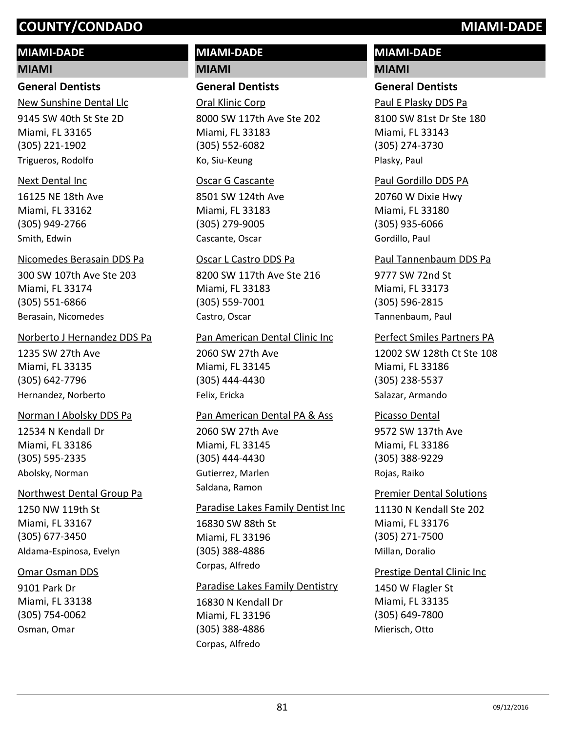# **MIAMI-DADE**

### **MIAMI**

# **General Dentists**

9145 SW 40th St Ste 2D Miami, FL 33165 (305) 221-1902 New Sunshine Dental Llc Trigueros, Rodolfo

### Next Dental Inc

16125 NE 18th Ave Miami, FL 33162 (305) 949-2766 Smith, Edwin

## Nicomedes Berasain DDS Pa

300 SW 107th Ave Ste 203 Miami, FL 33174 (305) 551-6866 Berasain, Nicomedes

### Norberto J Hernandez DDS Pa

1235 SW 27th Ave Miami, FL 33135 (305) 642-7796 Hernandez, Norberto

## Norman I Abolsky DDS Pa

12534 N Kendall Dr Miami, FL 33186 (305) 595-2335 Abolsky, Norman

## Northwest Dental Group Pa

1250 NW 119th St Miami, FL 33167 (305) 677-3450 Aldama-Espinosa, Evelyn

## Omar Osman DDS

9101 Park Dr Miami, FL 33138 (305) 754-0062 Osman, Omar

# **MIAMI-DADE MIAMI**

# **General Dentists**

8000 SW 117th Ave Ste 202 Miami, FL 33183 (305) 552-6082 Oral Klinic Corp Ko, Siu-Keung

### Oscar G Cascante

8501 SW 124th Ave Miami, FL 33183 (305) 279-9005 Cascante, Oscar

### Oscar L Castro DDS Pa

8200 SW 117th Ave Ste 216 Miami, FL 33183 (305) 559-7001 Castro, Oscar

# Pan American Dental Clinic Inc

2060 SW 27th Ave Miami, FL 33145 (305) 444-4430 Felix, Ericka

## Pan American Dental PA & Ass

2060 SW 27th Ave Miami, FL 33145 (305) 444-4430 Gutierrez, Marlen Saldana, Ramon

## Paradise Lakes Family Dentist Inc

16830 SW 88th St Miami, FL 33196 (305) 388-4886 Corpas, Alfredo

## Paradise Lakes Family Dentistry

16830 N Kendall Dr Miami, FL 33196 (305) 388-4886 Corpas, Alfredo

# **MIAMI-DADE MIAMI**

# **General Dentists**

8100 SW 81st Dr Ste 180 Miami, FL 33143 (305) 274-3730 Paul E Plasky DDS Pa Plasky, Paul

## Paul Gordillo DDS PA

20760 W Dixie Hwy Miami, FL 33180 (305) 935-6066 Gordillo, Paul

### Paul Tannenbaum DDS Pa

9777 SW 72nd St Miami, FL 33173 (305) 596-2815 Tannenbaum, Paul

# Perfect Smiles Partners PA

12002 SW 128th Ct Ste 108 Miami, FL 33186 (305) 238-5537 Salazar, Armando

# 9572 SW 137th Ave Picasso Dental

Miami, FL 33186 (305) 388-9229 Rojas, Raiko

# 11130 N Kendall Ste 202 Miami, FL 33176 (305) 271-7500 Premier Dental Solutions Millan, Doralio

## Prestige Dental Clinic Inc

1450 W Flagler St Miami, FL 33135 (305) 649-7800 Mierisch, Otto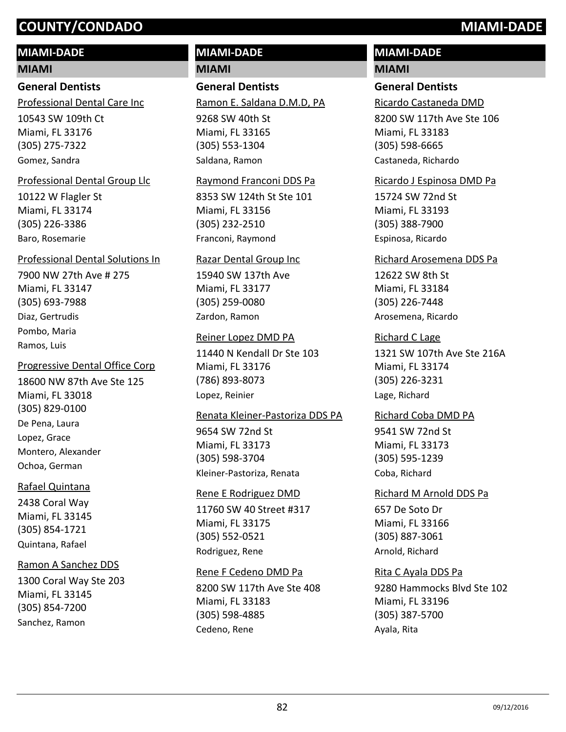# **MIAMI-DADE**

# **MIAMI**

# **General Dentists**

Professional Dental Care Inc

10543 SW 109th Ct Miami, FL 33176 (305) 275-7322 Gomez, Sandra

# Professional Dental Group Llc

10122 W Flagler St Miami, FL 33174 (305) 226-3386 Baro, Rosemarie

# Professional Dental Solutions In

7900 NW 27th Ave # 275 Miami, FL 33147 (305) 693-7988 Diaz, Gertrudis Pombo, Maria Ramos, Luis

# Progressive Dental Office Corp

18600 NW 87th Ave Ste 125 Miami, FL 33018 (305) 829-0100 De Pena, Laura Lopez, Grace Montero, Alexander Ochoa, German

# Rafael Quintana

2438 Coral Way Miami, FL 33145 (305) 854-1721 Quintana, Rafael

# Ramon A Sanchez DDS

1300 Coral Way Ste 203 Miami, FL 33145 (305) 854-7200 Sanchez, Ramon

# **MIAMI-DADE**

**MIAMI**

# **General Dentists**

Ramon E. Saldana D.M.D, PA

9268 SW 40th St Miami, FL 33165 (305) 553-1304 Saldana, Ramon

# Raymond Franconi DDS Pa

8353 SW 124th St Ste 101 Miami, FL 33156 (305) 232-2510 Franconi, Raymond

# Razar Dental Group Inc

15940 SW 137th Ave Miami, FL 33177 (305) 259-0080 Zardon, Ramon

# Reiner Lopez DMD PA

11440 N Kendall Dr Ste 103 Miami, FL 33176 (786) 893-8073 Lopez, Reinier

# Renata Kleiner-Pastoriza DDS PA

9654 SW 72nd St Miami, FL 33173 (305) 598-3704 Kleiner-Pastoriza, Renata

# Rene E Rodriguez DMD

11760 SW 40 Street #317 Miami, FL 33175 (305) 552-0521 Rodriguez, Rene

# Rene F Cedeno DMD Pa

8200 SW 117th Ave Ste 408 Miami, FL 33183 (305) 598-4885 Cedeno, Rene

# **MIAMI-DADE**

# **MIAMI**

# **General Dentists**

Ricardo Castaneda DMD

8200 SW 117th Ave Ste 106 Miami, FL 33183 (305) 598-6665 Castaneda, Richardo

## Ricardo J Espinosa DMD Pa

15724 SW 72nd St Miami, FL 33193 (305) 388-7900 Espinosa, Ricardo

## Richard Arosemena DDS Pa

12622 SW 8th St Miami, FL 33184 (305) 226-7448 Arosemena, Ricardo

# Richard C Lage

1321 SW 107th Ave Ste 216A Miami, FL 33174 (305) 226-3231 Lage, Richard

## Richard Coba DMD PA

9541 SW 72nd St Miami, FL 33173 (305) 595-1239 Coba, Richard

# 657 De Soto Dr Miami, FL 33166 (305) 887-3061 Richard M Arnold DDS Pa Arnold, Richard

# Rita C Ayala DDS Pa

9280 Hammocks Blvd Ste 102 Miami, FL 33196 (305) 387-5700 Ayala, Rita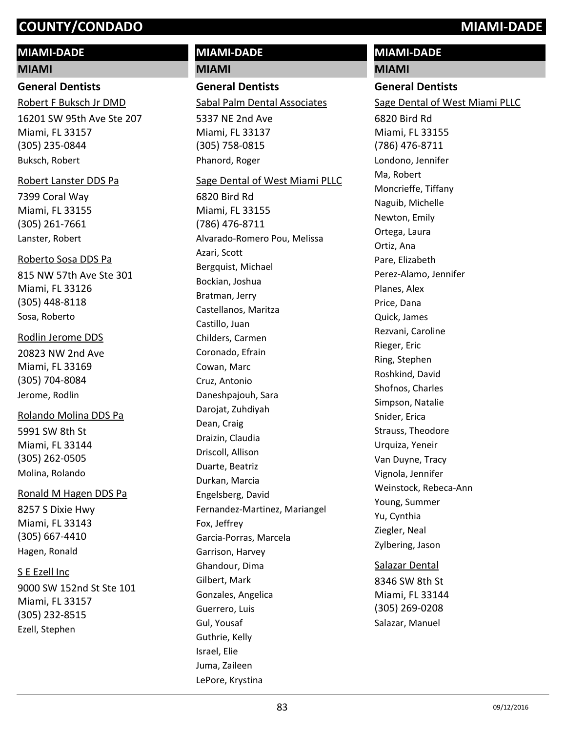# **MIAMI-DADE**

### **MIAMI**

# **General Dentists**

16201 SW 95th Ave Ste 207 Miami, FL 33157 (305) 235-0844 Robert F Buksch Jr DMD Buksch, Robert

### Robert Lanster DDS Pa

7399 Coral Way Miami, FL 33155 (305) 261-7661 Lanster, Robert

### Roberto Sosa DDS Pa

815 NW 57th Ave Ste 301 Miami, FL 33126 (305) 448-8118 Sosa, Roberto

### Rodlin Jerome DDS

20823 NW 2nd Ave Miami, FL 33169 (305) 704-8084 Jerome, Rodlin

# Rolando Molina DDS Pa

5991 SW 8th St Miami, FL 33144 (305) 262-0505 Molina, Rolando

## Ronald M Hagen DDS Pa

8257 S Dixie Hwy Miami, FL 33143 (305) 667-4410 Hagen, Ronald

## S E Ezell Inc

9000 SW 152nd St Ste 101 Miami, FL 33157 (305) 232-8515 Ezell, Stephen

# **MIAMI-DADE MIAMI**

**General Dentists** Sabal Palm Dental Associates

5337 NE 2nd Ave Miami, FL 33137 (305) 758-0815 Phanord, Roger

### Sage Dental of West Miami PLLC

6820 Bird Rd Miami, FL 33155 (786) 476-8711 Alvarado-Romero Pou, Melissa Azari, Scott Bergquist, Michael Bockian, Joshua Bratman, Jerry Castellanos, Maritza Castillo, Juan Childers, Carmen Coronado, Efrain Cowan, Marc Cruz, Antonio Daneshpajouh, Sara Darojat, Zuhdiyah Dean, Craig Draizin, Claudia Driscoll, Allison Duarte, Beatriz Durkan, Marcia Engelsberg, David Fernandez-Martinez, Mariangel Fox, Jeffrey Garcia-Porras, Marcela Garrison, Harvey Ghandour, Dima Gilbert, Mark Gonzales, Angelica Guerrero, Luis Gul, Yousaf Guthrie, Kelly Israel, Elie Juma, Zaileen LePore, Krystina

# **MIAMI General Dentists** 6820 Bird Rd Miami, FL 33155 (786) 476-8711 Sage Dental of West Miami PLLC Londono, Jennifer Ma, Robert Moncrieffe, Tiffany Naguib, Michelle Newton, Emily Ortega, Laura Ortiz, Ana Pare, Elizabeth Perez-Alamo, Jennifer Planes, Alex Price, Dana Quick, James Rezvani, Caroline Rieger, Eric Ring, Stephen Roshkind, David Shofnos, Charles Simpson, Natalie Snider, Erica Strauss, Theodore Urquiza, Yeneir Van Duyne, Tracy Vignola, Jennifer Weinstock, Rebeca-Ann Young, Summer Yu, Cynthia Ziegler, Neal Zylbering, Jason Salazar Dental

**MIAMI-DADE**

8346 SW 8th St Miami, FL 33144 (305) 269-0208 Salazar, Manuel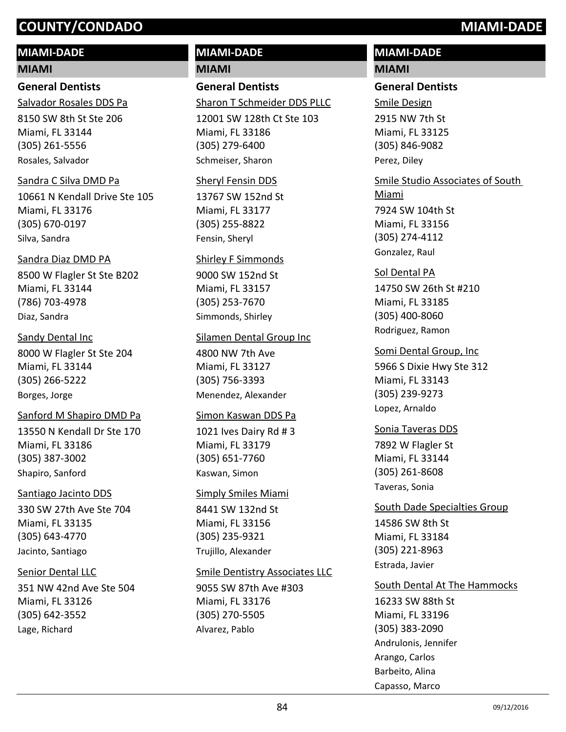# **MIAMI-DADE**

### **MIAMI**

**General Dentists** Salvador Rosales DDS Pa

8150 SW 8th St Ste 206 Miami, FL 33144 (305) 261-5556 Rosales, Salvador

### Sandra C Silva DMD Pa

10661 N Kendall Drive Ste 105 Miami, FL 33176 (305) 670-0197 Silva, Sandra

### Sandra Diaz DMD PA

8500 W Flagler St Ste B202 Miami, FL 33144 (786) 703-4978 Diaz, Sandra

### Sandy Dental Inc

8000 W Flagler St Ste 204 Miami, FL 33144 (305) 266-5222 Borges, Jorge

### Sanford M Shapiro DMD Pa

13550 N Kendall Dr Ste 170 Miami, FL 33186 (305) 387-3002 Shapiro, Sanford

### Santiago Jacinto DDS

330 SW 27th Ave Ste 704 Miami, FL 33135 (305) 643-4770 Jacinto, Santiago

## Senior Dental LLC

351 NW 42nd Ave Ste 504 Miami, FL 33126 (305) 642-3552 Lage, Richard

# **MIAMI-DADE**

**MIAMI**

# **General Dentists**

Sharon T Schmeider DDS PLLC

12001 SW 128th Ct Ste 103 Miami, FL 33186 (305) 279-6400 Schmeiser, Sharon

### Sheryl Fensin DDS

13767 SW 152nd St Miami, FL 33177 (305) 255-8822 Fensin, Sheryl

### Shirley F Simmonds

9000 SW 152nd St Miami, FL 33157 (305) 253-7670 Simmonds, Shirley

### Silamen Dental Group Inc

4800 NW 7th Ave Miami, FL 33127 (305) 756-3393 Menendez, Alexander

### Simon Kaswan DDS Pa

1021 Ives Dairy Rd # 3 Miami, FL 33179 (305) 651-7760 Kaswan, Simon

# 8441 SW 132nd St Simply Smiles Miami

Miami, FL 33156 (305) 235-9321 Trujillo, Alexander

### Smile Dentistry Associates LLC

9055 SW 87th Ave #303 Miami, FL 33176 (305) 270-5505 Alvarez, Pablo

# **MIAMI-DADE**

# **MIAMI**

# **General Dentists**

2915 NW 7th St Miami, FL 33125 (305) 846-9082 Smile Design Perez, Diley

# 7924 SW 104th St Miami, FL 33156 (305) 274-4112 Smile Studio Associates of South Miami Gonzalez, Raul

# 14750 SW 26th St #210 Miami, FL 33185 (305) 400-8060 Sol Dental PA Rodriguez, Ramon

5966 S Dixie Hwy Ste 312 Miami, FL 33143 (305) 239-9273 Somi Dental Group, Inc Lopez, Arnaldo

# 7892 W Flagler St Miami, FL 33144 (305) 261-8608 Sonia Taveras DDS Taveras, Sonia

## South Dade Specialties Group

14586 SW 8th St Miami, FL 33184 (305) 221-8963 Estrada, Javier

## South Dental At The Hammocks

16233 SW 88th St Miami, FL 33196 (305) 383-2090 Andrulonis, Jennifer Arango, Carlos Barbeito, Alina Capasso, Marco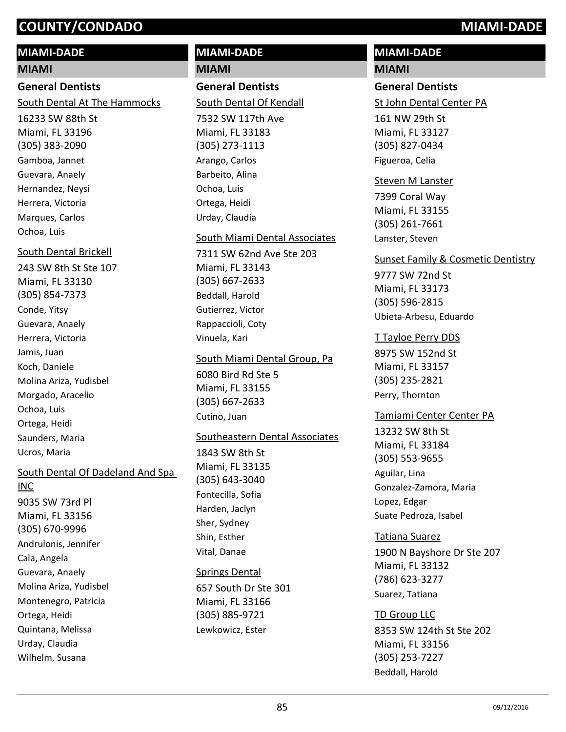# **MIAMI-DADE**

# **MIAMI**

# **General Dentists**

South Dental At The Hammocks

16233 SW 88th St Miami, FL 33196 (305) 383-2090 Gamboa, Jannet Guevara, Anaely Hernandez, Neysi Herrera, Victoria Marques, Carlos Ochoa, Luis

# South Dental Brickell

243 SW 8th St Ste 107 Miami, FL 33130 (305) 854-7373 Conde, Yitsy Guevara, Anaely Herrera, Victoria Jamis, Juan Koch, Daniele Molina Ariza, Yudisbel Morgado, Aracelio Ochoa, Luis Ortega, Heidi Saunders, Maria Ucros, Maria

# South Dental Of Dadeland And Spa

9035 SW 73rd Pl Miami, FL 33156 (305) 670-9996 INC Andrulonis, Jennifer Cala, Angela Guevara, Anaely Molina Ariza, Yudisbel Montenegro, Patricia Ortega, Heidi Quintana, Melissa Urday, Claudia Wilhelm, Susana

# **MIAMI-DADE**

**MIAMI**

# **General Dentists**

South Dental Of Kendall

7532 SW 117th Ave Miami, FL 33183 (305) 273-1113 Arango, Carlos Barbeito, Alina Ochoa, Luis Ortega, Heidi Urday, Claudia

## South Miami Dental Associates

7311 SW 62nd Ave Ste 203 Miami, FL 33143 (305) 667-2633 Beddall, Harold Gutierrez, Victor Rappaccioli, Coty Vinuela, Kari

### South Miami Dental Group, Pa

6080 Bird Rd Ste 5 Miami, FL 33155 (305) 667-2633 Cutino, Juan

## Southeastern Dental Associates

1843 SW 8th St Miami, FL 33135 (305) 643-3040 Fontecilla, Sofia Harden, Jaclyn Sher, Sydney Shin, Esther Vital, Danae

## Springs Dental

657 South Dr Ste 301 Miami, FL 33166 (305) 885-9721 Lewkowicz, Ester

# **MIAMI-DADE**

# **MIAMI**

# **General Dentists**

St John Dental Center PA

161 NW 29th St Miami, FL 33127 (305) 827-0434 Figueroa, Celia

# Steven M Lanster

7399 Coral Way Miami, FL 33155 (305) 261-7661 Lanster, Steven

## Sunset Family & Cosmetic Dentistry

9777 SW 72nd St Miami, FL 33173 (305) 596-2815 Ubieta-Arbesu, Eduardo

# T Tayloe Perry DDS

8975 SW 152nd St Miami, FL 33157 (305) 235-2821 Perry, Thornton

# Tamiami Center Center PA

13232 SW 8th St Miami, FL 33184 (305) 553-9655 Aguilar, Lina Gonzalez-Zamora, Maria Lopez, Edgar Suate Pedroza, Isabel

1900 N Bayshore Dr Ste 207 Miami, FL 33132 (786) 623-3277 Tatiana Suarez Suarez, Tatiana

# TD Group LLC

8353 SW 124th St Ste 202 Miami, FL 33156 (305) 253-7227 Beddall, Harold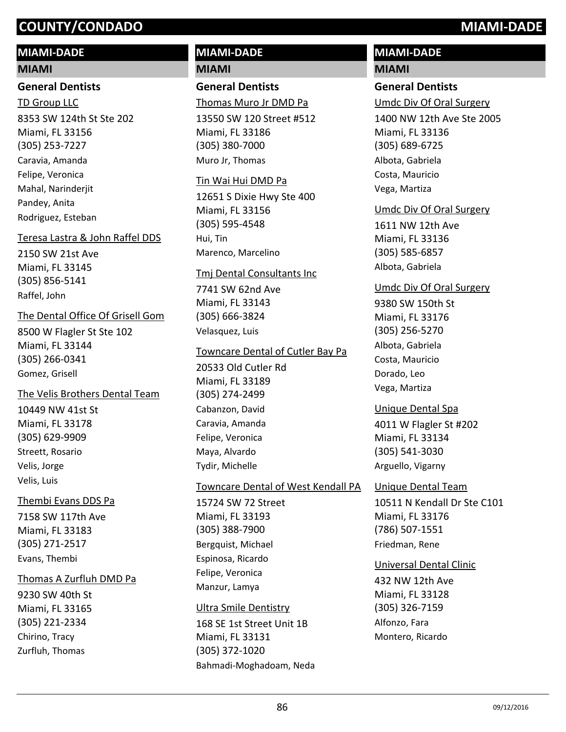# **MIAMI-DADE**

### **MIAMI**

## **General Dentists**

8353 SW 124th St Ste 202 Miami, FL 33156 (305) 253-7227 TD Group LLC Caravia, Amanda Felipe, Veronica Mahal, Narinderiit Pandey, Anita Rodriguez, Esteban

## Teresa Lastra & John Raffel DDS

2150 SW 21st Ave Miami, FL 33145 (305) 856-5141 Raffel, John

# The Dental Office Of Grisell Gom

8500 W Flagler St Ste 102 Miami, FL 33144 (305) 266-0341 Gomez, Grisell

# The Velis Brothers Dental Team

10449 NW 41st St Miami, FL 33178 (305) 629-9909 Streett, Rosario Velis, Jorge Velis, Luis

## Thembi Evans DDS Pa

7158 SW 117th Ave Miami, FL 33183 (305) 271-2517 Evans, Thembi

## Thomas A Zurfluh DMD Pa

9230 SW 40th St Miami, FL 33165 (305) 221-2334 Chirino, Tracy Zurfluh, Thomas

# **MIAMI-DADE MIAMI**

# **General Dentists**

Thomas Muro Jr DMD Pa

13550 SW 120 Street #512 Miami, FL 33186 (305) 380-7000 Muro Jr, Thomas

### Tin Wai Hui DMD Pa

12651 S Dixie Hwy Ste 400 Miami, FL 33156 (305) 595-4548 Hui, Tin Marenco, Marcelino

### Tmj Dental Consultants Inc

7741 SW 62nd Ave Miami, FL 33143 (305) 666-3824 Velasquez, Luis

# Towncare Dental of Cutler Bay Pa

20533 Old Cutler Rd Miami, FL 33189 (305) 274-2499 Cabanzon, David Caravia, Amanda Felipe, Veronica Maya, Alvardo Tydir, Michelle

# Towncare Dental of West Kendall PA

15724 SW 72 Street Miami, FL 33193 (305) 388-7900 Bergquist, Michael Espinosa, Ricardo Felipe, Veronica Manzur, Lamya

## Ultra Smile Dentistry

168 SE 1st Street Unit 1B Miami, FL 33131 (305) 372-1020 Bahmadi-Moghadoam, Neda

# **MIAMI-DADE**

# **MIAMI**

# **General Dentists**

Umdc Div Of Oral Surgery

1400 NW 12th Ave Ste 2005 Miami, FL 33136 (305) 689-6725 Albota, Gabriela Costa, Mauricio Vega, Martiza

# Umdc Div Of Oral Surgery

1611 NW 12th Ave Miami, FL 33136 (305) 585-6857 Albota, Gabriela

# Umdc Div Of Oral Surgery

9380 SW 150th St Miami, FL 33176 (305) 256-5270 Albota, Gabriela Costa, Mauricio Dorado, Leo Vega, Martiza

# Unique Dental Spa

4011 W Flagler St #202 Miami, FL 33134 (305) 541-3030 Arguello, Vigarny

# Unique Dental Team

10511 N Kendall Dr Ste C101 Miami, FL 33176 (786) 507-1551 Friedman, Rene

## Universal Dental Clinic

432 NW 12th Ave Miami, FL 33128 (305) 326-7159 Alfonzo, Fara Montero, Ricardo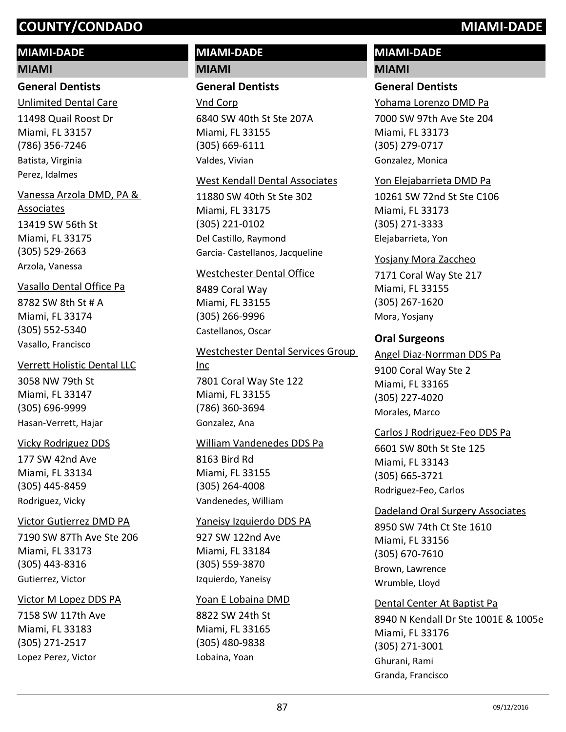# **MIAMI-DADE**

### **MIAMI**

# **General Dentists**

Unlimited Dental Care

11498 Quail Roost Dr Miami, FL 33157 (786) 356-7246 Batista, Virginia Perez, Idalmes

# Vanessa Arzola DMD, PA &

13419 SW 56th St Miami, FL 33175 (305) 529-2663 Associates Arzola, Vanessa

## Vasallo Dental Office Pa

8782 SW 8th St # A Miami, FL 33174 (305) 552-5340 Vasallo, Francisco

## Verrett Holistic Dental LLC

3058 NW 79th St Miami, FL 33147 (305) 696-9999 Hasan-Verrett, Hajar

## Vicky Rodriguez DDS

177 SW 42nd Ave Miami, FL 33134 (305) 445-8459 Rodriguez, Vicky

## Victor Gutierrez DMD PA

7190 SW 87Th Ave Ste 206 Miami, FL 33173 (305) 443-8316 Gutierrez, Victor

## Victor M Lopez DDS PA

7158 SW 117th Ave Miami, FL 33183 (305) 271-2517 Lopez Perez, Victor

# **MIAMI-DADE**

**MIAMI**

# **General Dentists**

6840 SW 40th St Ste 207A Miami, FL 33155 (305) 669-6111 Vnd Corp Valdes, Vivian

### West Kendall Dental Associates

11880 SW 40th St Ste 302 Miami, FL 33175 (305) 221-0102 Del Castillo, Raymond Garcia- Castellanos, Jacqueline

### Westchester Dental Office

8489 Coral Way Miami, FL 33155 (305) 266-9996 Castellanos, Oscar

# 7801 Coral Way Ste 122 Miami, FL 33155 (786) 360-3694 Westchester Dental Services Group Inc Gonzalez, Ana

## William Vandenedes DDS Pa

8163 Bird Rd Miami, FL 33155 (305) 264-4008 Vandenedes, William

### Yaneisy Izquierdo DDS PA

927 SW 122nd Ave Miami, FL 33184 (305) 559-3870 Izquierdo, Yaneisy

## Yoan E Lobaina DMD

8822 SW 24th St Miami, FL 33165 (305) 480-9838 Lobaina, Yoan

# **MIAMI-DADE**

# **MIAMI**

# **General Dentists**

Yohama Lorenzo DMD Pa

7000 SW 97th Ave Ste 204 Miami, FL 33173 (305) 279-0717 Gonzalez, Monica

### Yon Elejabarrieta DMD Pa

10261 SW 72nd St Ste C106 Miami, FL 33173 (305) 271-3333 Elejabarrieta, Yon

### Yosjany Mora Zaccheo

7171 Coral Way Ste 217 Miami, FL 33155 (305) 267-1620 Mora, Yosjany

## **Oral Surgeons**

### Angel Diaz-Norrman DDS Pa

9100 Coral Way Ste 2 Miami, FL 33165 (305) 227-4020 Morales, Marco

# Carlos J Rodriguez-Feo DDS Pa

6601 SW 80th St Ste 125 Miami, FL 33143 (305) 665-3721 Rodriguez-Feo, Carlos

### Dadeland Oral Surgery Associates

8950 SW 74th Ct Ste 1610 Miami, FL 33156 (305) 670-7610 Brown, Lawrence Wrumble, Lloyd

### Dental Center At Baptist Pa

8940 N Kendall Dr Ste 1001E & 1005e Miami, FL 33176 (305) 271-3001 Ghurani, Rami Granda, Francisco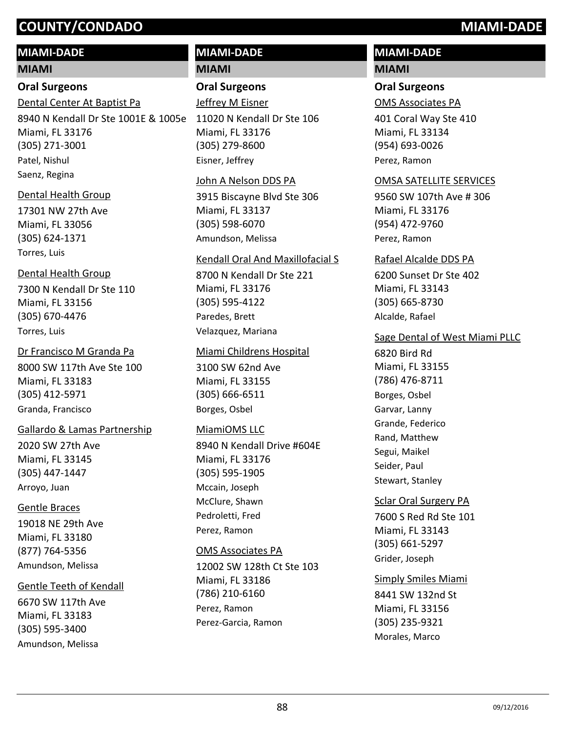# **MIAMI-DADE**

# **MIAMI**

# **Oral Surgeons**

Dental Center At Baptist Pa

8940 N Kendall Dr Ste 1001E & 1005e Miami, FL 33176 (305) 271-3001 Patel, Nishul Saenz, Regina

# Dental Health Group

17301 NW 27th Ave Miami, FL 33056 (305) 624-1371 Torres, Luis

# Dental Health Group

7300 N Kendall Dr Ste 110 Miami, FL 33156 (305) 670-4476 Torres, Luis

# Dr Francisco M Granda Pa

8000 SW 117th Ave Ste 100 Miami, FL 33183 (305) 412-5971 Granda, Francisco

# Gallardo & Lamas Partnership

2020 SW 27th Ave Miami, FL 33145 (305) 447-1447 Arroyo, Juan

# Gentle Braces

19018 NE 29th Ave Miami, FL 33180 (877) 764-5356 Amundson, Melissa

# Gentle Teeth of Kendall

6670 SW 117th Ave Miami, FL 33183 (305) 595-3400 Amundson, Melissa

# **MIAMI-DADE**

**MIAMI**

# **Oral Surgeons**

11020 N Kendall Dr Ste 106 Miami, FL 33176 (305) 279-8600 Jeffrey M Eisner Eisner, Jeffrey

### John A Nelson DDS PA

3915 Biscayne Blvd Ste 306 Miami, FL 33137 (305) 598-6070 Amundson, Melissa

# Kendall Oral And Maxillofacial S

8700 N Kendall Dr Ste 221 Miami, FL 33176 (305) 595-4122 Paredes, Brett Velazquez, Mariana

## Miami Childrens Hospital

3100 SW 62nd Ave Miami, FL 33155 (305) 666-6511 Borges, Osbel

# MiamiOMS LLC

8940 N Kendall Drive #604E Miami, FL 33176 (305) 595-1905 Mccain, Joseph McClure, Shawn Pedroletti, Fred Perez, Ramon

## OMS Associates PA

12002 SW 128th Ct Ste 103 Miami, FL 33186 (786) 210-6160 Perez, Ramon Perez-Garcia, Ramon

# **MIAMI-DADE**

# **MIAMI**

# **Oral Surgeons**

OMS Associates PA

401 Coral Way Ste 410 Miami, FL 33134 (954) 693-0026 Perez, Ramon

## OMSA SATELLITE SERVICES

9560 SW 107th Ave # 306 Miami, FL 33176 (954) 472-9760 Perez, Ramon

### Rafael Alcalde DDS PA

6200 Sunset Dr Ste 402 Miami, FL 33143 (305) 665-8730 Alcalde, Rafael

# Sage Dental of West Miami PLLC

6820 Bird Rd Miami, FL 33155 (786) 476-8711 Borges, Osbel Garvar, Lanny Grande, Federico Rand, Matthew Segui, Maikel Seider, Paul Stewart, Stanley

# Sclar Oral Surgery PA

7600 S Red Rd Ste 101 Miami, FL 33143 (305) 661-5297 Grider, Joseph

# Simply Smiles Miami

8441 SW 132nd St Miami, FL 33156 (305) 235-9321 Morales, Marco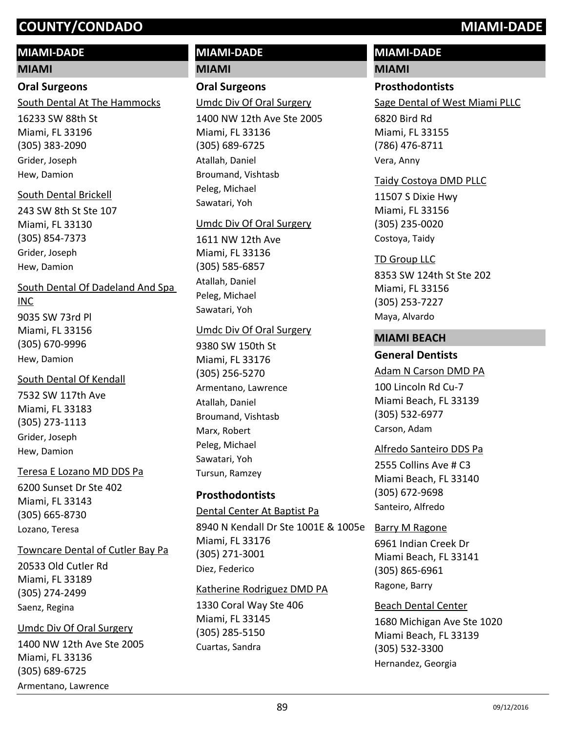# **MIAMI-DADE**

# **MIAMI**

# **Oral Surgeons**

South Dental At The Hammocks

16233 SW 88th St Miami, FL 33196 (305) 383-2090 Grider, Joseph Hew, Damion

# South Dental Brickell

243 SW 8th St Ste 107 Miami, FL 33130 (305) 854-7373 Grider, Joseph Hew, Damion

South Dental Of Dadeland And Spa

# INC

9035 SW 73rd Pl Miami, FL 33156 (305) 670-9996 Hew, Damion

# South Dental Of Kendall

7532 SW 117th Ave Miami, FL 33183 (305) 273-1113 Grider, Joseph Hew, Damion

# Teresa E Lozano MD DDS Pa

6200 Sunset Dr Ste 402 Miami, FL 33143 (305) 665-8730 Lozano, Teresa

# Towncare Dental of Cutler Bay Pa

20533 Old Cutler Rd Miami, FL 33189 (305) 274-2499 Saenz, Regina

# 1400 NW 12th Ave Ste 2005 Miami, FL 33136 (305) 689-6725 Umdc Div Of Oral Surgery Armentano, Lawrence

# **MIAMI-DADE**

**MIAMI**

# **Oral Surgeons**

Umdc Div Of Oral Surgery

1400 NW 12th Ave Ste 2005 Miami, FL 33136 (305) 689-6725 Atallah, Daniel Broumand, Vishtasb Peleg, Michael Sawatari, Yoh

# Umdc Div Of Oral Surgery

1611 NW 12th Ave Miami, FL 33136 (305) 585-6857 Atallah, Daniel Peleg, Michael Sawatari, Yoh

# Umdc Div Of Oral Surgery

9380 SW 150th St Miami, FL 33176 (305) 256-5270 Armentano, Lawrence Atallah, Daniel Broumand, Vishtasb Marx, Robert Peleg, Michael Sawatari, Yoh Tursun, Ramzey

# **Prosthodontists**

Dental Center At Baptist Pa

8940 N Kendall Dr Ste 1001E & 1005e Barry M Ragone Miami, FL 33176 (305) 271-3001 Diez, Federico

# Katherine Rodriguez DMD PA

1330 Coral Way Ste 406 Miami, FL 33145 (305) 285-5150 Cuartas, Sandra

# **MIAMI-DADE**

## **MIAMI**

# **Prosthodontists**

Sage Dental of West Miami PLLC

6820 Bird Rd Miami, FL 33155 (786) 476-8711 Vera, Anny

# Taidy Costoya DMD PLLC

11507 S Dixie Hwy Miami, FL 33156 (305) 235-0020 Costoya, Taidy

# TD Group LLC

8353 SW 124th St Ste 202 Miami, FL 33156 (305) 253-7227 Maya, Alvardo

# **MIAMI BEACH**

# **General Dentists**

Adam N Carson DMD PA

100 Lincoln Rd Cu-7 Miami Beach, FL 33139 (305) 532-6977 Carson, Adam

# Alfredo Santeiro DDS Pa

2555 Collins Ave # C3 Miami Beach, FL 33140 (305) 672-9698 Santeiro, Alfredo

6961 Indian Creek Dr Miami Beach, FL 33141 (305) 865-6961 Ragone, Barry

# Beach Dental Center

1680 Michigan Ave Ste 1020 Miami Beach, FL 33139 (305) 532-3300 Hernandez, Georgia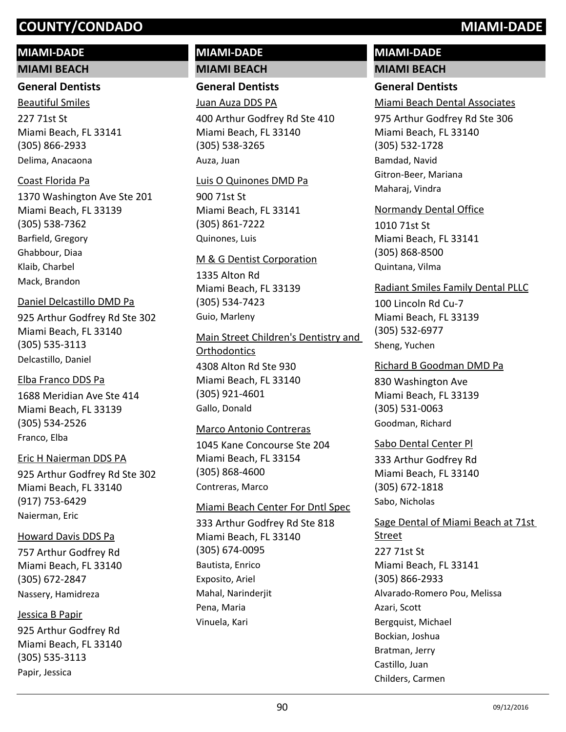# **MIAMI-DADE**

**MIAMI BEACH**

## **General Dentists**

227 71st St Miami Beach, FL 33141 (305) 866-2933 Beautiful Smiles Delima, Anacaona

# Coast Florida Pa

1370 Washington Ave Ste 201 Miami Beach, FL 33139 (305) 538-7362 Barfield, Gregory Ghabbour, Diaa Klaib, Charbel Mack, Brandon

# Daniel Delcastillo DMD Pa

925 Arthur Godfrey Rd Ste 302 Miami Beach, FL 33140 (305) 535-3113 Delcastillo, Daniel

## Elba Franco DDS Pa

1688 Meridian Ave Ste 414 Miami Beach, FL 33139 (305) 534-2526 Franco, Elba

# Eric H Naierman DDS PA

925 Arthur Godfrey Rd Ste 302 Miami Beach, FL 33140 (917) 753-6429 Naierman, Eric

# Howard Davis DDS Pa

757 Arthur Godfrey Rd Miami Beach, FL 33140 (305) 672-2847 Nassery, Hamidreza

# Jessica B Papir

925 Arthur Godfrey Rd Miami Beach, FL 33140 (305) 535-3113 Papir, Jessica

# **MIAMI-DADE MIAMI BEACH**

**General Dentists**

# Juan Auza DDS PA

400 Arthur Godfrey Rd Ste 410 Miami Beach, FL 33140 (305) 538-3265 Auza, Juan

### Luis O Quinones DMD Pa

900 71st St Miami Beach, FL 33141 (305) 861-7222 Quinones, Luis

### M & G Dentist Corporation

1335 Alton Rd Miami Beach, FL 33139 (305) 534-7423 Guio, Marleny

4308 Alton Rd Ste 930 Miami Beach, FL 33140 (305) 921-4601 Main Street Children's Dentistry and **Orthodontics** Gallo, Donald

## Marco Antonio Contreras

1045 Kane Concourse Ste 204 Miami Beach, FL 33154 (305) 868-4600 Contreras, Marco

# Miami Beach Center For Dntl Spec

333 Arthur Godfrey Rd Ste 818 Miami Beach, FL 33140 (305) 674-0095 Bautista, Enrico Exposito, Ariel Mahal, Narinderjit Pena, Maria Vinuela, Kari

# **MIAMI-DADE MIAMI BEACH**

# **General Dentists**

Miami Beach Dental Associates

975 Arthur Godfrey Rd Ste 306 Miami Beach, FL 33140 (305) 532-1728 Bamdad, Navid Gitron-Beer, Mariana Maharaj, Vindra

## Normandy Dental Office

1010 71st St Miami Beach, FL 33141 (305) 868-8500 Quintana, Vilma

# Radiant Smiles Family Dental PLLC

100 Lincoln Rd Cu-7 Miami Beach, FL 33139 (305) 532-6977 Sheng, Yuchen

### Richard B Goodman DMD Pa

830 Washington Ave Miami Beach, FL 33139 (305) 531-0063 Goodman, Richard

## Sabo Dental Center Pl

333 Arthur Godfrey Rd Miami Beach, FL 33140 (305) 672-1818 Sabo, Nicholas

227 71st St Miami Beach, FL 33141 (305) 866-2933 Sage Dental of Miami Beach at 71st Street Alvarado-Romero Pou, Melissa Azari, Scott Bergquist, Michael Bockian, Joshua Bratman, Jerry Castillo, Juan Childers, Carmen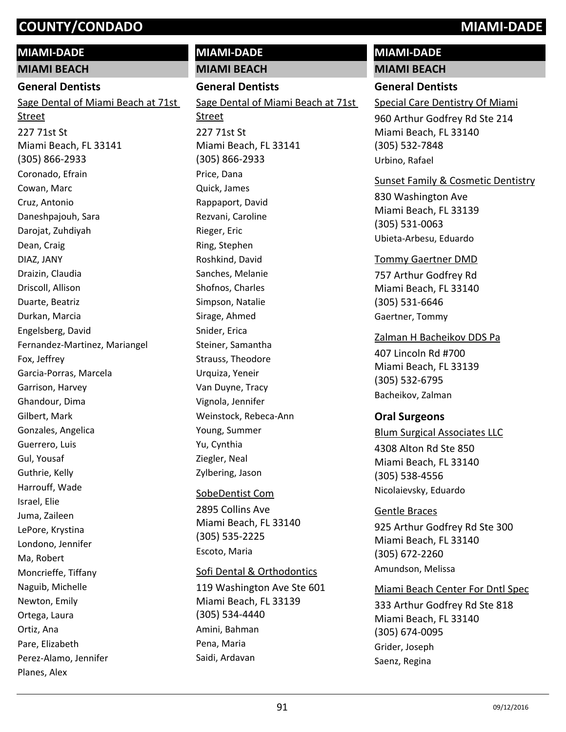# **MIAMI-DADE**

**MIAMI BEACH**

# **General Dentists**

227 71st St Miami Beach, FL 33141 (305) 866-2933 Sage Dental of Miami Beach at 71st Street Coronado, Efrain Cowan, Marc Cruz, Antonio Daneshpajouh, Sara Darojat, Zuhdiyah Dean, Craig DIAZ, JANY Draizin, Claudia Driscoll, Allison Duarte, Beatriz Durkan, Marcia Engelsberg, David Fernandez-Martinez, Mariangel Fox, Jeffrey Garcia-Porras, Marcela Garrison, Harvey Ghandour, Dima Gilbert, Mark Gonzales, Angelica Guerrero, Luis Gul, Yousaf Guthrie, Kelly Harrouff, Wade Israel, Elie Juma, Zaileen LePore, Krystina Londono, Jennifer Ma, Robert Moncrieffe, Tiffany Naguib, Michelle Newton, Emily Ortega, Laura Ortiz, Ana Pare, Elizabeth Perez-Alamo, Jennifer

Planes, Alex

# **MIAMI-DADE MIAMI BEACH General Dentists** 227 71st St Miami Beach, FL 33141 (305) 866-2933 Sage Dental of Miami Beach at 71st Street Price, Dana Quick, James Rappaport, David Rezvani, Caroline Rieger, Eric Ring, Stephen Roshkind, David Sanches, Melanie Shofnos, Charles Simpson, Natalie Sirage, Ahmed Snider, Erica Steiner, Samantha Strauss, Theodore Urquiza, Yeneir Van Duyne, Tracy Vignola, Jennifer Weinstock, Rebeca-Ann Young, Summer Yu, Cynthia Ziegler, Neal Zylbering, Jason 2895 Collins Ave SobeDentist Com

Miami Beach, FL 33140 (305) 535-2225 Escoto, Maria

## Sofi Dental & Orthodontics

119 Washington Ave Ste 601 Miami Beach, FL 33139 (305) 534-4440 Amini, Bahman Pena, Maria Saidi, Ardavan

# **MIAMI-DADE**

# **MIAMI BEACH**

**General Dentists**

Special Care Dentistry Of Miami

960 Arthur Godfrey Rd Ste 214 Miami Beach, FL 33140 (305) 532-7848 Urbino, Rafael

# Sunset Family & Cosmetic Dentistry

830 Washington Ave Miami Beach, FL 33139 (305) 531-0063 Ubieta-Arbesu, Eduardo

# Tommy Gaertner DMD

757 Arthur Godfrey Rd Miami Beach, FL 33140 (305) 531-6646 Gaertner, Tommy

# Zalman H Bacheikov DDS Pa

407 Lincoln Rd #700 Miami Beach, FL 33139 (305) 532-6795 Bacheikov, Zalman

# **Oral Surgeons**

4308 Alton Rd Ste 850 Miami Beach, FL 33140 (305) 538-4556 Blum Surgical Associates LLC Nicolaievsky, Eduardo

# Gentle Braces

925 Arthur Godfrey Rd Ste 300 Miami Beach, FL 33140 (305) 672-2260 Amundson, Melissa

# Miami Beach Center For Dntl Spec

333 Arthur Godfrey Rd Ste 818 Miami Beach, FL 33140 (305) 674-0095 Grider, Joseph Saenz, Regina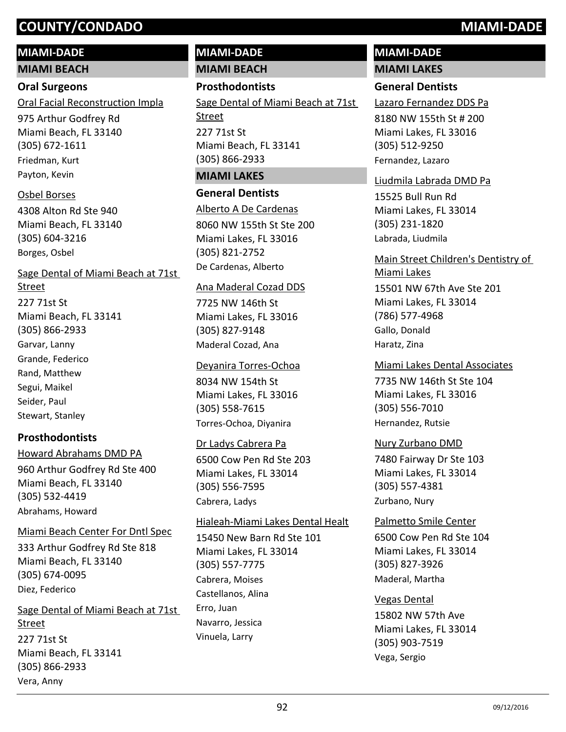# **MIAMI-DADE**

**MIAMI BEACH**

# **Oral Surgeons**

Oral Facial Reconstruction Impla

975 Arthur Godfrey Rd Miami Beach, FL 33140 (305) 672-1611 Friedman, Kurt Payton, Kevin

# Osbel Borses

4308 Alton Rd Ste 940 Miami Beach, FL 33140 (305) 604-3216 Borges, Osbel

227 71st St Miami Beach, FL 33141 (305) 866-2933 Sage Dental of Miami Beach at 71st Street Garvar, Lanny Grande, Federico Rand, Matthew Segui, Maikel Seider, Paul

# **Prosthodontists**

Stewart, Stanley

# 960 Arthur Godfrey Rd Ste 400 Howard Abrahams DMD PA

Miami Beach, FL 33140 (305) 532-4419 Abrahams, Howard

# Miami Beach Center For Dntl Spec

333 Arthur Godfrey Rd Ste 818 Miami Beach, FL 33140 (305) 674-0095 Diez, Federico

# 227 71st St Miami Beach, FL 33141 (305) 866-2933 Sage Dental of Miami Beach at 71st **Street** Vera, Anny

# **MIAMI-DADE**

**MIAMI BEACH**

# **Prosthodontists**

227 71st St Miami Beach, FL 33141 (305) 866-2933 Sage Dental of Miami Beach at 71st Street

# **MIAMI LAKES**

# **General Dentists**

8060 NW 155th St Ste 200 Miami Lakes, FL 33016 (305) 821-2752 Alberto A De Cardenas De Cardenas, Alberto

# Ana Maderal Cozad DDS

7725 NW 146th St Miami Lakes, FL 33016 (305) 827-9148 Maderal Cozad, Ana

# Deyanira Torres-Ochoa

8034 NW 154th St Miami Lakes, FL 33016 (305) 558-7615 Torres-Ochoa, Diyanira

# Dr Ladys Cabrera Pa

6500 Cow Pen Rd Ste 203 Miami Lakes, FL 33014 (305) 556-7595 Cabrera, Ladys

# Hialeah-Miami Lakes Dental Healt

15450 New Barn Rd Ste 101 Miami Lakes, FL 33014 (305) 557-7775 Cabrera, Moises Castellanos, Alina Erro, Juan Navarro, Jessica Vinuela, Larry

# **MIAMI-DADE**

# **MIAMI LAKES**

# **General Dentists**

Lazaro Fernandez DDS Pa

8180 NW 155th St # 200 Miami Lakes, FL 33016 (305) 512-9250 Fernandez, Lazaro

# Liudmila Labrada DMD Pa

15525 Bull Run Rd Miami Lakes, FL 33014 (305) 231-1820 Labrada, Liudmila

# Main Street Children's Dentistry of

15501 NW 67th Ave Ste 201 Miami Lakes, FL 33014 (786) 577-4968 Miami Lakes Gallo, Donald Haratz, Zina

# Miami Lakes Dental Associates

7735 NW 146th St Ste 104 Miami Lakes, FL 33016 (305) 556-7010 Hernandez, Rutsie

# Nury Zurbano DMD

7480 Fairway Dr Ste 103 Miami Lakes, FL 33014 (305) 557-4381 Zurbano, Nury

# Palmetto Smile Center

6500 Cow Pen Rd Ste 104 Miami Lakes, FL 33014 (305) 827-3926 Maderal, Martha

# Vegas Dental

15802 NW 57th Ave Miami Lakes, FL 33014 (305) 903-7519 Vega, Sergio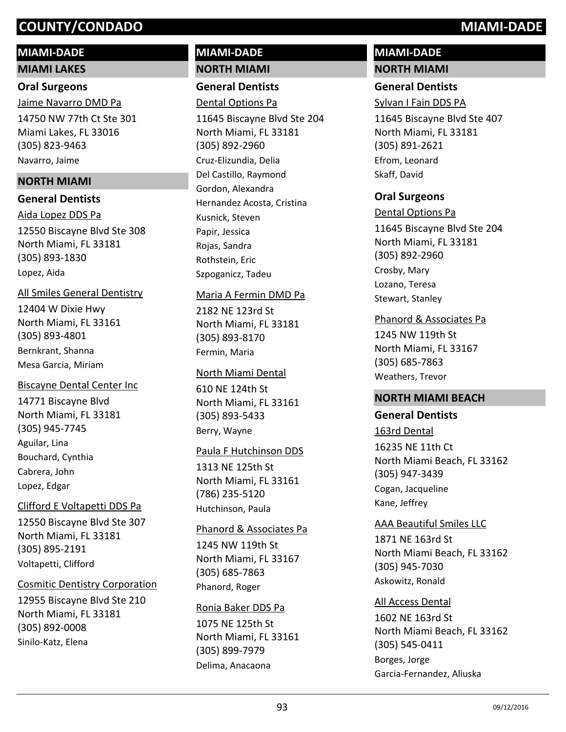# **MIAMI-DADE**

**MIAMI LAKES**

## **Oral Surgeons**

14750 NW 77th Ct Ste 301 Miami Lakes, FL 33016 (305) 823-9463 Jaime Navarro DMD Pa Navarro, Jaime

# **NORTH MIAMI**

## **General Dentists**

12550 Biscayne Blvd Ste 308 North Miami, FL 33181 (305) 893-1830 Aida Lopez DDS Pa Lopez, Aida

## All Smiles General Dentistry

12404 W Dixie Hwy North Miami, FL 33161 (305) 893-4801 Bernkrant, Shanna Mesa Garcia, Miriam

## Biscayne Dental Center Inc

14771 Biscayne Blvd North Miami, FL 33181 (305) 945-7745 Aguilar, Lina Bouchard, Cynthia Cabrera, John Lopez, Edgar

## Clifford E Voltapetti DDS Pa

12550 Biscayne Blvd Ste 307 North Miami, FL 33181 (305) 895-2191 Voltapetti, Clifford

## Cosmitic Dentistry Corporation

12955 Biscayne Blvd Ste 210 North Miami, FL 33181 (305) 892-0008 Sinilo-Katz, Elena

# **MIAMI-DADE NORTH MIAMI**

**General Dentists**

Dental Options Pa

11645 Biscayne Blvd Ste 204 North Miami, FL 33181 (305) 892-2960 Cruz-Elizundia, Delia Del Castillo, Raymond Gordon, Alexandra Hernandez Acosta, Cristina Kusnick, Steven Papir, Jessica Rojas, Sandra Rothstein, Eric Szpoganicz, Tadeu

### Maria A Fermin DMD Pa

2182 NE 123rd St North Miami, FL 33181 (305) 893-8170 Fermin, Maria

## North Miami Dental

610 NE 124th St North Miami, FL 33161 (305) 893-5433 Berry, Wayne

### Paula F Hutchinson DDS

1313 NE 125th St North Miami, FL 33161 (786) 235-5120 Hutchinson, Paula

## Phanord & Associates Pa

1245 NW 119th St North Miami, FL 33167 (305) 685-7863 Phanord, Roger

### Ronia Baker DDS Pa

1075 NE 125th St North Miami, FL 33161 (305) 899-7979 Delima, Anacaona

# **MIAMI-DADE NORTH MIAMI**

# **General Dentists**

Sylvan I Fain DDS PA

11645 Biscayne Blvd Ste 407 North Miami, FL 33181 (305) 891-2621 Efrom, Leonard Skaff, David

# **Oral Surgeons**

11645 Biscayne Blvd Ste 204 North Miami, FL 33181 (305) 892-2960 Dental Options Pa Crosby, Mary Lozano, Teresa Stewart, Stanley

### Phanord & Associates Pa

1245 NW 119th St North Miami, FL 33167 (305) 685-7863 Weathers, Trevor

# **NORTH MIAMI BEACH**

# **General Dentists**

163rd Dental

16235 NE 11th Ct North Miami Beach, FL 33162 (305) 947-3439 Cogan, Jacqueline Kane, Jeffrey

## AAA Beautiful Smiles LLC

1871 NE 163rd St North Miami Beach, FL 33162 (305) 945-7030 Askowitz, Ronald

## All Access Dental

1602 NE 163rd St North Miami Beach, FL 33162 (305) 545-0411 Borges, Jorge Garcia-Fernandez, Aliuska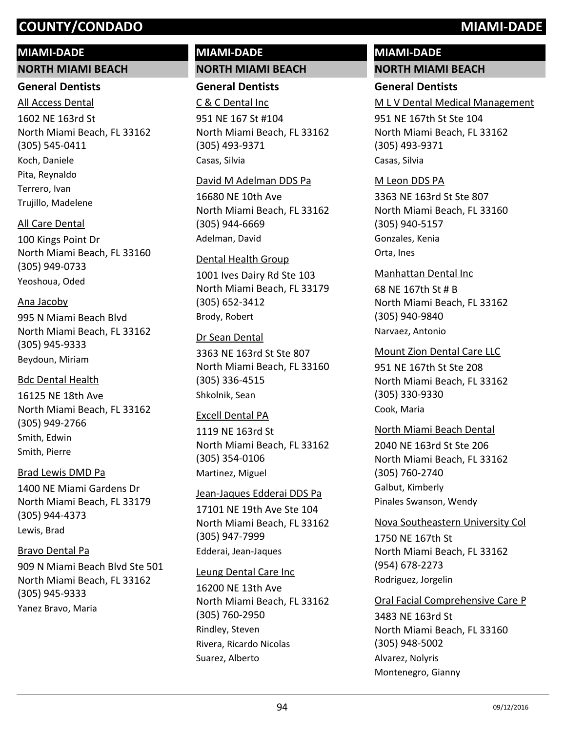# **MIAMI-DADE**

**NORTH MIAMI BEACH**

## **General Dentists**

1602 NE 163rd St North Miami Beach, FL 33162 (305) 545-0411 All Access Dental Koch, Daniele Pita, Reynaldo Terrero, Ivan Trujillo, Madelene

# All Care Dental

100 Kings Point Dr North Miami Beach, FL 33160 (305) 949-0733 Yeoshoua, Oded

# Ana Jacoby

995 N Miami Beach Blvd North Miami Beach, FL 33162 (305) 945-9333 Beydoun, Miriam

# Bdc Dental Health

16125 NE 18th Ave North Miami Beach, FL 33162 (305) 949-2766 Smith, Edwin Smith, Pierre

# Brad Lewis DMD Pa

1400 NE Miami Gardens Dr North Miami Beach, FL 33179 (305) 944-4373 Lewis, Brad

# Bravo Dental Pa

909 N Miami Beach Blvd Ste 501 North Miami Beach, FL 33162 (305) 945-9333 Yanez Bravo, Maria

# **MIAMI-DADE NORTH MIAMI BEACH**

**General Dentists**

951 NE 167 St #104 North Miami Beach, FL 33162 (305) 493-9371 C & C Dental Inc Casas, Silvia

## David M Adelman DDS Pa

16680 NE 10th Ave North Miami Beach, FL 33162 (305) 944-6669 Adelman, David

# Dental Health Group

1001 Ives Dairy Rd Ste 103 North Miami Beach, FL 33179 (305) 652-3412 Brody, Robert

# Dr Sean Dental

3363 NE 163rd St Ste 807 North Miami Beach, FL 33160 (305) 336-4515 Shkolnik, Sean

## Excell Dental PA

1119 NE 163rd St North Miami Beach, FL 33162 (305) 354-0106 Martinez, Miguel

## Jean-Jaques Edderai DDS Pa

17101 NE 19th Ave Ste 104 North Miami Beach, FL 33162 (305) 947-7999 Edderai, Jean-Jaques

## Leung Dental Care Inc

16200 NE 13th Ave North Miami Beach, FL 33162 (305) 760-2950 Rindley, Steven Rivera, Ricardo Nicolas Suarez, Alberto

# **MIAMI-DADE NORTH MIAMI BEACH**

# **General Dentists**

M L V Dental Medical Management

951 NE 167th St Ste 104 North Miami Beach, FL 33162 (305) 493-9371 Casas, Silvia

# M Leon DDS PA

3363 NE 163rd St Ste 807 North Miami Beach, FL 33160 (305) 940-5157 Gonzales, Kenia Orta, Ines

# 68 NE 167th St # B North Miami Beach, FL 33162 (305) 940-9840 Manhattan Dental Inc Narvaez, Antonio

951 NE 167th St Ste 208 North Miami Beach, FL 33162 (305) 330-9330 Mount Zion Dental Care LLC Cook, Maria

# North Miami Beach Dental

2040 NE 163rd St Ste 206 North Miami Beach, FL 33162 (305) 760-2740 Galbut, Kimberly Pinales Swanson, Wendy

# Nova Southeastern University Col

1750 NE 167th St North Miami Beach, FL 33162 (954) 678-2273 Rodriguez, Jorgelin

## Oral Facial Comprehensive Care P

3483 NE 163rd St North Miami Beach, FL 33160 (305) 948-5002 Alvarez, Nolyris Montenegro, Gianny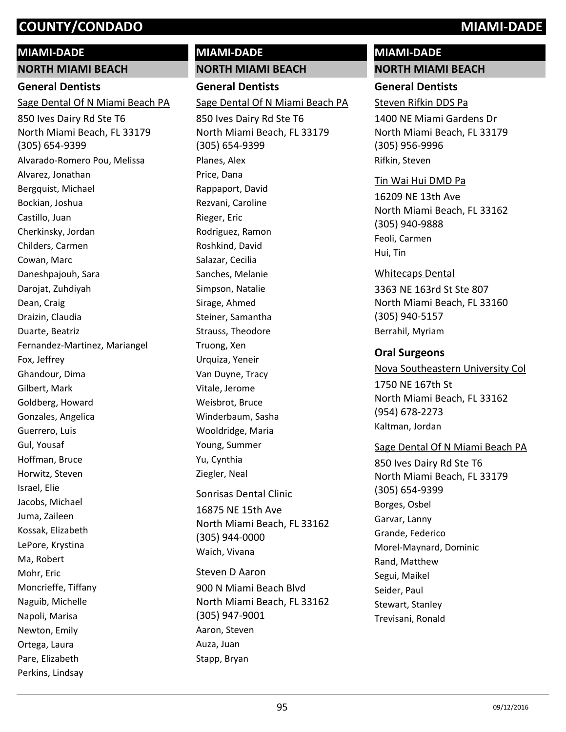# **MIAMI-DADE**

**NORTH MIAMI BEACH**

# **General Dentists**

Sage Dental Of N Miami Beach PA

850 Ives Dairy Rd Ste T6 North Miami Beach, FL 33179 (305) 654-9399 Alvarado-Romero Pou, Melissa Alvarez, Jonathan Bergquist, Michael Bockian, Joshua Castillo, Juan Cherkinsky, Jordan Childers, Carmen Cowan, Marc Daneshpajouh, Sara Darojat, Zuhdiyah Dean, Craig Draizin, Claudia Duarte, Beatriz Fernandez-Martinez, Mariangel Fox, Jeffrey Ghandour, Dima Gilbert, Mark Goldberg, Howard Gonzales, Angelica Guerrero, Luis Gul, Yousaf Hoffman, Bruce Horwitz, Steven Israel, Elie Jacobs, Michael Juma, Zaileen Kossak, Elizabeth LePore, Krystina Ma, Robert Mohr, Eric Moncrieffe, Tiffany Naguib, Michelle Napoli, Marisa Newton, Emily Ortega, Laura Pare, Elizabeth Perkins, Lindsay

# **NORTH MIAMI BEACH General Dentists** 850 Ives Dairy Rd Ste T6 North Miami Beach, FL 33179 (305) 654-9399 Sage Dental Of N Miami Beach PA Planes, Alex Price, Dana Rappaport, David Rezvani, Caroline Rieger, Eric Rodriguez, Ramon Roshkind, David Salazar, Cecilia Sanches, Melanie Simpson, Natalie Sirage, Ahmed Steiner, Samantha Strauss, Theodore Truong, Xen Urquiza, Yeneir Van Duyne, Tracy Vitale, Jerome Weisbrot, Bruce Winderbaum, Sasha Wooldridge, Maria Young, Summer Yu, Cynthia Ziegler, Neal 16875 NE 15th Ave North Miami Beach, FL 33162 (305) 944-0000 Sonrisas Dental Clinic

**MIAMI-DADE**

Waich, Vivana

## Steven D Aaron

900 N Miami Beach Blvd North Miami Beach, FL 33162 (305) 947-9001 Aaron, Steven Auza, Juan Stapp, Bryan

# **MIAMI-DADE NORTH MIAMI BEACH**

# **General Dentists**

Steven Rifkin DDS Pa

1400 NE Miami Gardens Dr North Miami Beach, FL 33179 (305) 956-9996 Rifkin, Steven

## Tin Wai Hui DMD Pa

16209 NE 13th Ave North Miami Beach, FL 33162 (305) 940-9888 Feoli, Carmen Hui, Tin

# Whitecaps Dental

3363 NE 163rd St Ste 807 North Miami Beach, FL 33160 (305) 940-5157 Berrahil, Myriam

# **Oral Surgeons**

1750 NE 167th St North Miami Beach, FL 33162 (954) 678-2273 Nova Southeastern University Col Kaltman, Jordan

# Sage Dental Of N Miami Beach PA

850 Ives Dairy Rd Ste T6 North Miami Beach, FL 33179 (305) 654-9399 Borges, Osbel Garvar, Lanny Grande, Federico Morel-Maynard, Dominic Rand, Matthew Segui, Maikel Seider, Paul Stewart, Stanley Trevisani, Ronald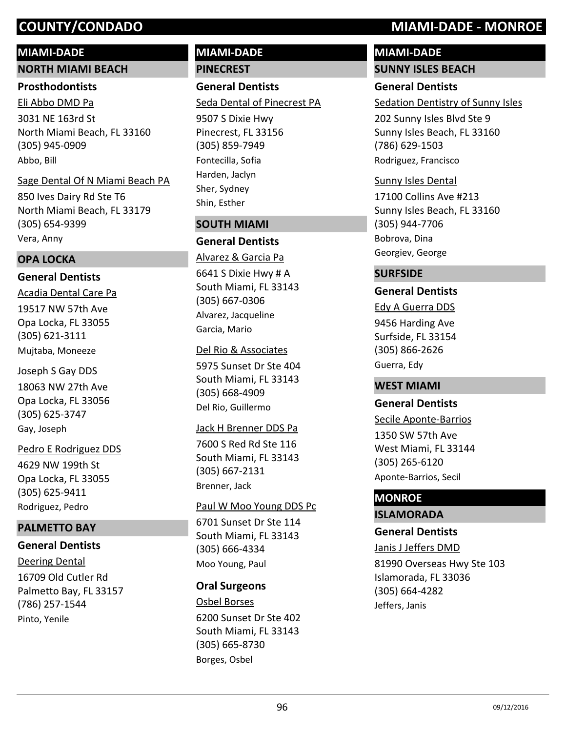# **MIAMI-DADE**

### **NORTH MIAMI BEACH**

### **Prosthodontists**

3031 NE 163rd St North Miami Beach, FL 33160 (305) 945-0909 Eli Abbo DMD Pa Abbo, Bill

### Sage Dental Of N Miami Beach PA

850 Ives Dairy Rd Ste T6 North Miami Beach, FL 33179 (305) 654-9399 Vera, Anny

## **OPA LOCKA**

# **General Dentists**

19517 NW 57th Ave Opa Locka, FL 33055 (305) 621-3111 Acadia Dental Care Pa Mujtaba, Moneeze

## Joseph S Gay DDS

18063 NW 27th Ave Opa Locka, FL 33056 (305) 625-3747 Gay, Joseph

# 4629 NW 199th St Opa Locka, FL 33055 (305) 625-9411 Pedro E Rodriguez DDS Rodriguez, Pedro

# **PALMETTO BAY**

# **General Dentists**

16709 Old Cutler Rd Palmetto Bay, FL 33157 (786) 257-1544 Deering Dental Pinto, Yenile

# **MIAMI-DADE PINECREST**

**General Dentists** Seda Dental of Pinecrest PA

9507 S Dixie Hwy Pinecrest, FL 33156 (305) 859-7949 Fontecilla, Sofia Harden, Jaclyn Sher, Sydney Shin, Esther

# **SOUTH MIAMI**

# **General Dentists**

6641 S Dixie Hwy # A South Miami, FL 33143 (305) 667-0306 Alvarez & Garcia Pa Alvarez, Jacqueline Garcia, Mario

### Del Rio & Associates

5975 Sunset Dr Ste 404 South Miami, FL 33143 (305) 668-4909 Del Rio, Guillermo

### Jack H Brenner DDS Pa

7600 S Red Rd Ste 116 South Miami, FL 33143 (305) 667-2131 Brenner, Jack

## Paul W Moo Young DDS Pc

6701 Sunset Dr Ste 114 South Miami, FL 33143 (305) 666-4334 Moo Young, Paul

# **Oral Surgeons**

6200 Sunset Dr Ste 402 South Miami, FL 33143 (305) 665-8730 Osbel Borses Borges, Osbel

# **COUNTY/CONDADO MIAMI-DADE - MONROE**

# **MIAMI-DADE SUNNY ISLES BEACH**

**General Dentists** Sedation Dentistry of Sunny Isles

202 Sunny Isles Blvd Ste 9 Sunny Isles Beach, FL 33160 (786) 629-1503 Rodriguez, Francisco

### Sunny Isles Dental

17100 Collins Ave #213 Sunny Isles Beach, FL 33160 (305) 944-7706 Bobrova, Dina Georgiev, George

# **SURFSIDE**

# **General Dentists**

9456 Harding Ave Surfside, FL 33154 (305) 866-2626 Edy A Guerra DDS Guerra, Edy

## **WEST MIAMI**

# **General Dentists**

Secile Aponte-Barrios

1350 SW 57th Ave West Miami, FL 33144 (305) 265-6120 Aponte-Barrios, Secil

# **MONROE**

# **ISLAMORADA**

# **General Dentists**

81990 Overseas Hwy Ste 103 Islamorada, FL 33036 (305) 664-4282 Janis J Jeffers DMD Jeffers, Janis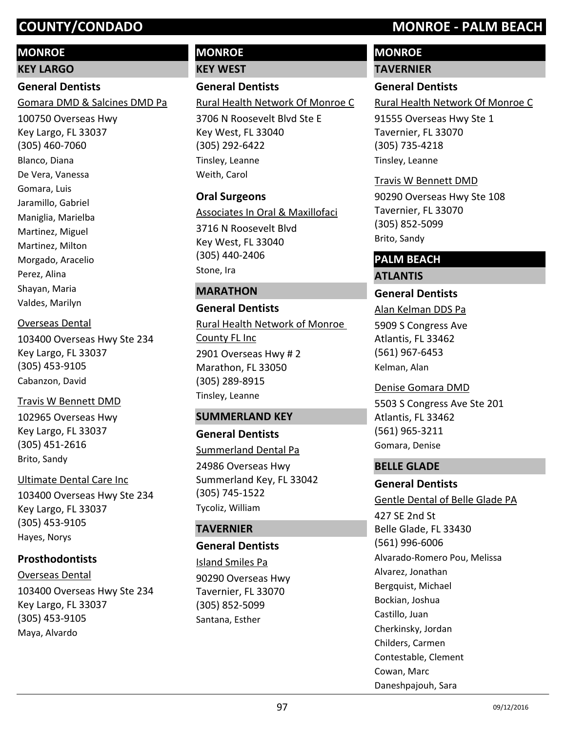# **MONROE**

**KEY LARGO**

# **General Dentists**

Gomara DMD & Salcines DMD Pa

100750 Overseas Hwy Key Largo, FL 33037 (305) 460-7060 Blanco, Diana De Vera, Vanessa Gomara, Luis Jaramillo, Gabriel Maniglia, Marielba Martinez, Miguel Martinez, Milton Morgado, Aracelio Perez, Alina Shayan, Maria Valdes, Marilyn

# Overseas Dental

103400 Overseas Hwy Ste 234 Key Largo, FL 33037 (305) 453-9105 Cabanzon, David

# Travis W Bennett DMD

102965 Overseas Hwy Key Largo, FL 33037 (305) 451-2616 Brito, Sandy

## Ultimate Dental Care Inc

103400 Overseas Hwy Ste 234 Key Largo, FL 33037 (305) 453-9105 Hayes, Norys

# **Prosthodontists**

103400 Overseas Hwy Ste 234 Key Largo, FL 33037 (305) 453-9105 Overseas Dental Maya, Alvardo

# **MONROE**

**KEY WEST**

# **General Dentists**

Rural Health Network Of Monroe C

3706 N Roosevelt Blvd Ste E Key West, FL 33040 (305) 292-6422 Tinsley, Leanne Weith, Carol

## **Oral Surgeons**

Associates In Oral & Maxillofaci

3716 N Roosevelt Blvd Key West, FL 33040 (305) 440-2406 Stone, Ira

# **MARATHON**

# **General Dentists** 2901 Overseas Hwy # 2 Marathon, FL 33050 (305) 289-8915 Rural Health Network of Monroe County FL Inc Tinsley, Leanne

## **SUMMERLAND KEY**

**General Dentists** 24986 Overseas Hwy Summerland Key, FL 33042 (305) 745-1522 Summerland Dental Pa Tycoliz, William

# **TAVERNIER**

# **General Dentists**

90290 Overseas Hwy Tavernier, FL 33070 (305) 852-5099 Island Smiles Pa Santana, Esther

# **COUNTY/CONDADO MONROE - PALM BEACH**

# **MONROE**

**TAVERNIER**

# **General Dentists**

Rural Health Network Of Monroe C

91555 Overseas Hwy Ste 1 Tavernier, FL 33070 (305) 735-4218 Tinsley, Leanne

## Travis W Bennett DMD

90290 Overseas Hwy Ste 108 Tavernier, FL 33070 (305) 852-5099 Brito, Sandy

# **PALM BEACH**

# **ATLANTIS**

**General Dentists**

Alan Kelman DDS Pa

5909 S Congress Ave Atlantis, FL 33462 (561) 967-6453 Kelman, Alan

# Denise Gomara DMD

5503 S Congress Ave Ste 201 Atlantis, FL 33462 (561) 965-3211 Gomara, Denise

# **BELLE GLADE**

# **General Dentists**

## Gentle Dental of Belle Glade PA

427 SE 2nd St Belle Glade, FL 33430 (561) 996-6006 Alvarado-Romero Pou, Melissa Alvarez, Jonathan Bergquist, Michael Bockian, Joshua Castillo, Juan Cherkinsky, Jordan Childers, Carmen Contestable, Clement Cowan, Marc Daneshpajouh, Sara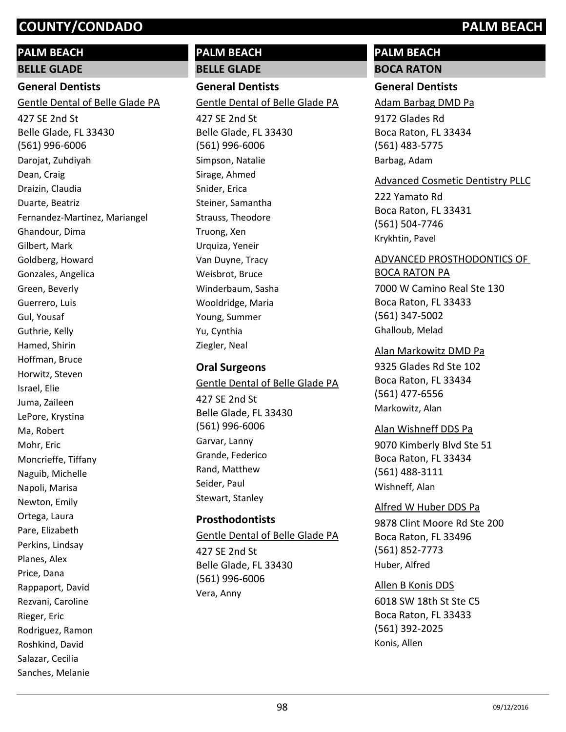# **PALM BEACH**

**BELLE GLADE**

# **General Dentists**

Gentle Dental of Belle Glade PA

427 SE 2nd St Belle Glade, FL 33430 (561) 996-6006 Darojat, Zuhdiyah Dean, Craig Draizin, Claudia Duarte, Beatriz Fernandez-Martinez, Mariangel Ghandour, Dima Gilbert, Mark Goldberg, Howard Gonzales, Angelica Green, Beverly Guerrero, Luis Gul, Yousaf Guthrie, Kelly Hamed, Shirin Hoffman, Bruce Horwitz, Steven Israel, Elie Juma, Zaileen LePore, Krystina Ma, Robert Mohr, Eric Moncrieffe, Tiffany Naguib, Michelle Napoli, Marisa Newton, Emily Ortega, Laura Pare, Elizabeth Perkins, Lindsay Planes, Alex Price, Dana Rappaport, David Rezvani, Caroline Rieger, Eric Rodriguez, Ramon Roshkind, David Salazar, Cecilia Sanches, Melanie

# **PALM BEACH**

**BELLE GLADE**

**General Dentists** Gentle Dental of Belle Glade PA

427 SE 2nd St Belle Glade, FL 33430 (561) 996-6006 Simpson, Natalie Sirage, Ahmed Snider, Erica Steiner, Samantha Strauss, Theodore Truong, Xen Urquiza, Yeneir Van Duyne, Tracy Weisbrot, Bruce Winderbaum, Sasha Wooldridge, Maria Young, Summer Yu, Cynthia Ziegler, Neal

# **Oral Surgeons**

Gentle Dental of Belle Glade PA

427 SE 2nd St Belle Glade, FL 33430 (561) 996-6006 Garvar, Lanny Grande, Federico Rand, Matthew Seider, Paul Stewart, Stanley

# **Prosthodontists**

427 SE 2nd St Belle Glade, FL 33430 (561) 996-6006 Gentle Dental of Belle Glade PA Vera, Anny

# **PALM BEACH BOCA RATON**

# **General Dentists**

Adam Barbag DMD Pa

9172 Glades Rd Boca Raton, FL 33434 (561) 483-5775 Barbag, Adam

# Advanced Cosmetic Dentistry PLLC

222 Yamato Rd Boca Raton, FL 33431 (561) 504-7746 Krykhtin, Pavel

# ADVANCED PROSTHODONTICS OF BOCA RATON PA

7000 W Camino Real Ste 130 Boca Raton, FL 33433 (561) 347-5002 Ghalloub, Melad

# Alan Markowitz DMD Pa

9325 Glades Rd Ste 102 Boca Raton, FL 33434 (561) 477-6556 Markowitz, Alan

# Alan Wishneff DDS Pa

9070 Kimberly Blvd Ste 51 Boca Raton, FL 33434 (561) 488-3111 Wishneff, Alan

# Alfred W Huber DDS Pa

9878 Clint Moore Rd Ste 200 Boca Raton, FL 33496 (561) 852-7773 Huber, Alfred

# Allen B Konis DDS

6018 SW 18th St Ste C5 Boca Raton, FL 33433 (561) 392-2025 Konis, Allen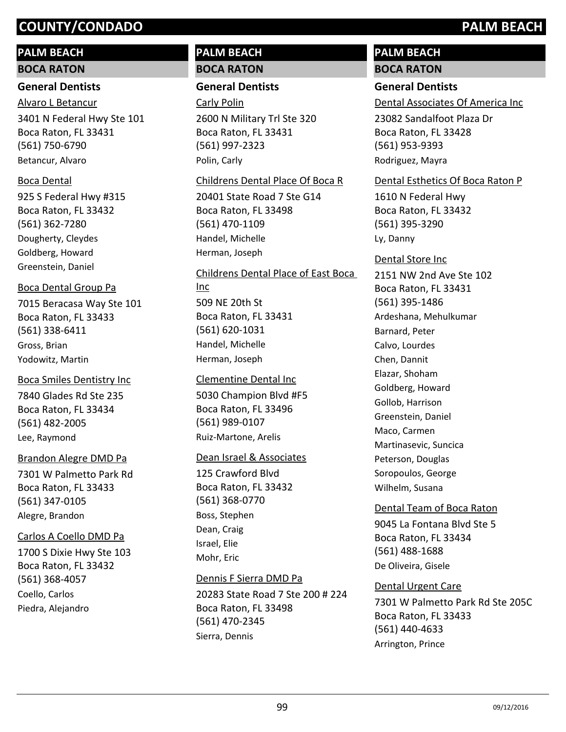# **PALM BEACH**

## **BOCA RATON**

# **General Dentists**

3401 N Federal Hwy Ste 101 Boca Raton, FL 33431 (561) 750-6790 Alvaro L Betancur Betancur, Alvaro

# Boca Dental

925 S Federal Hwy #315 Boca Raton, FL 33432 (561) 362-7280 Dougherty, Cleydes Goldberg, Howard Greenstein, Daniel

# Boca Dental Group Pa

7015 Beracasa Way Ste 101 Boca Raton, FL 33433 (561) 338-6411 Gross, Brian Yodowitz, Martin

# 7840 Glades Rd Ste 235 Boca Smiles Dentistry Inc

Boca Raton, FL 33434 (561) 482-2005 Lee, Raymond

# Brandon Alegre DMD Pa

7301 W Palmetto Park Rd Boca Raton, FL 33433 (561) 347-0105 Alegre, Brandon

# Carlos A Coello DMD Pa

1700 S Dixie Hwy Ste 103 Boca Raton, FL 33432 (561) 368-4057 Coello, Carlos Piedra, Alejandro

# **PALM BEACH BOCA RATON**

# **General Dentists**

Carly Polin

2600 N Military Trl Ste 320 Boca Raton, FL 33431 (561) 997-2323 Polin, Carly

## Childrens Dental Place Of Boca R

20401 State Road 7 Ste G14 Boca Raton, FL 33498 (561) 470-1109 Handel, Michelle Herman, Joseph

# 509 NE 20th St Boca Raton, FL 33431 (561) 620-1031 Childrens Dental Place of East Boca Inc Handel, Michelle Herman, Joseph

# Clementine Dental Inc

5030 Champion Blvd #F5 Boca Raton, FL 33496 (561) 989-0107 Ruiz-Martone, Arelis

# Dean Israel & Associates

125 Crawford Blvd Boca Raton, FL 33432 (561) 368-0770 Boss, Stephen Dean, Craig Israel, Elie Mohr, Eric

# Dennis F Sierra DMD Pa

20283 State Road 7 Ste 200 # 224 Boca Raton, FL 33498 (561) 470-2345 Sierra, Dennis

# **PALM BEACH BOCA RATON**

# **General Dentists**

Dental Associates Of America Inc

23082 Sandalfoot Plaza Dr Boca Raton, FL 33428 (561) 953-9393 Rodriguez, Mayra

# Dental Esthetics Of Boca Raton P

1610 N Federal Hwy Boca Raton, FL 33432 (561) 395-3290 Ly, Danny

2151 NW 2nd Ave Ste 102 Boca Raton, FL 33431 (561) 395-1486 Dental Store Inc Ardeshana, Mehulkumar Barnard, Peter Calvo, Lourdes Chen, Dannit Elazar, Shoham Goldberg, Howard Gollob, Harrison Greenstein, Daniel Maco, Carmen Martinasevic, Suncica Peterson, Douglas Soropoulos, George Wilhelm, Susana

# Dental Team of Boca Raton

9045 La Fontana Blvd Ste 5 Boca Raton, FL 33434 (561) 488-1688 De Oliveira, Gisele

# Dental Urgent Care

7301 W Palmetto Park Rd Ste 205C Boca Raton, FL 33433 (561) 440-4633 Arrington, Prince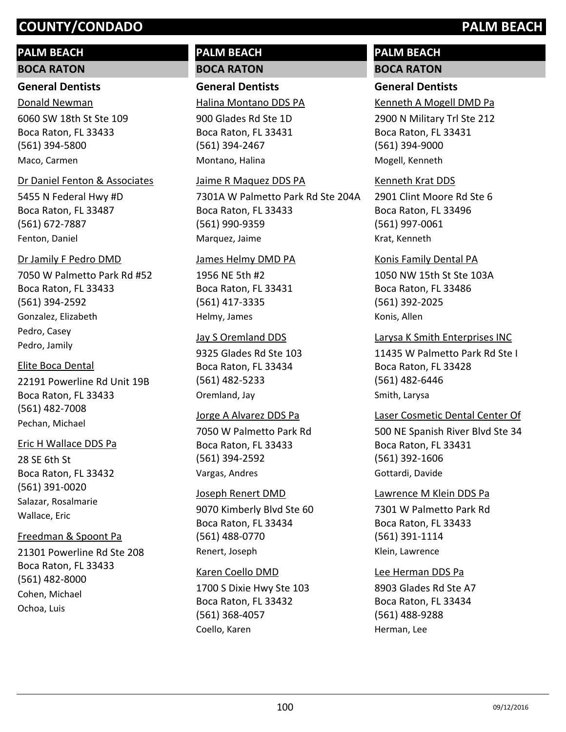# **PALM BEACH**

### **BOCA RATON**

### **General Dentists**

6060 SW 18th St Ste 109 Boca Raton, FL 33433 (561) 394-5800 Donald Newman Maco, Carmen

## Dr Daniel Fenton & Associates

5455 N Federal Hwy #D Boca Raton, FL 33487 (561) 672-7887 Fenton, Daniel

# Dr Jamily F Pedro DMD

7050 W Palmetto Park Rd #52 Boca Raton, FL 33433 (561) 394-2592 Gonzalez, Elizabeth Pedro, Casey Pedro, Jamily

# Elite Boca Dental

22191 Powerline Rd Unit 19B Boca Raton, FL 33433 (561) 482-7008 Pechan, Michael

# Eric H Wallace DDS Pa

28 SE 6th St Boca Raton, FL 33432 (561) 391-0020 Salazar, Rosalmarie Wallace, Eric

# Freedman & Spoont Pa

21301 Powerline Rd Ste 208 Boca Raton, FL 33433 (561) 482-8000 Cohen, Michael Ochoa, Luis

# **PALM BEACH BOCA RATON**

# **General Dentists**

Halina Montano DDS PA

900 Glades Rd Ste 1D Boca Raton, FL 33431 (561) 394-2467 Montano, Halina

# Jaime R Maquez DDS PA

7301A W Palmetto Park Rd Ste 204A Boca Raton, FL 33433 (561) 990-9359 Marquez, Jaime

## James Helmy DMD PA

1956 NE 5th #2 Boca Raton, FL 33431 (561) 417-3335 Helmy, James

# Jay S Oremland DDS

9325 Glades Rd Ste 103 Boca Raton, FL 33434 (561) 482-5233 Oremland, Jay

## Jorge A Alvarez DDS Pa

7050 W Palmetto Park Rd Boca Raton, FL 33433 (561) 394-2592 Vargas, Andres

# 9070 Kimberly Blvd Ste 60 Boca Raton, FL 33434 (561) 488-0770 Joseph Renert DMD Renert, Joseph

1700 S Dixie Hwy Ste 103 Boca Raton, FL 33432 (561) 368-4057 Karen Coello DMD Coello, Karen

# **PALM BEACH BOCA RATON**

# **General Dentists**

Kenneth A Mogell DMD Pa

2900 N Military Trl Ste 212 Boca Raton, FL 33431 (561) 394-9000 Mogell, Kenneth

# Kenneth Krat DDS

2901 Clint Moore Rd Ste 6 Boca Raton, FL 33496 (561) 997-0061 Krat, Kenneth

1050 NW 15th St Ste 103A Boca Raton, FL 33486 (561) 392-2025 Konis Family Dental PA Konis, Allen

# Larysa K Smith Enterprises INC

11435 W Palmetto Park Rd Ste I Boca Raton, FL 33428 (561) 482-6446 Smith, Larysa

# Laser Cosmetic Dental Center Of

500 NE Spanish River Blvd Ste 34 Boca Raton, FL 33431 (561) 392-1606 Gottardi, Davide

# Lawrence M Klein DDS Pa

7301 W Palmetto Park Rd Boca Raton, FL 33433 (561) 391-1114 Klein, Lawrence

# Lee Herman DDS Pa

8903 Glades Rd Ste A7 Boca Raton, FL 33434 (561) 488-9288 Herman, Lee

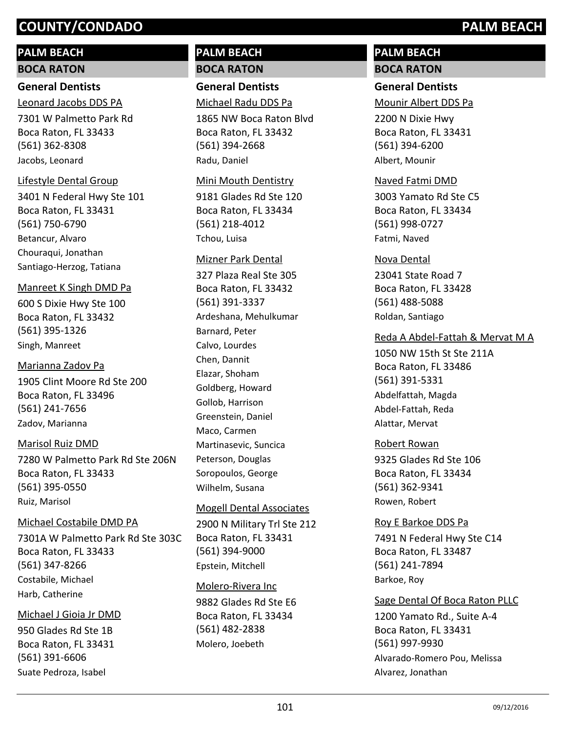# **PALM BEACH**

## **BOCA RATON**

# **General Dentists**

7301 W Palmetto Park Rd Boca Raton, FL 33433 (561) 362-8308 Leonard Jacobs DDS PA Jacobs, Leonard

## Lifestyle Dental Group

3401 N Federal Hwy Ste 101 Boca Raton, FL 33431 (561) 750-6790 Betancur, Alvaro Chouraqui, Jonathan Santiago-Herzog, Tatiana

### Manreet K Singh DMD Pa

600 S Dixie Hwy Ste 100 Boca Raton, FL 33432 (561) 395-1326 Singh, Manreet

## Marianna Zadov Pa

1905 Clint Moore Rd Ste 200 Boca Raton, FL 33496 (561) 241-7656 Zadov, Marianna

## Marisol Ruiz DMD

7280 W Palmetto Park Rd Ste 206N Boca Raton, FL 33433 (561) 395-0550 Ruiz, Marisol

# Michael Costabile DMD PA

7301A W Palmetto Park Rd Ste 303C Boca Raton, FL 33433 (561) 347-8266 Costabile, Michael Harb, Catherine

## Michael J Gioia Jr DMD

950 Glades Rd Ste 1B Boca Raton, FL 33431 (561) 391-6606 Suate Pedroza, Isabel

# **PALM BEACH BOCA RATON**

**General Dentists** Michael Radu DDS Pa

1865 NW Boca Raton Blvd Boca Raton, FL 33432 (561) 394-2668 Radu, Daniel

## Mini Mouth Dentistry

9181 Glades Rd Ste 120 Boca Raton, FL 33434 (561) 218-4012 Tchou, Luisa

### Mizner Park Dental

327 Plaza Real Ste 305 Boca Raton, FL 33432 (561) 391-3337 Ardeshana, Mehulkumar Barnard, Peter Calvo, Lourdes Chen, Dannit Elazar, Shoham Goldberg, Howard Gollob, Harrison Greenstein, Daniel Maco, Carmen Martinasevic, Suncica Peterson, Douglas Soropoulos, George Wilhelm, Susana

## Mogell Dental Associates

2900 N Military Trl Ste 212 Boca Raton, FL 33431 (561) 394-9000 Epstein, Mitchell

# Molero-Rivera Inc

9882 Glades Rd Ste E6 Boca Raton, FL 33434 (561) 482-2838 Molero, Joebeth

# **PALM BEACH BOCA RATON**

# **General Dentists**

Mounir Albert DDS Pa

2200 N Dixie Hwy Boca Raton, FL 33431 (561) 394-6200 Albert, Mounir

## Naved Fatmi DMD

3003 Yamato Rd Ste C5 Boca Raton, FL 33434 (561) 998-0727 Fatmi, Naved

23041 State Road 7 Boca Raton, FL 33428 (561) 488-5088 Nova Dental Roldan, Santiago

# Reda A Abdel-Fattah & Mervat M A

1050 NW 15th St Ste 211A Boca Raton, FL 33486 (561) 391-5331 Abdelfattah, Magda Abdel-Fattah, Reda Alattar, Mervat

# 9325 Glades Rd Ste 106 Boca Raton, FL 33434 (561) 362-9341 Robert Rowan Rowen, Robert

## Roy E Barkoe DDS Pa

7491 N Federal Hwy Ste C14 Boca Raton, FL 33487 (561) 241-7894 Barkoe, Roy

## Sage Dental Of Boca Raton PLLC

1200 Yamato Rd., Suite A-4 Boca Raton, FL 33431 (561) 997-9930 Alvarado-Romero Pou, Melissa Alvarez, Jonathan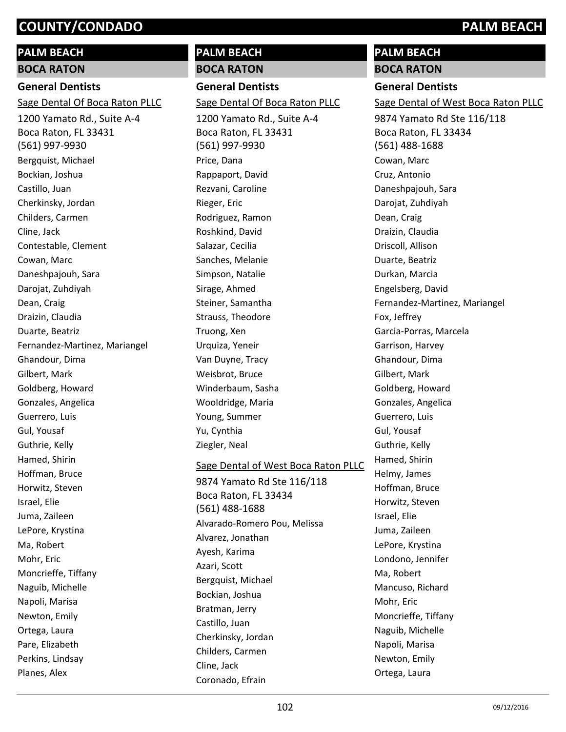# **PALM BEACH**

**BOCA RATON**

## **General Dentists**

Sage Dental Of Boca Raton PLLC

1200 Yamato Rd., Suite A-4 Boca Raton, FL 33431 (561) 997-9930 Bergquist, Michael Bockian, Joshua Castillo, Juan Cherkinsky, Jordan Childers, Carmen Cline, Jack Contestable, Clement Cowan, Marc Daneshpajouh, Sara Darojat, Zuhdiyah Dean, Craig Draizin, Claudia Duarte, Beatriz Fernandez-Martinez, Mariangel Ghandour, Dima Gilbert, Mark Goldberg, Howard Gonzales, Angelica Guerrero, Luis Gul, Yousaf Guthrie, Kelly Hamed, Shirin Hoffman, Bruce Horwitz, Steven Israel, Elie Juma, Zaileen LePore, Krystina Ma, Robert Mohr, Eric Moncrieffe, Tiffany Naguib, Michelle Napoli, Marisa Newton, Emily Ortega, Laura Pare, Elizabeth Perkins, Lindsay Planes, Alex

# **PALM BEACH BOCA RATON**

**General Dentists** Sage Dental Of Boca Raton PLLC

1200 Yamato Rd., Suite A-4 Boca Raton, FL 33431 (561) 997-9930 Price, Dana Rappaport, David Rezvani, Caroline Rieger, Eric Rodriguez, Ramon Roshkind, David Salazar, Cecilia Sanches, Melanie Simpson, Natalie Sirage, Ahmed Steiner, Samantha Strauss, Theodore Truong, Xen Urquiza, Yeneir Van Duyne, Tracy Weisbrot, Bruce Winderbaum, Sasha Wooldridge, Maria Young, Summer Yu, Cynthia Ziegler, Neal

### Sage Dental of West Boca Raton PLLC

9874 Yamato Rd Ste 116/118 Boca Raton, FL 33434 (561) 488-1688 Alvarado-Romero Pou, Melissa Alvarez, Jonathan Ayesh, Karima Azari, Scott Bergquist, Michael Bockian, Joshua Bratman, Jerry Castillo, Juan Cherkinsky, Jordan Childers, Carmen Cline, Jack Coronado, Efrain

# **PALM BEACH**

# **BOCA RATON**

**General Dentists**

Sage Dental of West Boca Raton PLLC

9874 Yamato Rd Ste 116/118 Boca Raton, FL 33434 (561) 488-1688 Cowan, Marc Cruz, Antonio Daneshpajouh, Sara Darojat, Zuhdiyah Dean, Craig Draizin, Claudia Driscoll, Allison Duarte, Beatriz Durkan, Marcia Engelsberg, David Fernandez-Martinez, Mariangel Fox, Jeffrey Garcia-Porras, Marcela Garrison, Harvey Ghandour, Dima Gilbert, Mark Goldberg, Howard Gonzales, Angelica Guerrero, Luis Gul, Yousaf Guthrie, Kelly Hamed, Shirin Helmy, James Hoffman, Bruce Horwitz, Steven Israel, Elie Juma, Zaileen LePore, Krystina Londono, Jennifer Ma, Robert Mancuso, Richard Mohr, Eric Moncrieffe, Tiffany Naguib, Michelle Napoli, Marisa Newton, Emily Ortega, Laura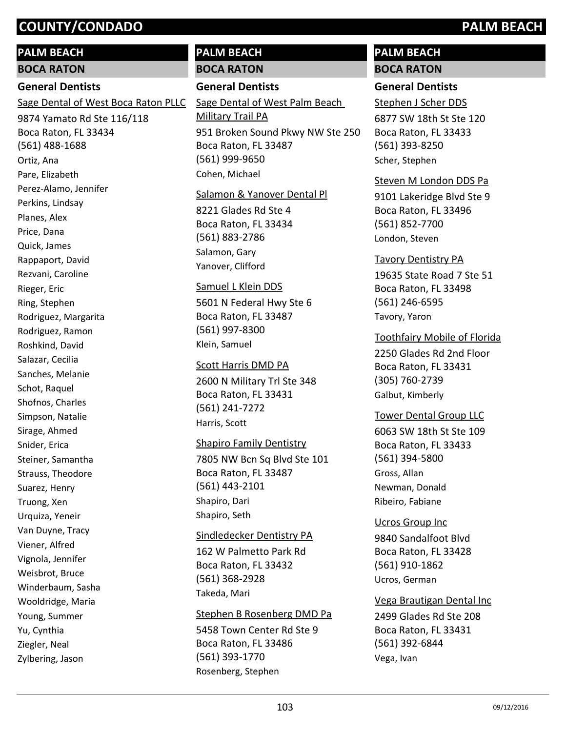# **PALM BEACH**

**BOCA RATON**

# **General Dentists**

Sage Dental of West Boca Raton PLLC

9874 Yamato Rd Ste 116/118 Boca Raton, FL 33434 (561) 488-1688 Ortiz, Ana Pare, Elizabeth Perez-Alamo, Jennifer Perkins, Lindsay Planes, Alex Price, Dana Quick, James Rappaport, David Rezvani, Caroline Rieger, Eric Ring, Stephen Rodriguez, Margarita Rodriguez, Ramon Roshkind, David Salazar, Cecilia Sanches, Melanie Schot, Raquel Shofnos, Charles Simpson, Natalie Sirage, Ahmed Snider, Erica Steiner, Samantha Strauss, Theodore Suarez, Henry Truong, Xen Urquiza, Yeneir Van Duyne, Tracy Viener, Alfred Vignola, Jennifer Weisbrot, Bruce Winderbaum, Sasha Wooldridge, Maria Young, Summer Yu, Cynthia Ziegler, Neal Zylbering, Jason

# **PALM BEACH BOCA RATON**

# **General Dentists**

951 Broken Sound Pkwy NW Ste 250 Boca Raton, FL 33487 (561) 999-9650 Sage Dental of West Palm Beach Military Trail PA Cohen, Michael

## Salamon & Yanover Dental Pl

8221 Glades Rd Ste 4 Boca Raton, FL 33434 (561) 883-2786 Salamon, Gary Yanover, Clifford

## Samuel L Klein DDS

5601 N Federal Hwy Ste 6 Boca Raton, FL 33487 (561) 997-8300 Klein, Samuel

### Scott Harris DMD PA

2600 N Military Trl Ste 348 Boca Raton, FL 33431 (561) 241-7272 Harris, Scott

7805 NW Bcn Sq Blvd Ste 101 Boca Raton, FL 33487 (561) 443-2101 Shapiro Family Dentistry Shapiro, Dari Shapiro, Seth

162 W Palmetto Park Rd Boca Raton, FL 33432 (561) 368-2928 Sindledecker Dentistry PA Takeda, Mari

# Stephen B Rosenberg DMD Pa

5458 Town Center Rd Ste 9 Boca Raton, FL 33486 (561) 393-1770 Rosenberg, Stephen

# **PALM BEACH BOCA RATON**

# **General Dentists**

6877 SW 18th St Ste 120 Boca Raton, FL 33433 (561) 393-8250 Stephen J Scher DDS Scher, Stephen

# Steven M London DDS Pa

9101 Lakeridge Blvd Ste 9 Boca Raton, FL 33496 (561) 852-7700 London, Steven

# Tavory Dentistry PA

19635 State Road 7 Ste 51 Boca Raton, FL 33498 (561) 246-6595 Tavory, Yaron

# Toothfairy Mobile of Florida

2250 Glades Rd 2nd Floor Boca Raton, FL 33431 (305) 760-2739 Galbut, Kimberly

## Tower Dental Group LLC

6063 SW 18th St Ste 109 Boca Raton, FL 33433 (561) 394-5800 Gross, Allan Newman, Donald Ribeiro, Fabiane

# 9840 Sandalfoot Blvd Boca Raton, FL 33428 (561) 910-1862 Ucros Group Inc Ucros, German

2499 Glades Rd Ste 208 Boca Raton, FL 33431 (561) 392-6844 Vega Brautigan Dental Inc Vega, Ivan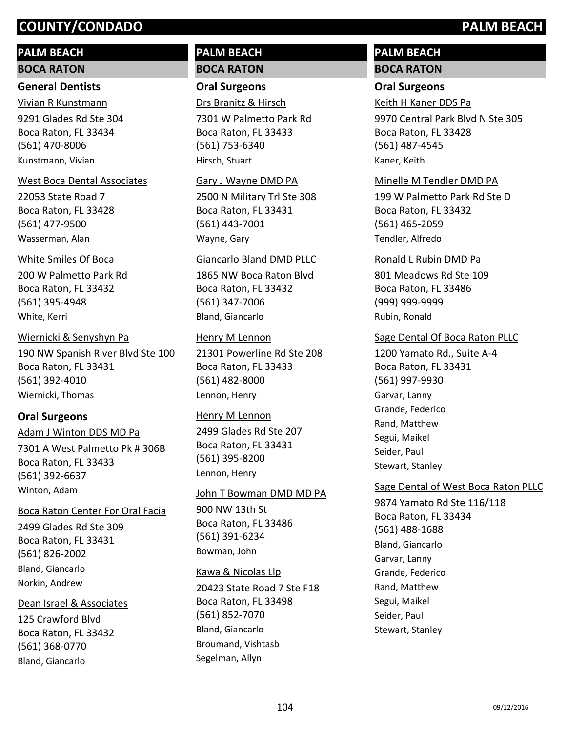# **PALM BEACH**

### **BOCA RATON**

## **General Dentists**

9291 Glades Rd Ste 304 Boca Raton, FL 33434 (561) 470-8006 Vivian R Kunstmann Kunstmann, Vivian

## West Boca Dental Associates

22053 State Road 7 Boca Raton, FL 33428 (561) 477-9500 Wasserman, Alan

## White Smiles Of Boca

200 W Palmetto Park Rd Boca Raton, FL 33432 (561) 395-4948 White, Kerri

# Wiernicki & Senyshyn Pa

190 NW Spanish River Blvd Ste 100 Boca Raton, FL 33431 (561) 392-4010 Wiernicki, Thomas

# **Oral Surgeons**

7301 A West Palmetto Pk # 306B Boca Raton, FL 33433 (561) 392-6637 Adam J Winton DDS MD Pa Winton, Adam

# Boca Raton Center For Oral Facia

2499 Glades Rd Ste 309 Boca Raton, FL 33431 (561) 826-2002 Bland, Giancarlo Norkin, Andrew

# Dean Israel & Associates

125 Crawford Blvd Boca Raton, FL 33432 (561) 368-0770 Bland, Giancarlo

# **PALM BEACH BOCA RATON**

# **Oral Surgeons** Drs Branitz & Hirsch

7301 W Palmetto Park Rd Boca Raton, FL 33433 (561) 753-6340 Hirsch, Stuart

## Gary J Wayne DMD PA

2500 N Military Trl Ste 308 Boca Raton, FL 33431 (561) 443-7001 Wayne, Gary

## Giancarlo Bland DMD PLLC

1865 NW Boca Raton Blvd Boca Raton, FL 33432 (561) 347-7006 Bland, Giancarlo

# Henry M Lennon

21301 Powerline Rd Ste 208 Boca Raton, FL 33433 (561) 482-8000 Lennon, Henry

# Henry M Lennon

2499 Glades Rd Ste 207 Boca Raton, FL 33431 (561) 395-8200 Lennon, Henry

# 900 NW 13th St Boca Raton, FL 33486 (561) 391-6234 John T Bowman DMD MD PA Bowman, John

## Kawa & Nicolas Llp

20423 State Road 7 Ste F18 Boca Raton, FL 33498 (561) 852-7070 Bland, Giancarlo Broumand, Vishtasb Segelman, Allyn

# **PALM BEACH BOCA RATON**

# **Oral Surgeons**

Keith H Kaner DDS Pa

9970 Central Park Blvd N Ste 305 Boca Raton, FL 33428 (561) 487-4545 Kaner, Keith

# Minelle M Tendler DMD PA

199 W Palmetto Park Rd Ste D Boca Raton, FL 33432 (561) 465-2059 Tendler, Alfredo

## Ronald L Rubin DMD Pa

801 Meadows Rd Ste 109 Boca Raton, FL 33486 (999) 999-9999 Rubin, Ronald

# Sage Dental Of Boca Raton PLLC

1200 Yamato Rd., Suite A-4 Boca Raton, FL 33431 (561) 997-9930 Garvar, Lanny Grande, Federico Rand, Matthew Segui, Maikel Seider, Paul Stewart, Stanley

# Sage Dental of West Boca Raton PLLC

9874 Yamato Rd Ste 116/118 Boca Raton, FL 33434 (561) 488-1688 Bland, Giancarlo Garvar, Lanny Grande, Federico Rand, Matthew Segui, Maikel Seider, Paul Stewart, Stanley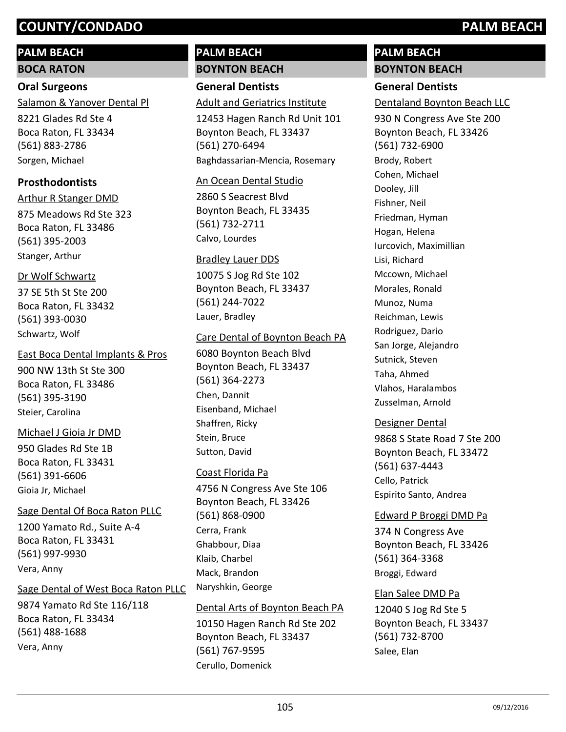# **PALM BEACH**

**BOCA RATON**

# **Oral Surgeons** Salamon & Yanover Dental Pl

8221 Glades Rd Ste 4 Boca Raton, FL 33434 (561) 883-2786 Sorgen, Michael

# **Prosthodontists**

875 Meadows Rd Ste 323 Boca Raton, FL 33486 (561) 395-2003 Arthur R Stanger DMD Stanger, Arthur

# Dr Wolf Schwartz

37 SE 5th St Ste 200 Boca Raton, FL 33432 (561) 393-0030 Schwartz, Wolf

# East Boca Dental Implants & Pros

900 NW 13th St Ste 300 Boca Raton, FL 33486 (561) 395-3190 Steier, Carolina

# 950 Glades Rd Ste 1B Boca Raton, FL 33431 Michael J Gioia Jr DMD

(561) 391-6606 Gioia Jr, Michael

# Sage Dental Of Boca Raton PLLC

1200 Yamato Rd., Suite A-4 Boca Raton, FL 33431 (561) 997-9930 Vera, Anny

# Sage Dental of West Boca Raton PLLC

9874 Yamato Rd Ste 116/118 Boca Raton, FL 33434 (561) 488-1688 Vera, Anny

# **PALM BEACH BOYNTON BEACH**

**General Dentists**

# Adult and Geriatrics Institute

12453 Hagen Ranch Rd Unit 101 Boynton Beach, FL 33437 (561) 270-6494 Baghdassarian-Mencia, Rosemary

# An Ocean Dental Studio

2860 S Seacrest Blvd Boynton Beach, FL 33435 (561) 732-2711 Calvo, Lourdes

# Bradley Lauer DDS

10075 S Jog Rd Ste 102 Boynton Beach, FL 33437 (561) 244-7022 Lauer, Bradley

# Care Dental of Boynton Beach PA

6080 Boynton Beach Blvd Boynton Beach, FL 33437 (561) 364-2273 Chen, Dannit Eisenband, Michael Shaffren, Ricky Stein, Bruce Sutton, David

# Coast Florida Pa

4756 N Congress Ave Ste 106 Boynton Beach, FL 33426 (561) 868-0900 Cerra, Frank Ghabbour, Diaa Klaib, Charbel Mack, Brandon Naryshkin, George

# Dental Arts of Boynton Beach PA

10150 Hagen Ranch Rd Ste 202 Boynton Beach, FL 33437 (561) 767-9595 Cerullo, Domenick

# **PALM BEACH BOYNTON BEACH**

# **General Dentists**

Dentaland Boynton Beach LLC

930 N Congress Ave Ste 200 Boynton Beach, FL 33426 (561) 732-6900 Brody, Robert Cohen, Michael Dooley, Jill Fishner, Neil Friedman, Hyman Hogan, Helena Iurcovich, Maximillian Lisi, Richard Mccown, Michael Morales, Ronald Munoz, Numa Reichman, Lewis Rodriguez, Dario San Jorge, Alejandro Sutnick, Steven Taha, Ahmed Vlahos, Haralambos Zusselman, Arnold

# Designer Dental

9868 S State Road 7 Ste 200 Boynton Beach, FL 33472 (561) 637-4443 Cello, Patrick Espirito Santo, Andrea

# Edward P Broggi DMD Pa

374 N Congress Ave Boynton Beach, FL 33426 (561) 364-3368 Broggi, Edward

# Elan Salee DMD Pa

12040 S Jog Rd Ste 5 Boynton Beach, FL 33437 (561) 732-8700 Salee, Elan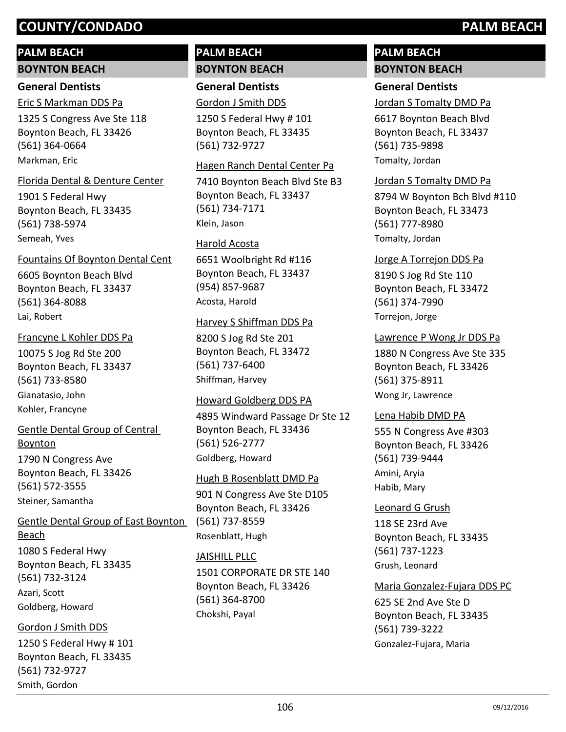# **PALM BEACH**

# **BOYNTON BEACH**

# **General Dentists**

Eric S Markman DDS Pa

1325 S Congress Ave Ste 118 Boynton Beach, FL 33426 (561) 364-0664 Markman, Eric

# Florida Dental & Denture Center

1901 S Federal Hwy Boynton Beach, FL 33435 (561) 738-5974 Semeah, Yves

# 6605 Boynton Beach Blvd Fountains Of Boynton Dental Cent

Boynton Beach, FL 33437 (561) 364-8088 Lai, Robert

# Francyne L Kohler DDS Pa

10075 S Jog Rd Ste 200 Boynton Beach, FL 33437 (561) 733-8580 Gianatasio, John Kohler, Francyne

# Gentle Dental Group of Central Boynton

1790 N Congress Ave Boynton Beach, FL 33426 (561) 572-3555 Steiner, Samantha

# 1080 S Federal Hwy Boynton Beach, FL 33435 (561) 732-3124 Gentle Dental Group of East Boynton Beach

Azari, Scott Goldberg, Howard

# Gordon J Smith DDS

1250 S Federal Hwy # 101 Boynton Beach, FL 33435 (561) 732-9727 Smith, Gordon

# **PALM BEACH BOYNTON BEACH**

**General Dentists** Gordon J Smith DDS

1250 S Federal Hwy # 101 Boynton Beach, FL 33435 (561) 732-9727

# Hagen Ranch Dental Center Pa

7410 Boynton Beach Blvd Ste B3 Boynton Beach, FL 33437 (561) 734-7171 Klein, Jason

# Harold Acosta

6651 Woolbright Rd #116 Boynton Beach, FL 33437 (954) 857-9687 Acosta, Harold

# Harvey S Shiffman DDS Pa

8200 S Jog Rd Ste 201 Boynton Beach, FL 33472 (561) 737-6400 Shiffman, Harvey

# Howard Goldberg DDS PA

4895 Windward Passage Dr Ste 12 Boynton Beach, FL 33436 (561) 526-2777 Goldberg, Howard

# Hugh B Rosenblatt DMD Pa

901 N Congress Ave Ste D105 Boynton Beach, FL 33426 (561) 737-8559 Rosenblatt, Hugh

# JAISHILL PLLC

1501 CORPORATE DR STE 140 Boynton Beach, FL 33426 (561) 364-8700 Chokshi, Payal

# **PALM BEACH BOYNTON BEACH**

# **General Dentists**

Jordan S Tomalty DMD Pa

6617 Boynton Beach Blvd Boynton Beach, FL 33437 (561) 735-9898 Tomalty, Jordan

# Jordan S Tomalty DMD Pa

8794 W Boynton Bch Blvd #110 Boynton Beach, FL 33473 (561) 777-8980 Tomalty, Jordan

# Jorge A Torrejon DDS Pa

8190 S Jog Rd Ste 110 Boynton Beach, FL 33472 (561) 374-7990 Torrejon, Jorge

# Lawrence P Wong Jr DDS Pa

1880 N Congress Ave Ste 335 Boynton Beach, FL 33426 (561) 375-8911 Wong Jr, Lawrence

# Lena Habib DMD PA

555 N Congress Ave #303 Boynton Beach, FL 33426 (561) 739-9444 Amini, Aryia Habib, Mary

# Leonard G Grush

118 SE 23rd Ave Boynton Beach, FL 33435 (561) 737-1223 Grush, Leonard

# Maria Gonzalez-Fujara DDS PC

625 SE 2nd Ave Ste D Boynton Beach, FL 33435 (561) 739-3222 Gonzalez-Fujara, Maria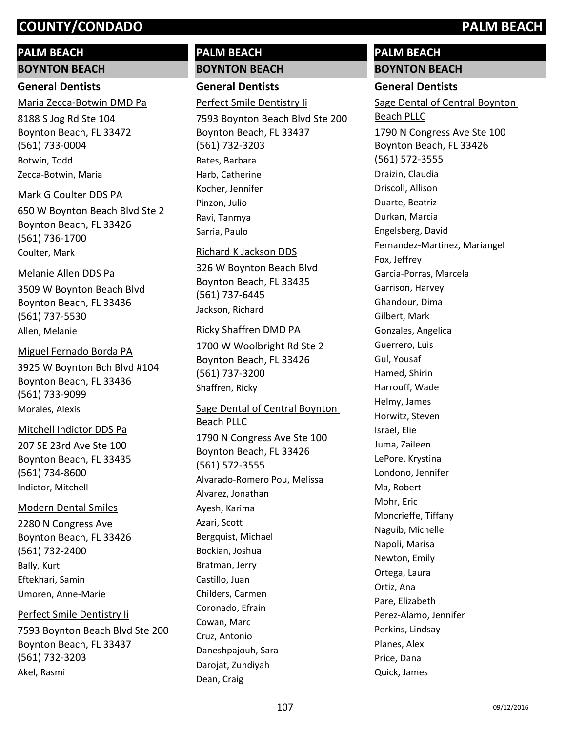# **PALM BEACH**

### **BOYNTON BEACH**

# **General Dentists**

# Maria Zecca-Botwin DMD Pa

8188 S Jog Rd Ste 104 Boynton Beach, FL 33472 (561) 733-0004 Botwin, Todd Zecca-Botwin, Maria

# Mark G Coulter DDS PA

650 W Boynton Beach Blvd Ste 2 Boynton Beach, FL 33426 (561) 736-1700 Coulter, Mark

## Melanie Allen DDS Pa

3509 W Boynton Beach Blvd Boynton Beach, FL 33436 (561) 737-5530 Allen, Melanie

# Miguel Fernado Borda PA

3925 W Boynton Bch Blvd #104 Boynton Beach, FL 33436 (561) 733-9099 Morales, Alexis

## Mitchell Indictor DDS Pa

207 SE 23rd Ave Ste 100 Boynton Beach, FL 33435 (561) 734-8600 Indictor, Mitchell

# Modern Dental Smiles

2280 N Congress Ave Boynton Beach, FL 33426 (561) 732-2400 Bally, Kurt Eftekhari, Samin Umoren, Anne-Marie

# Perfect Smile Dentistry Ii

7593 Boynton Beach Blvd Ste 200 Boynton Beach, FL 33437 (561) 732-3203 Akel, Rasmi

# **PALM BEACH BOYNTON BEACH**

# **General Dentists**

Perfect Smile Dentistry Ii

7593 Boynton Beach Blvd Ste 200 Boynton Beach, FL 33437 (561) 732-3203 Bates, Barbara Harb, Catherine Kocher, Jennifer Pinzon, Julio Ravi, Tanmya Sarria, Paulo

# Richard K Jackson DDS

326 W Boynton Beach Blvd Boynton Beach, FL 33435 (561) 737-6445 Jackson, Richard

## Ricky Shaffren DMD PA

1700 W Woolbright Rd Ste 2 Boynton Beach, FL 33426 (561) 737-3200 Shaffren, Ricky

# Sage Dental of Central Boynton Beach PLLC

1790 N Congress Ave Ste 100 Boynton Beach, FL 33426 (561) 572-3555 Alvarado-Romero Pou, Melissa Alvarez, Jonathan Ayesh, Karima Azari, Scott Bergquist, Michael Bockian, Joshua Bratman, Jerry Castillo, Juan Childers, Carmen Coronado, Efrain Cowan, Marc Cruz, Antonio Daneshpajouh, Sara Darojat, Zuhdiyah Dean, Craig

# **PALM BEACH BOYNTON BEACH**

# **General Dentists**

1790 N Congress Ave Ste 100 Boynton Beach, FL 33426 (561) 572-3555 Sage Dental of Central Boynton Beach PLLC Draizin, Claudia Driscoll, Allison Duarte, Beatriz Durkan, Marcia Engelsberg, David Fernandez-Martinez, Mariangel Fox, Jeffrey Garcia-Porras, Marcela Garrison, Harvey Ghandour, Dima Gilbert, Mark Gonzales, Angelica Guerrero, Luis Gul, Yousaf Hamed, Shirin Harrouff, Wade Helmy, James Horwitz, Steven Israel, Elie Juma, Zaileen LePore, Krystina Londono, Jennifer Ma, Robert Mohr, Eric Moncrieffe, Tiffany Naguib, Michelle Napoli, Marisa Newton, Emily Ortega, Laura Ortiz, Ana Pare, Elizabeth Perez-Alamo, Jennifer Perkins, Lindsay Planes, Alex Price, Dana Quick, James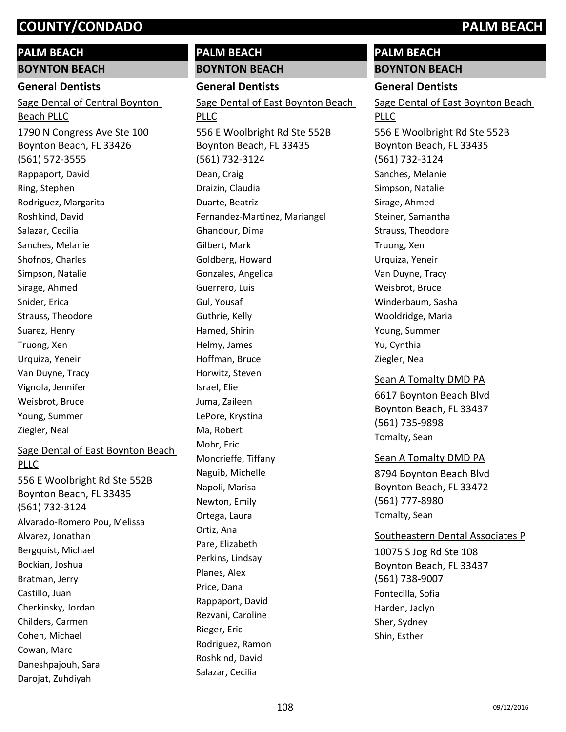# **PALM BEACH**

**BOYNTON BEACH**

### **General Dentists**

1790 N Congress Ave Ste 100 Boynton Beach, FL 33426 (561) 572-3555 Sage Dental of Central Boynton Beach PLLC Rappaport, David Ring, Stephen Rodriguez, Margarita Roshkind, David Salazar, Cecilia Sanches, Melanie Shofnos, Charles Simpson, Natalie Sirage, Ahmed Snider, Erica Strauss, Theodore Suarez, Henry Truong, Xen Urquiza, Yeneir Van Duyne, Tracy Vignola, Jennifer Weisbrot, Bruce Young, Summer Ziegler, Neal

# Sage Dental of East Boynton Beach PLLC

556 E Woolbright Rd Ste 552B Boynton Beach, FL 33435 (561) 732-3124 Alvarado-Romero Pou, Melissa Alvarez, Jonathan Bergquist, Michael Bockian, Joshua Bratman, Jerry Castillo, Juan Cherkinsky, Jordan Childers, Carmen Cohen, Michael Cowan, Marc Daneshpajouh, Sara

Darojat, Zuhdiyah

# **PALM BEACH BOYNTON BEACH**

**General Dentists**

556 E Woolbright Rd Ste 552B Boynton Beach, FL 33435 (561) 732-3124 Sage Dental of East Boynton Beach PLLC Dean, Craig Draizin, Claudia Duarte, Beatriz Fernandez-Martinez, Mariangel Ghandour, Dima Gilbert, Mark Goldberg, Howard Gonzales, Angelica Guerrero, Luis Gul, Yousaf Guthrie, Kelly Hamed, Shirin Helmy, James Hoffman, Bruce Horwitz, Steven Israel, Elie Juma, Zaileen LePore, Krystina Ma, Robert Mohr, Eric Moncrieffe, Tiffany Naguib, Michelle Napoli, Marisa Newton, Emily Ortega, Laura Ortiz, Ana Pare, Elizabeth Perkins, Lindsay Planes, Alex Price, Dana Rappaport, David Rezvani, Caroline Rieger, Eric

# **PALM BEACH BOYNTON BEACH**

# **General Dentists**

556 E Woolbright Rd Ste 552B Sage Dental of East Boynton Beach PLLC

Boynton Beach, FL 33435 (561) 732-3124 Sanches, Melanie Simpson, Natalie Sirage, Ahmed Steiner, Samantha Strauss, Theodore Truong, Xen Urquiza, Yeneir Van Duyne, Tracy Weisbrot, Bruce Winderbaum, Sasha Wooldridge, Maria Young, Summer Yu, Cynthia Ziegler, Neal

# 6617 Boynton Beach Blvd Boynton Beach, FL 33437 (561) 735-9898 Sean A Tomalty DMD PA Tomalty, Sean

## Sean A Tomalty DMD PA

8794 Boynton Beach Blvd Boynton Beach, FL 33472 (561) 777-8980 Tomalty, Sean

Shin, Esther

# 10075 S Jog Rd Ste 108 Boynton Beach, FL 33437 (561) 738-9007 Southeastern Dental Associates P Fontecilla, Sofia Harden, Jaclyn Sher, Sydney

Rodriguez, Ramon Roshkind, David Salazar, Cecilia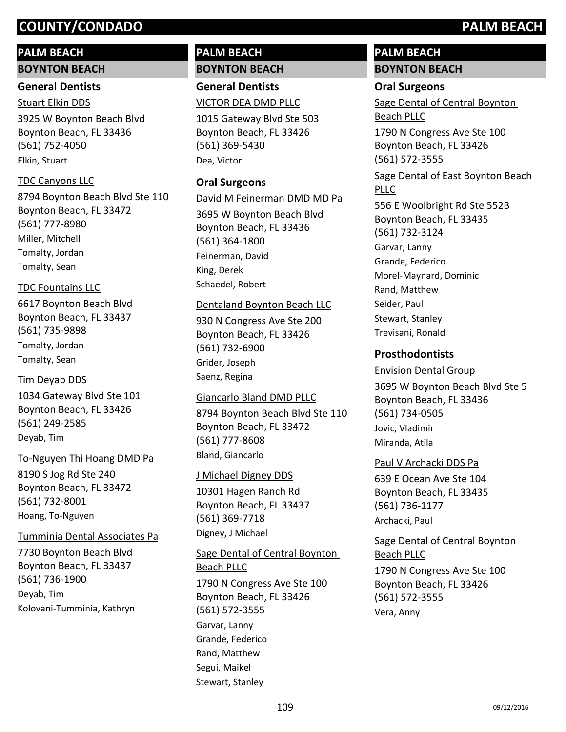# **PALM BEACH**

# **BOYNTON BEACH**

# **General Dentists**

3925 W Boynton Beach Blvd Boynton Beach, FL 33436 (561) 752-4050 Stuart Elkin DDS Elkin, Stuart

# TDC Canyons LLC

8794 Boynton Beach Blvd Ste 110 Boynton Beach, FL 33472 (561) 777-8980 Miller, Mitchell Tomalty, Jordan Tomalty, Sean

# TDC Fountains LLC

6617 Boynton Beach Blvd Boynton Beach, FL 33437 (561) 735-9898 Tomalty, Jordan Tomalty, Sean

# Tim Deyab DDS

1034 Gateway Blvd Ste 101 Boynton Beach, FL 33426 (561) 249-2585 Deyab, Tim

# To-Nguyen Thi Hoang DMD Pa

8190 S Jog Rd Ste 240 Boynton Beach, FL 33472 (561) 732-8001 Hoang, To-Nguyen

Tumminia Dental Associates Pa

7730 Boynton Beach Blvd Boynton Beach, FL 33437 (561) 736-1900 Deyab, Tim Kolovani-Tumminia, Kathryn

# **PALM BEACH BOYNTON BEACH**

**General Dentists** VICTOR DEA DMD PLLC

1015 Gateway Blvd Ste 503 Boynton Beach, FL 33426 (561) 369-5430 Dea, Victor

# **Oral Surgeons**

David M Feinerman DMD MD Pa

3695 W Boynton Beach Blvd Boynton Beach, FL 33436 (561) 364-1800 Feinerman, David King, Derek Schaedel, Robert

# Dentaland Boynton Beach LLC

930 N Congress Ave Ste 200 Boynton Beach, FL 33426 (561) 732-6900 Grider, Joseph Saenz, Regina

# Giancarlo Bland DMD PLLC

8794 Boynton Beach Blvd Ste 110 Boynton Beach, FL 33472 (561) 777-8608 Bland, Giancarlo

# J Michael Digney DDS

10301 Hagen Ranch Rd Boynton Beach, FL 33437 (561) 369-7718 Digney, J Michael

1790 N Congress Ave Ste 100 Boynton Beach, FL 33426 (561) 572-3555 Sage Dental of Central Boynton Beach PLLC Garvar, Lanny Grande, Federico Rand, Matthew Segui, Maikel Stewart, Stanley

# **PALM BEACH BOYNTON BEACH**

# **Oral Surgeons**

Sage Dental of Central Boynton Beach PLLC

1790 N Congress Ave Ste 100 Boynton Beach, FL 33426 (561) 572-3555

## Sage Dental of East Boynton Beach PLLC

556 E Woolbright Rd Ste 552B Boynton Beach, FL 33435 (561) 732-3124 Garvar, Lanny Grande, Federico Morel-Maynard, Dominic Rand, Matthew Seider, Paul Stewart, Stanley Trevisani, Ronald

# **Prosthodontists**

# 3695 W Boynton Beach Blvd Ste 5 Boynton Beach, FL 33436 (561) 734-0505 Envision Dental Group Jovic, Vladimir Miranda, Atila

# Paul V Archacki DDS Pa

639 E Ocean Ave Ste 104 Boynton Beach, FL 33435 (561) 736-1177 Archacki, Paul

## Sage Dental of Central Boynton Beach PLLC

1790 N Congress Ave Ste 100 Boynton Beach, FL 33426 (561) 572-3555 Vera, Anny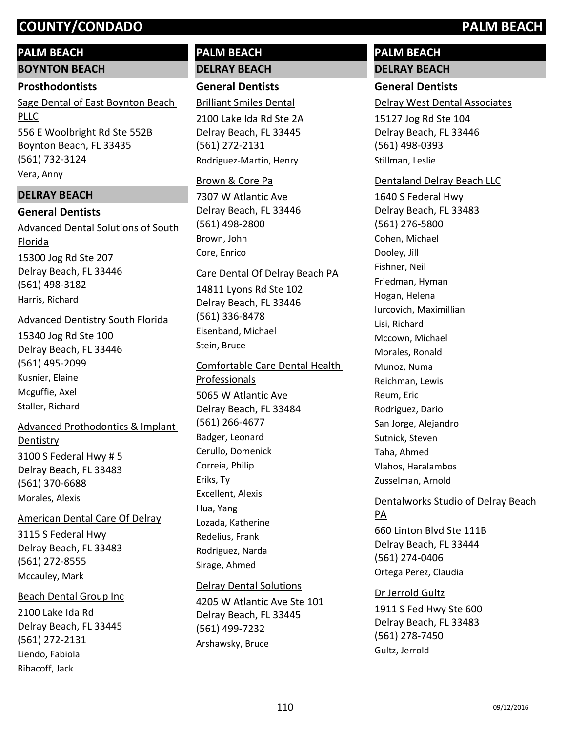## **PALM BEACH**

**BOYNTON BEACH**

#### **Prosthodontists**

556 E Woolbright Rd Ste 552B Boynton Beach, FL 33435 Sage Dental of East Boynton Beach PLLC

(561) 732-3124 Vera, Anny

## **DELRAY BEACH**

#### **General Dentists**

15300 Jog Rd Ste 207 Delray Beach, FL 33446 (561) 498-3182 Advanced Dental Solutions of South Florida Harris, Richard

#### Advanced Dentistry South Florida

15340 Jog Rd Ste 100 Delray Beach, FL 33446 (561) 495-2099 Kusnier, Elaine Mcguffie, Axel Staller, Richard

# Advanced Prothodontics & Implant

3100 S Federal Hwy # 5 Delray Beach, FL 33483 (561) 370-6688 **Dentistry** Morales, Alexis

#### American Dental Care Of Delray

3115 S Federal Hwy Delray Beach, FL 33483 (561) 272-8555 Mccauley, Mark

2100 Lake Ida Rd Delray Beach, FL 33445 (561) 272-2131 Beach Dental Group Inc Liendo, Fabiola Ribacoff, Jack

# **PALM BEACH DELRAY BEACH**

# **General Dentists**

Brilliant Smiles Dental

2100 Lake Ida Rd Ste 2A Delray Beach, FL 33445 (561) 272-2131 Rodriguez-Martin, Henry

#### Brown & Core Pa

7307 W Atlantic Ave Delray Beach, FL 33446 (561) 498-2800 Brown, John Core, Enrico

#### Care Dental Of Delray Beach PA

14811 Lyons Rd Ste 102 Delray Beach, FL 33446 (561) 336-8478 Eisenband, Michael Stein, Bruce

#### Comfortable Care Dental Health

5065 W Atlantic Ave Delray Beach, FL 33484 (561) 266-4677 Professionals Badger, Leonard Cerullo, Domenick Correia, Philip Eriks, Ty Excellent, Alexis Hua, Yang Lozada, Katherine Redelius, Frank Rodriguez, Narda Sirage, Ahmed

#### Delray Dental Solutions

4205 W Atlantic Ave Ste 101 Delray Beach, FL 33445 (561) 499-7232 Arshawsky, Bruce

# **PALM BEACH DELRAY BEACH**

## **General Dentists**

Delray West Dental Associates

15127 Jog Rd Ste 104 Delray Beach, FL 33446 (561) 498-0393 Stillman, Leslie

#### Dentaland Delray Beach LLC

1640 S Federal Hwy Delray Beach, FL 33483 (561) 276-5800 Cohen, Michael Dooley, Jill Fishner, Neil Friedman, Hyman Hogan, Helena Iurcovich, Maximillian Lisi, Richard Mccown, Michael Morales, Ronald Munoz, Numa Reichman, Lewis Reum, Eric Rodriguez, Dario San Jorge, Alejandro Sutnick, Steven Taha, Ahmed Vlahos, Haralambos Zusselman, Arnold

#### Dentalworks Studio of Delray Beach PA

660 Linton Blvd Ste 111B Delray Beach, FL 33444 (561) 274-0406 Ortega Perez, Claudia

#### Dr Jerrold Gultz

1911 S Fed Hwy Ste 600 Delray Beach, FL 33483 (561) 278-7450 Gultz, Jerrold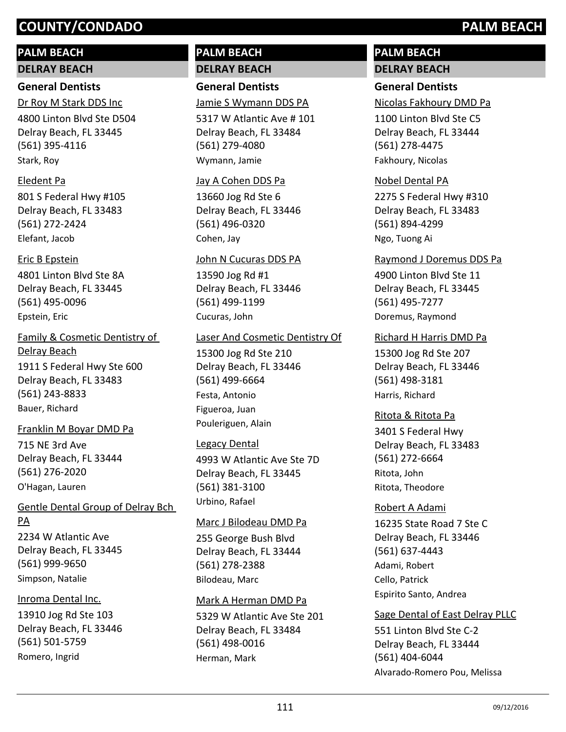# **PALM BEACH**

**DELRAY BEACH**

# **General Dentists**

4800 Linton Blvd Ste D504 Delray Beach, FL 33445 (561) 395-4116 Dr Roy M Stark DDS Inc Stark, Roy

#### Eledent Pa

801 S Federal Hwy #105 Delray Beach, FL 33483 (561) 272-2424 Elefant, Jacob

#### Eric B Epstein

4801 Linton Blvd Ste 8A Delray Beach, FL 33445 (561) 495-0096 Epstein, Eric

1911 S Federal Hwy Ste 600 Delray Beach, FL 33483 (561) 243-8833 Family & Cosmetic Dentistry of Delray Beach Bauer, Richard

## Franklin M Boyar DMD Pa

715 NE 3rd Ave Delray Beach, FL 33444 (561) 276-2020 O'Hagan, Lauren

## Gentle Dental Group of Delray Bch PA

2234 W Atlantic Ave Delray Beach, FL 33445 (561) 999-9650 Simpson, Natalie

## Inroma Dental Inc.

13910 Jog Rd Ste 103 Delray Beach, FL 33446 (561) 501-5759 Romero, Ingrid

# **PALM BEACH DELRAY BEACH**

**General Dentists**

Jamie S Wymann DDS PA

5317 W Atlantic Ave # 101 Delray Beach, FL 33484 (561) 279-4080 Wymann, Jamie

#### Jay A Cohen DDS Pa

13660 Jog Rd Ste 6 Delray Beach, FL 33446 (561) 496-0320 Cohen, Jay

#### John N Cucuras DDS PA

13590 Jog Rd #1 Delray Beach, FL 33446 (561) 499-1199 Cucuras, John

#### Laser And Cosmetic Dentistry Of

15300 Jog Rd Ste 210 Delray Beach, FL 33446 (561) 499-6664 Festa, Antonio Figueroa, Juan Pouleriguen, Alain

#### Legacy Dental

4993 W Atlantic Ave Ste 7D Delray Beach, FL 33445 (561) 381-3100 Urbino, Rafael

#### Marc J Bilodeau DMD Pa

255 George Bush Blvd Delray Beach, FL 33444 (561) 278-2388 Bilodeau, Marc

#### Mark A Herman DMD Pa

5329 W Atlantic Ave Ste 201 Delray Beach, FL 33484 (561) 498-0016 Herman, Mark

# **PALM BEACH DELRAY BEACH**

# **General Dentists**

Nicolas Fakhoury DMD Pa

1100 Linton Blvd Ste C5 Delray Beach, FL 33444 (561) 278-4475 Fakhoury, Nicolas

#### Nobel Dental PA

2275 S Federal Hwy #310 Delray Beach, FL 33483 (561) 894-4299 Ngo, Tuong Ai

#### Raymond J Doremus DDS Pa

4900 Linton Blvd Ste 11 Delray Beach, FL 33445 (561) 495-7277 Doremus, Raymond

#### Richard H Harris DMD Pa

15300 Jog Rd Ste 207 Delray Beach, FL 33446 (561) 498-3181 Harris, Richard

3401 S Federal Hwy Delray Beach, FL 33483 (561) 272-6664 Ritota & Ritota Pa Ritota, John Ritota, Theodore

#### Robert A Adami

16235 State Road 7 Ste C Delray Beach, FL 33446 (561) 637-4443 Adami, Robert Cello, Patrick Espirito Santo, Andrea

#### Sage Dental of East Delray PLLC

551 Linton Blvd Ste C-2 Delray Beach, FL 33444 (561) 404-6044 Alvarado-Romero Pou, Melissa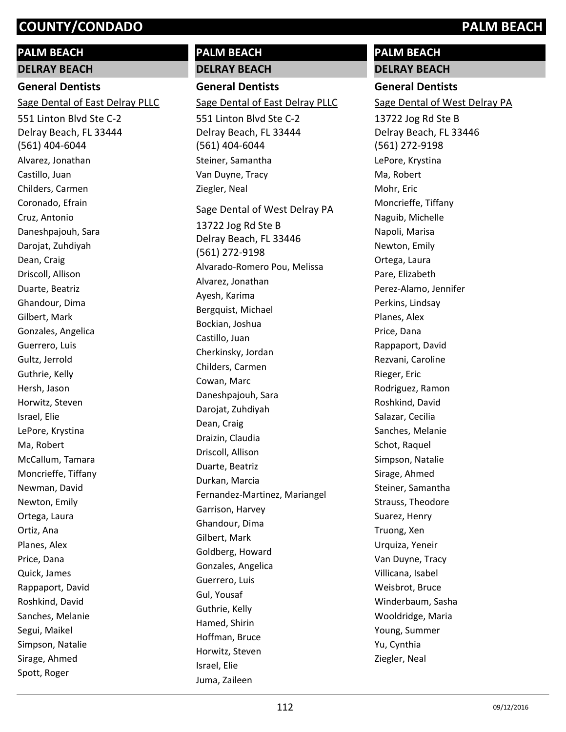# **PALM BEACH**

**DELRAY BEACH**

# **General Dentists**

Sage Dental of East Delray PLLC

551 Linton Blvd Ste C-2 Delray Beach, FL 33444 (561) 404-6044 Alvarez, Jonathan Castillo, Juan Childers, Carmen Coronado, Efrain Cruz, Antonio Daneshpajouh, Sara Darojat, Zuhdiyah Dean, Craig Driscoll, Allison Duarte, Beatriz Ghandour, Dima Gilbert, Mark Gonzales, Angelica Guerrero, Luis Gultz, Jerrold Guthrie, Kelly Hersh, Jason Horwitz, Steven Israel, Elie LePore, Krystina Ma, Robert McCallum, Tamara Moncrieffe, Tiffany Newman, David Newton, Emily Ortega, Laura Ortiz, Ana Planes, Alex Price, Dana Quick, James Rappaport, David Roshkind, David Sanches, Melanie Segui, Maikel Simpson, Natalie Sirage, Ahmed Spott, Roger

# **PALM BEACH DELRAY BEACH**

**General Dentists** Sage Dental of East Delray PLLC

551 Linton Blvd Ste C-2 Delray Beach, FL 33444 (561) 404-6044 Steiner, Samantha Van Duyne, Tracy Ziegler, Neal

#### Sage Dental of West Delray PA

13722 Jog Rd Ste B Delray Beach, FL 33446 (561) 272-9198 Alvarado-Romero Pou, Melissa Alvarez, Jonathan Ayesh, Karima Bergquist, Michael Bockian, Joshua Castillo, Juan Cherkinsky, Jordan Childers, Carmen Cowan, Marc Daneshpajouh, Sara Darojat, Zuhdiyah Dean, Craig Draizin, Claudia Driscoll, Allison Duarte, Beatriz Durkan, Marcia Fernandez-Martinez, Mariangel Garrison, Harvey Ghandour, Dima Gilbert, Mark Goldberg, Howard Gonzales, Angelica Guerrero, Luis Gul, Yousaf Guthrie, Kelly Hamed, Shirin Hoffman, Bruce Horwitz, Steven Israel, Elie Juma, Zaileen

# **PALM BEACH**

**DELRAY BEACH**

# **General Dentists**

Sage Dental of West Delray PA

13722 Jog Rd Ste B Delray Beach, FL 33446 (561) 272-9198 LePore, Krystina Ma, Robert Mohr, Eric Moncrieffe, Tiffany Naguib, Michelle Napoli, Marisa Newton, Emily Ortega, Laura Pare, Elizabeth Perez-Alamo, Jennifer Perkins, Lindsay Planes, Alex Price, Dana Rappaport, David Rezvani, Caroline Rieger, Eric Rodriguez, Ramon Roshkind, David Salazar, Cecilia Sanches, Melanie Schot, Raquel Simpson, Natalie Sirage, Ahmed Steiner, Samantha Strauss, Theodore Suarez, Henry Truong, Xen Urquiza, Yeneir Van Duyne, Tracy Villicana, Isabel Weisbrot, Bruce Winderbaum, Sasha Wooldridge, Maria Young, Summer Yu, Cynthia Ziegler, Neal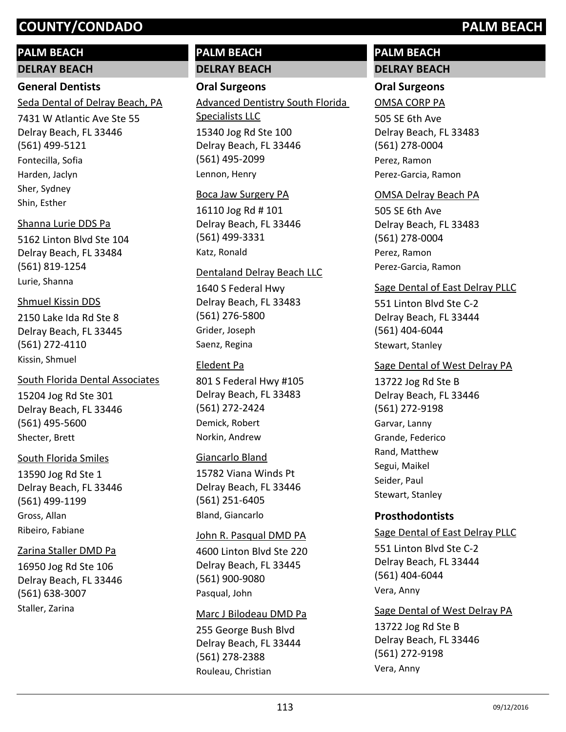# **PALM BEACH**

**DELRAY BEACH**

# **General Dentists**

Seda Dental of Delray Beach, PA

7431 W Atlantic Ave Ste 55 Delray Beach, FL 33446 (561) 499-5121 Fontecilla, Sofia Harden, Jaclyn Sher, Sydney Shin, Esther

# Shanna Lurie DDS Pa

5162 Linton Blvd Ste 104 Delray Beach, FL 33484 (561) 819-1254 Lurie, Shanna

# Shmuel Kissin DDS

2150 Lake Ida Rd Ste 8 Delray Beach, FL 33445 (561) 272-4110 Kissin, Shmuel

# South Florida Dental Associates

15204 Jog Rd Ste 301 Delray Beach, FL 33446 (561) 495-5600 Shecter, Brett

# South Florida Smiles

13590 Jog Rd Ste 1 Delray Beach, FL 33446 (561) 499-1199 Gross, Allan Ribeiro, Fabiane

# Zarina Staller DMD Pa

16950 Jog Rd Ste 106 Delray Beach, FL 33446 (561) 638-3007 Staller, Zarina

# **PALM BEACH DELRAY BEACH**

# **Oral Surgeons**

15340 Jog Rd Ste 100 Delray Beach, FL 33446 (561) 495-2099 Advanced Dentistry South Florida Specialists LLC Lennon, Henry

# Boca Jaw Surgery PA

16110 Jog Rd # 101 Delray Beach, FL 33446 (561) 499-3331 Katz, Ronald

# Dentaland Delray Beach LLC

1640 S Federal Hwy Delray Beach, FL 33483 (561) 276-5800 Grider, Joseph Saenz, Regina

# Eledent Pa

801 S Federal Hwy #105 Delray Beach, FL 33483 (561) 272-2424 Demick, Robert Norkin, Andrew

# Giancarlo Bland

15782 Viana Winds Pt Delray Beach, FL 33446 (561) 251-6405 Bland, Giancarlo

## John R. Pasqual DMD PA

4600 Linton Blvd Ste 220 Delray Beach, FL 33445 (561) 900-9080 Pasqual, John

# Marc J Bilodeau DMD Pa

255 George Bush Blvd Delray Beach, FL 33444 (561) 278-2388 Rouleau, Christian

# **PALM BEACH DELRAY BEACH**

# **Oral Surgeons**

# OMSA CORP PA

505 SE 6th Ave Delray Beach, FL 33483 (561) 278-0004 Perez, Ramon Perez-Garcia, Ramon

# OMSA Delray Beach PA

505 SE 6th Ave Delray Beach, FL 33483 (561) 278-0004 Perez, Ramon Perez-Garcia, Ramon

# Sage Dental of East Delray PLLC

551 Linton Blvd Ste C-2 Delray Beach, FL 33444 (561) 404-6044 Stewart, Stanley

# Sage Dental of West Delray PA

13722 Jog Rd Ste B Delray Beach, FL 33446 (561) 272-9198 Garvar, Lanny Grande, Federico Rand, Matthew Segui, Maikel Seider, Paul Stewart, Stanley

# **Prosthodontists**

Sage Dental of East Delray PLLC

551 Linton Blvd Ste C-2 Delray Beach, FL 33444 (561) 404-6044 Vera, Anny

# Sage Dental of West Delray PA

13722 Jog Rd Ste B Delray Beach, FL 33446 (561) 272-9198 Vera, Anny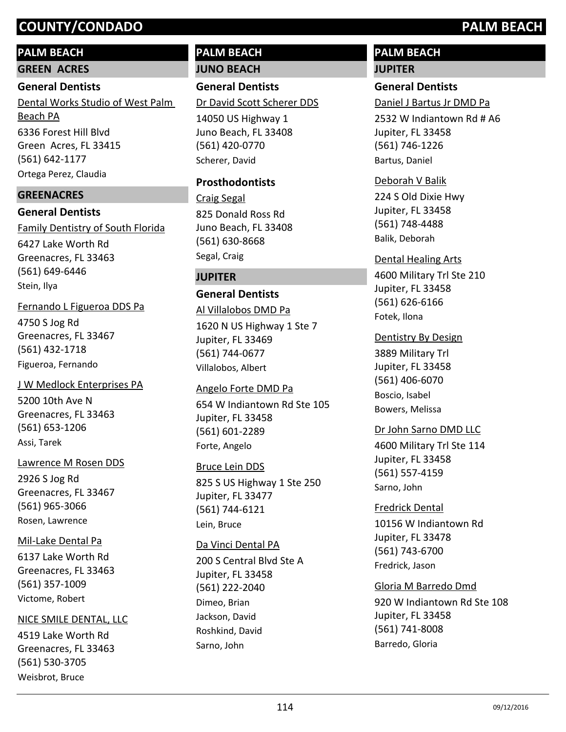# **PALM BEACH**

**GREEN ACRES**

#### **General Dentists**

6336 Forest Hill Blvd Green Acres, FL 33415 (561) 642-1177 Dental Works Studio of West Palm Beach PA Ortega Perez, Claudia

## **GREENACRES**

**General Dentists** 6427 Lake Worth Rd Greenacres, FL 33463 (561) 649-6446 Family Dentistry of South Florida Stein, Ilya

4750 S Jog Rd Greenacres, FL 33467 (561) 432-1718 Fernando L Figueroa DDS Pa Figueroa, Fernando

5200 10th Ave N Greenacres, FL 33463 (561) 653-1206 J W Medlock Enterprises PA Assi, Tarek

#### Lawrence M Rosen DDS

2926 S Jog Rd Greenacres, FL 33467 (561) 965-3066 Rosen, Lawrence

#### Mil-Lake Dental Pa

6137 Lake Worth Rd Greenacres, FL 33463 (561) 357-1009 Victome, Robert

#### NICE SMILE DENTAL, LLC

4519 Lake Worth Rd Greenacres, FL 33463 (561) 530-3705 Weisbrot, Bruce

# **PALM BEACH JUNO BEACH**

**General Dentists**

Dr David Scott Scherer DDS

14050 US Highway 1 Juno Beach, FL 33408 (561) 420-0770 Scherer, David

#### **Prosthodontists**

825 Donald Ross Rd Juno Beach, FL 33408 (561) 630-8668 Craig Segal Segal, Craig

### **JUPITER**

## **General Dentists**

1620 N US Highway 1 Ste 7 Jupiter, FL 33469 (561) 744-0677 Al Villalobos DMD Pa Villalobos, Albert

654 W Indiantown Rd Ste 105 Jupiter, FL 33458 (561) 601-2289 Angelo Forte DMD Pa Forte, Angelo

#### Bruce Lein DDS

825 S US Highway 1 Ste 250 Jupiter, FL 33477 (561) 744-6121 Lein, Bruce

#### Da Vinci Dental PA

200 S Central Blvd Ste A Jupiter, FL 33458 (561) 222-2040 Dimeo, Brian Jackson, David Roshkind, David Sarno, John

# **PALM BEACH JUPITER**

**General Dentists** Daniel J Bartus Jr DMD Pa

2532 W Indiantown Rd # A6 Jupiter, FL 33458 (561) 746-1226 Bartus, Daniel

#### Deborah V Balik

224 S Old Dixie Hwy Jupiter, FL 33458 (561) 748-4488 Balik, Deborah

#### Dental Healing Arts

4600 Military Trl Ste 210 Jupiter, FL 33458 (561) 626-6166 Fotek, Ilona

#### Dentistry By Design

3889 Military Trl Jupiter, FL 33458 (561) 406-6070 Boscio, Isabel Bowers, Melissa

## Dr John Sarno DMD LLC

4600 Military Trl Ste 114 Jupiter, FL 33458 (561) 557-4159 Sarno, John

#### Fredrick Dental

10156 W Indiantown Rd Jupiter, FL 33478 (561) 743-6700 Fredrick, Jason

#### Gloria M Barredo Dmd

920 W Indiantown Rd Ste 108 Jupiter, FL 33458 (561) 741-8008 Barredo, Gloria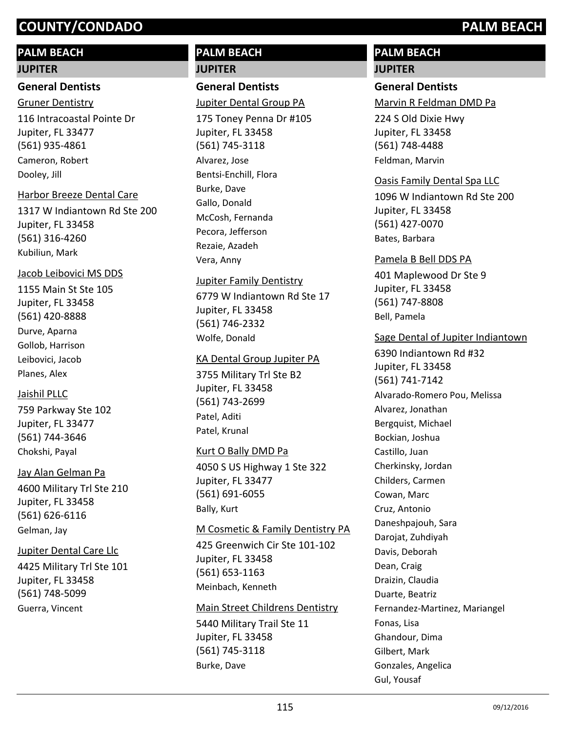# **PALM BEACH**

#### **JUPITER**

#### **General Dentists**

116 Intracoastal Pointe Dr Jupiter, FL 33477 (561) 935-4861 Gruner Dentistry Cameron, Robert Dooley, Jill

#### Harbor Breeze Dental Care

1317 W Indiantown Rd Ste 200 Jupiter, FL 33458 (561) 316-4260 Kubiliun, Mark

#### Jacob Leibovici MS DDS

1155 Main St Ste 105 Jupiter, FL 33458 (561) 420-8888 Durve, Aparna Gollob, Harrison Leibovici, Jacob Planes, Alex

#### Jaishil PLLC

759 Parkway Ste 102 Jupiter, FL 33477 (561) 744-3646 Chokshi, Payal

#### Jay Alan Gelman Pa

4600 Military Trl Ste 210 Jupiter, FL 33458 (561) 626-6116 Gelman, Jay

#### Jupiter Dental Care Llc

4425 Military Trl Ste 101 Jupiter, FL 33458 (561) 748-5099 Guerra, Vincent

# **PALM BEACH JUPITER**

# **General Dentists**

Jupiter Dental Group PA

175 Toney Penna Dr #105 Jupiter, FL 33458 (561) 745-3118 Alvarez, Jose Bentsi-Enchill, Flora Burke, Dave Gallo, Donald McCosh, Fernanda Pecora, Jefferson Rezaie, Azadeh Vera, Anny

#### Jupiter Family Dentistry

6779 W Indiantown Rd Ste 17 Jupiter, FL 33458 (561) 746-2332 Wolfe, Donald

#### KA Dental Group Jupiter PA

3755 Military Trl Ste B2 Jupiter, FL 33458 (561) 743-2699 Patel, Aditi Patel, Krunal

#### Kurt O Bally DMD Pa

4050 S US Highway 1 Ste 322 Jupiter, FL 33477 (561) 691-6055 Bally, Kurt

#### M Cosmetic & Family Dentistry PA

425 Greenwich Cir Ste 101-102 Jupiter, FL 33458 (561) 653-1163 Meinbach, Kenneth

#### Main Street Childrens Dentistry

5440 Military Trail Ste 11 Jupiter, FL 33458 (561) 745-3118 Burke, Dave

# **PALM BEACH**

# **JUPITER**

# **General Dentists**

Marvin R Feldman DMD Pa

224 S Old Dixie Hwy Jupiter, FL 33458 (561) 748-4488 Feldman, Marvin

#### Oasis Family Dental Spa LLC

1096 W Indiantown Rd Ste 200 Jupiter, FL 33458 (561) 427-0070 Bates, Barbara

#### Pamela B Bell DDS PA

401 Maplewood Dr Ste 9 Jupiter, FL 33458 (561) 747-8808 Bell, Pamela

#### Sage Dental of Jupiter Indiantown

6390 Indiantown Rd #32 Jupiter, FL 33458 (561) 741-7142 Alvarado-Romero Pou, Melissa Alvarez, Jonathan Bergquist, Michael Bockian, Joshua Castillo, Juan Cherkinsky, Jordan Childers, Carmen Cowan, Marc Cruz, Antonio Daneshpajouh, Sara Darojat, Zuhdiyah Davis, Deborah Dean, Craig Draizin, Claudia Duarte, Beatriz Fernandez-Martinez, Mariangel Fonas, Lisa Ghandour, Dima Gilbert, Mark Gonzales, Angelica Gul, Yousaf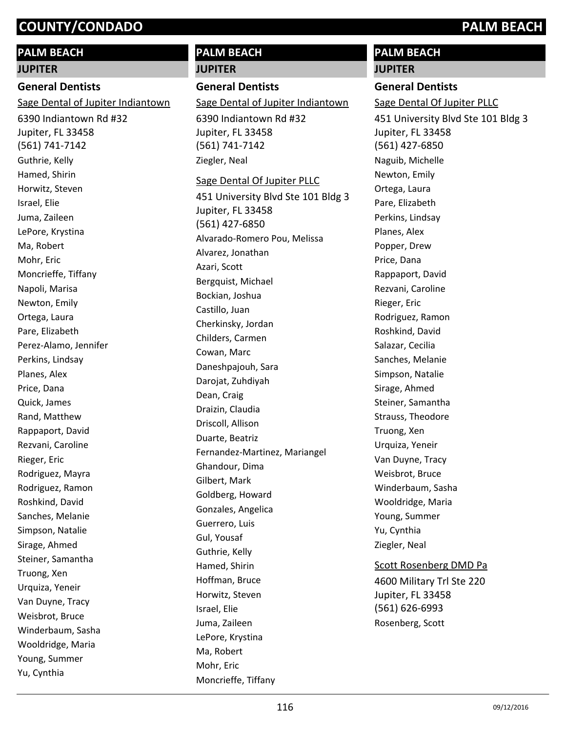# **PALM BEACH**

#### **JUPITER**

### **General Dentists**

Sage Dental of Jupiter Indiantown

6390 Indiantown Rd #32 Jupiter, FL 33458 (561) 741-7142 Guthrie, Kelly Hamed, Shirin Horwitz, Steven Israel, Elie Juma, Zaileen LePore, Krystina Ma, Robert Mohr, Eric Moncrieffe, Tiffany Napoli, Marisa Newton, Emily Ortega, Laura Pare, Elizabeth Perez-Alamo, Jennifer Perkins, Lindsay Planes, Alex Price, Dana Quick, James Rand, Matthew Rappaport, David Rezvani, Caroline Rieger, Eric Rodriguez, Mayra Rodriguez, Ramon Roshkind, David Sanches, Melanie Simpson, Natalie Sirage, Ahmed Steiner, Samantha Truong, Xen Urquiza, Yeneir Van Duyne, Tracy Weisbrot, Bruce Winderbaum, Sasha Wooldridge, Maria Young, Summer Yu, Cynthia

# **PALM BEACH JUPITER**

## **General Dentists**

Sage Dental of Jupiter Indiantown

6390 Indiantown Rd #32 Jupiter, FL 33458 (561) 741-7142 Ziegler, Neal

#### Sage Dental Of Jupiter PLLC

451 University Blvd Ste 101 Bldg 3 Jupiter, FL 33458 (561) 427-6850 Alvarado-Romero Pou, Melissa Alvarez, Jonathan Azari, Scott Bergquist, Michael Bockian, Joshua Castillo, Juan Cherkinsky, Jordan Childers, Carmen Cowan, Marc Daneshpajouh, Sara Darojat, Zuhdiyah Dean, Craig Draizin, Claudia Driscoll, Allison Duarte, Beatriz Fernandez-Martinez, Mariangel Ghandour, Dima Gilbert, Mark Goldberg, Howard Gonzales, Angelica Guerrero, Luis Gul, Yousaf Guthrie, Kelly Hamed, Shirin Hoffman, Bruce Horwitz, Steven Israel, Elie Juma, Zaileen LePore, Krystina Ma, Robert Mohr, Eric Moncrieffe, Tiffany

# **PALM BEACH**

# **JUPITER General Dentists**

451 University Blvd Ste 101 Bldg 3 Jupiter, FL 33458 (561) 427-6850 Sage Dental Of Jupiter PLLC Naguib, Michelle Newton, Emily Ortega, Laura Pare, Elizabeth Perkins, Lindsay Planes, Alex Popper, Drew Price, Dana Rappaport, David Rezvani, Caroline Rieger, Eric Rodriguez, Ramon Roshkind, David Salazar, Cecilia Sanches, Melanie Simpson, Natalie Sirage, Ahmed Steiner, Samantha Strauss, Theodore Truong, Xen Urquiza, Yeneir Van Duyne, Tracy Weisbrot, Bruce Winderbaum, Sasha Wooldridge, Maria Young, Summer Yu, Cynthia Ziegler, Neal

#### Scott Rosenberg DMD Pa

4600 Military Trl Ste 220 Jupiter, FL 33458 (561) 626-6993 Rosenberg, Scott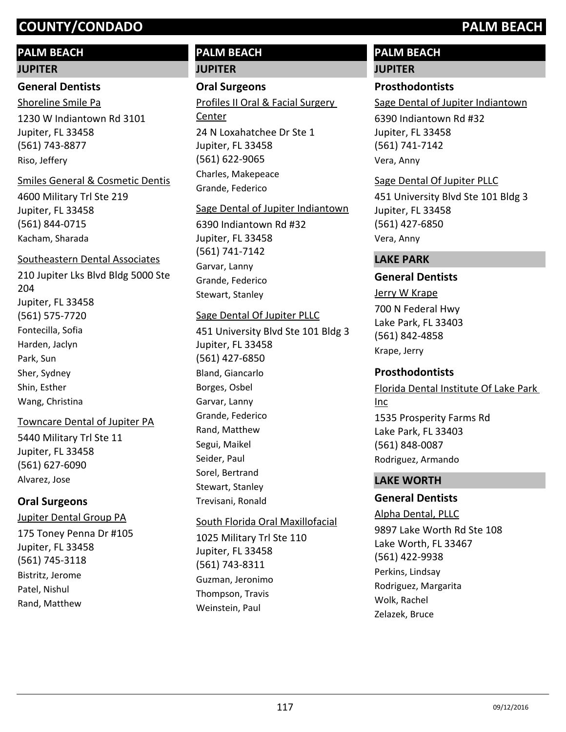# **PALM BEACH**

#### **JUPITER**

#### **General Dentists**

1230 W Indiantown Rd 3101 Jupiter, FL 33458 (561) 743-8877 Shoreline Smile Pa Riso, Jeffery

#### Smiles General & Cosmetic Dentis

4600 Military Trl Ste 219 Jupiter, FL 33458 (561) 844-0715 Kacham, Sharada

#### Southeastern Dental Associates

210 Jupiter Lks Blvd Bldg 5000 Ste 204 Jupiter, FL 33458 (561) 575-7720 Fontecilla, Sofia Harden, Jaclyn Park, Sun Sher, Sydney Shin, Esther Wang, Christina

#### Towncare Dental of Jupiter PA

5440 Military Trl Ste 11 Jupiter, FL 33458 (561) 627-6090 Alvarez, Jose

#### **Oral Surgeons**

175 Toney Penna Dr #105 Jupiter, FL 33458 (561) 745-3118 Jupiter Dental Group PA Bistritz, Jerome Patel, Nishul Rand, Matthew

# **PALM BEACH JUPITER**

### **Oral Surgeons**

24 N Loxahatchee Dr Ste 1 Jupiter, FL 33458 (561) 622-9065 Profiles II Oral & Facial Surgery Center Charles, Makepeace Grande, Federico

#### Sage Dental of Jupiter Indiantown

6390 Indiantown Rd #32 Jupiter, FL 33458 (561) 741-7142 Garvar, Lanny Grande, Federico Stewart, Stanley

#### Sage Dental Of Jupiter PLLC

451 University Blvd Ste 101 Bldg 3 Jupiter, FL 33458 (561) 427-6850 Bland, Giancarlo Borges, Osbel Garvar, Lanny Grande, Federico Rand, Matthew Segui, Maikel Seider, Paul Sorel, Bertrand Stewart, Stanley Trevisani, Ronald

#### South Florida Oral Maxillofacial

1025 Military Trl Ste 110 Jupiter, FL 33458 (561) 743-8311 Guzman, Jeronimo Thompson, Travis Weinstein, Paul

# **PALM BEACH**

#### **JUPITER**

### **Prosthodontists**

Sage Dental of Jupiter Indiantown

6390 Indiantown Rd #32 Jupiter, FL 33458 (561) 741-7142 Vera, Anny

#### Sage Dental Of Jupiter PLLC

451 University Blvd Ste 101 Bldg 3 Jupiter, FL 33458 (561) 427-6850 Vera, Anny

#### **LAKE PARK**

### **General Dentists**

700 N Federal Hwy Lake Park, FL 33403 (561) 842-4858 Jerry W Krape Krape, Jerry

#### **Prosthodontists**

1535 Prosperity Farms Rd Lake Park, FL 33403 (561) 848-0087 Florida Dental Institute Of Lake Park Inc Rodriguez, Armando

### **LAKE WORTH**

## **General Dentists**

#### Alpha Dental, PLLC

9897 Lake Worth Rd Ste 108 Lake Worth, FL 33467 (561) 422-9938 Perkins, Lindsay Rodriguez, Margarita Wolk, Rachel Zelazek, Bruce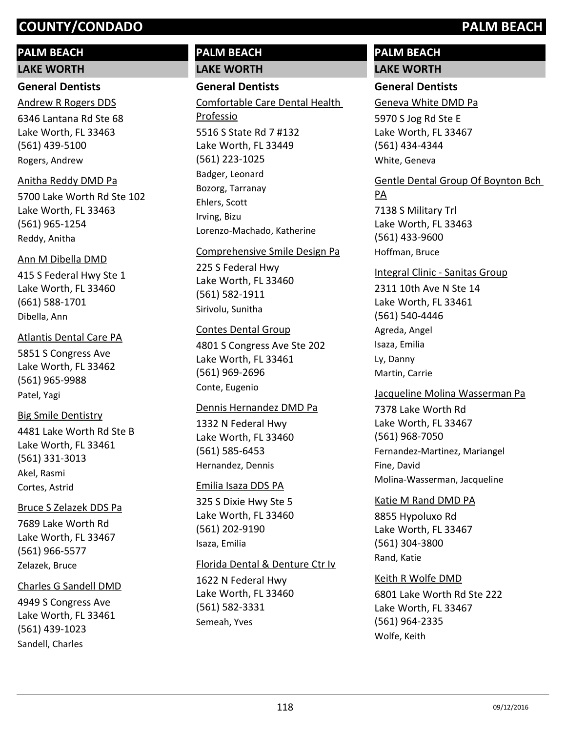## **PALM BEACH**

**LAKE WORTH**

### **General Dentists**

6346 Lantana Rd Ste 68 Lake Worth, FL 33463 (561) 439-5100 Andrew R Rogers DDS Rogers, Andrew

#### Anitha Reddy DMD Pa

5700 Lake Worth Rd Ste 102 Lake Worth, FL 33463 (561) 965-1254 Reddy, Anitha

#### Ann M Dibella DMD

415 S Federal Hwy Ste 1 Lake Worth, FL 33460 (661) 588-1701 Dibella, Ann

#### Atlantis Dental Care PA

5851 S Congress Ave Lake Worth, FL 33462 (561) 965-9988 Patel, Yagi

## Big Smile Dentistry

4481 Lake Worth Rd Ste B Lake Worth, FL 33461 (561) 331-3013 Akel, Rasmi Cortes, Astrid

#### Bruce S Zelazek DDS Pa

7689 Lake Worth Rd Lake Worth, FL 33467 (561) 966-5577 Zelazek, Bruce

#### Charles G Sandell DMD

4949 S Congress Ave Lake Worth, FL 33461 (561) 439-1023 Sandell, Charles

# **PALM BEACH LAKE WORTH**

# **General Dentists**

5516 S State Rd 7 #132 Lake Worth, FL 33449 (561) 223-1025 Comfortable Care Dental Health Professio Badger, Leonard Bozorg, Tarranay Ehlers, Scott Irving, Bizu Lorenzo-Machado, Katherine

#### Comprehensive Smile Design Pa

225 S Federal Hwy Lake Worth, FL 33460 (561) 582-1911 Sirivolu, Sunitha

#### Contes Dental Group

4801 S Congress Ave Ste 202 Lake Worth, FL 33461 (561) 969-2696 Conte, Eugenio

#### Dennis Hernandez DMD Pa

1332 N Federal Hwy Lake Worth, FL 33460 (561) 585-6453 Hernandez, Dennis

#### Emilia Isaza DDS PA

325 S Dixie Hwy Ste 5 Lake Worth, FL 33460 (561) 202-9190 Isaza, Emilia

#### Florida Dental & Denture Ctr Iv

1622 N Federal Hwy Lake Worth, FL 33460 (561) 582-3331 Semeah, Yves

# **PALM BEACH LAKE WORTH**

### **General Dentists**

Geneva White DMD Pa

5970 S Jog Rd Ste E Lake Worth, FL 33467 (561) 434-4344 White, Geneva

# Gentle Dental Group Of Boynton Bch

7138 S Military Trl Lake Worth, FL 33463 (561) 433-9600 PA Hoffman, Bruce

# Integral Clinic - Sanitas Group

2311 10th Ave N Ste 14 Lake Worth, FL 33461 (561) 540-4446 Agreda, Angel Isaza, Emilia Ly, Danny Martin, Carrie

#### Jacqueline Molina Wasserman Pa

7378 Lake Worth Rd Lake Worth, FL 33467 (561) 968-7050 Fernandez-Martinez, Mariangel Fine, David Molina-Wasserman, Jacqueline

#### Katie M Rand DMD PA

8855 Hypoluxo Rd Lake Worth, FL 33467 (561) 304-3800 Rand, Katie

#### Keith R Wolfe DMD

6801 Lake Worth Rd Ste 222 Lake Worth, FL 33467 (561) 964-2335 Wolfe, Keith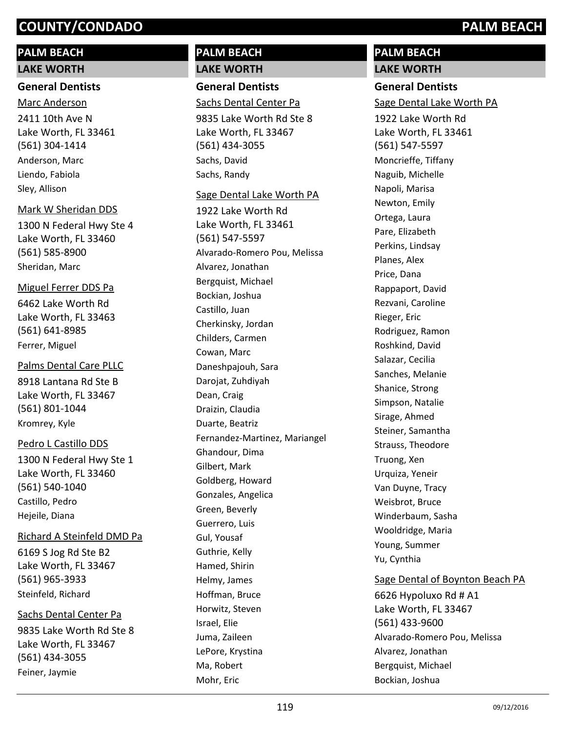# **PALM BEACH**

#### **LAKE WORTH**

#### **General Dentists**

2411 10th Ave N Lake Worth, FL 33461 (561) 304-1414 Marc Anderson Anderson, Marc Liendo, Fabiola Sley, Allison

#### Mark W Sheridan DDS

1300 N Federal Hwy Ste 4 Lake Worth, FL 33460 (561) 585-8900 Sheridan, Marc

#### Miguel Ferrer DDS Pa

6462 Lake Worth Rd Lake Worth, FL 33463 (561) 641-8985 Ferrer, Miguel

#### Palms Dental Care PLLC

8918 Lantana Rd Ste B Lake Worth, FL 33467 (561) 801-1044 Kromrey, Kyle

#### Pedro L Castillo DDS

1300 N Federal Hwy Ste 1 Lake Worth, FL 33460 (561) 540-1040 Castillo, Pedro Hejeile, Diana

#### Richard A Steinfeld DMD Pa

6169 S Jog Rd Ste B2 Lake Worth, FL 33467 (561) 965-3933 Steinfeld, Richard

#### Sachs Dental Center Pa

9835 Lake Worth Rd Ste 8 Lake Worth, FL 33467 (561) 434-3055 Feiner, Jaymie

# **PALM BEACH LAKE WORTH**

**General Dentists**

# Sachs Dental Center Pa

9835 Lake Worth Rd Ste 8 Lake Worth, FL 33467 (561) 434-3055 Sachs, David Sachs, Randy

#### Sage Dental Lake Worth PA

1922 Lake Worth Rd Lake Worth, FL 33461 (561) 547-5597 Alvarado-Romero Pou, Melissa Alvarez, Jonathan Bergquist, Michael Bockian, Joshua Castillo, Juan Cherkinsky, Jordan Childers, Carmen Cowan, Marc Daneshpajouh, Sara Darojat, Zuhdiyah Dean, Craig Draizin, Claudia Duarte, Beatriz Fernandez-Martinez, Mariangel Ghandour, Dima Gilbert, Mark Goldberg, Howard Gonzales, Angelica Green, Beverly Guerrero, Luis Gul, Yousaf Guthrie, Kelly Hamed, Shirin Helmy, James Hoffman, Bruce Horwitz, Steven Israel, Elie Juma, Zaileen LePore, Krystina Ma, Robert Mohr, Eric

# **PALM BEACH LAKE WORTH**

# **General Dentists**

Sage Dental Lake Worth PA

1922 Lake Worth Rd Lake Worth, FL 33461 (561) 547-5597 Moncrieffe, Tiffany Naguib, Michelle Napoli, Marisa Newton, Emily Ortega, Laura Pare, Elizabeth Perkins, Lindsay Planes, Alex Price, Dana Rappaport, David Rezvani, Caroline Rieger, Eric Rodriguez, Ramon Roshkind, David Salazar, Cecilia Sanches, Melanie Shanice, Strong Simpson, Natalie Sirage, Ahmed Steiner, Samantha Strauss, Theodore Truong, Xen Urquiza, Yeneir Van Duyne, Tracy Weisbrot, Bruce Winderbaum, Sasha Wooldridge, Maria Young, Summer Yu, Cynthia

## Sage Dental of Boynton Beach PA

6626 Hypoluxo Rd # A1 Lake Worth, FL 33467 (561) 433-9600 Alvarado-Romero Pou, Melissa Alvarez, Jonathan Bergquist, Michael Bockian, Joshua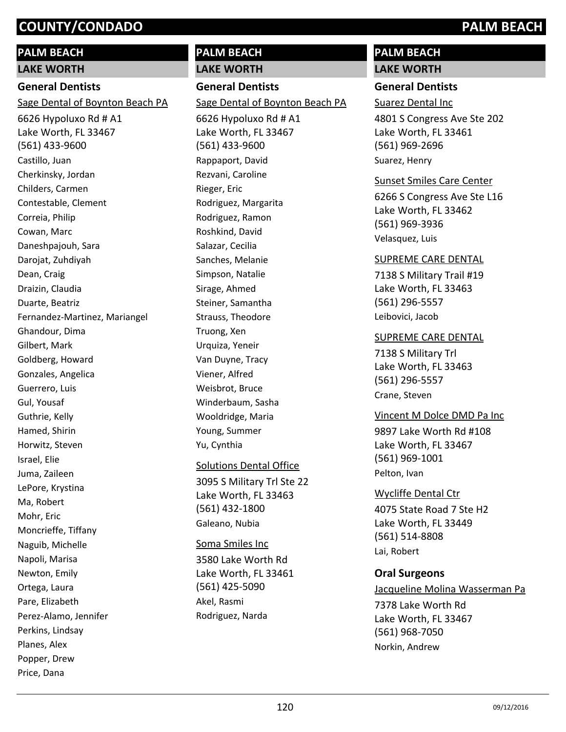# **PALM BEACH**

**LAKE WORTH**

# **General Dentists**

Sage Dental of Boynton Beach PA

6626 Hypoluxo Rd # A1 Lake Worth, FL 33467 (561) 433-9600 Castillo, Juan Cherkinsky, Jordan Childers, Carmen Contestable, Clement Correia, Philip Cowan, Marc Daneshpajouh, Sara Darojat, Zuhdiyah Dean, Craig Draizin, Claudia Duarte, Beatriz Fernandez-Martinez, Mariangel Ghandour, Dima Gilbert, Mark Goldberg, Howard Gonzales, Angelica Guerrero, Luis Gul, Yousaf Guthrie, Kelly Hamed, Shirin Horwitz, Steven Israel, Elie Juma, Zaileen LePore, Krystina Ma, Robert Mohr, Eric Moncrieffe, Tiffany Naguib, Michelle Napoli, Marisa Newton, Emily Ortega, Laura Pare, Elizabeth Perez-Alamo, Jennifer Perkins, Lindsay Planes, Alex Popper, Drew Price, Dana

# **PALM BEACH LAKE WORTH**

# **General Dentists**

Sage Dental of Boynton Beach PA

6626 Hypoluxo Rd # A1 Lake Worth, FL 33467 (561) 433-9600 Rappaport, David Rezvani, Caroline Rieger, Eric Rodriguez, Margarita Rodriguez, Ramon Roshkind, David Salazar, Cecilia Sanches, Melanie Simpson, Natalie Sirage, Ahmed Steiner, Samantha Strauss, Theodore Truong, Xen Urquiza, Yeneir Van Duyne, Tracy Viener, Alfred Weisbrot, Bruce Winderbaum, Sasha Wooldridge, Maria Young, Summer Yu, Cynthia

## Solutions Dental Office

3095 S Military Trl Ste 22 Lake Worth, FL 33463 (561) 432-1800 Galeano, Nubia

#### Soma Smiles Inc

3580 Lake Worth Rd Lake Worth, FL 33461 (561) 425-5090 Akel, Rasmi Rodriguez, Narda

# **PALM BEACH**

# **LAKE WORTH**

## **General Dentists**

Suarez Dental Inc

4801 S Congress Ave Ste 202 Lake Worth, FL 33461 (561) 969-2696 Suarez, Henry

#### Sunset Smiles Care Center

6266 S Congress Ave Ste L16 Lake Worth, FL 33462 (561) 969-3936 Velasquez, Luis

#### SUPREME CARE DENTAL

7138 S Military Trail #19 Lake Worth, FL 33463 (561) 296-5557 Leibovici, Jacob

#### SUPREME CARE DENTAL

7138 S Military Trl Lake Worth, FL 33463 (561) 296-5557 Crane, Steven

#### Vincent M Dolce DMD Pa Inc

9897 Lake Worth Rd #108 Lake Worth, FL 33467 (561) 969-1001 Pelton, Ivan

4075 State Road 7 Ste H2 Lake Worth, FL 33449 (561) 514-8808 Wycliffe Dental Ctr Lai, Robert

## **Oral Surgeons**

7378 Lake Worth Rd Lake Worth, FL 33467 (561) 968-7050 Jacqueline Molina Wasserman Pa Norkin, Andrew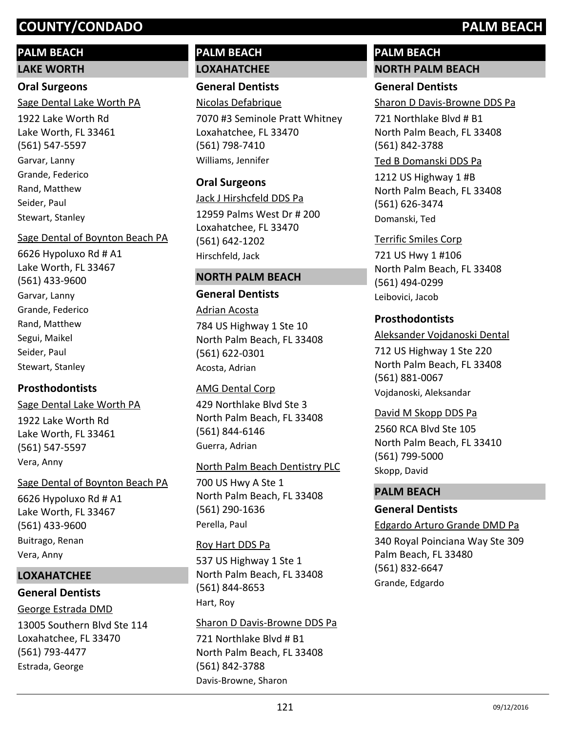# **PALM BEACH**

## **LAKE WORTH**

# **Oral Surgeons**

Sage Dental Lake Worth PA

1922 Lake Worth Rd Lake Worth, FL 33461 (561) 547-5597 Garvar, Lanny Grande, Federico Rand, Matthew Seider, Paul Stewart, Stanley

## Sage Dental of Boynton Beach PA

6626 Hypoluxo Rd # A1 Lake Worth, FL 33467 (561) 433-9600 Garvar, Lanny Grande, Federico Rand, Matthew Segui, Maikel Seider, Paul Stewart, Stanley

# **Prosthodontists**

1922 Lake Worth Rd Lake Worth, FL 33461 (561) 547-5597 Sage Dental Lake Worth PA Vera, Anny

# Sage Dental of Boynton Beach PA

6626 Hypoluxo Rd # A1 Lake Worth, FL 33467 (561) 433-9600 Buitrago, Renan Vera, Anny

# **LOXAHATCHEE**

# **General Dentists**

George Estrada DMD

13005 Southern Blvd Ste 114 Loxahatchee, FL 33470 (561) 793-4477 Estrada, George

# **PALM BEACH LOXAHATCHEE**

**General Dentists** Nicolas Defabrique

7070 #3 Seminole Pratt Whitney Loxahatchee, FL 33470 (561) 798-7410 Williams, Jennifer

# **Oral Surgeons**

12959 Palms West Dr # 200 Loxahatchee, FL 33470 (561) 642-1202 Jack J Hirshcfeld DDS Pa Hirschfeld, Jack

# **NORTH PALM BEACH**

# **General Dentists**

784 US Highway 1 Ste 10 North Palm Beach, FL 33408 (561) 622-0301 Adrian Acosta Acosta, Adrian

# 429 Northlake Blvd Ste 3 North Palm Beach, FL 33408 (561) 844-6146 AMG Dental Corp Guerra, Adrian

# North Palm Beach Dentistry PLC

700 US Hwy A Ste 1 North Palm Beach, FL 33408 (561) 290-1636 Perella, Paul

# Roy Hart DDS Pa

537 US Highway 1 Ste 1 North Palm Beach, FL 33408 (561) 844-8653 Hart, Roy

# Sharon D Davis-Browne DDS Pa

721 Northlake Blvd # B1 North Palm Beach, FL 33408 (561) 842-3788 Davis-Browne, Sharon

# **PALM BEACH NORTH PALM BEACH**

# **General Dentists**

Sharon D Davis-Browne DDS Pa

721 Northlake Blvd # B1 North Palm Beach, FL 33408 (561) 842-3788

# Ted B Domanski DDS Pa

1212 US Highway 1 #B North Palm Beach, FL 33408 (561) 626-3474 Domanski, Ted

# Terrific Smiles Corp

721 US Hwy 1 #106 North Palm Beach, FL 33408 (561) 494-0299 Leibovici, Jacob

# **Prosthodontists**

712 US Highway 1 Ste 220 North Palm Beach, FL 33408 (561) 881-0067 Aleksander Vojdanoski Dental Vojdanoski, Aleksandar

# David M Skopp DDS Pa

2560 RCA Blvd Ste 105 North Palm Beach, FL 33410 (561) 799-5000 Skopp, David

# **PALM BEACH**

# **General Dentists**

Edgardo Arturo Grande DMD Pa

340 Royal Poinciana Way Ste 309 Palm Beach, FL 33480 (561) 832-6647 Grande, Edgardo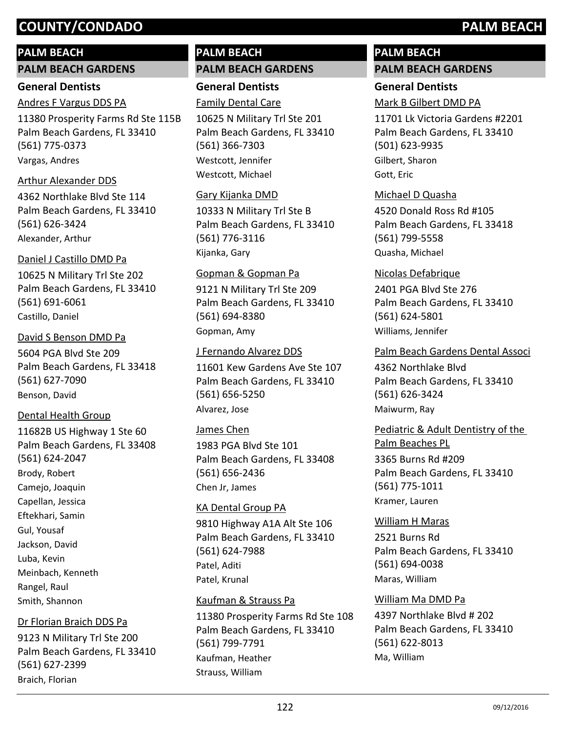## **PALM BEACH**

#### **PALM BEACH GARDENS**

#### **General Dentists**

#### Andres F Vargus DDS PA

11380 Prosperity Farms Rd Ste 115B Palm Beach Gardens, FL 33410 (561) 775-0373 Vargas, Andres

#### Arthur Alexander DDS

4362 Northlake Blvd Ste 114 Palm Beach Gardens, FL 33410 (561) 626-3424 Alexander, Arthur

#### Daniel J Castillo DMD Pa

10625 N Military Trl Ste 202 Palm Beach Gardens, FL 33410 (561) 691-6061 Castillo, Daniel

#### David S Benson DMD Pa

5604 PGA Blvd Ste 209 Palm Beach Gardens, FL 33418 (561) 627-7090 Benson, David

#### Dental Health Group

11682B US Highway 1 Ste 60 Palm Beach Gardens, FL 33408 (561) 624-2047 Brody, Robert Camejo, Joaquin Capellan, Jessica Eftekhari, Samin Gul, Yousaf Jackson, David Luba, Kevin Meinbach, Kenneth Rangel, Raul Smith, Shannon

#### Dr Florian Braich DDS Pa

9123 N Military Trl Ste 200 Palm Beach Gardens, FL 33410 (561) 627-2399 Braich, Florian

# **PALM BEACH PALM BEACH GARDENS**

**General Dentists** Family Dental Care

10625 N Military Trl Ste 201 Palm Beach Gardens, FL 33410 (561) 366-7303 Westcott, Jennifer Westcott, Michael

#### Gary Kijanka DMD

10333 N Military Trl Ste B Palm Beach Gardens, FL 33410 (561) 776-3116 Kijanka, Gary

#### Gopman & Gopman Pa

9121 N Military Trl Ste 209 Palm Beach Gardens, FL 33410 (561) 694-8380 Gopman, Amy

#### J Fernando Alvarez DDS

11601 Kew Gardens Ave Ste 107 Palm Beach Gardens, FL 33410 (561) 656-5250 Alvarez, Jose

#### James Chen

1983 PGA Blvd Ste 101 Palm Beach Gardens, FL 33408 (561) 656-2436 Chen Jr, James

#### KA Dental Group PA

9810 Highway A1A Alt Ste 106 Palm Beach Gardens, FL 33410 (561) 624-7988 Patel, Aditi Patel, Krunal

#### Kaufman & Strauss Pa

11380 Prosperity Farms Rd Ste 108 Palm Beach Gardens, FL 33410 (561) 799-7791 Kaufman, Heather Strauss, William

# **PALM BEACH PALM BEACH GARDENS**

# **General Dentists**

Mark B Gilbert DMD PA

11701 Lk Victoria Gardens #2201 Palm Beach Gardens, FL 33410 (501) 623-9935 Gilbert, Sharon Gott, Eric

### Michael D Quasha

4520 Donald Ross Rd #105 Palm Beach Gardens, FL 33418 (561) 799-5558 Quasha, Michael

# Nicolas Defabrique

2401 PGA Blvd Ste 276 Palm Beach Gardens, FL 33410 (561) 624-5801 Williams, Jennifer

#### Palm Beach Gardens Dental Associ

4362 Northlake Blvd Palm Beach Gardens, FL 33410 (561) 626-3424 Maiwurm, Ray

3365 Burns Rd #209 Palm Beach Gardens, FL 33410 (561) 775-1011 Pediatric & Adult Dentistry of the Palm Beaches PL Kramer, Lauren

2521 Burns Rd Palm Beach Gardens, FL 33410 (561) 694-0038 William H Maras Maras, William

#### William Ma DMD Pa

4397 Northlake Blvd # 202 Palm Beach Gardens, FL 33410 (561) 622-8013 Ma, William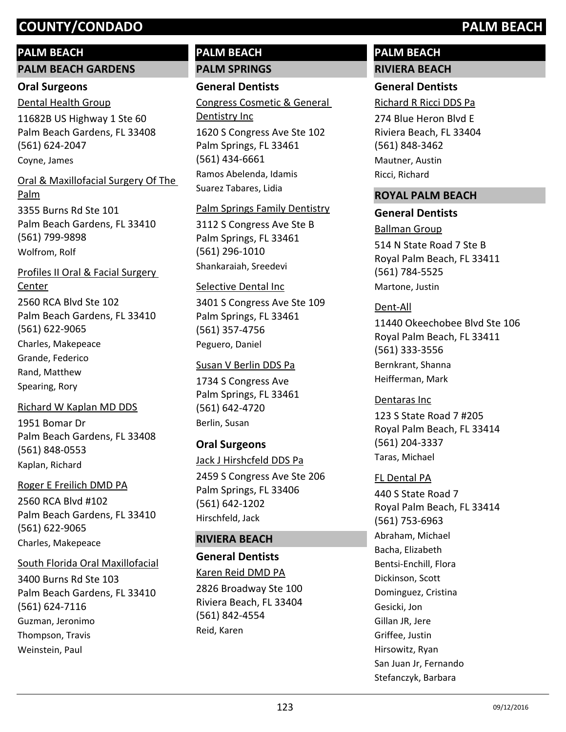# **PALM BEACH**

#### **PALM BEACH GARDENS**

#### **Oral Surgeons**

11682B US Highway 1 Ste 60 Palm Beach Gardens, FL 33408 (561) 624-2047 Dental Health Group Coyne, James

# 3355 Burns Rd Ste 101 Palm Beach Gardens, FL 33410 Oral & Maxillofacial Surgery Of The Palm

(561) 799-9898 Wolfrom, Rolf

2560 RCA Blvd Ste 102 Palm Beach Gardens, FL 33410 (561) 622-9065 Profiles II Oral & Facial Surgery Center Charles, Makepeace Grande, Federico Rand, Matthew

Spearing, Rory

## Richard W Kaplan MD DDS

1951 Bomar Dr Palm Beach Gardens, FL 33408 (561) 848-0553 Kaplan, Richard

#### Roger E Freilich DMD PA

2560 RCA Blvd #102 Palm Beach Gardens, FL 33410 (561) 622-9065 Charles, Makepeace

#### South Florida Oral Maxillofacial

3400 Burns Rd Ste 103 Palm Beach Gardens, FL 33410 (561) 624-7116 Guzman, Jeronimo Thompson, Travis Weinstein, Paul

# **PALM BEACH PALM SPRINGS**

# **General Dentists**

1620 S Congress Ave Ste 102 Palm Springs, FL 33461 (561) 434-6661 Congress Cosmetic & General Dentistry Inc Ramos Abelenda, Idamis Suarez Tabares, Lidia

### Palm Springs Family Dentistry

3112 S Congress Ave Ste B Palm Springs, FL 33461 (561) 296-1010 Shankaraiah, Sreedevi

### Selective Dental Inc

3401 S Congress Ave Ste 109 Palm Springs, FL 33461 (561) 357-4756 Peguero, Daniel

## Susan V Berlin DDS Pa

1734 S Congress Ave Palm Springs, FL 33461 (561) 642-4720 Berlin, Susan

## **Oral Surgeons**

Jack J Hirshcfeld DDS Pa

2459 S Congress Ave Ste 206 Palm Springs, FL 33406 (561) 642-1202 Hirschfeld, Jack

## **RIVIERA BEACH**

## **General Dentists**

2826 Broadway Ste 100 Riviera Beach, FL 33404 (561) 842-4554 Karen Reid DMD PA Reid, Karen

# **PALM BEACH RIVIERA BEACH**

# **General Dentists**

Richard R Ricci DDS Pa

274 Blue Heron Blvd E Riviera Beach, FL 33404 (561) 848-3462 Mautner, Austin Ricci, Richard

### **ROYAL PALM BEACH**

### **General Dentists**

514 N State Road 7 Ste B Royal Palm Beach, FL 33411 (561) 784-5525 Ballman Group Martone, Justin

### Dent-All

11440 Okeechobee Blvd Ste 106 Royal Palm Beach, FL 33411 (561) 333-3556 Bernkrant, Shanna Heifferman, Mark

# Dentaras Inc

123 S State Road 7 #205 Royal Palm Beach, FL 33414 (561) 204-3337 Taras, Michael

## FL Dental PA

440 S State Road 7 Royal Palm Beach, FL 33414 (561) 753-6963 Abraham, Michael Bacha, Elizabeth Bentsi-Enchill, Flora Dickinson, Scott Dominguez, Cristina Gesicki, Jon Gillan JR, Jere Griffee, Justin Hirsowitz, Ryan San Juan Jr, Fernando Stefanczyk, Barbara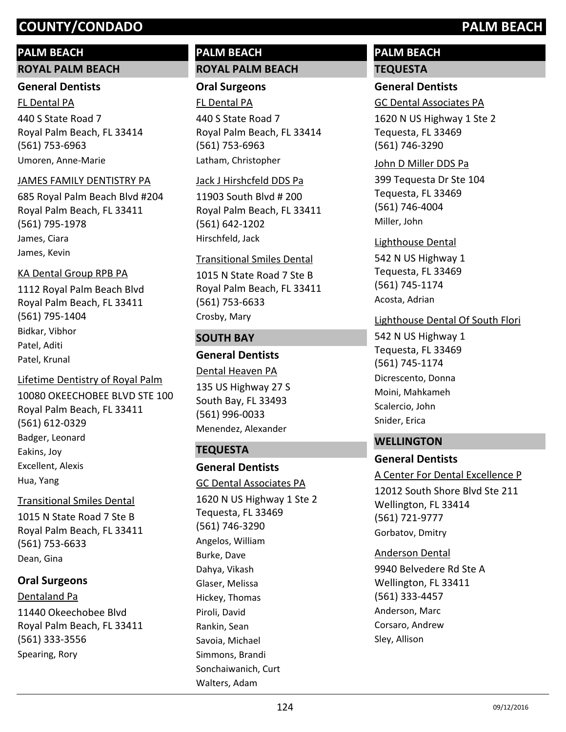# **PALM BEACH**

#### **ROYAL PALM BEACH**

#### **General Dentists**

440 S State Road 7 Royal Palm Beach, FL 33414 (561) 753-6963 FL Dental PA Umoren, Anne-Marie

#### JAMES FAMILY DENTISTRY PA

685 Royal Palm Beach Blvd #204 Royal Palm Beach, FL 33411 (561) 795-1978 James, Ciara James, Kevin

#### KA Dental Group RPB PA

1112 Royal Palm Beach Blvd Royal Palm Beach, FL 33411 (561) 795-1404 Bidkar, Vibhor Patel, Aditi Patel, Krunal

#### Lifetime Dentistry of Royal Palm

10080 OKEECHOBEE BLVD STE 100 Royal Palm Beach, FL 33411 (561) 612-0329 Badger, Leonard Eakins, Joy Excellent, Alexis Hua, Yang

#### Transitional Smiles Dental

1015 N State Road 7 Ste B Royal Palm Beach, FL 33411 (561) 753-6633 Dean, Gina

## **Oral Surgeons**

11440 Okeechobee Blvd Royal Palm Beach, FL 33411 (561) 333-3556 Dentaland Pa Spearing, Rory

# **PALM BEACH ROYAL PALM BEACH**

# **Oral Surgeons**

440 S State Road 7 Royal Palm Beach, FL 33414 (561) 753-6963 FL Dental PA Latham, Christopher

#### Jack J Hirshcfeld DDS Pa

11903 South Blvd # 200 Royal Palm Beach, FL 33411 (561) 642-1202 Hirschfeld, Jack

#### Transitional Smiles Dental

1015 N State Road 7 Ste B Royal Palm Beach, FL 33411 (561) 753-6633 Crosby, Mary

### **SOUTH BAY**

# **General Dentists**

135 US Highway 27 S South Bay, FL 33493 (561) 996-0033 Dental Heaven PA Menendez, Alexander

## **TEQUESTA**

Walters, Adam

#### **General Dentists**

1620 N US Highway 1 Ste 2 Tequesta, FL 33469 (561) 746-3290 GC Dental Associates PA Angelos, William Burke, Dave Dahya, Vikash Glaser, Melissa Hickey, Thomas Piroli, David Rankin, Sean Savoia, Michael Simmons, Brandi Sonchaiwanich, Curt

# **PALM BEACH TEQUESTA**

### **General Dentists**

GC Dental Associates PA

1620 N US Highway 1 Ste 2 Tequesta, FL 33469 (561) 746-3290

#### John D Miller DDS Pa

399 Tequesta Dr Ste 104 Tequesta, FL 33469 (561) 746-4004 Miller, John

542 N US Highway 1 Tequesta, FL 33469 (561) 745-1174 Lighthouse Dental Acosta, Adrian

### Lighthouse Dental Of South Flori

542 N US Highway 1 Tequesta, FL 33469 (561) 745-1174 Dicrescento, Donna Moini, Mahkameh Scalercio, John Snider, Erica

#### **WELLINGTON**

#### **General Dentists**

12012 South Shore Blvd Ste 211 Wellington, FL 33414 (561) 721-9777 A Center For Dental Excellence P Gorbatov, Dmitry

#### Anderson Dental

9940 Belvedere Rd Ste A Wellington, FL 33411 (561) 333-4457 Anderson, Marc Corsaro, Andrew Sley, Allison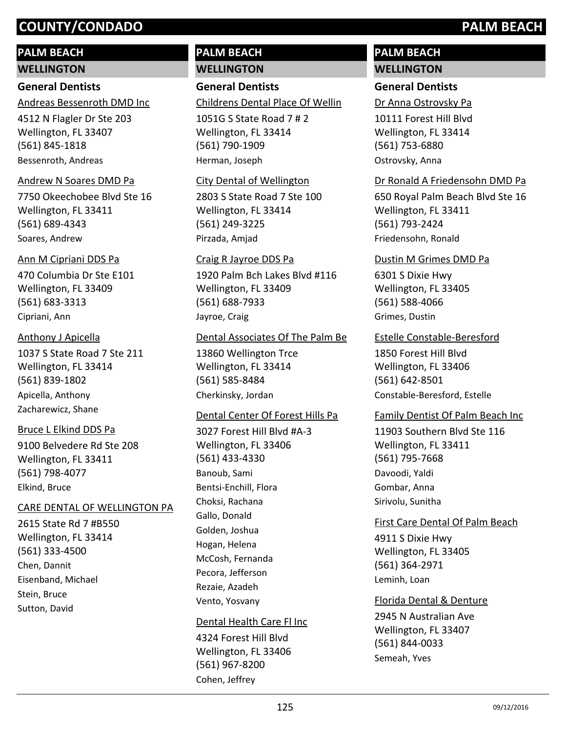# **PALM BEACH**

**WELLINGTON**

## **General Dentists**

Andreas Bessenroth DMD Inc

4512 N Flagler Dr Ste 203 Wellington, FL 33407 (561) 845-1818 Bessenroth, Andreas

#### Andrew N Soares DMD Pa

7750 Okeechobee Blvd Ste 16 Wellington, FL 33411 (561) 689-4343 Soares, Andrew

#### Ann M Cipriani DDS Pa

470 Columbia Dr Ste E101 Wellington, FL 33409 (561) 683-3313 Cipriani, Ann

#### Anthony J Apicella

1037 S State Road 7 Ste 211 Wellington, FL 33414 (561) 839-1802 Apicella, Anthony Zacharewicz, Shane

#### Bruce L Elkind DDS Pa

9100 Belvedere Rd Ste 208 Wellington, FL 33411 (561) 798-4077 Elkind, Bruce

#### CARE DENTAL OF WELLINGTON PA

2615 State Rd 7 #B550 Wellington, FL 33414 (561) 333-4500 Chen, Dannit Eisenband, Michael Stein, Bruce Sutton, David

# **PALM BEACH WELLINGTON**

**General Dentists**

Childrens Dental Place Of Wellin

1051G S State Road 7 # 2 Wellington, FL 33414 (561) 790-1909 Herman, Joseph

#### City Dental of Wellington

2803 S State Road 7 Ste 100 Wellington, FL 33414 (561) 249-3225 Pirzada, Amjad

# 1920 Palm Bch Lakes Blvd #116 Wellington, FL 33409 (561) 688-7933 Craig R Jayroe DDS Pa Jayroe, Craig

#### Dental Associates Of The Palm Be

13860 Wellington Trce Wellington, FL 33414 (561) 585-8484 Cherkinsky, Jordan

#### Dental Center Of Forest Hills Pa

3027 Forest Hill Blvd #A-3 Wellington, FL 33406 (561) 433-4330 Banoub, Sami Bentsi-Enchill, Flora Choksi, Rachana Gallo, Donald Golden, Joshua Hogan, Helena McCosh, Fernanda Pecora, Jefferson Rezaie, Azadeh Vento, Yosvany

#### Dental Health Care Fl Inc

4324 Forest Hill Blvd Wellington, FL 33406 (561) 967-8200 Cohen, Jeffrey

# **PALM BEACH WELLINGTON**

#### **General Dentists**

Dr Anna Ostrovsky Pa

10111 Forest Hill Blvd Wellington, FL 33414 (561) 753-6880 Ostrovsky, Anna

#### Dr Ronald A Friedensohn DMD Pa

650 Royal Palm Beach Blvd Ste 16 Wellington, FL 33411 (561) 793-2424 Friedensohn, Ronald

#### Dustin M Grimes DMD Pa

6301 S Dixie Hwy Wellington, FL 33405 (561) 588-4066 Grimes, Dustin

#### Estelle Constable-Beresford

1850 Forest Hill Blvd Wellington, FL 33406 (561) 642-8501 Constable-Beresford, Estelle

#### Family Dentist Of Palm Beach Inc

11903 Southern Blvd Ste 116 Wellington, FL 33411 (561) 795-7668 Davoodi, Yaldi Gombar, Anna Sirivolu, Sunitha

#### First Care Dental Of Palm Beach

4911 S Dixie Hwy Wellington, FL 33405 (561) 364-2971 Leminh, Loan

# Florida Dental & Denture

2945 N Australian Ave Wellington, FL 33407 (561) 844-0033 Semeah, Yves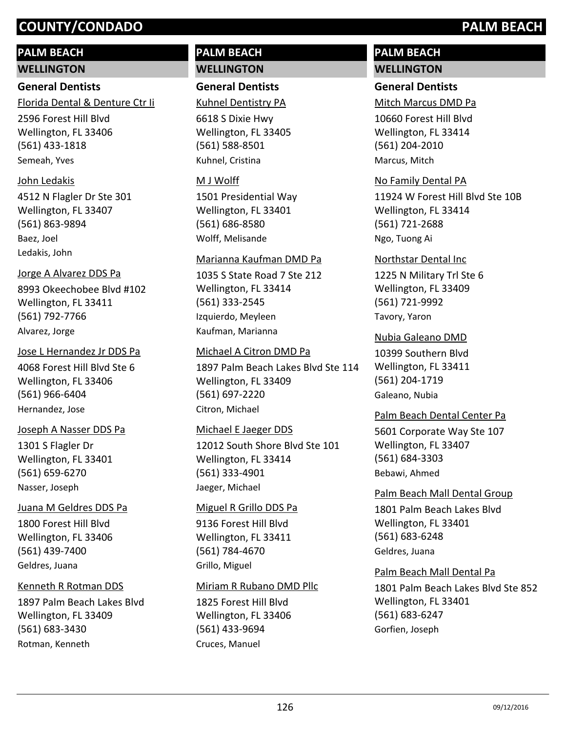# **PALM BEACH**

**WELLINGTON**

# **General Dentists**

Florida Dental & Denture Ctr Ii

2596 Forest Hill Blvd Wellington, FL 33406 (561) 433-1818 Semeah, Yves

# John Ledakis

4512 N Flagler Dr Ste 301 Wellington, FL 33407 (561) 863-9894 Baez, Joel Ledakis, John

# Jorge A Alvarez DDS Pa

8993 Okeechobee Blvd #102 Wellington, FL 33411 (561) 792-7766 Alvarez, Jorge

# Jose L Hernandez Jr DDS Pa

4068 Forest Hill Blvd Ste 6 Wellington, FL 33406 (561) 966-6404 Hernandez, Jose

# Joseph A Nasser DDS Pa

1301 S Flagler Dr Wellington, FL 33401 (561) 659-6270 Nasser, Joseph

# Juana M Geldres DDS Pa

1800 Forest Hill Blvd Wellington, FL 33406 (561) 439-7400 Geldres, Juana

# Kenneth R Rotman DDS

1897 Palm Beach Lakes Blvd Wellington, FL 33409 (561) 683-3430 Rotman, Kenneth

# **PALM BEACH WELLINGTON**

# **General Dentists**

Kuhnel Dentistry PA

6618 S Dixie Hwy Wellington, FL 33405 (561) 588-8501 Kuhnel, Cristina

# M J Wolff

1501 Presidential Way Wellington, FL 33401 (561) 686-8580 Wolff, Melisande

# Marianna Kaufman DMD Pa

1035 S State Road 7 Ste 212 Wellington, FL 33414 (561) 333-2545 Izquierdo, Meyleen Kaufman, Marianna

# Michael A Citron DMD Pa

1897 Palm Beach Lakes Blvd Ste 114 Wellington, FL 33409 (561) 697-2220 Citron, Michael

# Michael E Jaeger DDS

12012 South Shore Blvd Ste 101 Wellington, FL 33414 (561) 333-4901 Jaeger, Michael

# Miguel R Grillo DDS Pa

9136 Forest Hill Blvd Wellington, FL 33411 (561) 784-4670 Grillo, Miguel

# Miriam R Rubano DMD Pllc

1825 Forest Hill Blvd Wellington, FL 33406 (561) 433-9694 Cruces, Manuel

# **PALM BEACH WELLINGTON**

# **General Dentists**

Mitch Marcus DMD Pa

10660 Forest Hill Blvd Wellington, FL 33414 (561) 204-2010 Marcus, Mitch

# No Family Dental PA

11924 W Forest Hill Blvd Ste 10B Wellington, FL 33414 (561) 721-2688 Ngo, Tuong Ai

# Northstar Dental Inc

1225 N Military Trl Ste 6 Wellington, FL 33409 (561) 721-9992 Tavory, Yaron

# Nubia Galeano DMD

10399 Southern Blvd Wellington, FL 33411 (561) 204-1719 Galeano, Nubia

# Palm Beach Dental Center Pa

5601 Corporate Way Ste 107 Wellington, FL 33407 (561) 684-3303 Bebawi, Ahmed

1801 Palm Beach Lakes Blvd Wellington, FL 33401 (561) 683-6248 Palm Beach Mall Dental Group Geldres, Juana

# Palm Beach Mall Dental Pa

1801 Palm Beach Lakes Blvd Ste 852 Wellington, FL 33401 (561) 683-6247 Gorfien, Joseph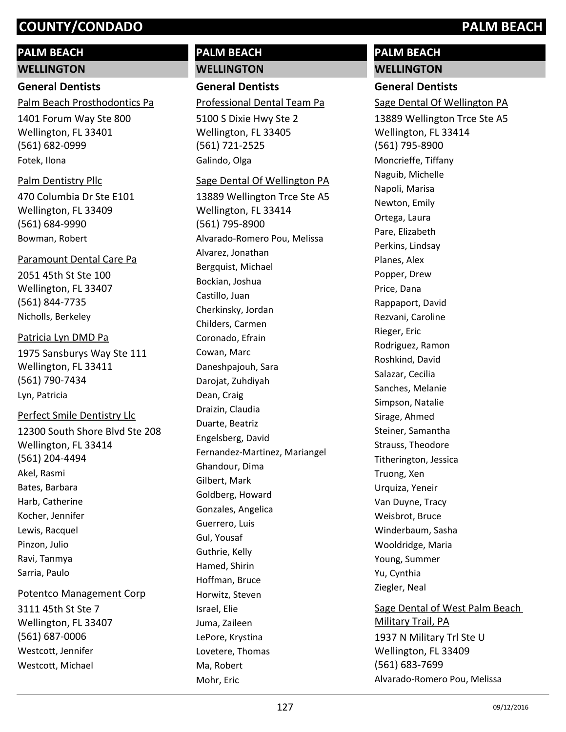# **PALM BEACH**

**WELLINGTON**

# **General Dentists**

Palm Beach Prosthodontics Pa

1401 Forum Way Ste 800 Wellington, FL 33401 (561) 682-0999 Fotek, Ilona

# Palm Dentistry Pllc

470 Columbia Dr Ste E101 Wellington, FL 33409 (561) 684-9990 Bowman, Robert

# Paramount Dental Care Pa

2051 45th St Ste 100 Wellington, FL 33407 (561) 844-7735 Nicholls, Berkeley

# Patricia Lyn DMD Pa

1975 Sansburys Way Ste 111 Wellington, FL 33411 (561) 790-7434 Lyn, Patricia

# Perfect Smile Dentistry Llc

12300 South Shore Blvd Ste 208 Wellington, FL 33414 (561) 204-4494 Akel, Rasmi Bates, Barbara Harb, Catherine Kocher, Jennifer Lewis, Racquel Pinzon, Julio Ravi, Tanmya Sarria, Paulo

# Potentco Management Corp

3111 45th St Ste 7 Wellington, FL 33407 (561) 687-0006 Westcott, Jennifer Westcott, Michael

# **PALM BEACH WELLINGTON**

# **General Dentists**

Professional Dental Team Pa

5100 S Dixie Hwy Ste 2 Wellington, FL 33405 (561) 721-2525 Galindo, Olga

# Sage Dental Of Wellington PA

13889 Wellington Trce Ste A5 Wellington, FL 33414 (561) 795-8900 Alvarado-Romero Pou, Melissa Alvarez, Jonathan Bergquist, Michael Bockian, Joshua Castillo, Juan Cherkinsky, Jordan Childers, Carmen Coronado, Efrain Cowan, Marc Daneshpajouh, Sara Darojat, Zuhdiyah Dean, Craig Draizin, Claudia Duarte, Beatriz Engelsberg, David Fernandez-Martinez, Mariangel Ghandour, Dima Gilbert, Mark Goldberg, Howard Gonzales, Angelica Guerrero, Luis Gul, Yousaf Guthrie, Kelly Hamed, Shirin Hoffman, Bruce Horwitz, Steven Israel, Elie Juma, Zaileen LePore, Krystina Lovetere, Thomas Ma, Robert Mohr, Eric

# **PALM BEACH WELLINGTON**

# **General Dentists**

Sage Dental Of Wellington PA

13889 Wellington Trce Ste A5 Wellington, FL 33414 (561) 795-8900 Moncrieffe, Tiffany Naguib, Michelle Napoli, Marisa Newton, Emily Ortega, Laura Pare, Elizabeth Perkins, Lindsay Planes, Alex Popper, Drew Price, Dana Rappaport, David Rezvani, Caroline Rieger, Eric Rodriguez, Ramon Roshkind, David Salazar, Cecilia Sanches, Melanie Simpson, Natalie Sirage, Ahmed Steiner, Samantha Strauss, Theodore Titherington, Jessica Truong, Xen Urquiza, Yeneir Van Duyne, Tracy Weisbrot, Bruce Winderbaum, Sasha Wooldridge, Maria Young, Summer Yu, Cynthia Ziegler, Neal Sage Dental of West Palm Beach

1937 N Military Trl Ste U Wellington, FL 33409 (561) 683-7699 Military Trail, PA Alvarado-Romero Pou, Melissa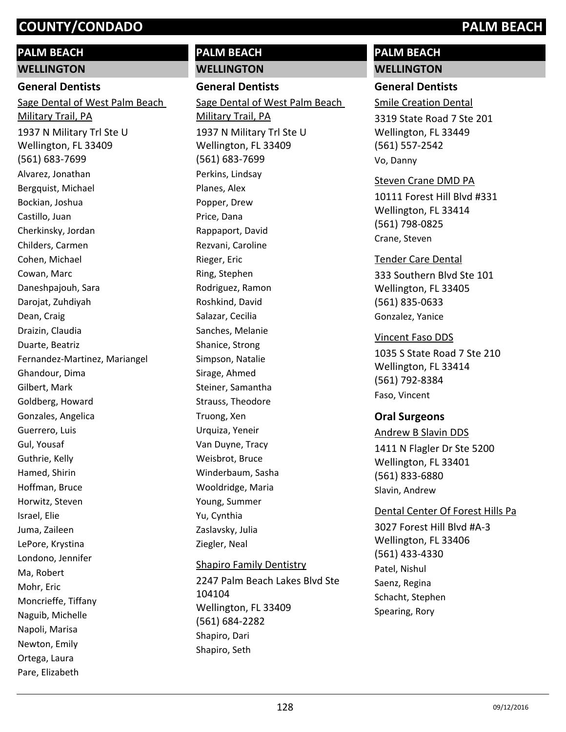# **PALM BEACH**

**WELLINGTON**

#### **General Dentists**

1937 N Military Trl Ste U Wellington, FL 33409 (561) 683-7699 Sage Dental of West Palm Beach Military Trail, PA Alvarez, Jonathan Bergquist, Michael Bockian, Joshua Castillo, Juan Cherkinsky, Jordan Childers, Carmen Cohen, Michael Cowan, Marc Daneshpajouh, Sara Darojat, Zuhdiyah Dean, Craig Draizin, Claudia Duarte, Beatriz Fernandez-Martinez, Mariangel Ghandour, Dima Gilbert, Mark Goldberg, Howard Gonzales, Angelica Guerrero, Luis Gul, Yousaf Guthrie, Kelly Hamed, Shirin Hoffman, Bruce Horwitz, Steven Israel, Elie Juma, Zaileen LePore, Krystina Londono, Jennifer Ma, Robert Mohr, Eric Moncrieffe, Tiffany Naguib, Michelle Napoli, Marisa Newton, Emily Ortega, Laura Pare, Elizabeth

# **PALM BEACH WELLINGTON**

**General Dentists**

1937 N Military Trl Ste U Wellington, FL 33409 (561) 683-7699 Sage Dental of West Palm Beach Military Trail, PA Perkins, Lindsay Planes, Alex Popper, Drew Price, Dana Rappaport, David Rezvani, Caroline Rieger, Eric Ring, Stephen Rodriguez, Ramon Roshkind, David Salazar, Cecilia Sanches, Melanie Shanice, Strong Simpson, Natalie Sirage, Ahmed Steiner, Samantha Strauss, Theodore Truong, Xen Urquiza, Yeneir Van Duyne, Tracy Weisbrot, Bruce Winderbaum, Sasha Wooldridge, Maria Young, Summer Yu, Cynthia Zaslavsky, Julia Ziegler, Neal

#### Shapiro Family Dentistry

2247 Palm Beach Lakes Blvd Ste 104104 Wellington, FL 33409 (561) 684-2282 Shapiro, Dari Shapiro, Seth

# **PALM BEACH WELLINGTON**

# **General Dentists**

Smile Creation Dental

3319 State Road 7 Ste 201 Wellington, FL 33449 (561) 557-2542 Vo, Danny

## Steven Crane DMD PA

10111 Forest Hill Blvd #331 Wellington, FL 33414 (561) 798-0825 Crane, Steven

# Tender Care Dental

333 Southern Blvd Ste 101 Wellington, FL 33405 (561) 835-0633 Gonzalez, Yanice

# Vincent Faso DDS

1035 S State Road 7 Ste 210 Wellington, FL 33414 (561) 792-8384 Faso, Vincent

# **Oral Surgeons**

1411 N Flagler Dr Ste 5200 Wellington, FL 33401 (561) 833-6880 Andrew B Slavin DDS Slavin, Andrew

## Dental Center Of Forest Hills Pa

3027 Forest Hill Blvd #A-3 Wellington, FL 33406 (561) 433-4330 Patel, Nishul Saenz, Regina Schacht, Stephen Spearing, Rory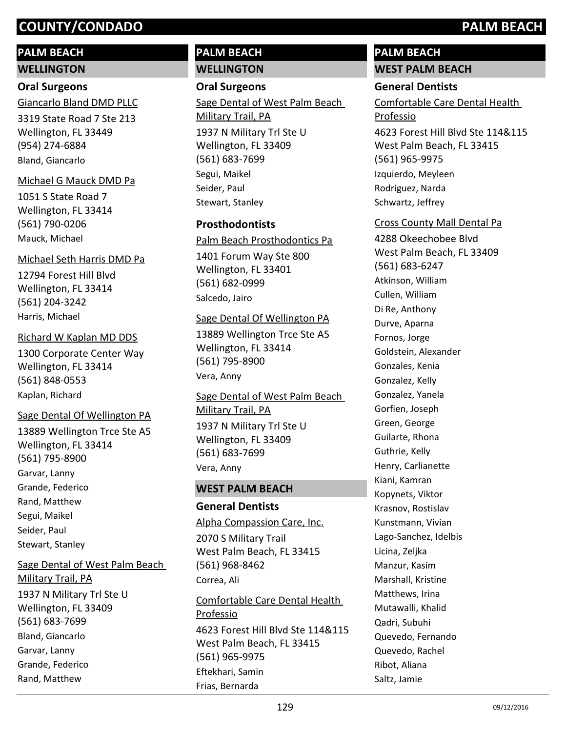# **PALM BEACH**

**WELLINGTON**

# **Oral Surgeons**

3319 State Road 7 Ste 213 Wellington, FL 33449 (954) 274-6884 Giancarlo Bland DMD PLLC Bland, Giancarlo

# Michael G Mauck DMD Pa

1051 S State Road 7 Wellington, FL 33414 (561) 790-0206 Mauck, Michael

# Michael Seth Harris DMD Pa

12794 Forest Hill Blvd Wellington, FL 33414 (561) 204-3242 Harris, Michael

# Richard W Kaplan MD DDS

1300 Corporate Center Way Wellington, FL 33414 (561) 848-0553 Kaplan, Richard

# Sage Dental Of Wellington PA

13889 Wellington Trce Ste A5 Wellington, FL 33414 (561) 795-8900 Garvar, Lanny Grande, Federico Rand, Matthew Segui, Maikel Seider, Paul Stewart, Stanley

# Sage Dental of West Palm Beach

1937 N Military Trl Ste U Wellington, FL 33409 (561) 683-7699 Military Trail, PA Bland, Giancarlo Garvar, Lanny Grande, Federico Rand, Matthew

# **PALM BEACH WELLINGTON**

## **Oral Surgeons**

1937 N Military Trl Ste U Sage Dental of West Palm Beach Military Trail, PA

Wellington, FL 33409 (561) 683-7699 Segui, Maikel Seider, Paul Stewart, Stanley

# **Prosthodontists**

Palm Beach Prosthodontics Pa

1401 Forum Way Ste 800 Wellington, FL 33401 (561) 682-0999 Salcedo, Jairo

## Sage Dental Of Wellington PA

13889 Wellington Trce Ste A5 Wellington, FL 33414 (561) 795-8900 Vera, Anny

# 1937 N Military Trl Ste U Wellington, FL 33409 Sage Dental of West Palm Beach Military Trail, PA

(561) 683-7699 Vera, Anny

## **WEST PALM BEACH**

## **General Dentists**

## Alpha Compassion Care, Inc.

2070 S Military Trail West Palm Beach, FL 33415 (561) 968-8462 Correa, Ali

4623 Forest Hill Blvd Ste 114&115 West Palm Beach, FL 33415 (561) 965-9975 Comfortable Care Dental Health Professio Eftekhari, Samin Frias, Bernarda

# **PALM BEACH WEST PALM BEACH**

# **General Dentists**

Comfortable Care Dental Health Professio

4623 Forest Hill Blvd Ste 114&115 West Palm Beach, FL 33415 (561) 965-9975 Izquierdo, Meyleen Rodriguez, Narda Schwartz, Jeffrey

# Cross County Mall Dental Pa

4288 Okeechobee Blvd West Palm Beach, FL 33409 (561) 683-6247 Atkinson, William Cullen, William Di Re, Anthony Durve, Aparna Fornos, Jorge Goldstein, Alexander Gonzales, Kenia Gonzalez, Kelly Gonzalez, Yanela Gorfien, Joseph Green, George Guilarte, Rhona Guthrie, Kelly Henry, Carlianette Kiani, Kamran Kopynets, Viktor Krasnov, Rostislav Kunstmann, Vivian Lago-Sanchez, Idelbis Licina, Zeljka Manzur, Kasim Marshall, Kristine Matthews, Irina Mutawalli, Khalid Qadri, Subuhi Quevedo, Fernando Quevedo, Rachel Ribot, Aliana Saltz, Jamie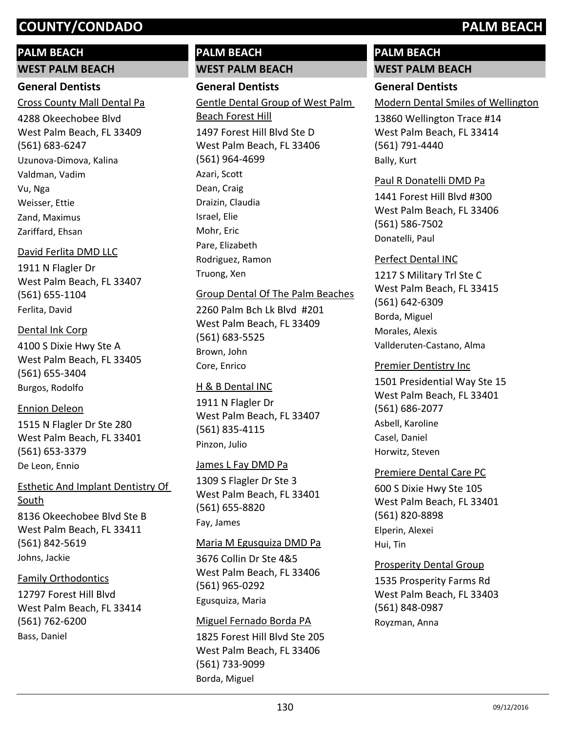# **PALM BEACH**

**WEST PALM BEACH**

# **General Dentists**

Cross County Mall Dental Pa

4288 Okeechobee Blvd West Palm Beach, FL 33409 (561) 683-6247 Uzunova-Dimova, Kalina Valdman, Vadim Vu, Nga Weisser, Ettie Zand, Maximus Zariffard, Ehsan

# David Ferlita DMD LLC

1911 N Flagler Dr West Palm Beach, FL 33407 (561) 655-1104 Ferlita, David

# Dental Ink Corp

4100 S Dixie Hwy Ste A West Palm Beach, FL 33405 (561) 655-3404 Burgos, Rodolfo

# Ennion Deleon

1515 N Flagler Dr Ste 280 West Palm Beach, FL 33401 (561) 653-3379 De Leon, Ennio

# 8136 Okeechobee Blvd Ste B Esthetic And Implant Dentistry Of South

West Palm Beach, FL 33411 (561) 842-5619 Johns, Jackie

# Family Orthodontics

12797 Forest Hill Blvd West Palm Beach, FL 33414 (561) 762-6200 Bass, Daniel

# **PALM BEACH**

# **WEST PALM BEACH General Dentists**

1497 Forest Hill Blvd Ste D West Palm Beach, FL 33406 (561) 964-4699 Gentle Dental Group of West Palm Beach Forest Hill Azari, Scott Dean, Craig Draizin, Claudia Israel, Elie Mohr, Eric Pare, Elizabeth Rodriguez, Ramon Truong, Xen

# Group Dental Of The Palm Beaches

2260 Palm Bch Lk Blvd #201 West Palm Beach, FL 33409 (561) 683-5525 Brown, John Core, Enrico

# H & B Dental INC

1911 N Flagler Dr West Palm Beach, FL 33407 (561) 835-4115 Pinzon, Julio

# James L Fay DMD Pa

1309 S Flagler Dr Ste 3 West Palm Beach, FL 33401 (561) 655-8820 Fay, James

# Maria M Egusquiza DMD Pa

3676 Collin Dr Ste 4&5 West Palm Beach, FL 33406 (561) 965-0292 Egusquiza, Maria

# Miguel Fernado Borda PA

1825 Forest Hill Blvd Ste 205 West Palm Beach, FL 33406 (561) 733-9099 Borda, Miguel

# **PALM BEACH WEST PALM BEACH**

# **General Dentists**

Modern Dental Smiles of Wellington

13860 Wellington Trace #14 West Palm Beach, FL 33414 (561) 791-4440 Bally, Kurt

### Paul R Donatelli DMD Pa

1441 Forest Hill Blvd #300 West Palm Beach, FL 33406 (561) 586-7502 Donatelli, Paul

# Perfect Dental INC

1217 S Military Trl Ste C West Palm Beach, FL 33415 (561) 642-6309 Borda, Miguel Morales, Alexis Vallderuten-Castano, Alma

## Premier Dentistry Inc

1501 Presidential Way Ste 15 West Palm Beach, FL 33401 (561) 686-2077 Asbell, Karoline Casel, Daniel Horwitz, Steven

## Premiere Dental Care PC

600 S Dixie Hwy Ste 105 West Palm Beach, FL 33401 (561) 820-8898 Elperin, Alexei Hui, Tin

## Prosperity Dental Group

1535 Prosperity Farms Rd West Palm Beach, FL 33403 (561) 848-0987 Royzman, Anna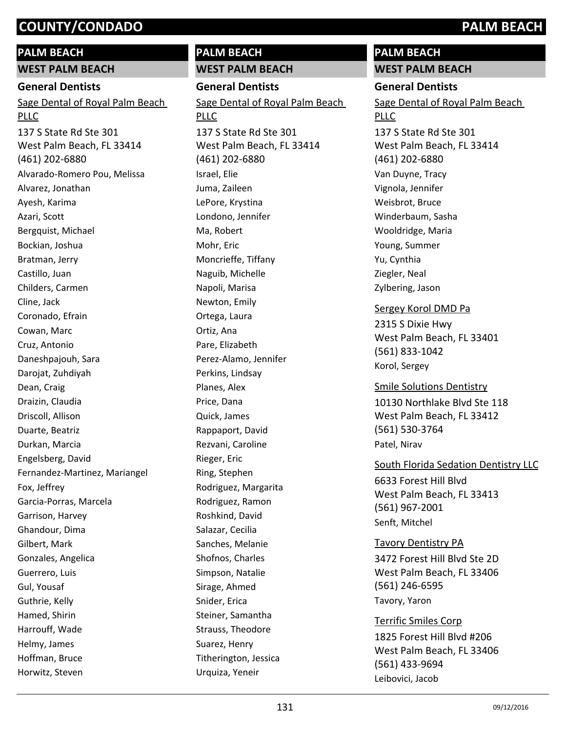## **PALM BEACH**

**WEST PALM BEACH**

#### **General Dentists**

137 S State Rd Ste 301 West Palm Beach, FL 33414 (461) 202-6880 Sage Dental of Royal Palm Beach PLLC Alvarado-Romero Pou, Melissa Alvarez, Jonathan Ayesh, Karima Azari, Scott Bergquist, Michael Bockian, Joshua Bratman, Jerry Castillo, Juan Childers, Carmen Cline, Jack Coronado, Efrain Cowan, Marc Cruz, Antonio Daneshpajouh, Sara Darojat, Zuhdiyah Dean, Craig Draizin, Claudia Driscoll, Allison Duarte, Beatriz Durkan, Marcia Engelsberg, David Fernandez-Martinez, Mariangel Fox, Jeffrey Garcia-Porras, Marcela Garrison, Harvey Ghandour, Dima Gilbert, Mark Gonzales, Angelica Guerrero, Luis Gul, Yousaf Guthrie, Kelly Hamed, Shirin Harrouff, Wade Helmy, James Hoffman, Bruce Horwitz, Steven

# **PALM BEACH**

**WEST PALM BEACH General Dentists** 137 S State Rd Ste 301 West Palm Beach, FL 33414 (461) 202-6880 Sage Dental of Royal Palm Beach PLLC Israel, Elie Juma, Zaileen LePore, Krystina Londono, Jennifer Ma, Robert Mohr, Eric Moncrieffe, Tiffany Naguib, Michelle Napoli, Marisa Newton, Emily Ortega, Laura Ortiz, Ana Pare, Elizabeth Perez-Alamo, Jennifer Perkins, Lindsay Planes, Alex Price, Dana Quick, James Rappaport, David Rezvani, Caroline Rieger, Eric Ring, Stephen Rodriguez, Margarita Rodriguez, Ramon Roshkind, David Salazar, Cecilia Sanches, Melanie Shofnos, Charles Simpson, Natalie Sirage, Ahmed

# **PALM BEACH WEST PALM BEACH**

### **General Dentists**

137 S State Rd Ste 301 Sage Dental of Royal Palm Beach PLLC

West Palm Beach, FL 33414 (461) 202-6880 Van Duyne, Tracy Vignola, Jennifer Weisbrot, Bruce Winderbaum, Sasha Wooldridge, Maria Young, Summer Yu, Cynthia Ziegler, Neal Zylbering, Jason

#### Sergey Korol DMD Pa

2315 S Dixie Hwy West Palm Beach, FL 33401 (561) 833-1042 Korol, Sergey

10130 Northlake Blvd Ste 118 West Palm Beach, FL 33412 (561) 530-3764 Smile Solutions Dentistry Patel, Nirav

## South Florida Sedation Dentistry LLC

6633 Forest Hill Blvd West Palm Beach, FL 33413 (561) 967-2001 Senft, Mitchel

#### Tavory Dentistry PA

3472 Forest Hill Blvd Ste 2D West Palm Beach, FL 33406 (561) 246-6595 Tavory, Yaron

# Terrific Smiles Corp

1825 Forest Hill Blvd #206 West Palm Beach, FL 33406 (561) 433-9694 Leibovici, Jacob

Snider, Erica

Steiner, Samantha Strauss, Theodore Suarez, Henry

Titherington, Jessica Urquiza, Yeneir